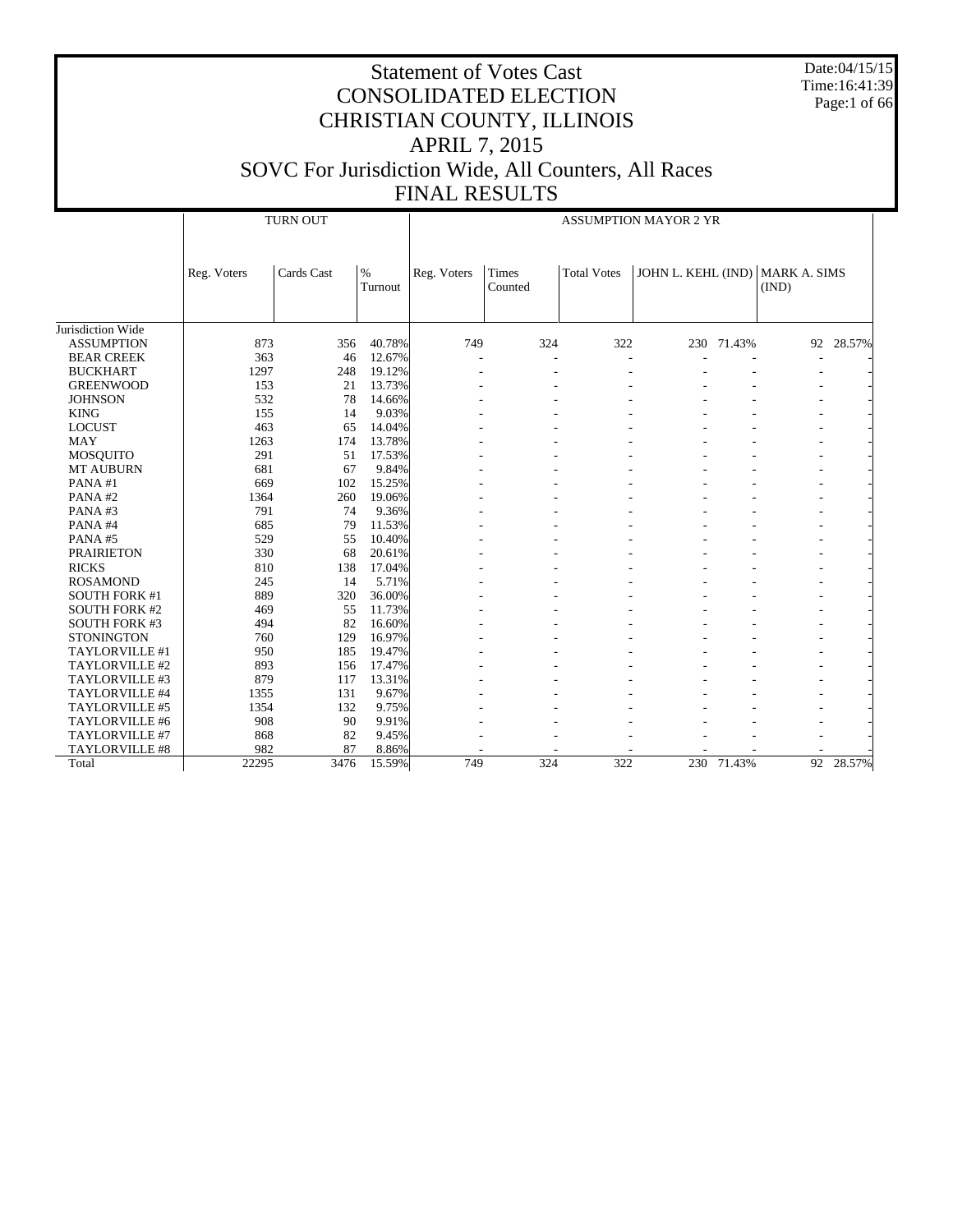Date:04/15/15 Time:16:41:39 Page:1 of 66

|                       |             | <b>TURN OUT</b> |                 | <b>ASSUMPTION MAYOR 2 YR</b> |                  |                    |                    |        |                              |        |  |
|-----------------------|-------------|-----------------|-----------------|------------------------------|------------------|--------------------|--------------------|--------|------------------------------|--------|--|
|                       | Reg. Voters | Cards Cast      | $\%$<br>Turnout | Reg. Voters                  | Times<br>Counted | <b>Total Votes</b> | JOHN L. KEHL (IND) |        | <b>MARK A. SIMS</b><br>(IND) |        |  |
| Jurisdiction Wide     |             |                 |                 |                              |                  |                    |                    |        |                              |        |  |
| <b>ASSUMPTION</b>     | 873         | 356             | 40.78%          | 749                          | 324              | 322                | 230                | 71.43% | 92                           | 28.57% |  |
| <b>BEAR CREEK</b>     | 363         | 46              | 12.67%          |                              |                  |                    |                    |        |                              |        |  |
| <b>BUCKHART</b>       | 1297        | 248             | 19.12%          |                              |                  |                    |                    |        |                              |        |  |
| <b>GREENWOOD</b>      | 153         | 21              | 13.73%          |                              |                  |                    |                    |        |                              |        |  |
| <b>JOHNSON</b>        | 532         | 78              | 14.66%          |                              |                  |                    |                    |        |                              |        |  |
| <b>KING</b>           | 155         | 14              | 9.03%           |                              |                  |                    |                    |        |                              |        |  |
| <b>LOCUST</b>         | 463         | 65              | 14.04%          |                              |                  |                    |                    |        |                              |        |  |
| <b>MAY</b>            | 1263        | 174             | 13.78%          |                              |                  |                    |                    |        |                              |        |  |
| <b>MOSQUITO</b>       | 291         | 51              | 17.53%          |                              |                  |                    |                    |        |                              |        |  |
| <b>MT AUBURN</b>      | 681         | 67              | 9.84%           |                              |                  |                    |                    |        |                              |        |  |
| PANA#1                | 669         | 102             | 15.25%          |                              |                  |                    |                    |        |                              |        |  |
| PANA#2                | 1364        | 260             | 19.06%          |                              |                  |                    |                    |        |                              |        |  |
| PANA#3                | 791         | 74              | 9.36%           |                              |                  |                    |                    |        |                              |        |  |
| PANA#4                | 685         | 79              | 11.53%          |                              |                  |                    |                    |        |                              |        |  |
| PANA#5                | 529         | 55              | 10.40%          |                              |                  |                    |                    |        |                              |        |  |
| <b>PRAIRIETON</b>     | 330         | 68              | 20.61%          |                              |                  |                    |                    |        |                              |        |  |
| <b>RICKS</b>          | 810         | 138             | 17.04%          |                              |                  |                    |                    |        |                              |        |  |
| <b>ROSAMOND</b>       | 245         | 14              | 5.71%           |                              |                  |                    |                    |        |                              |        |  |
| <b>SOUTH FORK #1</b>  | 889         | 320             | 36.00%          |                              |                  |                    |                    |        |                              |        |  |
| <b>SOUTH FORK #2</b>  | 469         | 55              | 11.73%          |                              |                  |                    |                    |        |                              |        |  |
| <b>SOUTH FORK #3</b>  | 494         | 82              | 16.60%          |                              |                  |                    |                    |        |                              |        |  |
| <b>STONINGTON</b>     | 760         | 129             | 16.97%          |                              |                  |                    |                    |        |                              |        |  |
| <b>TAYLORVILLE #1</b> | 950         | 185             | 19.47%          |                              |                  |                    |                    |        |                              |        |  |
| TAYLORVILLE #2        | 893         | 156             | 17.47%          |                              |                  |                    |                    |        |                              |        |  |
| TAYLORVILLE #3        | 879         | 117             | 13.31%          |                              |                  |                    |                    |        |                              |        |  |
| TAYLORVILLE #4        | 1355        | 131             | 9.67%           |                              |                  |                    |                    |        |                              |        |  |
| TAYLORVILLE #5        | 1354        | 132             | 9.75%           |                              |                  |                    |                    |        |                              |        |  |
| TAYLORVILLE #6        | 908         | 90              | 9.91%           |                              |                  |                    |                    |        |                              |        |  |
| TAYLORVILLE #7        | 868         | 82              | 9.45%           |                              |                  |                    |                    |        |                              |        |  |
| <b>TAYLORVILLE #8</b> | 982         | 87              | 8.86%           |                              |                  |                    |                    |        |                              |        |  |
| Total                 | 22295       | 3476            | 15.59%          | 749                          | 324              | 322                | 230                | 71.43% | 92                           | 28.57% |  |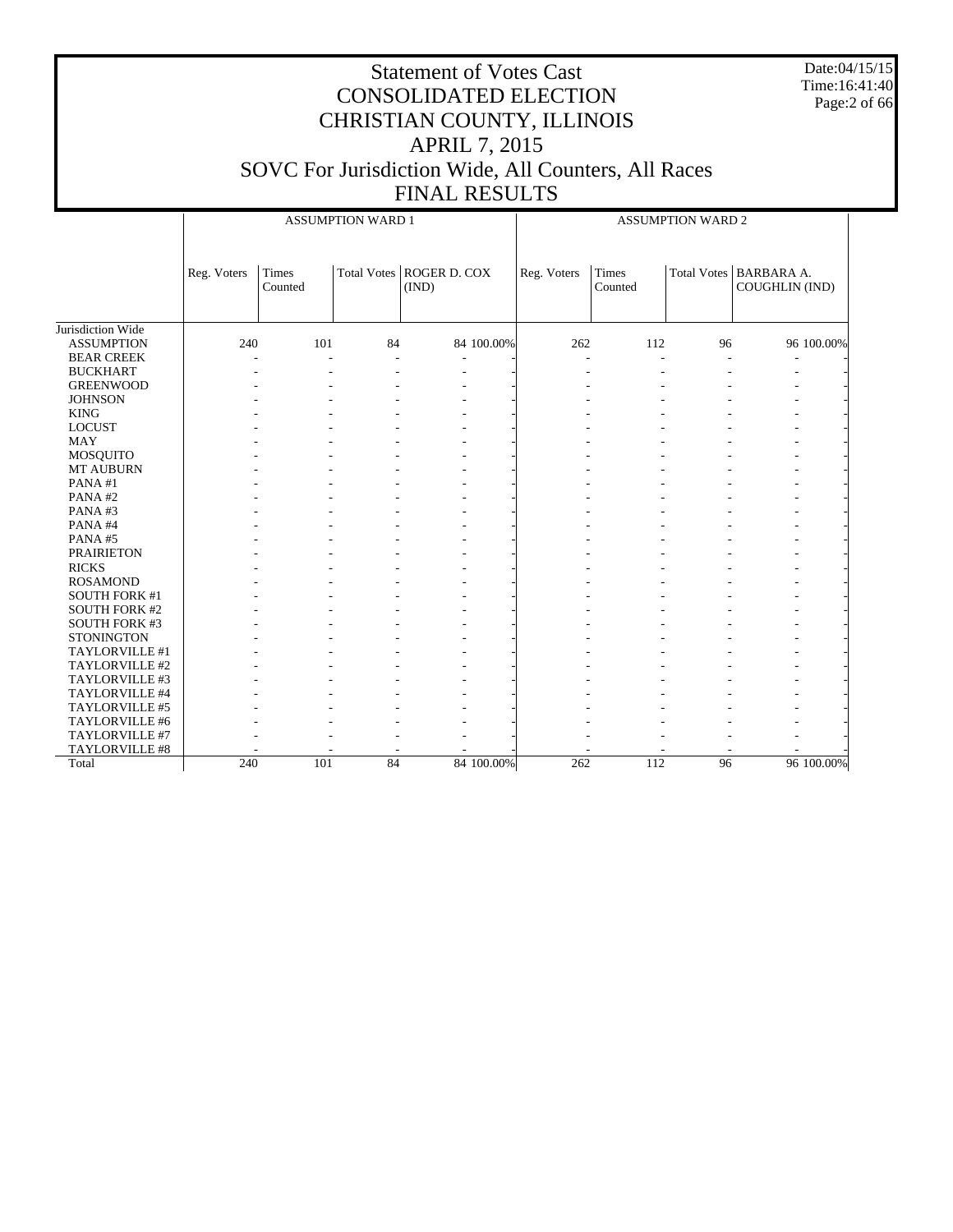Date:04/15/15 Time:16:41:40 Page:2 of 66

|                      |             |                  | <b>ASSUMPTION WARD 1</b> |                                     | <b>ASSUMPTION WARD 2</b> |                  |    |                                            |  |  |
|----------------------|-------------|------------------|--------------------------|-------------------------------------|--------------------------|------------------|----|--------------------------------------------|--|--|
|                      | Reg. Voters | Times<br>Counted |                          | Total Votes   ROGER D. COX<br>(IND) | Reg. Voters              | Times<br>Counted |    | Total Votes   BARBARA A.<br>COUGHLIN (IND) |  |  |
| Jurisdiction Wide    |             |                  |                          |                                     |                          |                  |    |                                            |  |  |
| <b>ASSUMPTION</b>    | 240         | 101              | 84                       | 84 100.00%                          | 262                      | 112              | 96 | 96 100.00%                                 |  |  |
| <b>BEAR CREEK</b>    |             | L.               |                          |                                     | $\blacksquare$           | L.               |    |                                            |  |  |
| <b>BUCKHART</b>      |             |                  |                          |                                     | ٠                        |                  |    |                                            |  |  |
| <b>GREENWOOD</b>     |             |                  |                          |                                     |                          |                  |    |                                            |  |  |
| <b>JOHNSON</b>       |             |                  |                          |                                     |                          |                  |    |                                            |  |  |
| <b>KING</b>          |             |                  |                          |                                     |                          |                  |    |                                            |  |  |
| <b>LOCUST</b>        |             |                  |                          |                                     |                          |                  |    |                                            |  |  |
| <b>MAY</b>           |             |                  |                          |                                     |                          |                  |    |                                            |  |  |
| <b>MOSQUITO</b>      |             |                  |                          |                                     |                          |                  |    |                                            |  |  |
| <b>MT AUBURN</b>     |             |                  |                          |                                     |                          |                  |    |                                            |  |  |
| PANA#1               |             |                  |                          |                                     |                          |                  |    |                                            |  |  |
| PANA#2               |             |                  |                          |                                     |                          |                  |    |                                            |  |  |
| PANA#3               |             |                  |                          |                                     |                          |                  |    |                                            |  |  |
| PANA#4               |             |                  |                          |                                     |                          |                  |    |                                            |  |  |
| PANA#5               |             |                  |                          |                                     |                          |                  |    |                                            |  |  |
| <b>PRAIRIETON</b>    |             |                  |                          |                                     |                          |                  |    |                                            |  |  |
| <b>RICKS</b>         |             |                  |                          |                                     |                          |                  |    |                                            |  |  |
| <b>ROSAMOND</b>      |             |                  |                          |                                     |                          |                  |    |                                            |  |  |
| <b>SOUTH FORK #1</b> |             |                  |                          |                                     |                          |                  |    |                                            |  |  |
| <b>SOUTH FORK #2</b> |             |                  |                          |                                     |                          |                  |    |                                            |  |  |
| <b>SOUTH FORK #3</b> |             |                  |                          |                                     |                          |                  |    |                                            |  |  |
| <b>STONINGTON</b>    |             |                  |                          |                                     |                          |                  |    |                                            |  |  |
| TAYLORVILLE #1       |             |                  |                          |                                     |                          |                  |    |                                            |  |  |
| TAYLORVILLE #2       |             |                  |                          |                                     |                          |                  |    |                                            |  |  |
| TAYLORVILLE #3       |             |                  |                          |                                     |                          |                  |    |                                            |  |  |
| TAYLORVILLE #4       |             |                  |                          |                                     |                          |                  |    |                                            |  |  |
| TAYLORVILLE #5       |             |                  |                          |                                     |                          |                  |    |                                            |  |  |
| TAYLORVILLE #6       |             |                  |                          |                                     |                          |                  |    |                                            |  |  |
| TAYLORVILLE #7       |             |                  |                          |                                     |                          |                  |    |                                            |  |  |
| TAYLORVILLE #8       |             |                  |                          |                                     |                          |                  |    |                                            |  |  |
| Total                | 240         | 101              | 84                       | 84 100.00%                          | 262                      | 112              | 96 | 96 100.00%                                 |  |  |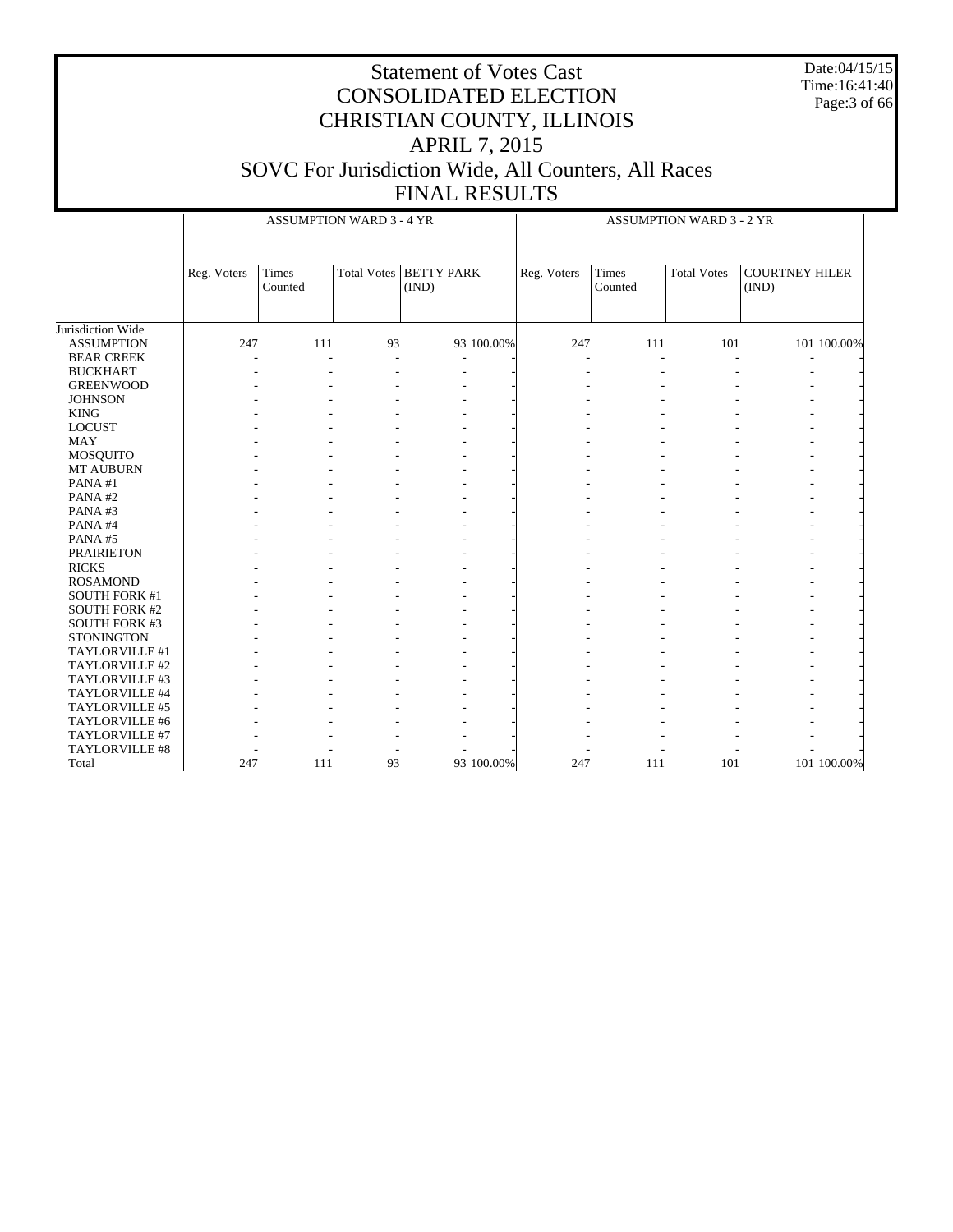Date:04/15/15 Time:16:41:40 Page:3 of 66

|                      |             | <b>ASSUMPTION WARD 3 - 4 YR</b> |    |                                   | <b>ASSUMPTION WARD 3 - 2 YR</b> |                          |                    |                                |             |  |
|----------------------|-------------|---------------------------------|----|-----------------------------------|---------------------------------|--------------------------|--------------------|--------------------------------|-------------|--|
|                      | Reg. Voters | <b>Times</b><br>Counted         |    | Total Votes   BETTY PARK<br>(IND) | Reg. Voters                     | Times<br>Counted         | <b>Total Votes</b> | <b>COURTNEY HILER</b><br>(IND) |             |  |
| Jurisdiction Wide    |             |                                 |    |                                   |                                 |                          |                    |                                |             |  |
| <b>ASSUMPTION</b>    | 247         | 111                             | 93 | 93 100.00%                        | 247                             | 111                      | 101                |                                | 101 100.00% |  |
| <b>BEAR CREEK</b>    |             | J.                              | ÷  | ÷                                 |                                 | $\overline{\phantom{a}}$ |                    | ÷                              |             |  |
| <b>BUCKHART</b>      |             |                                 |    | ÷,                                |                                 |                          |                    |                                |             |  |
| <b>GREENWOOD</b>     |             |                                 |    |                                   |                                 |                          |                    |                                |             |  |
| <b>JOHNSON</b>       |             |                                 |    |                                   |                                 |                          |                    |                                |             |  |
| <b>KING</b>          |             |                                 |    |                                   |                                 |                          |                    |                                |             |  |
| <b>LOCUST</b>        |             |                                 |    |                                   |                                 |                          |                    |                                |             |  |
| <b>MAY</b>           |             |                                 |    |                                   |                                 |                          |                    |                                |             |  |
| MOSQUITO             |             |                                 |    |                                   |                                 |                          |                    |                                |             |  |
| MT AUBURN            |             |                                 |    |                                   |                                 |                          |                    |                                |             |  |
| PANA#1               |             |                                 |    |                                   |                                 |                          |                    |                                |             |  |
| PANA#2               |             |                                 |    |                                   |                                 |                          |                    |                                |             |  |
| PANA#3               |             |                                 |    |                                   |                                 |                          |                    |                                |             |  |
| PANA#4               |             |                                 |    |                                   |                                 |                          |                    |                                |             |  |
| PANA#5               |             |                                 |    |                                   |                                 |                          |                    |                                |             |  |
| <b>PRAIRIETON</b>    |             |                                 |    |                                   |                                 |                          |                    |                                |             |  |
| <b>RICKS</b>         |             |                                 |    |                                   |                                 |                          |                    |                                |             |  |
| <b>ROSAMOND</b>      |             |                                 |    |                                   |                                 |                          |                    |                                |             |  |
| <b>SOUTH FORK #1</b> |             |                                 |    |                                   |                                 |                          |                    |                                |             |  |
| <b>SOUTH FORK #2</b> |             |                                 |    |                                   |                                 |                          |                    |                                |             |  |
| <b>SOUTH FORK #3</b> |             |                                 |    |                                   |                                 |                          |                    |                                |             |  |
| <b>STONINGTON</b>    |             |                                 |    |                                   |                                 |                          |                    |                                |             |  |
| TAYLORVILLE #1       |             |                                 |    |                                   |                                 |                          |                    |                                |             |  |
| TAYLORVILLE #2       |             |                                 |    |                                   |                                 |                          |                    |                                |             |  |
| TAYLORVILLE #3       |             |                                 |    |                                   |                                 |                          |                    |                                |             |  |
| TAYLORVILLE #4       |             |                                 |    |                                   |                                 |                          |                    |                                |             |  |
| TAYLORVILLE #5       |             |                                 |    |                                   |                                 |                          |                    |                                |             |  |
| TAYLORVILLE #6       |             |                                 |    |                                   |                                 |                          |                    |                                |             |  |
| TAYLORVILLE #7       |             |                                 |    |                                   |                                 |                          |                    |                                |             |  |
| TAYLORVILLE #8       |             |                                 |    |                                   |                                 |                          |                    |                                |             |  |
| Total                | 247         | 111                             | 93 | 93 100,00%                        | 247                             | 111                      | 101                |                                | 101 100.00% |  |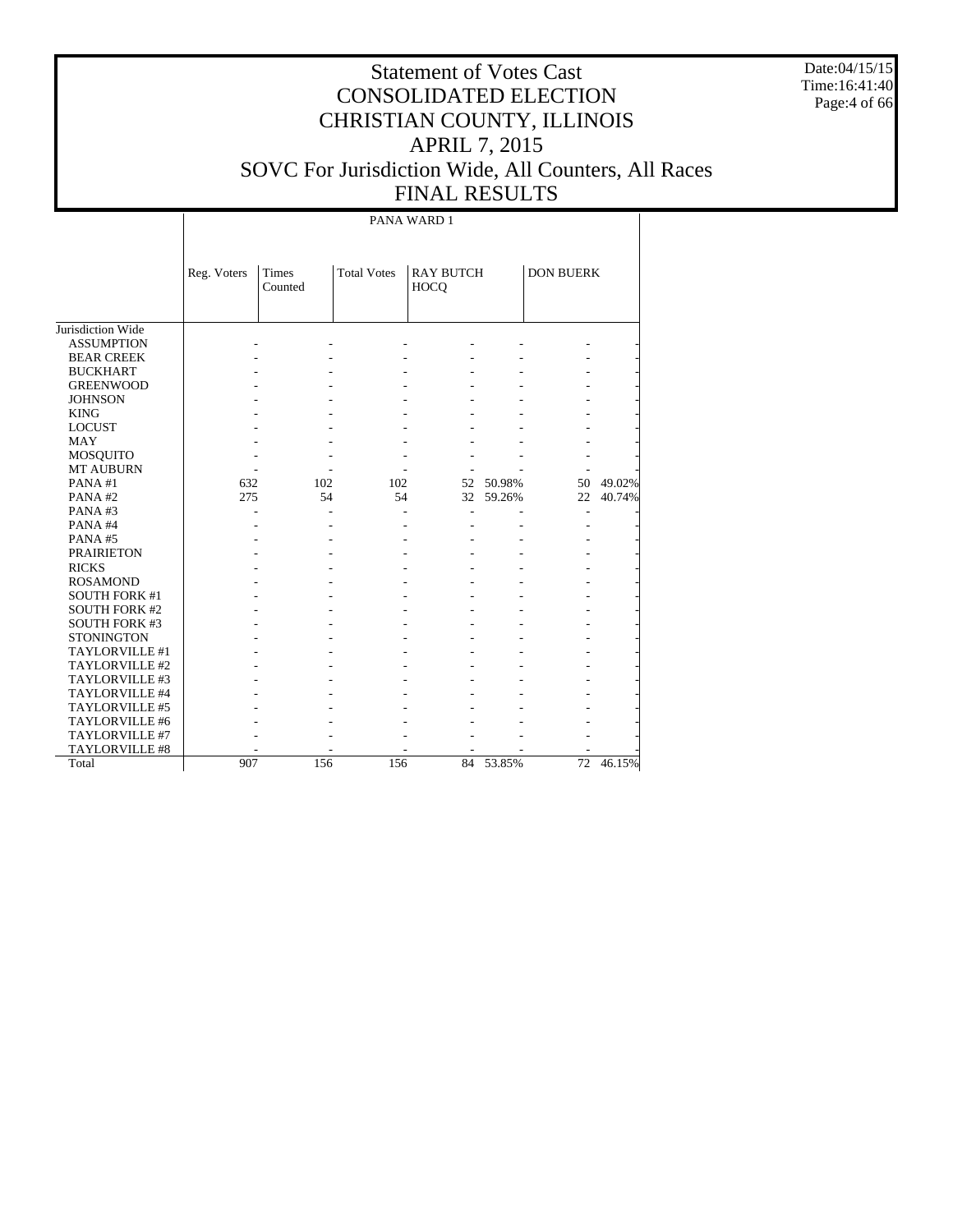Date:04/15/15 Time:16:41:40 Page:4 of 66

# Statement of Votes Cast CONSOLIDATED ELECTION CHRISTIAN COUNTY, ILLINOIS APRIL 7, 2015 SOVC For Jurisdiction Wide, All Counters, All Races FINAL RESULTS

PANA WARD 1

|                      | Reg. Voters | <b>Times</b><br>Counted | <b>Total Votes</b> | <b>RAY BUTCH</b><br>HOCO |           | <b>DON BUERK</b> |        |
|----------------------|-------------|-------------------------|--------------------|--------------------------|-----------|------------------|--------|
| Jurisdiction Wide    |             |                         |                    |                          |           |                  |        |
| <b>ASSUMPTION</b>    |             |                         |                    |                          |           |                  |        |
| <b>BEAR CREEK</b>    |             |                         |                    |                          |           |                  |        |
| <b>BUCKHART</b>      |             |                         |                    |                          |           |                  |        |
| <b>GREENWOOD</b>     |             |                         |                    |                          |           |                  |        |
| <b>JOHNSON</b>       |             |                         |                    |                          |           |                  |        |
| <b>KING</b>          |             |                         |                    |                          |           |                  |        |
| <b>LOCUST</b>        |             |                         |                    |                          |           |                  |        |
| <b>MAY</b>           |             |                         |                    |                          |           |                  |        |
| MOSQUITO             |             |                         |                    |                          |           |                  |        |
| <b>MT AUBURN</b>     |             |                         |                    |                          |           |                  |        |
| PANA #1              | 632         | 102                     | 102                | 52                       | 50.98%    | 50               | 49.02% |
| PANA#2               | 275         | 54                      | 54                 | 32                       | 59.26%    | 22               | 40.74% |
| PANA#3               |             |                         |                    |                          |           | ٠                |        |
| PANA#4               |             |                         |                    |                          |           |                  |        |
| PANA#5               |             |                         |                    |                          |           |                  |        |
| <b>PRAIRIETON</b>    |             |                         |                    |                          |           |                  |        |
| <b>RICKS</b>         |             |                         |                    |                          |           |                  |        |
| <b>ROSAMOND</b>      |             |                         |                    |                          |           |                  |        |
| <b>SOUTH FORK #1</b> |             |                         |                    |                          |           |                  |        |
| <b>SOUTH FORK #2</b> |             |                         |                    |                          |           |                  |        |
| <b>SOUTH FORK #3</b> |             |                         |                    |                          |           |                  |        |
| <b>STONINGTON</b>    |             |                         |                    |                          |           |                  |        |
| TAYLORVILLE #1       |             |                         |                    |                          |           |                  |        |
| TAYLORVILLE #2       |             |                         |                    |                          |           |                  |        |
| TAYLORVILLE #3       |             |                         |                    |                          |           |                  |        |
| TAYLORVILLE #4       |             |                         |                    |                          |           |                  |        |
| TAYLORVILLE #5       |             |                         |                    |                          |           |                  |        |
| TAYLORVILLE #6       |             |                         |                    |                          |           |                  |        |
| TAYLORVILLE #7       |             |                         |                    |                          |           |                  |        |
| TAYLORVILLE #8       |             |                         |                    |                          |           |                  |        |
| Total                | 907         | 156                     | 156                |                          | 84 53.85% | 72               | 46.15% |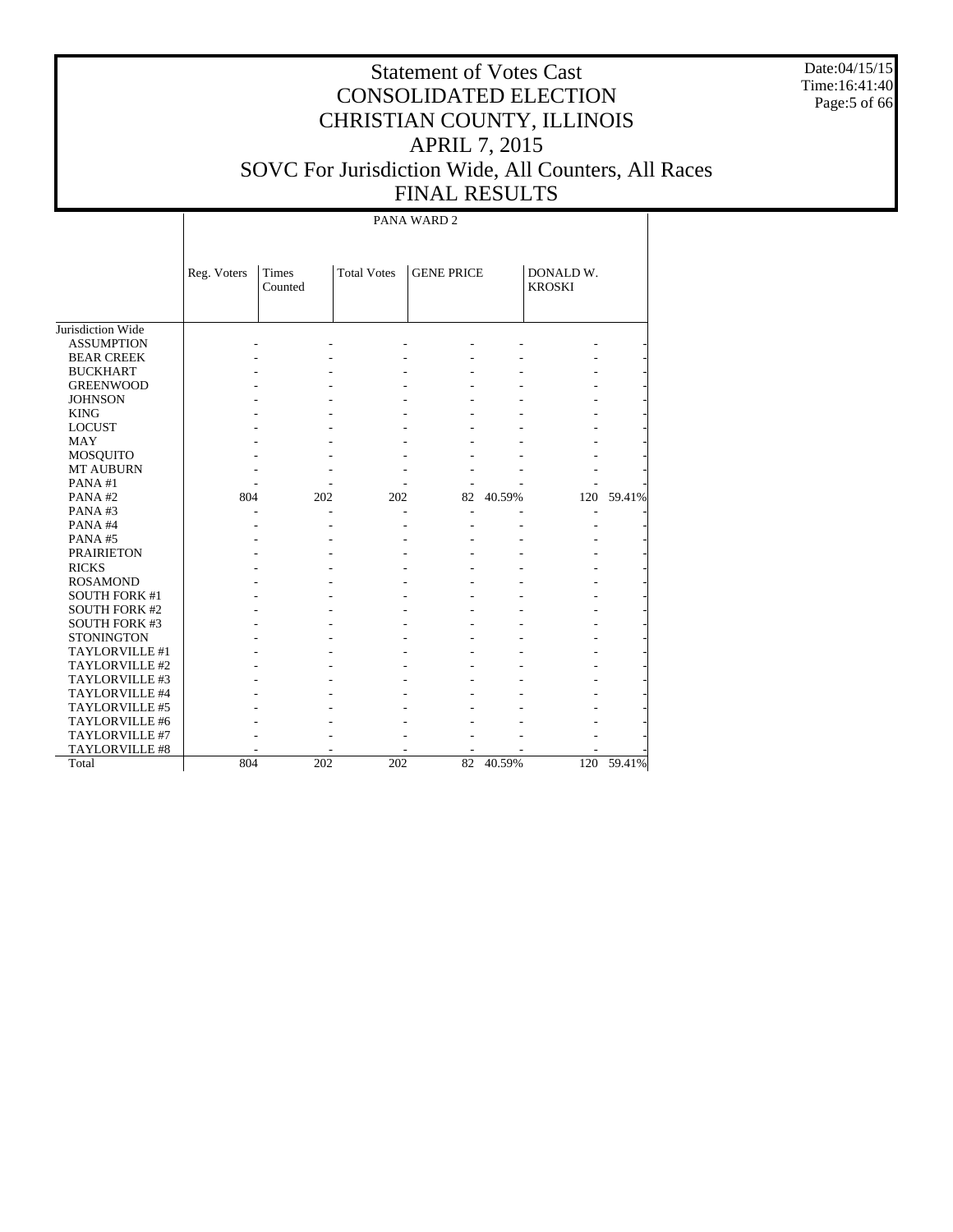Date:04/15/15 Time:16:41:40 Page:5 of 66

# Statement of Votes Cast CONSOLIDATED ELECTION CHRISTIAN COUNTY, ILLINOIS APRIL 7, 2015 SOVC For Jurisdiction Wide, All Counters, All Races FINAL RESULTS

PANA WARD 2

|                       | Reg. Voters | Times<br>Counted | <b>Total Votes</b> | <b>GENE PRICE</b> |        | DONALD W.<br><b>KROSKI</b> |        |
|-----------------------|-------------|------------------|--------------------|-------------------|--------|----------------------------|--------|
|                       |             |                  |                    |                   |        |                            |        |
| Jurisdiction Wide     |             |                  |                    |                   |        |                            |        |
| <b>ASSUMPTION</b>     |             |                  |                    |                   |        |                            |        |
| <b>BEAR CREEK</b>     |             |                  |                    |                   |        |                            |        |
| <b>BUCKHART</b>       |             |                  |                    |                   |        |                            |        |
| <b>GREENWOOD</b>      |             |                  |                    |                   |        |                            |        |
| <b>JOHNSON</b>        |             |                  |                    |                   |        |                            |        |
| <b>KING</b>           |             |                  |                    |                   |        |                            |        |
| <b>LOCUST</b>         |             |                  |                    |                   |        |                            |        |
| <b>MAY</b>            |             |                  |                    |                   |        |                            |        |
| <b>MOSQUITO</b>       |             |                  |                    |                   |        |                            |        |
| <b>MT AUBURN</b>      |             |                  |                    |                   |        |                            |        |
| PANA#1                |             |                  |                    |                   |        |                            |        |
| PANA#2                | 804         | 202              | 202                | 82                | 40.59% | 120                        | 59.41% |
| PANA#3                |             |                  |                    |                   |        |                            |        |
| PANA#4                |             |                  |                    |                   |        |                            |        |
| PANA#5                |             |                  |                    |                   |        |                            |        |
| <b>PRAIRIETON</b>     |             |                  |                    |                   |        |                            |        |
| <b>RICKS</b>          |             |                  |                    |                   |        |                            |        |
| <b>ROSAMOND</b>       |             |                  |                    |                   |        |                            |        |
| <b>SOUTH FORK #1</b>  |             |                  |                    |                   |        |                            |        |
| SOUTH FORK #2         |             |                  |                    |                   |        |                            |        |
| <b>SOUTH FORK #3</b>  |             |                  |                    |                   |        |                            |        |
| <b>STONINGTON</b>     |             |                  |                    |                   |        |                            |        |
| TAYLORVILLE #1        |             |                  |                    |                   |        |                            |        |
| TAYLORVILLE #2        |             |                  |                    |                   |        |                            |        |
| TAYLORVILLE #3        |             |                  |                    |                   |        |                            |        |
| TAYLORVILLE #4        |             |                  |                    |                   |        |                            |        |
| <b>TAYLORVILLE #5</b> |             |                  |                    |                   |        |                            |        |
| TAYLORVILLE #6        |             |                  |                    |                   |        |                            |        |
| TAYLORVILLE #7        |             |                  |                    |                   |        |                            |        |
| <b>TAYLORVILLE #8</b> |             |                  |                    |                   |        |                            |        |
| Total                 | 804         | 202              | 202                | 82                | 40.59% | 120                        | 59.41% |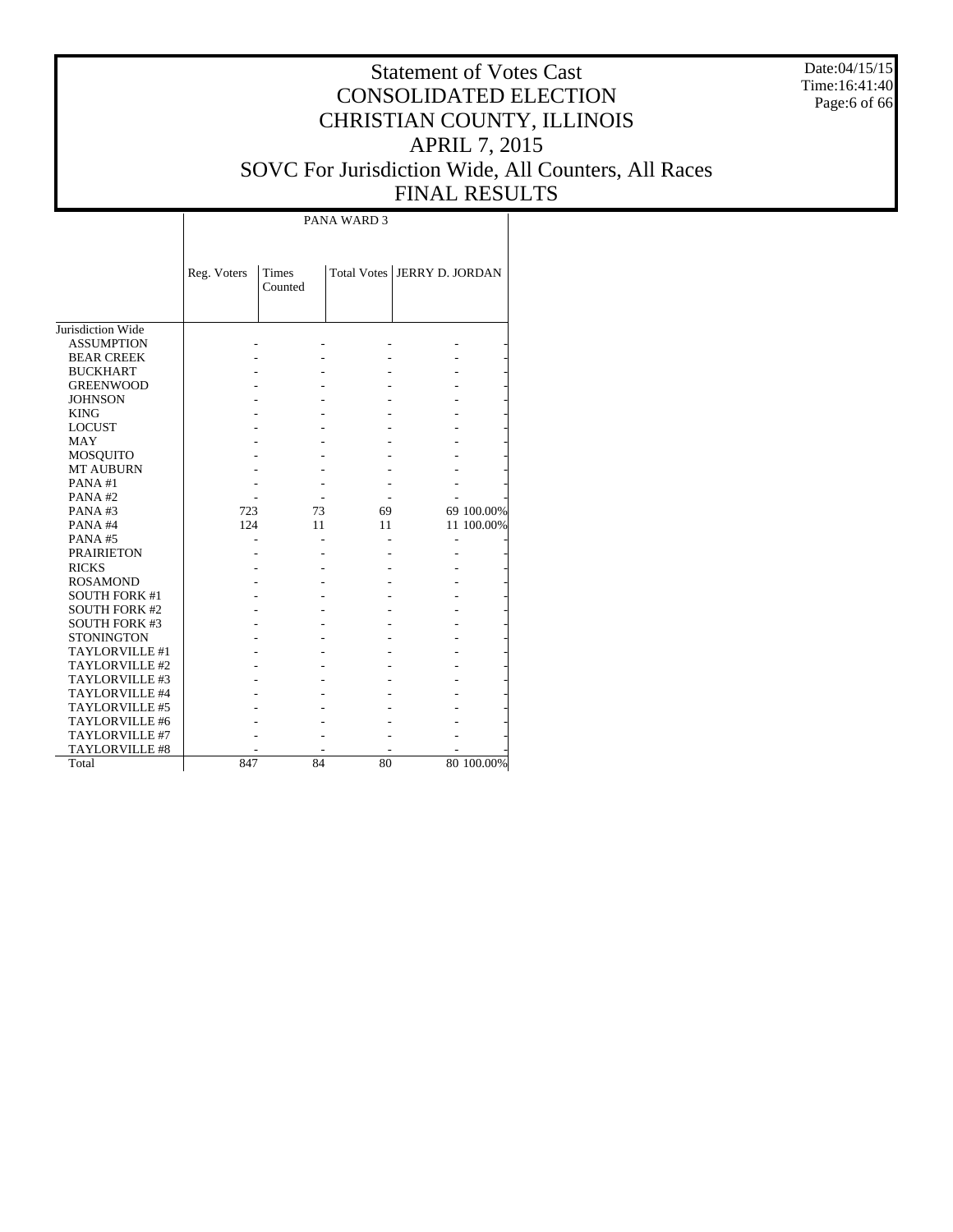Date:04/15/15 Time:16:41:40 Page:6 of 66

# Statement of Votes Cast CONSOLIDATED ELECTION CHRISTIAN COUNTY, ILLINOIS APRIL 7, 2015 SOVC For Jurisdiction Wide, All Counters, All Races FINAL RESULTS

|                       |             |                         | PANA WARD 3 |                               |            |
|-----------------------|-------------|-------------------------|-------------|-------------------------------|------------|
|                       |             |                         |             |                               |            |
|                       | Reg. Voters | <b>Times</b><br>Counted |             | Total Votes   JERRY D. JORDAN |            |
|                       |             |                         |             |                               |            |
| Jurisdiction Wide     |             |                         |             |                               |            |
| <b>ASSUMPTION</b>     |             |                         |             |                               |            |
| <b>BEAR CREEK</b>     |             |                         |             |                               |            |
| <b>BUCKHART</b>       |             |                         |             |                               |            |
| <b>GREENWOOD</b>      |             |                         |             |                               |            |
| <b>JOHNSON</b>        |             |                         |             |                               |            |
| <b>KING</b>           |             |                         |             |                               |            |
| <b>LOCUST</b>         |             |                         |             |                               |            |
| MAY                   |             |                         |             |                               |            |
| <b>MOSQUITO</b>       |             |                         |             |                               |            |
| <b>MT AUBURN</b>      |             |                         |             |                               |            |
| PANA#1                |             |                         |             |                               |            |
| PANA#2                |             |                         |             |                               |            |
| PANA#3                | 723         | 73                      | 69          |                               | 69 100.00% |
| PANA#4                | 124         | 11                      | 11          |                               | 11 100.00% |
| PANA#5                |             |                         |             |                               |            |
| <b>PRAIRIETON</b>     |             |                         |             |                               |            |
| <b>RICKS</b>          |             |                         |             |                               |            |
| <b>ROSAMOND</b>       |             |                         |             |                               |            |
| <b>SOUTH FORK #1</b>  |             |                         |             |                               |            |
| <b>SOUTH FORK #2</b>  |             |                         |             |                               |            |
| <b>SOUTH FORK #3</b>  |             |                         |             |                               |            |
| <b>STONINGTON</b>     |             |                         |             |                               |            |
| TAYLORVILLE #1        |             |                         |             |                               |            |
| TAYLORVILLE #2        |             |                         |             |                               |            |
| TAYLORVILLE #3        |             |                         |             |                               |            |
| TAYLORVILLE #4        |             |                         |             |                               |            |
| TAYLORVILLE #5        |             |                         |             |                               |            |
| TAYLORVILLE #6        |             |                         |             |                               |            |
| TAYLORVILLE #7        |             |                         |             |                               |            |
| <b>TAYLORVILLE #8</b> |             |                         |             |                               |            |
| Total                 | 847         | 84                      | 80          |                               | 80 100.00% |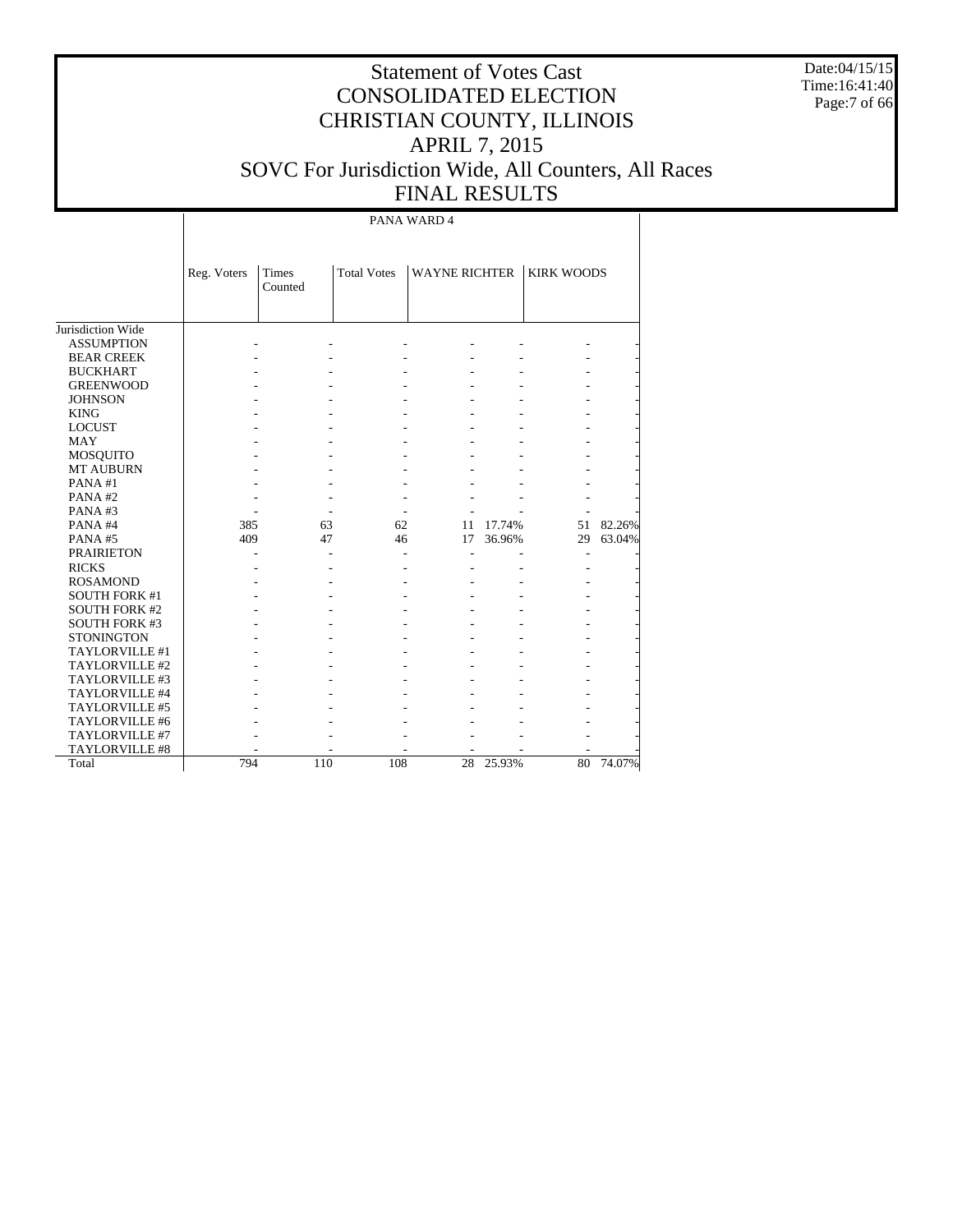Date:04/15/15 Time:16:41:40 Page:7 of 66

# Statement of Votes Cast CONSOLIDATED ELECTION CHRISTIAN COUNTY, ILLINOIS APRIL 7, 2015 SOVC For Jurisdiction Wide, All Counters, All Races FINAL RESULTS

PANA WARD 4

|                      | Reg. Voters | Times<br>Counted | <b>Total Votes</b> | <b>WAYNE RICHTER</b> |        | <b>KIRK WOODS</b> |        |
|----------------------|-------------|------------------|--------------------|----------------------|--------|-------------------|--------|
| Jurisdiction Wide    |             |                  |                    |                      |        |                   |        |
| <b>ASSUMPTION</b>    |             |                  |                    |                      |        |                   |        |
| <b>BEAR CREEK</b>    |             |                  |                    |                      |        |                   |        |
| <b>BUCKHART</b>      |             |                  |                    |                      |        |                   |        |
| <b>GREENWOOD</b>     |             |                  |                    |                      |        |                   |        |
| <b>JOHNSON</b>       |             |                  |                    |                      |        |                   |        |
| <b>KING</b>          |             |                  |                    |                      |        |                   |        |
| <b>LOCUST</b>        |             |                  |                    |                      |        |                   |        |
| <b>MAY</b>           |             |                  |                    |                      |        |                   |        |
| MOSQUITO             |             |                  |                    |                      |        |                   |        |
| <b>MT AUBURN</b>     |             |                  |                    |                      |        |                   |        |
| PANA#1               |             |                  |                    |                      |        |                   |        |
| PANA#2               |             |                  |                    |                      |        |                   |        |
| PANA#3               |             |                  |                    |                      |        |                   |        |
| PANA#4               | 385         | 63               | 62                 | 11                   | 17.74% | 51                | 82.26% |
| PANA#5               | 409         | 47               | 46                 | 17                   | 36.96% | 29                | 63.04% |
| <b>PRAIRIETON</b>    |             |                  |                    |                      |        |                   |        |
| <b>RICKS</b>         |             |                  |                    |                      |        |                   |        |
| <b>ROSAMOND</b>      |             |                  |                    |                      |        |                   |        |
| <b>SOUTH FORK #1</b> |             |                  |                    |                      |        |                   |        |
| <b>SOUTH FORK #2</b> |             |                  |                    |                      |        |                   |        |
| <b>SOUTH FORK #3</b> |             |                  |                    |                      |        |                   |        |
| <b>STONINGTON</b>    |             |                  |                    |                      |        |                   |        |
| TAYLORVILLE #1       |             |                  |                    |                      |        |                   |        |
| TAYLORVILLE #2       |             |                  |                    |                      |        |                   |        |
| TAYLORVILLE #3       |             |                  |                    |                      |        |                   |        |
| TAYLORVILLE #4       |             |                  |                    |                      |        |                   |        |
| TAYLORVILLE #5       |             |                  |                    |                      |        |                   |        |
| TAYLORVILLE #6       |             |                  |                    |                      |        |                   |        |
| TAYLORVILLE #7       |             |                  |                    |                      |        |                   |        |
| TAYLORVILLE #8       |             |                  |                    |                      |        |                   |        |
| Total                | 794         | 110              | 108                | 28                   | 25.93% | 80                | 74.07% |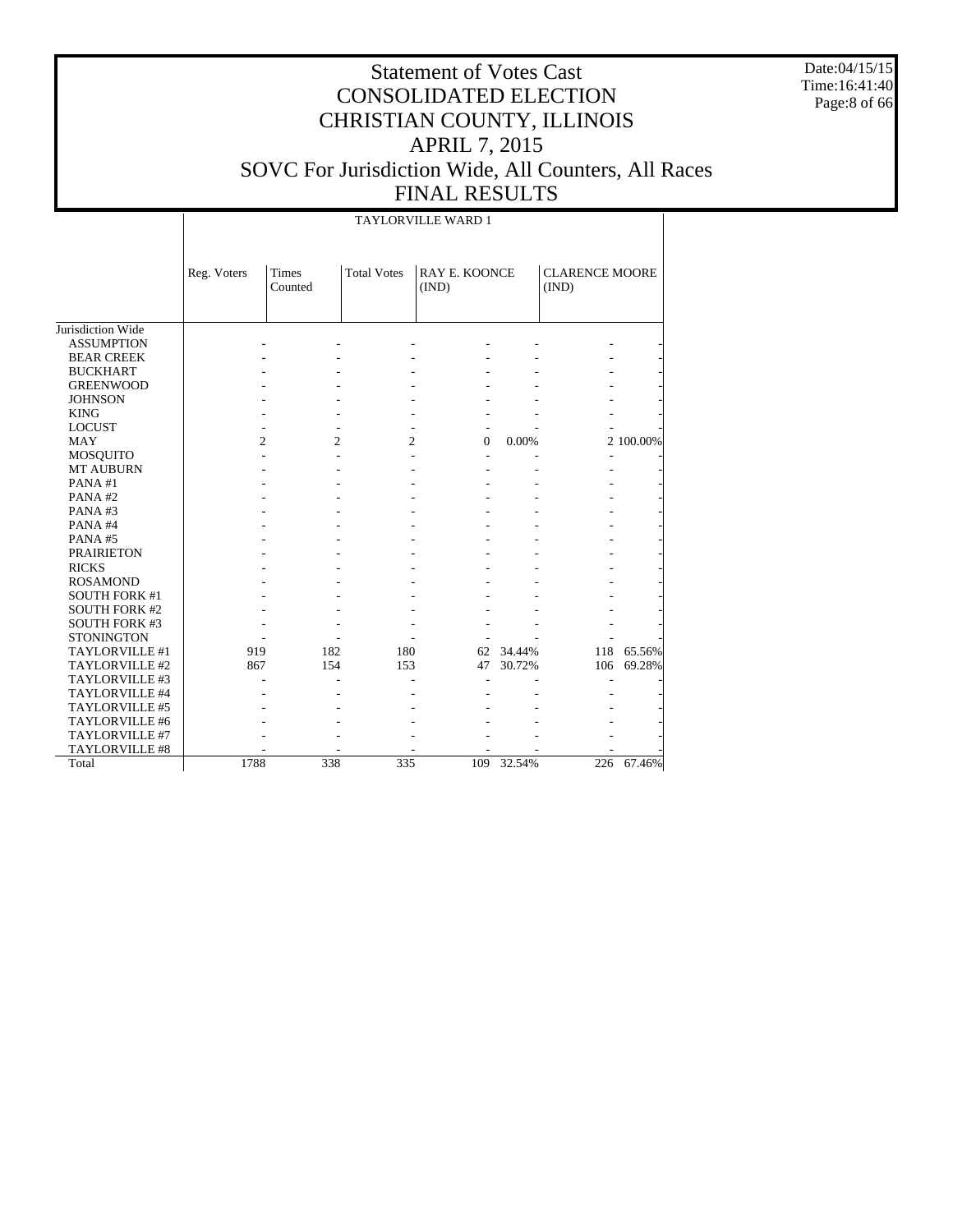Date:04/15/15 Time:16:41:40 Page:8 of 66

# Statement of Votes Cast CONSOLIDATED ELECTION CHRISTIAN COUNTY, ILLINOIS APRIL 7, 2015 SOVC For Jurisdiction Wide, All Counters, All Races FINAL RESULTS

TAYLORVILLE WARD 1

|                      | Reg. Voters    | <b>Times</b><br>Counted | <b>Total Votes</b> | <b>RAY E. KOONCE</b><br>(IND) |        | <b>CLARENCE MOORE</b><br>(IND) |           |
|----------------------|----------------|-------------------------|--------------------|-------------------------------|--------|--------------------------------|-----------|
|                      |                |                         |                    |                               |        |                                |           |
| Jurisdiction Wide    |                |                         |                    |                               |        |                                |           |
| <b>ASSUMPTION</b>    |                |                         |                    |                               |        |                                |           |
| <b>BEAR CREEK</b>    |                |                         |                    |                               |        |                                |           |
| <b>BUCKHART</b>      |                |                         |                    |                               |        |                                |           |
| <b>GREENWOOD</b>     |                |                         |                    |                               |        |                                |           |
| <b>JOHNSON</b>       |                |                         |                    |                               |        |                                |           |
| <b>KING</b>          |                |                         |                    |                               |        |                                |           |
| <b>LOCUST</b>        |                |                         |                    |                               |        |                                |           |
| <b>MAY</b>           | $\overline{c}$ | 2                       | $\overline{c}$     | 0                             | 0.00%  |                                | 2 100.00% |
| <b>MOSQUITO</b>      |                |                         |                    |                               |        |                                |           |
| <b>MT AUBURN</b>     |                |                         |                    |                               |        |                                |           |
| PANA#1               |                |                         |                    |                               |        |                                |           |
| PANA#2               |                |                         |                    |                               |        |                                |           |
| PANA#3               |                |                         |                    |                               |        |                                |           |
| PANA#4               |                |                         |                    |                               |        |                                |           |
| PANA#5               |                |                         |                    |                               |        |                                |           |
| <b>PRAIRIETON</b>    |                |                         |                    |                               |        |                                |           |
| <b>RICKS</b>         |                |                         |                    |                               |        |                                |           |
| <b>ROSAMOND</b>      |                |                         |                    |                               |        |                                |           |
| <b>SOUTH FORK #1</b> |                |                         |                    |                               |        |                                |           |
| <b>SOUTH FORK #2</b> |                |                         |                    |                               |        |                                |           |
| <b>SOUTH FORK #3</b> |                |                         |                    |                               |        |                                |           |
| <b>STONINGTON</b>    |                |                         |                    |                               |        |                                |           |
| TAYLORVILLE #1       | 919            | 182                     | 180                | 62                            | 34.44% | 118                            | 65.56%    |
| TAYLORVILLE #2       | 867            | 154                     | 153                | 47                            | 30.72% | 106                            | 69.28%    |
| TAYLORVILLE #3       |                |                         |                    |                               |        |                                |           |
| TAYLORVILLE #4       |                |                         |                    |                               |        |                                |           |
| TAYLORVILLE #5       |                |                         |                    |                               |        |                                |           |
| TAYLORVILLE #6       |                |                         |                    |                               |        |                                |           |
| TAYLORVILLE #7       |                |                         |                    |                               |        |                                |           |
| TAYLORVILLE #8       |                |                         |                    |                               |        |                                |           |
| Total                | 1788           | 338                     | 335                | 109                           | 32.54% | 226                            | 67.46%    |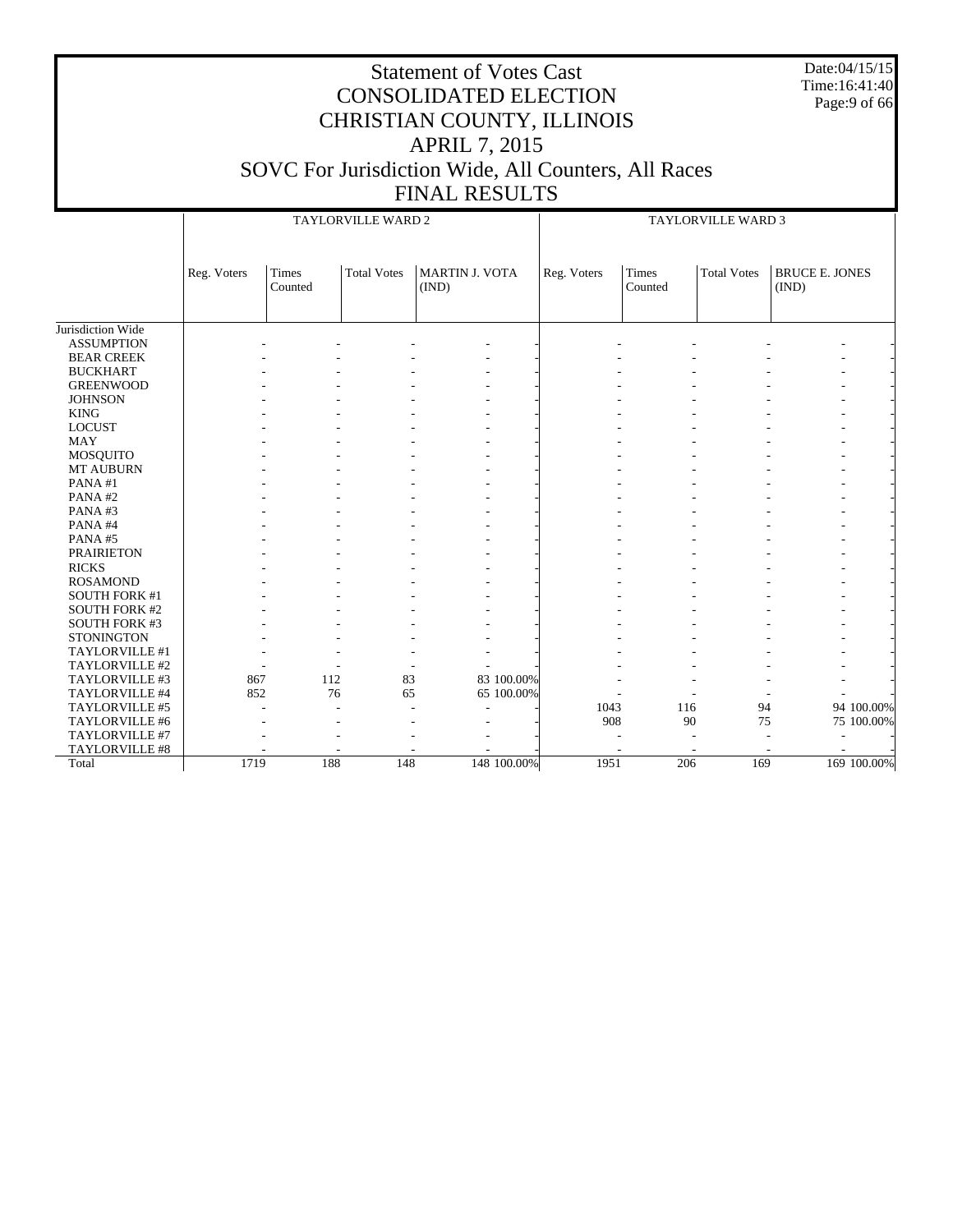Date:04/15/15 Time:16:41:40 Page:9 of 66

|                       |             |                  | TAYLORVILLE WARD 2 |                         |             | <b>TAYLORVILLE WARD 3</b> |                  |                    |                                |             |
|-----------------------|-------------|------------------|--------------------|-------------------------|-------------|---------------------------|------------------|--------------------|--------------------------------|-------------|
|                       | Reg. Voters | Times<br>Counted | <b>Total Votes</b> | MARTIN J. VOTA<br>(IND) |             | Reg. Voters               | Times<br>Counted | <b>Total Votes</b> | <b>BRUCE E. JONES</b><br>(IND) |             |
| Jurisdiction Wide     |             |                  |                    |                         |             |                           |                  |                    |                                |             |
| <b>ASSUMPTION</b>     |             |                  |                    |                         |             |                           |                  |                    |                                |             |
| <b>BEAR CREEK</b>     |             |                  |                    |                         |             |                           |                  |                    |                                |             |
| <b>BUCKHART</b>       |             |                  |                    |                         |             |                           |                  |                    |                                |             |
| <b>GREENWOOD</b>      |             |                  |                    |                         |             |                           |                  |                    |                                |             |
| <b>JOHNSON</b>        |             |                  |                    |                         |             |                           |                  |                    |                                |             |
| <b>KING</b>           |             |                  |                    |                         |             |                           |                  |                    |                                |             |
| <b>LOCUST</b>         |             |                  |                    |                         |             |                           |                  |                    |                                |             |
| <b>MAY</b>            |             |                  |                    |                         |             |                           |                  |                    |                                |             |
| <b>MOSQUITO</b>       |             |                  |                    |                         |             |                           |                  |                    |                                |             |
| <b>MT AUBURN</b>      |             |                  |                    |                         |             |                           |                  |                    |                                |             |
| PANA#1                |             |                  |                    |                         |             |                           |                  |                    |                                |             |
| PANA#2                |             |                  |                    |                         |             |                           |                  |                    |                                |             |
| PANA#3                |             |                  |                    |                         |             |                           |                  |                    |                                |             |
| PANA#4                |             |                  |                    |                         |             |                           |                  |                    |                                |             |
| PANA#5                |             |                  |                    |                         |             |                           |                  |                    |                                |             |
| <b>PRAIRIETON</b>     |             |                  |                    |                         |             |                           |                  |                    |                                |             |
| <b>RICKS</b>          |             |                  |                    |                         |             |                           |                  |                    |                                |             |
| <b>ROSAMOND</b>       |             |                  |                    |                         |             |                           |                  |                    |                                |             |
| <b>SOUTH FORK #1</b>  |             |                  |                    |                         |             |                           |                  |                    |                                |             |
| <b>SOUTH FORK #2</b>  |             |                  |                    |                         |             |                           |                  |                    |                                |             |
| <b>SOUTH FORK #3</b>  |             |                  |                    |                         |             |                           |                  |                    |                                |             |
| <b>STONINGTON</b>     |             |                  |                    |                         |             |                           |                  |                    |                                |             |
| TAYLORVILLE #1        |             |                  |                    |                         |             |                           |                  |                    |                                |             |
| TAYLORVILLE #2        |             |                  |                    |                         |             |                           |                  |                    |                                |             |
| TAYLORVILLE #3        | 867         | 112              | 83                 |                         | 83 100.00%  |                           |                  |                    |                                |             |
| TAYLORVILLE #4        | 852         |                  | 76<br>65           |                         | 65 100.00%  |                           |                  |                    |                                |             |
| TAYLORVILLE #5        |             | ٠                |                    | $\overline{a}$          |             | 1043                      | 116              | 94                 |                                | 94 100.00%  |
| TAYLORVILLE #6        |             |                  |                    |                         |             | 908                       | 90               | 75                 |                                | 75 100.00%  |
| TAYLORVILLE #7        |             |                  |                    |                         |             |                           |                  |                    |                                |             |
| <b>TAYLORVILLE #8</b> |             |                  |                    |                         |             |                           |                  |                    |                                |             |
| Total                 | 1719        | 188              | 148                |                         | 148 100.00% | 1951                      | 206              | 169                |                                | 169 100.00% |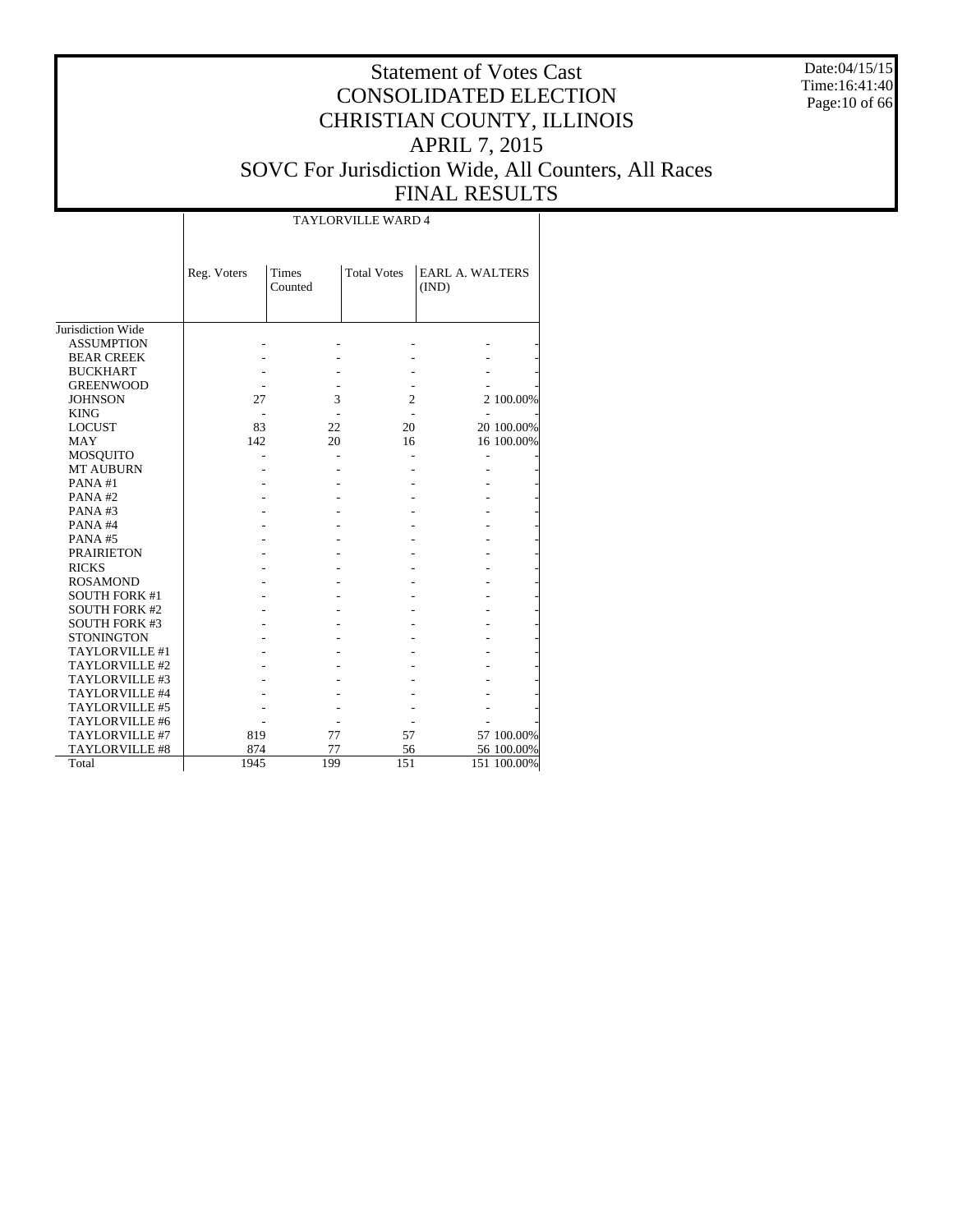Date:04/15/15 Time:16:41:40 Page:10 of 66

#### Statement of Votes Cast CONSOLIDATED ELECTION CHRISTIAN COUNTY, ILLINOIS APRIL 7, 2015 SOVC For Jurisdiction Wide, All Counters, All Races FINAL RESULTS

T

|                       |             |                         | TAYLORVILLE WARD 4 |                                 |             |
|-----------------------|-------------|-------------------------|--------------------|---------------------------------|-------------|
|                       | Reg. Voters | <b>Times</b><br>Counted | <b>Total Votes</b> | <b>EARL A. WALTERS</b><br>(IND) |             |
| Jurisdiction Wide     |             |                         |                    |                                 |             |
| <b>ASSUMPTION</b>     |             |                         |                    |                                 |             |
| <b>BEAR CREEK</b>     |             |                         |                    |                                 |             |
| <b>BUCKHART</b>       |             |                         |                    |                                 |             |
| <b>GREENWOOD</b>      |             |                         |                    |                                 |             |
| <b>JOHNSON</b>        | 27          | 3                       | $\overline{c}$     |                                 | 2 100.00%   |
| <b>KING</b>           |             |                         |                    |                                 |             |
| <b>LOCUST</b>         | 83          | 22                      | 20                 |                                 | 20 100.00%  |
| <b>MAY</b>            | 142         | 20                      | 16                 |                                 | 16 100.00%  |
| MOSQUITO              |             |                         |                    |                                 |             |
| <b>MT AUBURN</b>      |             |                         |                    |                                 |             |
| PANA#1                |             |                         |                    |                                 |             |
| PANA#2                |             |                         |                    |                                 |             |
| PANA#3                |             |                         |                    |                                 |             |
| PANA#4                |             |                         |                    |                                 |             |
| PANA#5                |             |                         |                    |                                 |             |
| <b>PRAIRIETON</b>     |             |                         |                    |                                 |             |
| <b>RICKS</b>          |             |                         |                    |                                 |             |
| <b>ROSAMOND</b>       |             |                         |                    |                                 |             |
| <b>SOUTH FORK #1</b>  |             |                         |                    |                                 |             |
| <b>SOUTH FORK #2</b>  |             |                         |                    |                                 |             |
| <b>SOUTH FORK #3</b>  |             |                         |                    |                                 |             |
| <b>STONINGTON</b>     |             |                         |                    |                                 |             |
| TAYLORVILLE #1        |             |                         |                    |                                 |             |
| TAYLORVILLE #2        |             |                         |                    |                                 |             |
| TAYLORVILLE #3        |             |                         |                    |                                 |             |
| TAYLORVILLE #4        |             |                         |                    |                                 |             |
| TAYLORVILLE #5        |             |                         |                    |                                 |             |
| TAYLORVILLE #6        |             |                         |                    |                                 |             |
| TAYLORVILLE #7        | 819         | 77                      | 57                 |                                 | 57 100.00%  |
| <b>TAYLORVILLE #8</b> | 874         | 77                      | 56                 |                                 | 56 100.00%  |
| Total                 | 1945        | 199                     | 151                |                                 | 151 100.00% |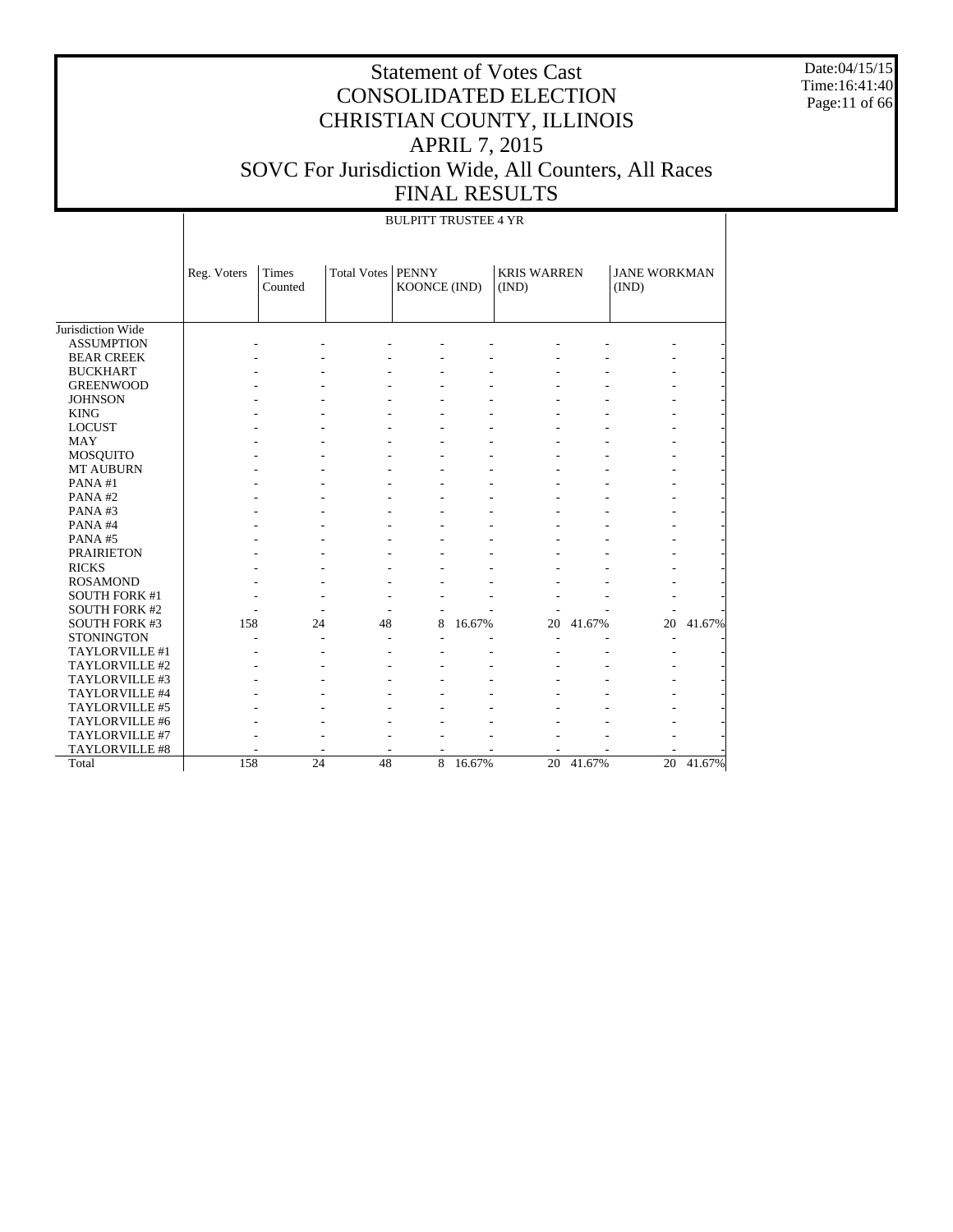Date:04/15/15 Time:16:41:40 Page:11 of 66

|                       |             | <b>BULPITT TRUSTEE 4 YR</b> |                       |                              |        |                             |           |                              |        |  |  |  |  |
|-----------------------|-------------|-----------------------------|-----------------------|------------------------------|--------|-----------------------------|-----------|------------------------------|--------|--|--|--|--|
|                       | Reg. Voters | Times<br>Counted            | Total Votes           | <b>PENNY</b><br>KOONCE (IND) |        | <b>KRIS WARREN</b><br>(IND) |           | <b>JANE WORKMAN</b><br>(IND) |        |  |  |  |  |
| Jurisdiction Wide     |             |                             |                       |                              |        |                             |           |                              |        |  |  |  |  |
| <b>ASSUMPTION</b>     |             |                             |                       |                              |        |                             |           |                              |        |  |  |  |  |
| <b>BEAR CREEK</b>     |             |                             |                       |                              |        |                             |           |                              |        |  |  |  |  |
| <b>BUCKHART</b>       |             |                             |                       |                              |        |                             |           |                              |        |  |  |  |  |
| <b>GREENWOOD</b>      |             |                             |                       |                              |        |                             |           |                              |        |  |  |  |  |
| <b>JOHNSON</b>        |             |                             |                       |                              |        |                             |           |                              |        |  |  |  |  |
| <b>KING</b>           |             |                             |                       |                              |        |                             |           |                              |        |  |  |  |  |
| <b>LOCUST</b>         |             |                             |                       |                              |        |                             |           |                              |        |  |  |  |  |
| <b>MAY</b>            |             |                             |                       |                              |        |                             |           |                              |        |  |  |  |  |
| MOSQUITO              |             |                             |                       |                              |        |                             |           |                              |        |  |  |  |  |
| <b>MT AUBURN</b>      |             |                             |                       |                              |        |                             |           |                              |        |  |  |  |  |
| PANA#1                |             |                             |                       |                              |        |                             |           |                              |        |  |  |  |  |
| PANA#2                |             |                             |                       |                              |        |                             |           |                              |        |  |  |  |  |
| PANA#3                |             |                             |                       |                              |        |                             |           |                              |        |  |  |  |  |
| PANA#4                |             |                             |                       |                              |        |                             |           |                              |        |  |  |  |  |
| PANA#5                |             |                             |                       |                              |        |                             |           |                              |        |  |  |  |  |
| <b>PRAIRIETON</b>     |             |                             |                       |                              |        |                             |           |                              |        |  |  |  |  |
| <b>RICKS</b>          |             |                             |                       |                              |        |                             |           |                              |        |  |  |  |  |
| <b>ROSAMOND</b>       |             |                             |                       |                              |        |                             |           |                              |        |  |  |  |  |
| <b>SOUTH FORK #1</b>  |             |                             |                       |                              |        |                             |           |                              |        |  |  |  |  |
| <b>SOUTH FORK #2</b>  |             |                             |                       |                              |        |                             |           |                              |        |  |  |  |  |
| <b>SOUTH FORK #3</b>  | 158         |                             | 48<br>24              | 8                            | 16.67% | 20                          | 41.67%    | 20                           | 41.67% |  |  |  |  |
| <b>STONINGTON</b>     |             |                             |                       |                              |        |                             |           |                              |        |  |  |  |  |
| TAYLORVILLE #1        |             |                             |                       |                              |        |                             |           |                              |        |  |  |  |  |
| TAYLORVILLE #2        |             |                             |                       |                              |        |                             |           |                              |        |  |  |  |  |
| TAYLORVILLE #3        |             |                             |                       |                              |        |                             |           |                              |        |  |  |  |  |
| TAYLORVILLE #4        |             |                             |                       |                              |        |                             |           |                              |        |  |  |  |  |
| TAYLORVILLE #5        |             |                             |                       |                              |        |                             |           |                              |        |  |  |  |  |
| TAYLORVILLE #6        |             |                             |                       |                              |        |                             |           |                              |        |  |  |  |  |
| TAYLORVILLE #7        |             |                             |                       |                              |        |                             |           |                              |        |  |  |  |  |
| <b>TAYLORVILLE #8</b> |             |                             |                       |                              |        |                             |           |                              |        |  |  |  |  |
| Total                 | 158         |                             | $\overline{24}$<br>48 | 8                            | 16.67% |                             | 20 41.67% | $\overline{20}$              | 41.67% |  |  |  |  |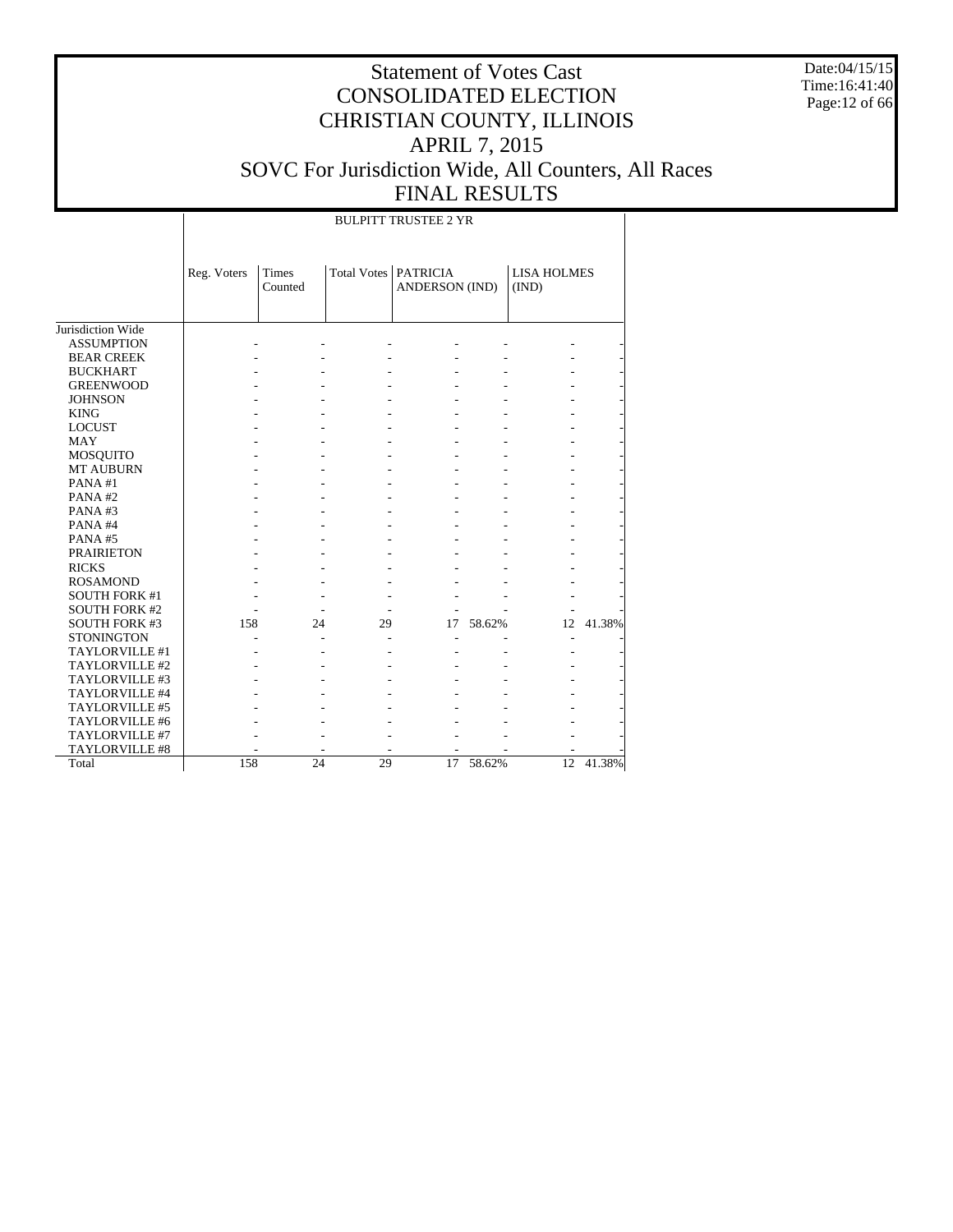Date:04/15/15 Time:16:41:40 Page:12 of 66

# Statement of Votes Cast CONSOLIDATED ELECTION CHRISTIAN COUNTY, ILLINOIS APRIL 7, 2015 SOVC For Jurisdiction Wide, All Counters, All Races FINAL RESULTS

#### BULPITT TRUSTEE 2 YR

|                      | Reg. Voters | Times<br>Counted |    | Total Votes   PATRICIA<br><b>ANDERSON (IND)</b> |        | <b>LISA HOLMES</b><br>(IND) |        |
|----------------------|-------------|------------------|----|-------------------------------------------------|--------|-----------------------------|--------|
| Jurisdiction Wide    |             |                  |    |                                                 |        |                             |        |
| <b>ASSUMPTION</b>    |             |                  |    |                                                 |        |                             |        |
| <b>BEAR CREEK</b>    |             |                  |    |                                                 |        |                             |        |
| <b>BUCKHART</b>      |             |                  |    |                                                 |        |                             |        |
| <b>GREENWOOD</b>     |             |                  |    |                                                 |        |                             |        |
| <b>JOHNSON</b>       |             |                  |    |                                                 |        |                             |        |
| <b>KING</b>          |             |                  |    |                                                 |        |                             |        |
| <b>LOCUST</b>        |             |                  |    |                                                 |        |                             |        |
| <b>MAY</b>           |             |                  |    |                                                 |        |                             |        |
| MOSQUITO             |             |                  |    |                                                 |        |                             |        |
| <b>MT AUBURN</b>     |             |                  |    |                                                 |        |                             |        |
| PANA#1               |             |                  |    |                                                 |        |                             |        |
| PANA#2               |             |                  |    |                                                 |        |                             |        |
| PANA#3               |             |                  |    |                                                 |        |                             |        |
| PANA#4               |             |                  |    |                                                 |        |                             |        |
| PANA#5               |             |                  |    |                                                 |        |                             |        |
| <b>PRAIRIETON</b>    |             |                  |    |                                                 |        |                             |        |
| <b>RICKS</b>         |             |                  |    |                                                 |        |                             |        |
| <b>ROSAMOND</b>      |             |                  |    |                                                 |        |                             |        |
| <b>SOUTH FORK #1</b> |             |                  |    |                                                 |        |                             |        |
| <b>SOUTH FORK #2</b> |             |                  |    |                                                 |        |                             |        |
| <b>SOUTH FORK #3</b> | 158         | 24               | 29 | 17                                              | 58.62% | 12                          | 41.38% |
| <b>STONINGTON</b>    |             |                  |    |                                                 |        |                             |        |
| TAYLORVILLE #1       |             |                  |    |                                                 |        |                             |        |
| TAYLORVILLE #2       |             |                  |    |                                                 |        |                             |        |
| TAYLORVILLE #3       |             |                  |    |                                                 |        |                             |        |
| TAYLORVILLE #4       |             |                  |    |                                                 |        |                             |        |
| TAYLORVILLE #5       |             |                  |    |                                                 |        |                             |        |
| TAYLORVILLE #6       |             |                  |    |                                                 |        |                             |        |
| TAYLORVILLE #7       |             |                  |    |                                                 |        |                             |        |
| TAYLORVILLE #8       |             |                  |    |                                                 |        |                             |        |
| Total                | 158         | 24               | 29 | 17                                              | 58.62% | 12                          | 41.38% |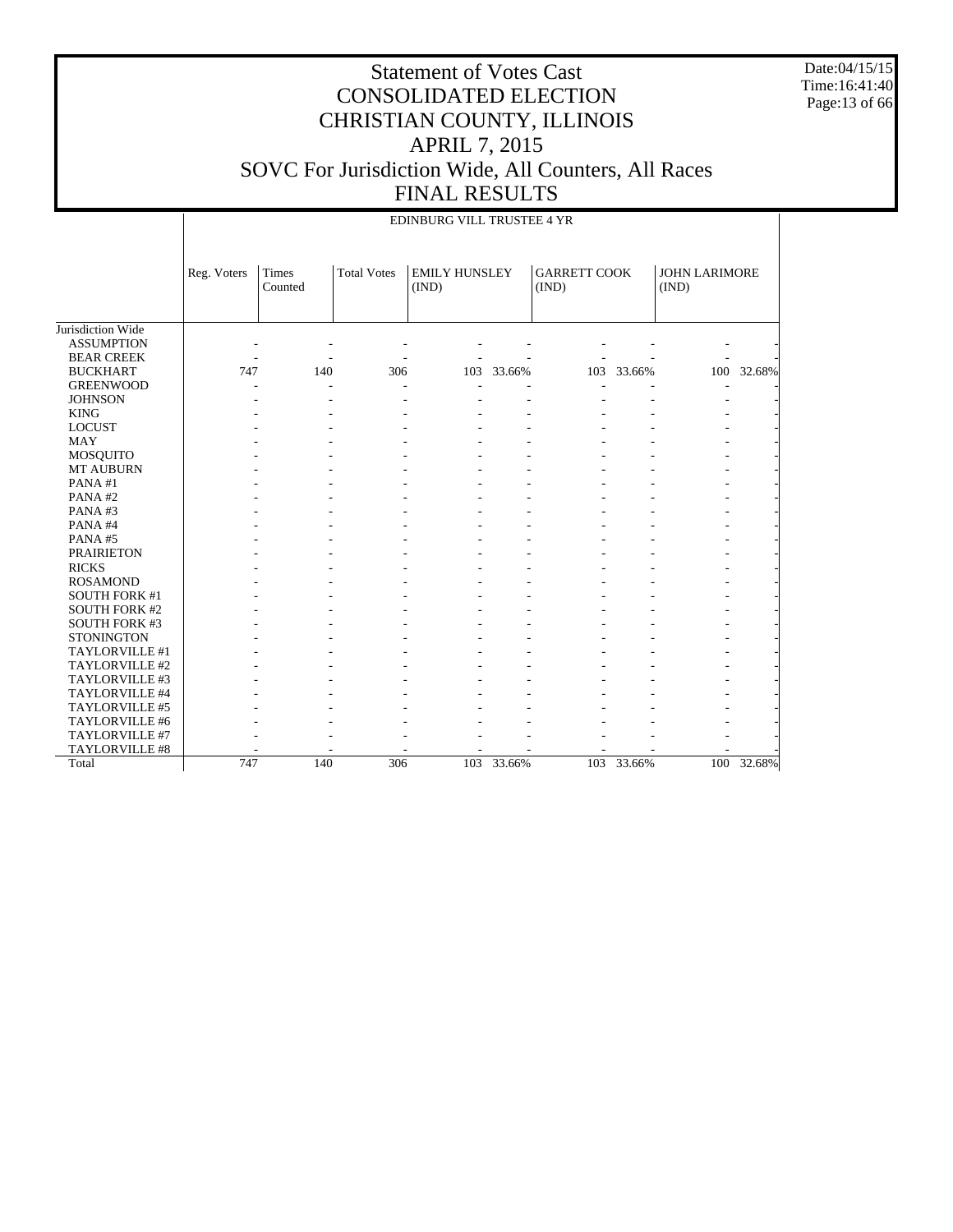Date:04/15/15 Time:16:41:40 Page:13 of 66

#### Statement of Votes Cast CONSOLIDATED ELECTION CHRISTIAN COUNTY, ILLINOIS APRIL 7, 2015 SOVC For Jurisdiction Wide, All Counters, All Races FINAL RESULTS

|                      |             |                  |                    | EDINBURG VILL TRUSTEE 4 YR    |        |                              |            |                               |            |
|----------------------|-------------|------------------|--------------------|-------------------------------|--------|------------------------------|------------|-------------------------------|------------|
|                      | Reg. Voters | Times<br>Counted | <b>Total Votes</b> | <b>EMILY HUNSLEY</b><br>(IND) |        | <b>GARRETT COOK</b><br>(IND) |            | <b>JOHN LARIMORE</b><br>(IND) |            |
| Jurisdiction Wide    |             |                  |                    |                               |        |                              |            |                               |            |
| <b>ASSUMPTION</b>    |             |                  |                    |                               |        |                              |            |                               |            |
| <b>BEAR CREEK</b>    |             |                  |                    |                               |        |                              |            |                               |            |
| <b>BUCKHART</b>      | 747         | 140              | 306                | 103                           | 33.66% |                              | 103 33.66% |                               | 100 32.68% |
| <b>GREENWOOD</b>     |             |                  |                    |                               |        |                              |            |                               |            |
| <b>JOHNSON</b>       |             |                  |                    |                               |        |                              |            |                               |            |
| <b>KING</b>          |             |                  |                    |                               |        |                              |            |                               |            |
| <b>LOCUST</b>        |             |                  |                    |                               |        |                              |            |                               |            |
| <b>MAY</b>           |             |                  |                    |                               |        |                              |            |                               |            |
| MOSQUITO             |             |                  |                    |                               |        |                              |            |                               |            |
| MT AUBURN            |             |                  |                    |                               |        |                              |            |                               |            |
| PANA#1               |             |                  |                    |                               |        |                              |            |                               |            |
| PANA#2               |             |                  |                    |                               |        |                              |            |                               |            |
| PANA#3               |             |                  |                    |                               |        |                              |            |                               |            |
| PANA#4               |             |                  |                    |                               |        |                              |            |                               |            |
| PANA#5               |             |                  |                    |                               |        |                              |            |                               |            |
| <b>PRAIRIETON</b>    |             |                  |                    |                               |        |                              |            |                               |            |
| <b>RICKS</b>         |             |                  |                    |                               |        |                              |            |                               |            |
| <b>ROSAMOND</b>      |             |                  |                    |                               |        |                              |            |                               |            |
| <b>SOUTH FORK #1</b> |             |                  |                    |                               |        |                              |            |                               |            |
| <b>SOUTH FORK #2</b> |             |                  |                    |                               |        |                              |            |                               |            |
| <b>SOUTH FORK #3</b> |             |                  |                    |                               |        |                              |            |                               |            |
| <b>STONINGTON</b>    |             |                  |                    |                               |        |                              |            |                               |            |
| TAYLORVILLE #1       |             |                  |                    |                               |        |                              |            |                               |            |
| TAYLORVILLE #2       |             |                  |                    |                               |        |                              |            |                               |            |
| TAYLORVILLE #3       |             |                  |                    |                               |        |                              |            |                               |            |
| TAYLORVILLE #4       |             |                  |                    |                               |        |                              |            |                               |            |
| TAYLORVILLE #5       |             |                  |                    |                               |        |                              |            |                               |            |
| TAYLORVILLE #6       |             |                  |                    |                               |        |                              |            |                               |            |
| TAYLORVILLE #7       |             |                  |                    |                               |        |                              |            |                               |            |
| TAYLORVILLE #8       |             |                  |                    |                               |        |                              |            |                               |            |
| Total                | 747         | 140              | 306                | 103                           | 33.66% |                              | 103 33.66% |                               | 100 32.68% |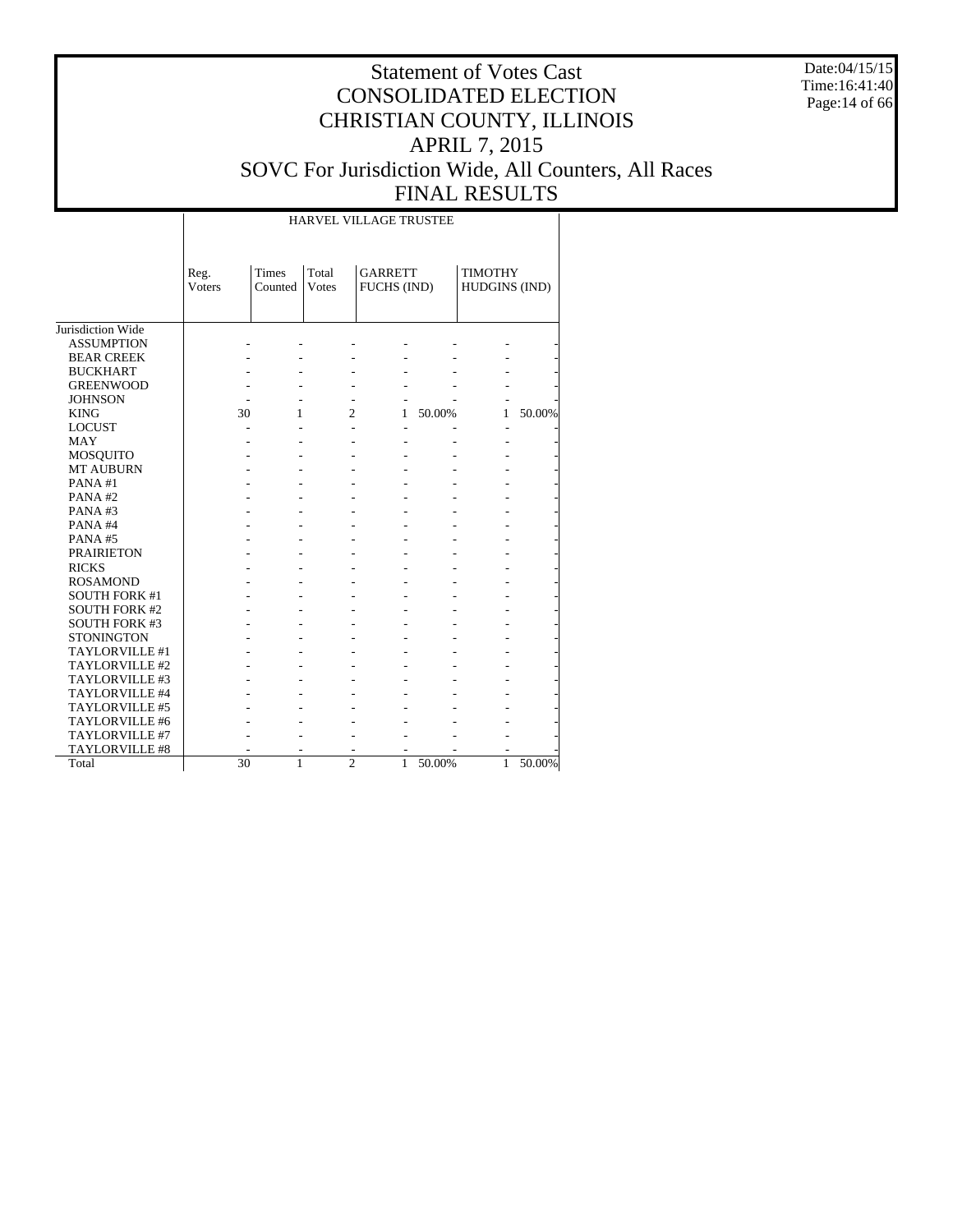Date:04/15/15 Time:16:41:40 Page:14 of 66

|                       |                       |                  |                | HARVEL VILLAGE TRUSTEE        |        |                                 |        |
|-----------------------|-----------------------|------------------|----------------|-------------------------------|--------|---------------------------------|--------|
|                       | Reg.<br><b>Voters</b> | Times<br>Counted | Total<br>Votes | <b>GARRETT</b><br>FUCHS (IND) |        | <b>TIMOTHY</b><br>HUDGINS (IND) |        |
| Jurisdiction Wide     |                       |                  |                |                               |        |                                 |        |
| <b>ASSUMPTION</b>     |                       |                  |                |                               |        |                                 |        |
| <b>BEAR CREEK</b>     |                       |                  |                |                               |        |                                 |        |
| <b>BUCKHART</b>       |                       |                  |                |                               |        |                                 |        |
| <b>GREENWOOD</b>      |                       |                  |                |                               |        |                                 |        |
| <b>JOHNSON</b>        |                       |                  |                |                               |        |                                 |        |
| <b>KING</b>           | 30                    | 1                | $\overline{c}$ | 1                             | 50.00% | 1                               | 50.00% |
| <b>LOCUST</b>         |                       |                  |                |                               |        |                                 |        |
| <b>MAY</b>            |                       |                  |                |                               |        |                                 |        |
| <b>MOSQUITO</b>       |                       |                  |                |                               |        |                                 |        |
| <b>MT AUBURN</b>      |                       |                  |                |                               |        |                                 |        |
| PANA#1                |                       |                  |                |                               |        |                                 |        |
| PANA#2                |                       |                  |                |                               |        |                                 |        |
| PANA#3                |                       |                  |                |                               |        |                                 |        |
| PANA#4                |                       |                  |                |                               |        |                                 |        |
| PANA#5                |                       |                  |                |                               |        |                                 |        |
| <b>PRAIRIETON</b>     |                       |                  |                |                               |        |                                 |        |
| <b>RICKS</b>          |                       |                  |                |                               |        |                                 |        |
| <b>ROSAMOND</b>       |                       |                  |                |                               |        |                                 |        |
| <b>SOUTH FORK #1</b>  |                       |                  |                |                               |        |                                 |        |
| <b>SOUTH FORK #2</b>  |                       |                  |                |                               |        |                                 |        |
| <b>SOUTH FORK #3</b>  |                       |                  |                |                               |        |                                 |        |
| <b>STONINGTON</b>     |                       |                  |                |                               |        |                                 |        |
| TAYLORVILLE #1        |                       |                  |                |                               |        |                                 |        |
| TAYLORVILLE #2        |                       |                  |                |                               |        |                                 |        |
| TAYLORVILLE #3        |                       |                  |                |                               |        |                                 |        |
| TAYLORVILLE #4        |                       |                  |                |                               |        |                                 |        |
| TAYLORVILLE #5        |                       |                  |                |                               |        |                                 |        |
| TAYLORVILLE #6        |                       |                  |                |                               |        |                                 |        |
| TAYLORVILLE #7        |                       |                  |                |                               |        |                                 |        |
| <b>TAYLORVILLE #8</b> |                       |                  |                |                               |        |                                 |        |
| Total                 | $\overline{30}$       | 1                | $\overline{c}$ | 1                             | 50.00% | 1                               | 50.00% |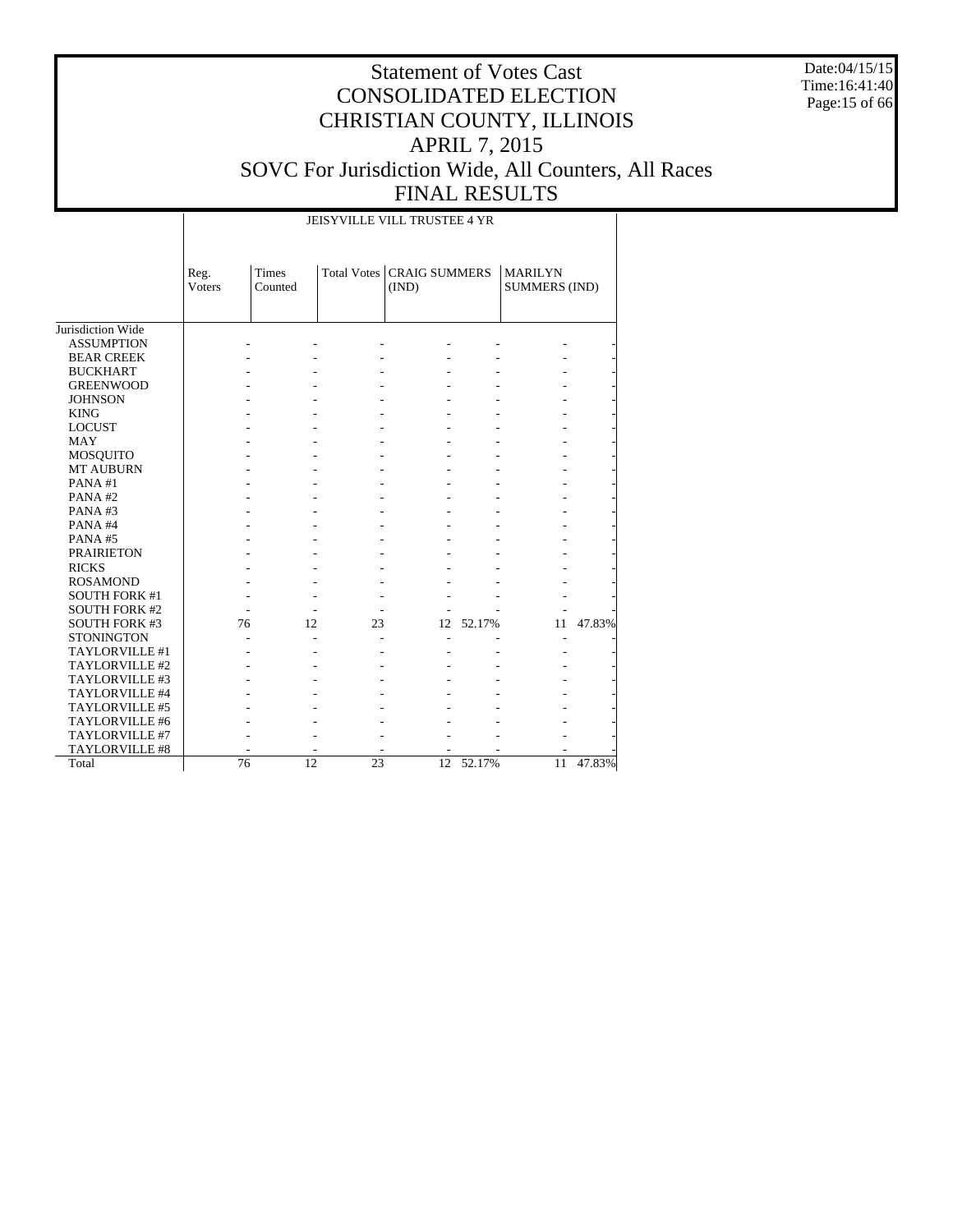Date:04/15/15 Time:16:41:40 Page:15 of 66

# Statement of Votes Cast CONSOLIDATED ELECTION CHRISTIAN COUNTY, ILLINOIS APRIL 7, 2015 SOVC For Jurisdiction Wide, All Counters, All Races FINAL RESULTS

JEISYVILLE VILL TRUSTEE 4 YR

|                       | Reg.<br><b>Voters</b> | <b>Times</b><br>Counted |    | Total Votes   CRAIG SUMMERS<br>(IND) |        | <b>MARILYN</b><br><b>SUMMERS (IND)</b> |        |
|-----------------------|-----------------------|-------------------------|----|--------------------------------------|--------|----------------------------------------|--------|
| Jurisdiction Wide     |                       |                         |    |                                      |        |                                        |        |
| <b>ASSUMPTION</b>     |                       |                         |    |                                      |        |                                        |        |
| <b>BEAR CREEK</b>     |                       |                         |    |                                      |        |                                        |        |
| <b>BUCKHART</b>       |                       |                         |    |                                      |        |                                        |        |
| <b>GREENWOOD</b>      |                       |                         |    |                                      |        |                                        |        |
| <b>JOHNSON</b>        |                       |                         |    |                                      |        |                                        |        |
| <b>KING</b>           |                       |                         |    |                                      |        |                                        |        |
| <b>LOCUST</b>         |                       |                         |    |                                      |        |                                        |        |
| <b>MAY</b>            |                       |                         |    |                                      |        |                                        |        |
| MOSQUITO              |                       |                         |    |                                      |        |                                        |        |
| <b>MT AUBURN</b>      |                       |                         |    |                                      |        |                                        |        |
| PANA#1                |                       |                         |    |                                      |        |                                        |        |
| PANA#2                |                       |                         |    |                                      |        |                                        |        |
| PANA#3                |                       |                         |    |                                      |        |                                        |        |
| PANA#4                |                       |                         |    |                                      |        |                                        |        |
| PANA#5                |                       |                         |    |                                      |        |                                        |        |
| <b>PRAIRIETON</b>     |                       |                         |    |                                      |        |                                        |        |
| <b>RICKS</b>          |                       |                         |    |                                      |        |                                        |        |
| <b>ROSAMOND</b>       |                       |                         |    |                                      |        |                                        |        |
| <b>SOUTH FORK #1</b>  |                       |                         |    |                                      |        |                                        |        |
| <b>SOUTH FORK #2</b>  |                       |                         |    |                                      |        |                                        |        |
| <b>SOUTH FORK #3</b>  | 76                    | 12                      | 23 | 12                                   | 52.17% | 11                                     | 47.83% |
| <b>STONINGTON</b>     |                       |                         |    |                                      |        | ٠                                      |        |
| TAYLORVILLE #1        |                       |                         |    |                                      |        |                                        |        |
| TAYLORVILLE #2        |                       |                         |    |                                      |        |                                        |        |
| TAYLORVILLE #3        |                       |                         |    |                                      |        |                                        |        |
| TAYLORVILLE #4        |                       |                         |    |                                      |        |                                        |        |
| TAYLORVILLE #5        |                       |                         |    |                                      |        |                                        |        |
| TAYLORVILLE #6        |                       |                         |    |                                      |        |                                        |        |
| TAYLORVILLE #7        |                       |                         |    |                                      |        |                                        |        |
| <b>TAYLORVILLE #8</b> |                       |                         |    |                                      |        |                                        |        |
| Total                 | 76                    | 12                      | 23 | 12                                   | 52.17% | 11                                     | 47.83% |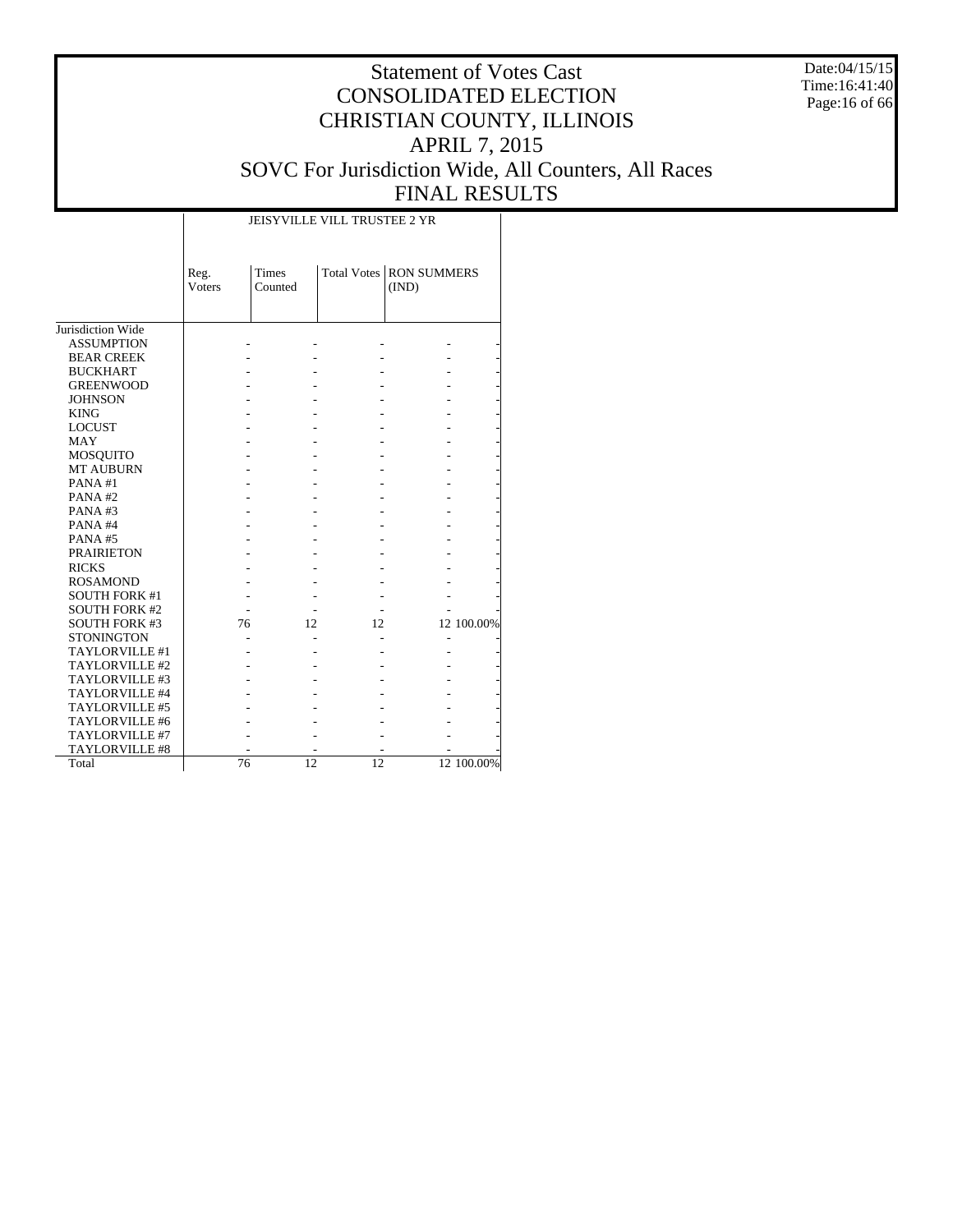Date:04/15/15 Time:16:41:40 Page:16 of 66

# Statement of Votes Cast CONSOLIDATED ELECTION CHRISTIAN COUNTY, ILLINOIS APRIL 7, 2015 SOVC For Jurisdiction Wide, All Counters, All Races FINAL RESULTS

 $\overline{1}$ 

|                       | Reg.<br><b>Voters</b> | Times<br>Counted |    | Total Votes   RON SUMMERS<br>(IND) |            |
|-----------------------|-----------------------|------------------|----|------------------------------------|------------|
| Jurisdiction Wide     |                       |                  |    |                                    |            |
| <b>ASSUMPTION</b>     |                       |                  |    |                                    |            |
| <b>BEAR CREEK</b>     |                       |                  |    |                                    |            |
| <b>BUCKHART</b>       |                       |                  |    |                                    |            |
| <b>GREENWOOD</b>      |                       |                  |    |                                    |            |
| <b>JOHNSON</b>        |                       |                  |    |                                    |            |
| <b>KING</b>           |                       |                  |    |                                    |            |
| <b>LOCUST</b>         |                       |                  |    |                                    |            |
| <b>MAY</b>            |                       |                  |    |                                    |            |
| <b>MOSQUITO</b>       |                       |                  |    |                                    |            |
| <b>MT AUBURN</b>      |                       |                  |    |                                    |            |
| PANA#1                |                       |                  |    |                                    |            |
| PANA#2                |                       |                  |    |                                    |            |
| PANA#3                |                       |                  |    |                                    |            |
| PANA#4                |                       |                  |    |                                    |            |
| PANA#5                |                       |                  |    |                                    |            |
| <b>PRAIRIETON</b>     |                       |                  |    |                                    |            |
| <b>RICKS</b>          |                       |                  |    |                                    |            |
| <b>ROSAMOND</b>       |                       |                  |    |                                    |            |
| <b>SOUTH FORK #1</b>  |                       |                  |    |                                    |            |
| <b>SOUTH FORK #2</b>  |                       |                  |    |                                    |            |
| <b>SOUTH FORK #3</b>  | 76                    | 12               | 12 |                                    | 12 100.00% |
| <b>STONINGTON</b>     |                       |                  |    |                                    |            |
| TAYLORVILLE #1        |                       |                  |    |                                    |            |
| TAYLORVILLE #2        |                       |                  |    |                                    |            |
| TAYLORVILLE #3        |                       |                  |    |                                    |            |
| TAYLORVILLE #4        |                       |                  |    |                                    |            |
| TAYLORVILLE #5        |                       |                  |    |                                    |            |
| TAYLORVILLE #6        |                       |                  |    |                                    |            |
| TAYLORVILLE #7        |                       |                  |    |                                    |            |
| <b>TAYLORVILLE #8</b> |                       |                  |    |                                    |            |
| Total                 | 76                    | 12               | 12 |                                    | 12 100.00% |

JEISYVILLE VILL TRUSTEE 2 YR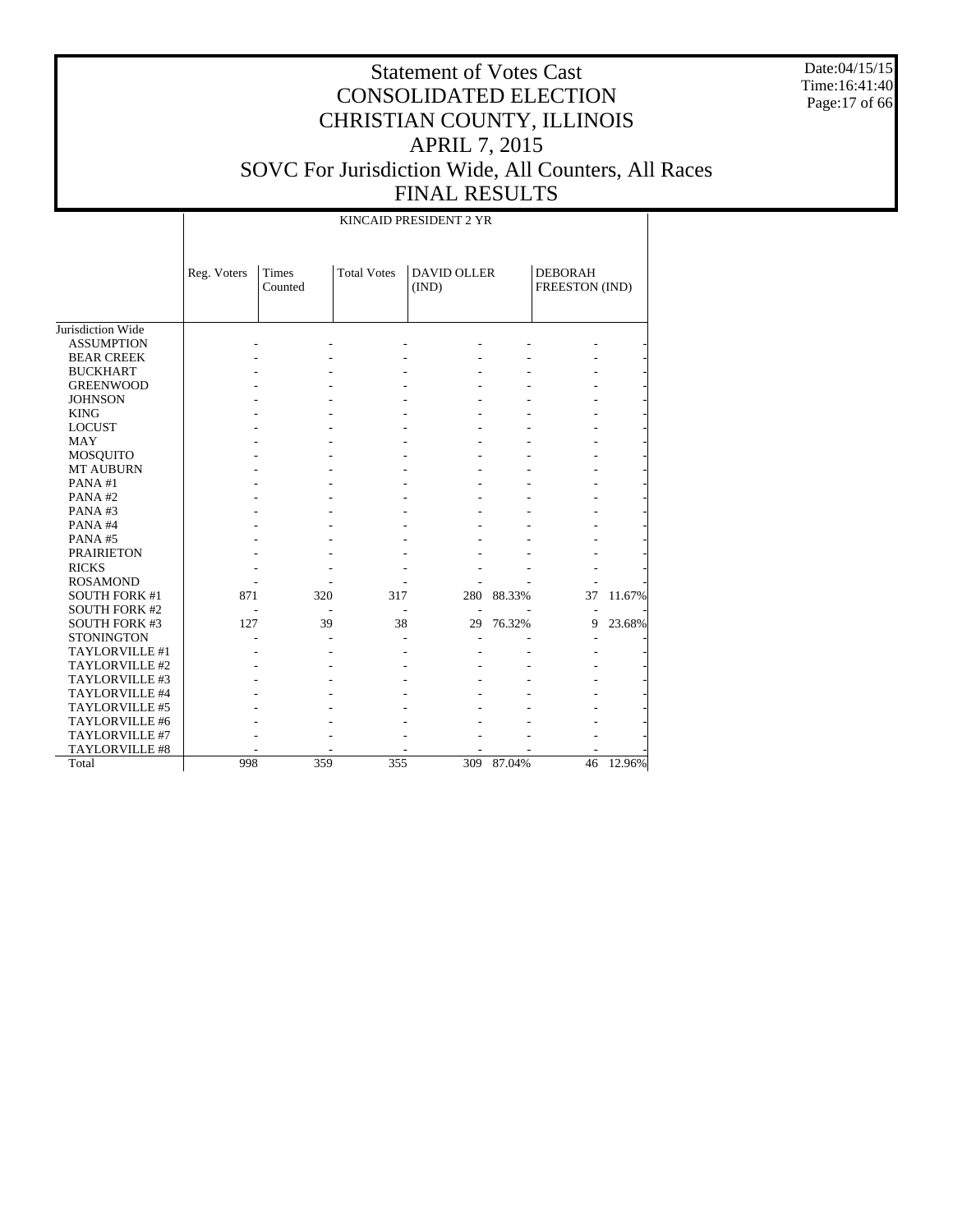Date:04/15/15 Time:16:41:40 Page:17 of 66

# Statement of Votes Cast CONSOLIDATED ELECTION CHRISTIAN COUNTY, ILLINOIS APRIL 7, 2015 SOVC For Jurisdiction Wide, All Counters, All Races FINAL RESULTS

KINCAID PRESIDENT 2 YR

|                      | Reg. Voters | <b>Times</b><br>Counted | <b>Total Votes</b> | <b>DAVID OLLER</b><br>(IND) |            | <b>DEBORAH</b><br>FREESTON (IND) |        |
|----------------------|-------------|-------------------------|--------------------|-----------------------------|------------|----------------------------------|--------|
|                      |             |                         |                    |                             |            |                                  |        |
| Jurisdiction Wide    |             |                         |                    |                             |            |                                  |        |
| <b>ASSUMPTION</b>    |             |                         |                    |                             |            |                                  |        |
| <b>BEAR CREEK</b>    |             |                         |                    |                             |            |                                  |        |
| <b>BUCKHART</b>      |             |                         |                    |                             |            |                                  |        |
| <b>GREENWOOD</b>     |             |                         |                    |                             |            |                                  |        |
| <b>JOHNSON</b>       |             |                         |                    |                             |            |                                  |        |
| <b>KING</b>          |             |                         |                    |                             |            |                                  |        |
| <b>LOCUST</b>        |             |                         |                    |                             |            |                                  |        |
| <b>MAY</b>           |             |                         |                    |                             |            |                                  |        |
| MOSQUITO             |             |                         |                    |                             |            |                                  |        |
| <b>MT AUBURN</b>     |             |                         |                    |                             |            |                                  |        |
| PANA#1               |             |                         |                    |                             |            |                                  |        |
| PANA#2               |             |                         |                    |                             |            |                                  |        |
| PANA#3               |             |                         |                    |                             |            |                                  |        |
| PANA#4               |             |                         |                    |                             |            |                                  |        |
| PANA#5               |             |                         |                    |                             |            |                                  |        |
| <b>PRAIRIETON</b>    |             |                         |                    |                             |            |                                  |        |
| <b>RICKS</b>         |             |                         |                    |                             |            |                                  |        |
| <b>ROSAMOND</b>      |             |                         |                    |                             |            |                                  |        |
| <b>SOUTH FORK #1</b> | 871         | 320                     | 317                | 280                         | 88.33%     | 37                               | 11.67% |
| <b>SOUTH FORK #2</b> |             |                         |                    | L,                          |            |                                  |        |
| <b>SOUTH FORK #3</b> | 127         | 39                      | 38                 | 29                          | 76.32%     | 9                                | 23.68% |
| <b>STONINGTON</b>    |             |                         |                    |                             |            |                                  |        |
| TAYLORVILLE #1       |             |                         |                    |                             |            |                                  |        |
| TAYLORVILLE #2       |             |                         |                    |                             |            |                                  |        |
| TAYLORVILLE #3       |             |                         |                    |                             |            |                                  |        |
| TAYLORVILLE #4       |             |                         |                    |                             |            |                                  |        |
| TAYLORVILLE #5       |             |                         |                    |                             |            |                                  |        |
| TAYLORVILLE #6       |             |                         |                    |                             |            |                                  |        |
| TAYLORVILLE #7       |             |                         |                    |                             |            |                                  |        |
| TAYLORVILLE #8       |             |                         |                    |                             |            |                                  |        |
| Total                | 998         | 359                     | 355                |                             | 309 87.04% | 46                               | 12.96% |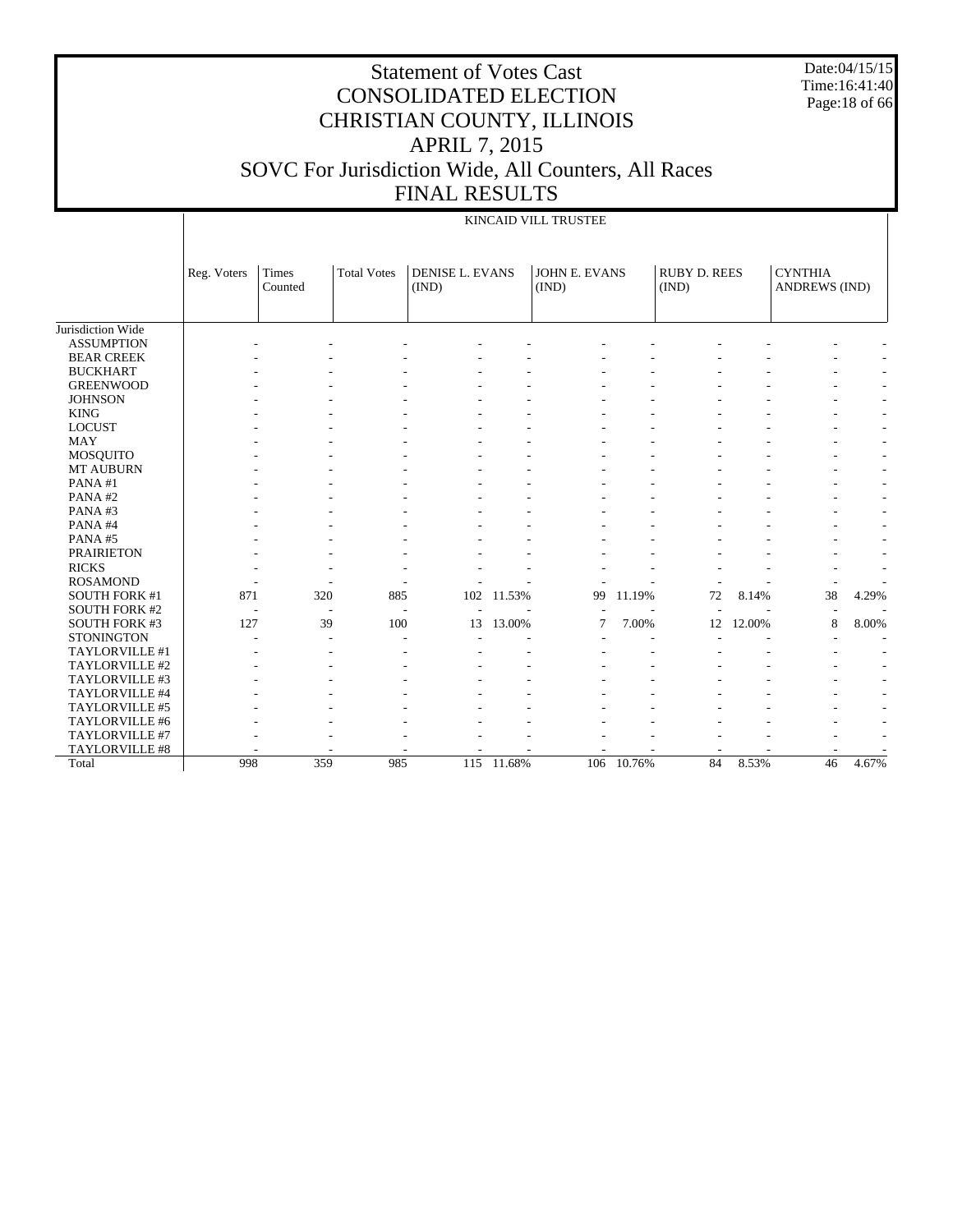Date:04/15/15 Time:16:41:40 Page:18 of 66

KINCAID VILL TRUSTEE

|                       | Reg. Voters | <b>Times</b><br>Counted | <b>Total Votes</b> | <b>DENISE L. EVANS</b><br>(IND) |        | <b>JOHN E. EVANS</b><br>(IND) |        | <b>RUBY D. REES</b><br>(IND) |        | <b>CYNTHIA</b><br><b>ANDREWS (IND)</b> |                          |
|-----------------------|-------------|-------------------------|--------------------|---------------------------------|--------|-------------------------------|--------|------------------------------|--------|----------------------------------------|--------------------------|
|                       |             |                         |                    |                                 |        |                               |        |                              |        |                                        |                          |
| Jurisdiction Wide     |             |                         |                    |                                 |        |                               |        |                              |        |                                        |                          |
| <b>ASSUMPTION</b>     |             |                         |                    |                                 |        |                               |        |                              |        |                                        |                          |
| <b>BEAR CREEK</b>     |             |                         |                    |                                 |        |                               |        |                              |        |                                        | ٠                        |
| <b>BUCKHART</b>       |             |                         |                    |                                 |        |                               |        |                              |        |                                        | $\sim$                   |
| <b>GREENWOOD</b>      |             |                         |                    |                                 |        |                               |        |                              |        |                                        | $\sim$                   |
| <b>JOHNSON</b>        |             |                         |                    |                                 |        |                               |        |                              |        |                                        | $\sim$                   |
| <b>KING</b>           |             |                         |                    |                                 |        |                               |        |                              |        |                                        | $\sim$                   |
| <b>LOCUST</b>         |             |                         |                    |                                 |        |                               |        |                              |        |                                        | $\sim$                   |
| <b>MAY</b>            |             |                         |                    |                                 |        |                               |        |                              |        |                                        | $\sim$                   |
| <b>MOSQUITO</b>       |             |                         |                    |                                 |        |                               |        |                              |        |                                        | $\sim$                   |
| MT AUBURN             |             |                         |                    |                                 |        |                               |        |                              |        |                                        | $\sim$                   |
| PANA#1                |             |                         |                    |                                 |        |                               |        |                              |        |                                        | $\overline{\phantom{a}}$ |
| PANA#2                |             |                         |                    |                                 |        |                               |        |                              |        |                                        | $\overline{\phantom{a}}$ |
| PANA#3                |             |                         |                    |                                 |        |                               |        |                              |        |                                        | $\overline{\phantom{a}}$ |
| PANA#4                |             |                         |                    |                                 |        |                               |        |                              |        |                                        | ٠                        |
| PANA#5                |             |                         |                    |                                 |        |                               |        |                              |        |                                        | $\overline{\phantom{a}}$ |
| <b>PRAIRIETON</b>     |             |                         |                    |                                 |        |                               |        |                              |        |                                        | ٠                        |
| <b>RICKS</b>          |             |                         |                    |                                 |        |                               |        |                              |        |                                        |                          |
| <b>ROSAMOND</b>       |             |                         |                    |                                 |        |                               |        |                              |        |                                        |                          |
| <b>SOUTH FORK #1</b>  | 871         | 320                     | 885                | 102                             | 11.53% | 99                            | 11.19% | 72                           | 8.14%  | 38                                     | 4.29%                    |
| <b>SOUTH FORK #2</b>  |             |                         |                    | $\overline{\phantom{a}}$        |        |                               |        | ٠                            |        | $\overline{\phantom{a}}$               |                          |
| <b>SOUTH FORK #3</b>  | 127         | 39                      | 100                | 13                              | 13.00% | 7                             | 7.00%  | 12                           | 12.00% | 8                                      | 8.00%                    |
| <b>STONINGTON</b>     |             |                         |                    |                                 |        |                               |        |                              |        |                                        |                          |
| TAYLORVILLE #1        |             |                         |                    |                                 |        |                               |        |                              |        |                                        |                          |
| TAYLORVILLE #2        |             |                         |                    |                                 |        |                               |        |                              |        |                                        | ٠                        |
| TAYLORVILLE #3        |             |                         |                    |                                 |        |                               |        |                              |        |                                        | ٠                        |
| TAYLORVILLE #4        |             |                         |                    |                                 |        |                               |        |                              |        |                                        | ٠                        |
| TAYLORVILLE #5        |             |                         |                    |                                 |        |                               |        |                              |        |                                        | ٠                        |
| TAYLORVILLE #6        |             |                         |                    |                                 |        |                               |        |                              |        |                                        | ٠                        |
| TAYLORVILLE #7        |             |                         |                    |                                 |        |                               |        |                              |        |                                        | ٠                        |
| <b>TAYLORVILLE #8</b> |             |                         |                    |                                 |        |                               |        |                              |        |                                        |                          |
| Total                 | 998         | 359                     | 985                | 115                             | 11.68% | 106                           | 10.76% | 84                           | 8.53%  | 46                                     | 4.67%                    |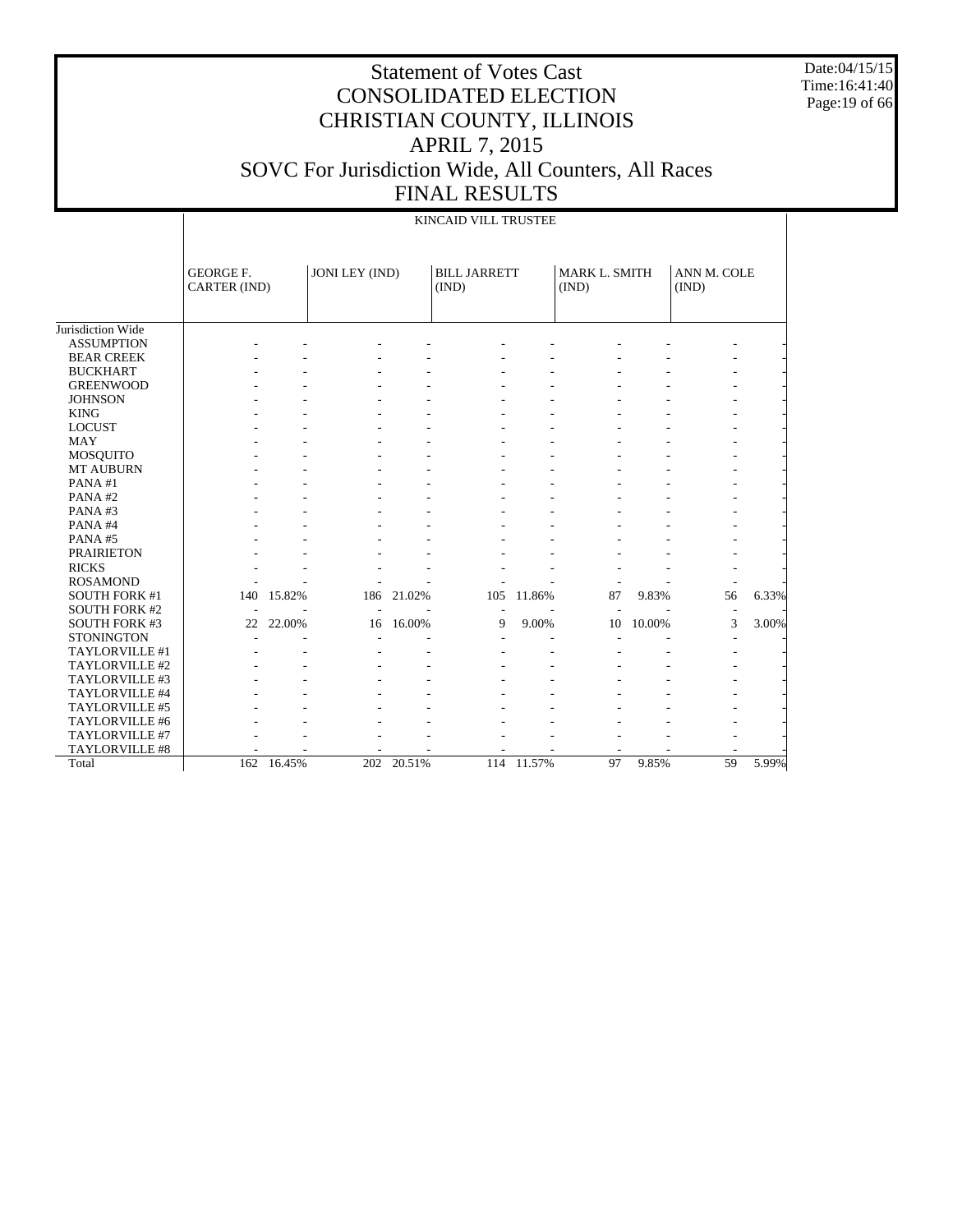Date:04/15/15 Time:16:41:40 Page:19 of 66

|                      | KINCAID VILL TRUSTEE             |            |                |        |                              |        |                        |        |                      |       |  |  |
|----------------------|----------------------------------|------------|----------------|--------|------------------------------|--------|------------------------|--------|----------------------|-------|--|--|
|                      | <b>GEORGE F.</b><br>CARTER (IND) |            | JONI LEY (IND) |        | <b>BILL JARRETT</b><br>(IND) |        | MARK L. SMITH<br>(IND) |        | ANN M. COLE<br>(IND) |       |  |  |
| Jurisdiction Wide    |                                  |            |                |        |                              |        |                        |        |                      |       |  |  |
| <b>ASSUMPTION</b>    |                                  |            |                |        |                              |        |                        |        |                      |       |  |  |
| <b>BEAR CREEK</b>    |                                  |            |                |        |                              |        |                        |        |                      |       |  |  |
| <b>BUCKHART</b>      |                                  |            |                |        |                              |        |                        |        |                      |       |  |  |
| <b>GREENWOOD</b>     |                                  |            |                |        |                              |        |                        |        |                      |       |  |  |
| <b>JOHNSON</b>       |                                  |            |                |        |                              |        |                        |        |                      |       |  |  |
| <b>KING</b>          |                                  |            |                |        |                              |        |                        |        |                      |       |  |  |
| <b>LOCUST</b>        |                                  |            |                |        |                              |        |                        |        |                      |       |  |  |
| <b>MAY</b>           |                                  |            |                |        |                              |        |                        |        |                      |       |  |  |
| <b>MOSQUITO</b>      |                                  |            |                |        |                              |        |                        |        |                      |       |  |  |
| <b>MT AUBURN</b>     |                                  |            |                |        |                              |        |                        |        |                      |       |  |  |
| PANA#1               |                                  |            |                |        |                              |        |                        |        |                      |       |  |  |
| PANA#2               |                                  |            |                |        |                              |        |                        |        |                      |       |  |  |
| PANA#3               |                                  |            |                |        |                              |        |                        |        |                      |       |  |  |
| PANA#4               |                                  |            |                |        |                              |        |                        |        |                      |       |  |  |
| PANA#5               |                                  |            |                |        |                              |        |                        |        |                      |       |  |  |
| <b>PRAIRIETON</b>    |                                  |            |                |        |                              |        |                        |        |                      |       |  |  |
| <b>RICKS</b>         |                                  |            |                |        |                              |        |                        |        |                      |       |  |  |
| <b>ROSAMOND</b>      |                                  |            |                |        |                              |        |                        |        |                      |       |  |  |
| <b>SOUTH FORK #1</b> | 140                              | 15.82%     | 186            | 21.02% | 105                          | 11.86% | 87                     | 9.83%  | 56                   | 6.33% |  |  |
| <b>SOUTH FORK #2</b> |                                  |            |                |        | $\overline{\phantom{a}}$     |        |                        |        |                      |       |  |  |
| <b>SOUTH FORK #3</b> | 22                               | 22.00%     | 16             | 16.00% | 9                            | 9.00%  | 10                     | 10.00% | 3                    | 3.00% |  |  |
| <b>STONINGTON</b>    |                                  |            |                |        |                              |        |                        |        |                      |       |  |  |
| TAYLORVILLE #1       |                                  |            |                |        |                              |        |                        |        |                      |       |  |  |
| TAYLORVILLE #2       |                                  |            |                |        |                              |        |                        |        |                      |       |  |  |
| TAYLORVILLE #3       |                                  |            |                |        |                              |        |                        |        |                      |       |  |  |
| TAYLORVILLE #4       |                                  |            |                |        |                              |        |                        |        |                      |       |  |  |
| TAYLORVILLE #5       |                                  |            |                |        |                              |        |                        |        |                      |       |  |  |
| TAYLORVILLE #6       |                                  |            |                |        |                              |        |                        |        |                      |       |  |  |
| TAYLORVILLE #7       |                                  |            |                |        |                              |        |                        |        |                      |       |  |  |
| TAYLORVILLE #8       |                                  |            |                |        |                              |        |                        |        |                      |       |  |  |
| Total                |                                  | 162 16.45% | 202            | 20.51% | 114                          | 11.57% | 97                     | 9.85%  | 59                   | 5.99% |  |  |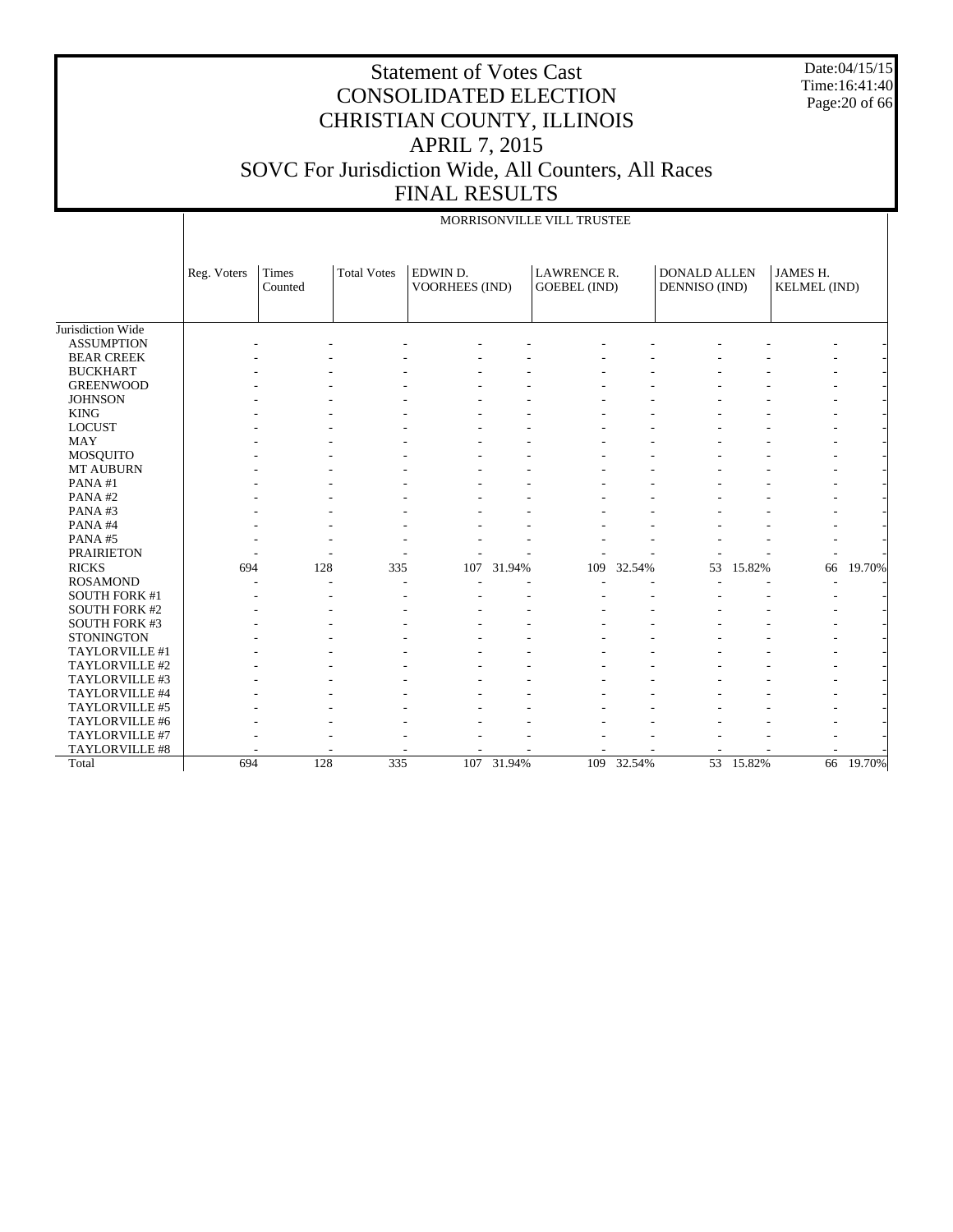Date:04/15/15 Time:16:41:40 Page:20 of 66

|                      |             |                  |                    |                            |            | MORRISONVILLE VILL TRUSTEE         |            |                                      |        |                                 |        |
|----------------------|-------------|------------------|--------------------|----------------------------|------------|------------------------------------|------------|--------------------------------------|--------|---------------------------------|--------|
|                      | Reg. Voters | Times<br>Counted | <b>Total Votes</b> | EDWIN D.<br>VOORHEES (IND) |            | LAWRENCE R.<br><b>GOEBEL (IND)</b> |            | <b>DONALD ALLEN</b><br>DENNISO (IND) |        | JAMES H.<br><b>KELMEL</b> (IND) |        |
| Jurisdiction Wide    |             |                  |                    |                            |            |                                    |            |                                      |        |                                 |        |
| <b>ASSUMPTION</b>    |             |                  |                    |                            |            |                                    |            |                                      |        |                                 |        |
| <b>BEAR CREEK</b>    |             |                  |                    |                            |            |                                    |            |                                      |        |                                 |        |
| <b>BUCKHART</b>      |             |                  |                    |                            |            |                                    |            |                                      |        |                                 |        |
| <b>GREENWOOD</b>     |             |                  |                    |                            |            |                                    |            |                                      |        |                                 |        |
| <b>JOHNSON</b>       |             |                  |                    |                            |            |                                    |            |                                      |        |                                 |        |
| <b>KING</b>          |             |                  |                    |                            |            |                                    |            |                                      |        |                                 |        |
| <b>LOCUST</b>        |             |                  |                    |                            |            |                                    |            |                                      |        |                                 |        |
| <b>MAY</b>           |             |                  |                    |                            |            |                                    |            |                                      |        |                                 |        |
| <b>MOSQUITO</b>      |             |                  |                    |                            |            |                                    |            |                                      |        |                                 |        |
| MT AUBURN            |             |                  |                    |                            |            |                                    |            |                                      |        |                                 |        |
| PANA#1               |             |                  |                    |                            |            |                                    |            |                                      |        |                                 |        |
| PANA#2               |             |                  |                    |                            |            |                                    |            |                                      |        |                                 |        |
| PANA#3               |             |                  |                    |                            |            |                                    |            |                                      |        |                                 |        |
| PANA#4               |             |                  |                    |                            |            |                                    |            |                                      |        |                                 |        |
| PANA#5               |             |                  |                    |                            |            |                                    |            |                                      |        |                                 |        |
| <b>PRAIRIETON</b>    |             |                  |                    |                            |            |                                    |            |                                      |        |                                 |        |
| <b>RICKS</b>         | 694         | 128              | 335                | 107                        | 31.94%     | 109                                | 32.54%     | 53                                   | 15.82% | 66                              | 19.70% |
| <b>ROSAMOND</b>      |             |                  |                    |                            |            |                                    |            |                                      |        |                                 |        |
| <b>SOUTH FORK #1</b> |             |                  |                    |                            |            |                                    |            |                                      |        |                                 |        |
| <b>SOUTH FORK #2</b> |             |                  |                    |                            |            |                                    |            |                                      |        |                                 |        |
| <b>SOUTH FORK #3</b> |             |                  |                    |                            |            |                                    |            |                                      |        |                                 |        |
| <b>STONINGTON</b>    |             |                  |                    |                            |            |                                    |            |                                      |        |                                 |        |
| TAYLORVILLE #1       |             |                  |                    |                            |            |                                    |            |                                      |        |                                 |        |
| TAYLORVILLE #2       |             |                  |                    |                            |            |                                    |            |                                      |        |                                 |        |
| TAYLORVILLE #3       |             |                  |                    |                            |            |                                    |            |                                      |        |                                 |        |
| TAYLORVILLE #4       |             |                  |                    |                            |            |                                    |            |                                      |        |                                 |        |
| TAYLORVILLE #5       |             |                  |                    |                            |            |                                    |            |                                      |        |                                 |        |
| TAYLORVILLE #6       |             |                  |                    |                            |            |                                    |            |                                      |        |                                 |        |
| TAYLORVILLE #7       |             |                  |                    |                            |            |                                    |            |                                      |        |                                 |        |
| TAYLORVILLE #8       |             |                  |                    |                            |            |                                    |            |                                      |        |                                 |        |
| Total                | 694         | 128              | 335                |                            | 107 31.94% |                                    | 109 32.54% | $\overline{53}$                      | 15.82% | 66                              | 19.70% |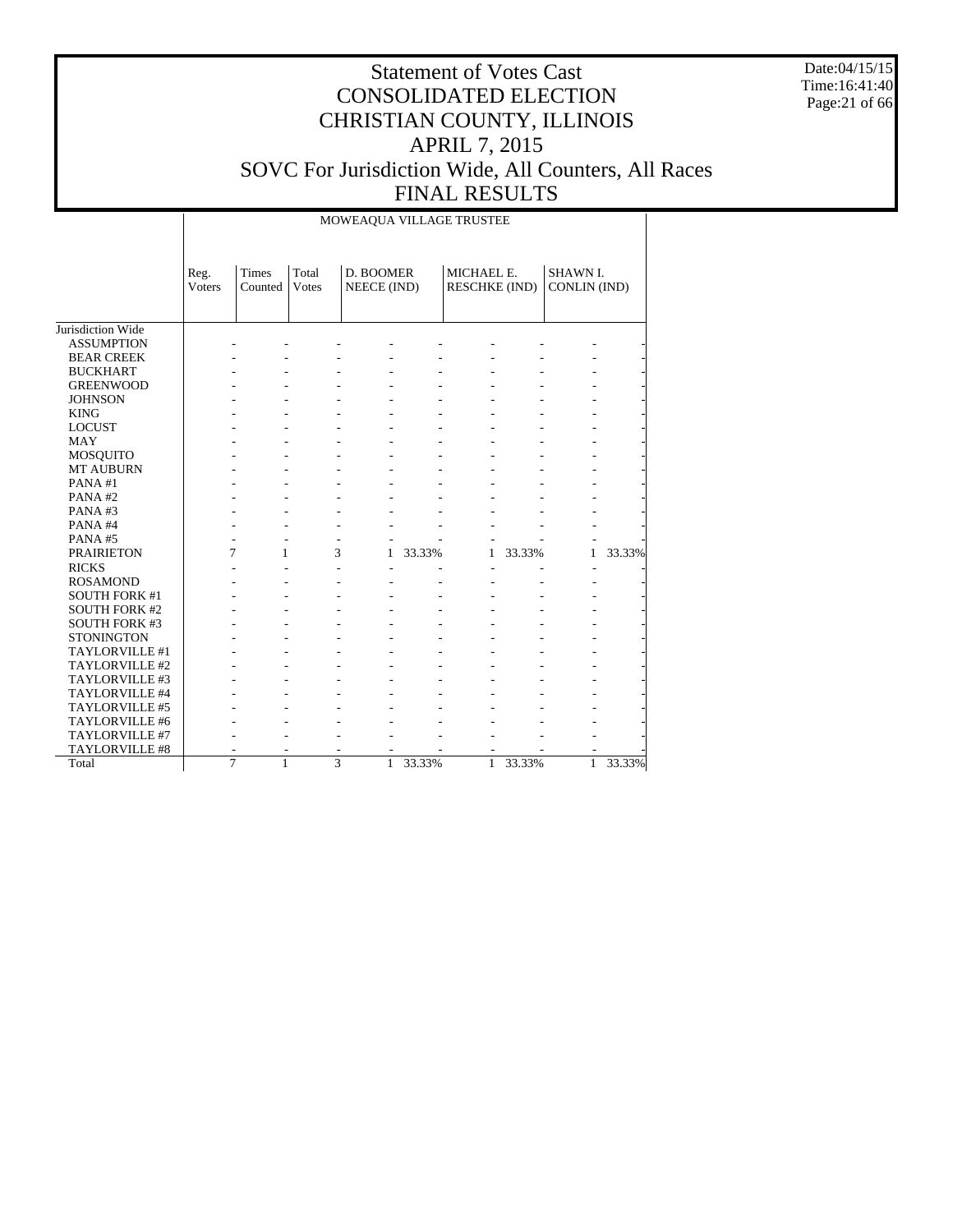Date:04/15/15 Time:16:41:40 Page:21 of 66

#### Statement of Votes Cast CONSOLIDATED ELECTION CHRISTIAN COUNTY, ILLINOIS APRIL 7, 2015 SOVC For Jurisdiction Wide, All Counters, All Races FINAL RESULTS

Jurisdiction Wide ASSUMPTION BEAR CREEK BUCKHART GREENWOOD **JOHNSON**  KING LOCUST MAY MOSQUITO MT AUBURN PANA #1 PANA #2 PANA #3 PANA #4 PANA #5 PRAIRIETON RICKS ROSAMOND SOUTH FORK #1 SOUTH FORK #2 SOUTH FORK #3 **STONINGTON**  TAYLORVILLE #1 TAYLORVILLE #2 TAYLORVILLE #3 TAYLORVILLE #4 Reg. Voters Times Counted Total Votes D. BOOMER NEECE (IND) MICHAEL E. RESCHKE (IND) SHAWN I. CONLIN (IND) MOWEAQUA VILLAGE TRUSTEE - - - - - - - - - - - - - - - - - - - - - - - - - - - - - - - - - - - - - - - - - - - - - - - - - - - - - - - - - - - - - - - - - - - - - - - - - - - - - - - - - - - - - - - - - - - - - - - - - - - - - - - - - - - - - - - - - - - - - - - - - - - - - - - - - - - - - - - 7 1 3 1 33.33% 1 33.33% 1 33.33% - - - - - - - - - - - - - - - - - - - - - - - - - - - - - - - - - - - - - - - - - - - - - - - - - - - - - - - - - - - - - - - - - - - - - - - - - - - - - - - - - - - - - - - - - -

> - - - - - - - - - - - - - - - - - - - - - - - - - - - - - - - - - - - - 7 1 3 1 33.33% 1 33.33% 1 33.33%

 TAYLORVILLE #5 TAYLORVILLE #6 TAYLORVILLE #7 TAYLORVILLE #8

Total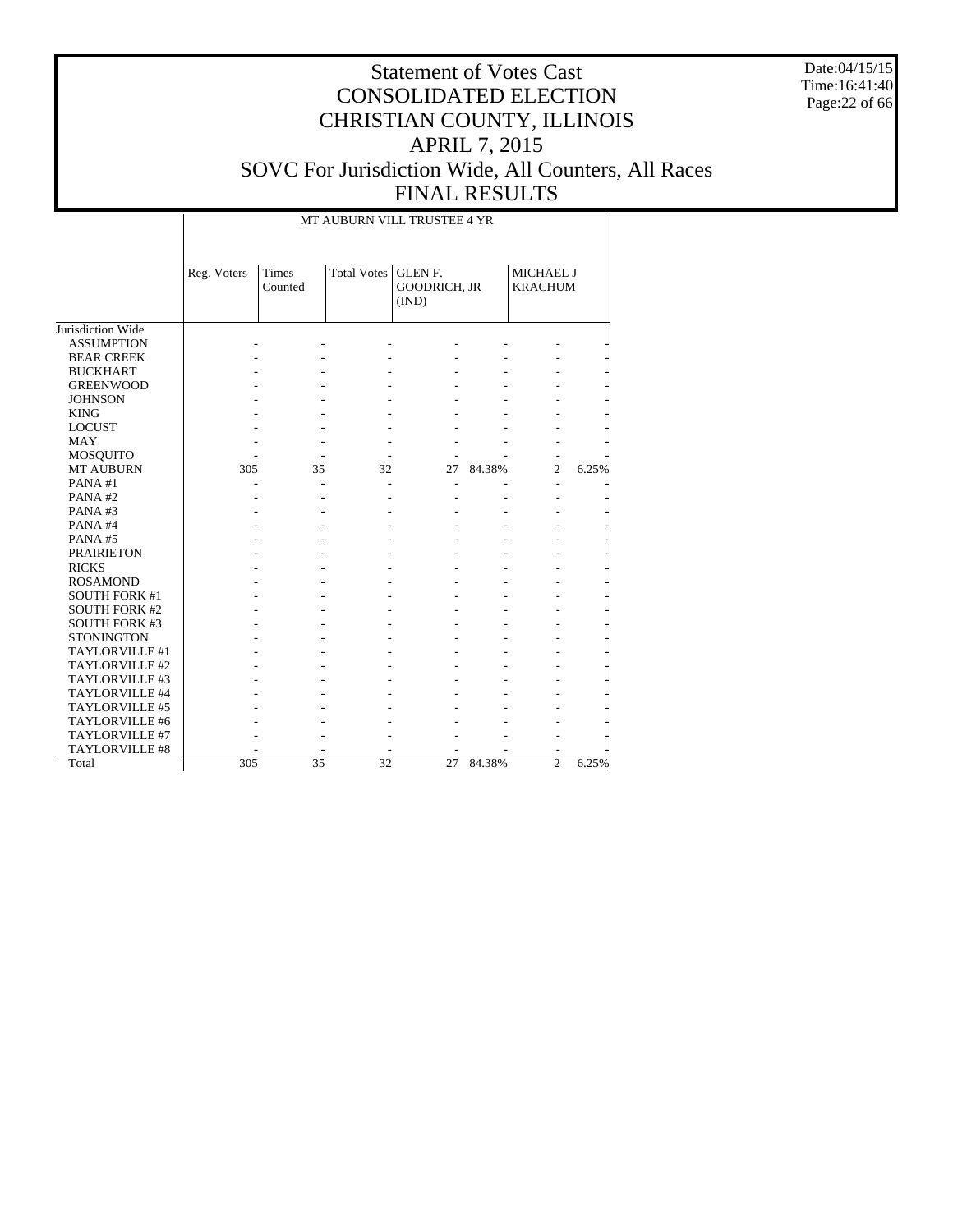Date:04/15/15 Time:16:41:40 Page:22 of 66

| MT AUBURN VILL TRUSTEE 4 YR |
|-----------------------------|

|                       | Reg. Voters | Times<br>Counted | Total Votes   GLEN F. | GOODRICH, JR<br>(IND) |        | MICHAEL J<br><b>KRACHUM</b> |       |
|-----------------------|-------------|------------------|-----------------------|-----------------------|--------|-----------------------------|-------|
| Jurisdiction Wide     |             |                  |                       |                       |        |                             |       |
| <b>ASSUMPTION</b>     |             |                  |                       |                       |        |                             |       |
| <b>BEAR CREEK</b>     |             |                  |                       |                       |        |                             |       |
| <b>BUCKHART</b>       |             |                  |                       |                       |        |                             |       |
| <b>GREENWOOD</b>      |             |                  |                       |                       |        |                             |       |
| <b>JOHNSON</b>        |             |                  |                       |                       |        |                             |       |
| <b>KING</b>           |             |                  |                       |                       |        |                             |       |
| <b>LOCUST</b>         |             |                  |                       |                       |        |                             |       |
| <b>MAY</b>            |             |                  |                       |                       |        |                             |       |
| MOSQUITO              |             |                  |                       |                       |        |                             |       |
| <b>MT AUBURN</b>      | 305         | 35               | 32                    | 27                    | 84.38% | $\overline{c}$              | 6.25% |
| PANA#1                |             |                  |                       |                       |        |                             |       |
| PANA#2                |             |                  |                       |                       |        |                             |       |
| PANA# $3$             |             |                  |                       |                       |        |                             |       |
| PANA#4                |             |                  |                       |                       |        |                             |       |
| PANA#5                |             |                  |                       |                       |        |                             |       |
| <b>PRAIRIETON</b>     |             |                  |                       |                       |        |                             |       |
| <b>RICKS</b>          |             |                  |                       |                       |        |                             |       |
| <b>ROSAMOND</b>       |             |                  |                       |                       |        |                             |       |
| <b>SOUTH FORK #1</b>  |             |                  |                       |                       |        |                             |       |
| <b>SOUTH FORK #2</b>  |             |                  |                       |                       |        |                             |       |
| <b>SOUTH FORK #3</b>  |             |                  |                       |                       |        |                             |       |
| <b>STONINGTON</b>     |             |                  |                       |                       |        |                             |       |
| TAYLORVILLE#1         |             |                  |                       |                       |        |                             |       |
| TAYLORVILLE#2         |             |                  |                       |                       |        |                             |       |
| TAYLORVILLE#3         |             |                  |                       |                       |        |                             |       |
| TAYLORVILLE #4        |             |                  |                       |                       |        |                             |       |
| TAYLORVILLE #5        |             |                  |                       |                       |        |                             |       |
| TAYLORVILLE #6        |             |                  |                       |                       |        |                             |       |
| <b>TAYLORVILLE #7</b> |             |                  |                       |                       |        |                             |       |
| TAYLORVILLE #8        |             |                  |                       |                       |        |                             |       |
| Total                 | 305         | 35               | 32                    | 27                    | 84.38% | $\overline{c}$              | 6.25% |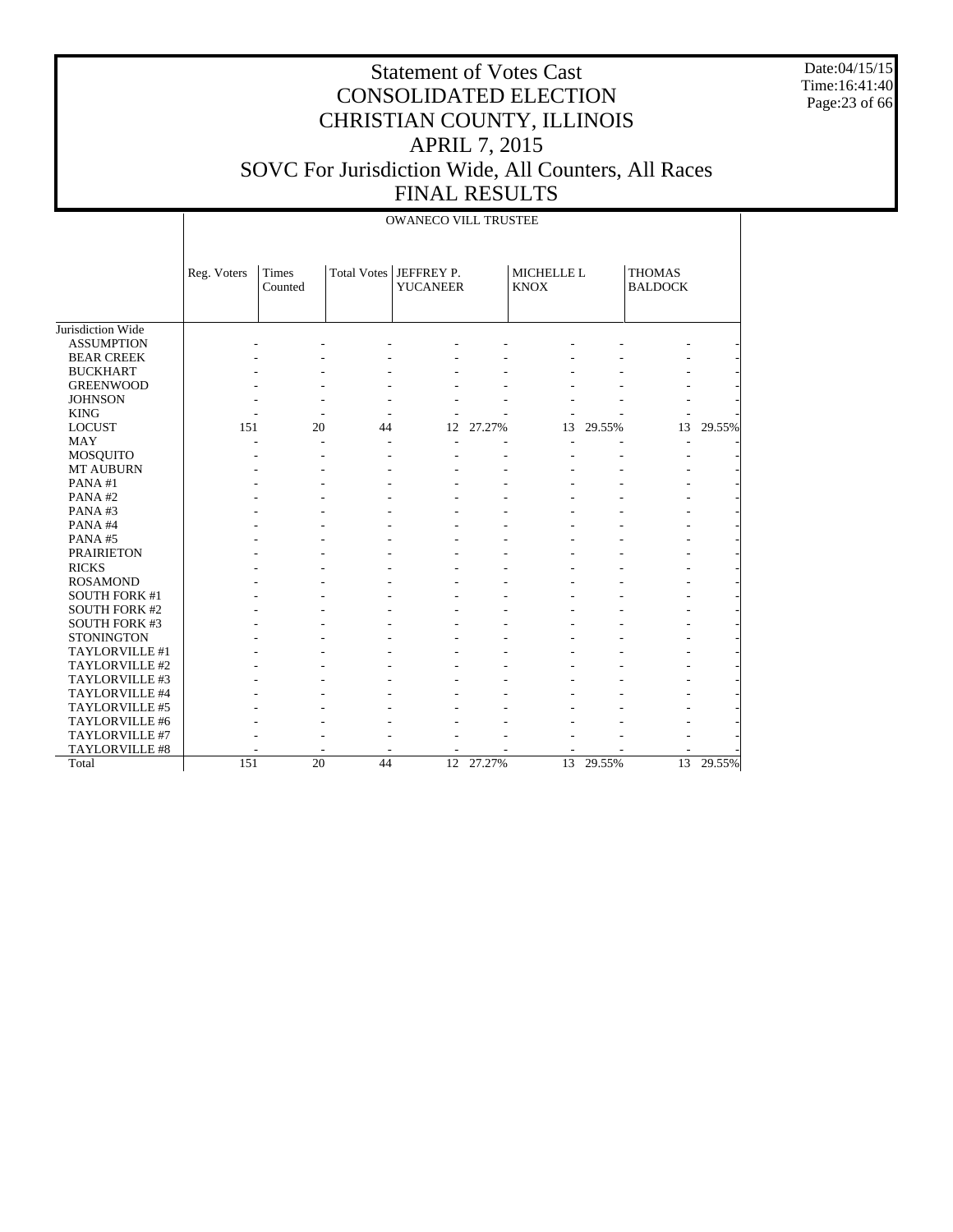Date:04/15/15 Time:16:41:40 Page:23 of 66

|                                        |             |                  |                    | <b>OWANECO VILL TRUSTEE</b>   |        |                           |        |                                 |           |
|----------------------------------------|-------------|------------------|--------------------|-------------------------------|--------|---------------------------|--------|---------------------------------|-----------|
|                                        | Reg. Voters | Times<br>Counted | <b>Total Votes</b> | JEFFREY P.<br><b>YUCANEER</b> |        | MICHELLE L<br><b>KNOX</b> |        | <b>THOMAS</b><br><b>BALDOCK</b> |           |
|                                        |             |                  |                    |                               |        |                           |        |                                 |           |
| Jurisdiction Wide<br><b>ASSUMPTION</b> |             |                  |                    |                               |        |                           |        |                                 |           |
|                                        |             |                  |                    |                               |        |                           |        |                                 |           |
| <b>BEAR CREEK</b>                      |             |                  |                    |                               |        |                           |        |                                 |           |
| <b>BUCKHART</b>                        |             |                  |                    |                               |        |                           |        |                                 |           |
| <b>GREENWOOD</b>                       |             |                  |                    |                               |        |                           |        |                                 |           |
| <b>JOHNSON</b><br><b>KING</b>          |             |                  |                    |                               |        |                           |        |                                 |           |
| <b>LOCUST</b>                          | 151         | 20               | 44                 | 12                            | 27.27% | 13                        | 29.55% | 13                              | 29.55%    |
| <b>MAY</b>                             |             |                  |                    |                               |        |                           |        |                                 |           |
| MOSQUITO                               |             |                  |                    |                               |        |                           |        |                                 |           |
| MT AUBURN                              |             |                  |                    |                               |        |                           |        |                                 |           |
| PANA#1                                 |             |                  |                    |                               |        |                           |        |                                 |           |
| PANA#2                                 |             |                  |                    |                               |        |                           |        |                                 |           |
| PANA#3                                 |             |                  |                    |                               |        |                           |        |                                 |           |
| PANA#4                                 |             |                  |                    |                               |        |                           |        |                                 |           |
| PANA#5                                 |             |                  |                    |                               |        |                           |        |                                 |           |
| <b>PRAIRIETON</b>                      |             |                  |                    |                               |        |                           |        |                                 |           |
| <b>RICKS</b>                           |             |                  |                    |                               |        |                           |        |                                 |           |
| <b>ROSAMOND</b>                        |             |                  |                    |                               |        |                           |        |                                 |           |
| <b>SOUTH FORK #1</b>                   |             |                  |                    |                               |        |                           |        |                                 |           |
| <b>SOUTH FORK #2</b>                   |             |                  |                    |                               |        |                           |        |                                 |           |
| SOUTH FORK #3                          |             |                  |                    |                               |        |                           |        |                                 |           |
| <b>STONINGTON</b>                      |             |                  |                    |                               |        |                           |        |                                 |           |
| TAYLORVILLE #1                         |             |                  |                    |                               |        |                           |        |                                 |           |
| TAYLORVILLE #2                         |             |                  |                    |                               |        |                           |        |                                 |           |
| TAYLORVILLE #3                         |             |                  |                    |                               |        |                           |        |                                 |           |
| TAYLORVILLE #4                         |             |                  |                    |                               |        |                           |        |                                 |           |
| TAYLORVILLE #5                         |             |                  |                    |                               |        |                           |        |                                 |           |
| TAYLORVILLE #6                         |             |                  |                    |                               |        |                           |        |                                 |           |
| TAYLORVILLE #7                         |             |                  |                    |                               |        |                           |        |                                 |           |
| TAYLORVILLE #8                         |             |                  |                    |                               |        |                           |        |                                 |           |
| Total                                  | 151         | $\overline{20}$  | 44                 | $\overline{12}$               | 27.27% | $\overline{13}$           | 29.55% |                                 | 13 29.55% |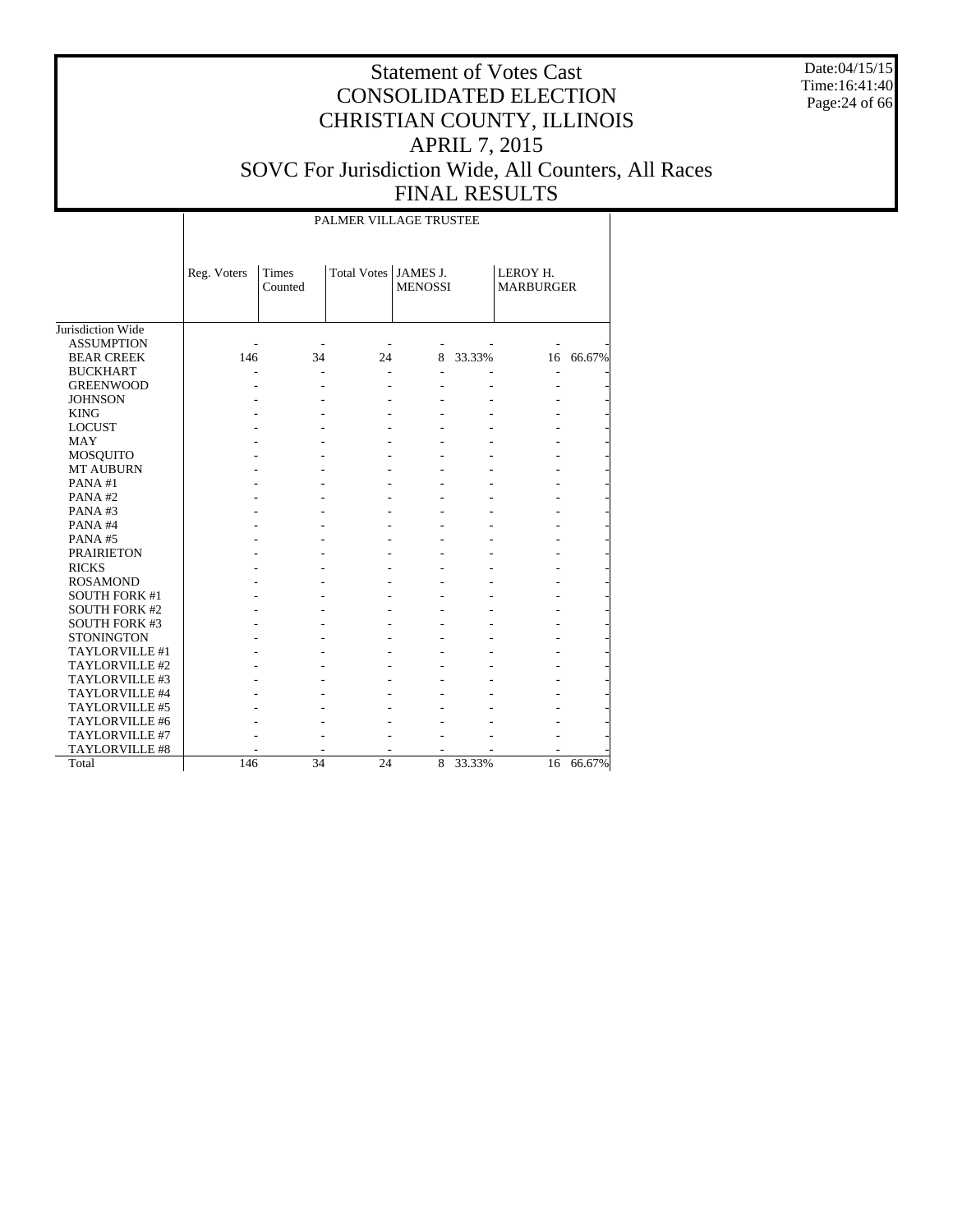Date:04/15/15 Time:16:41:40 Page:24 of 66

#### Statement of Votes Cast CONSOLIDATED ELECTION CHRISTIAN COUNTY, ILLINOIS APRIL 7, 2015 SOVC For Jurisdiction Wide, All Counters, All Races FINAL RESULTS

Jurisdiction Wide ASSUMPTION BEAR CREEK BUCKHART GREENWOOD JOHNSON KING LOCUST MAY MOSQUITO MT AUBURN PANA #1 PANA #2 PANA #3 PANA #4 PANA #5 PRAIRIETON RICKS ROSAMOND SOUTH FORK #1 SOUTH FORK #2 SOUTH FORK #3 **STONINGTON**  TAYLORVILLE #1 TAYLORVILLE #2 TAYLORVILLE #3 TAYLORVILLE #4 TAYLORVILLE #5 TAYLORVILLE #6 TAYLORVILLE #7 TAYLORVILLE #8 Total Reg. Voters | Times Counted Total Votes | JAMES J. MENOSSI LEROY H. MARBURGER PALMER VILLAGE TRUSTEE - - - - - - - 146 34 24 8 33.33% 16 66.67% - - - - - - - - - - - - - - - - - - - - - - - - - - - - - - - - - - - - - - - - - - - - - - - - - - - - - - - - - - - - - - - - - - - - - - - - - - - - - - - - - - - - - - - - - - - - - - - - - - - - - - - - - - - - - - - - - - - - - - - - - - - - - - - - - - - - - - - - - - - - - - - - - - - - - - - - - - - - - - - - - - - - - - - - - - - - - - - - - - - - - - - - - - - - - - - - - - - - 146 34 24 8 33.33% 16 66.67%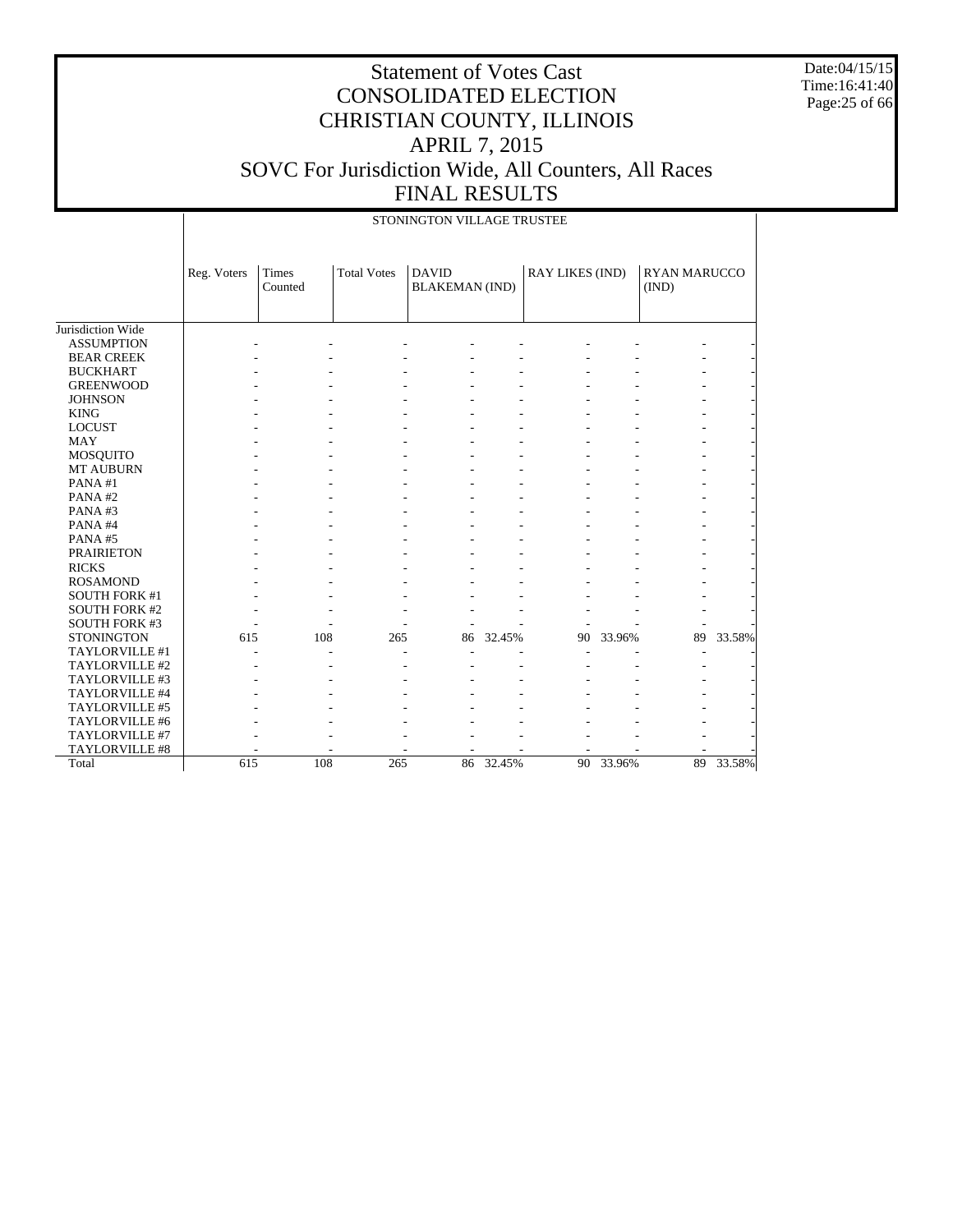Date:04/15/15 Time:16:41:40 Page:25 of 66

|                      |             |                  |                    | STONINGTON VILLAGE TRUSTEE            |        |                 |        |                       |        |
|----------------------|-------------|------------------|--------------------|---------------------------------------|--------|-----------------|--------|-----------------------|--------|
|                      | Reg. Voters | Times<br>Counted | <b>Total Votes</b> | <b>DAVID</b><br><b>BLAKEMAN</b> (IND) |        | RAY LIKES (IND) |        | RYAN MARUCCO<br>(IND) |        |
| Jurisdiction Wide    |             |                  |                    |                                       |        |                 |        |                       |        |
| <b>ASSUMPTION</b>    |             |                  |                    |                                       |        |                 |        |                       |        |
| <b>BEAR CREEK</b>    |             |                  |                    |                                       |        |                 |        |                       |        |
| <b>BUCKHART</b>      |             |                  |                    |                                       |        |                 |        |                       |        |
| <b>GREENWOOD</b>     |             |                  |                    |                                       |        |                 |        |                       |        |
| <b>JOHNSON</b>       |             |                  |                    |                                       |        |                 |        |                       |        |
| <b>KING</b>          |             |                  |                    |                                       |        |                 |        |                       |        |
| <b>LOCUST</b>        |             |                  |                    |                                       |        |                 |        |                       |        |
| <b>MAY</b>           |             |                  |                    |                                       |        |                 |        |                       |        |
| <b>MOSQUITO</b>      |             |                  |                    |                                       |        |                 |        |                       |        |
| <b>MT AUBURN</b>     |             |                  |                    |                                       |        |                 |        |                       |        |
| PANA#1               |             |                  |                    |                                       |        |                 |        |                       |        |
| PANA#2               |             |                  |                    |                                       |        |                 |        |                       |        |
| PANA#3               |             |                  |                    |                                       |        |                 |        |                       |        |
| PANA#4               |             |                  |                    |                                       |        |                 |        |                       |        |
| PANA#5               |             |                  |                    |                                       |        |                 |        |                       |        |
| <b>PRAIRIETON</b>    |             |                  |                    |                                       |        |                 |        |                       |        |
| <b>RICKS</b>         |             |                  |                    |                                       |        |                 |        |                       |        |
| <b>ROSAMOND</b>      |             |                  |                    |                                       |        |                 |        |                       |        |
| <b>SOUTH FORK #1</b> |             |                  |                    |                                       |        |                 |        |                       |        |
| <b>SOUTH FORK #2</b> |             |                  |                    |                                       |        |                 |        |                       |        |
| <b>SOUTH FORK #3</b> |             |                  |                    |                                       |        |                 |        |                       |        |
| <b>STONINGTON</b>    | 615         | 108              | 265                | 86                                    | 32.45% | 90              | 33.96% | 89                    | 33.58% |
| TAYLORVILLE #1       |             |                  |                    |                                       |        |                 |        |                       |        |
| TAYLORVILLE #2       |             |                  |                    |                                       |        |                 |        |                       |        |
| TAYLORVILLE #3       |             |                  |                    |                                       |        |                 |        |                       |        |
| TAYLORVILLE #4       |             |                  |                    |                                       |        |                 |        |                       |        |
| TAYLORVILLE #5       |             |                  |                    |                                       |        |                 |        |                       |        |
| TAYLORVILLE #6       |             |                  |                    |                                       |        |                 |        |                       |        |
| TAYLORVILLE #7       |             |                  |                    |                                       |        |                 |        |                       |        |
| TAYLORVILLE #8       |             |                  |                    |                                       |        |                 |        |                       |        |
| Total                | 615         | 108              | 265                | 86                                    | 32.45% | 90              | 33.96% | 89                    | 33.58% |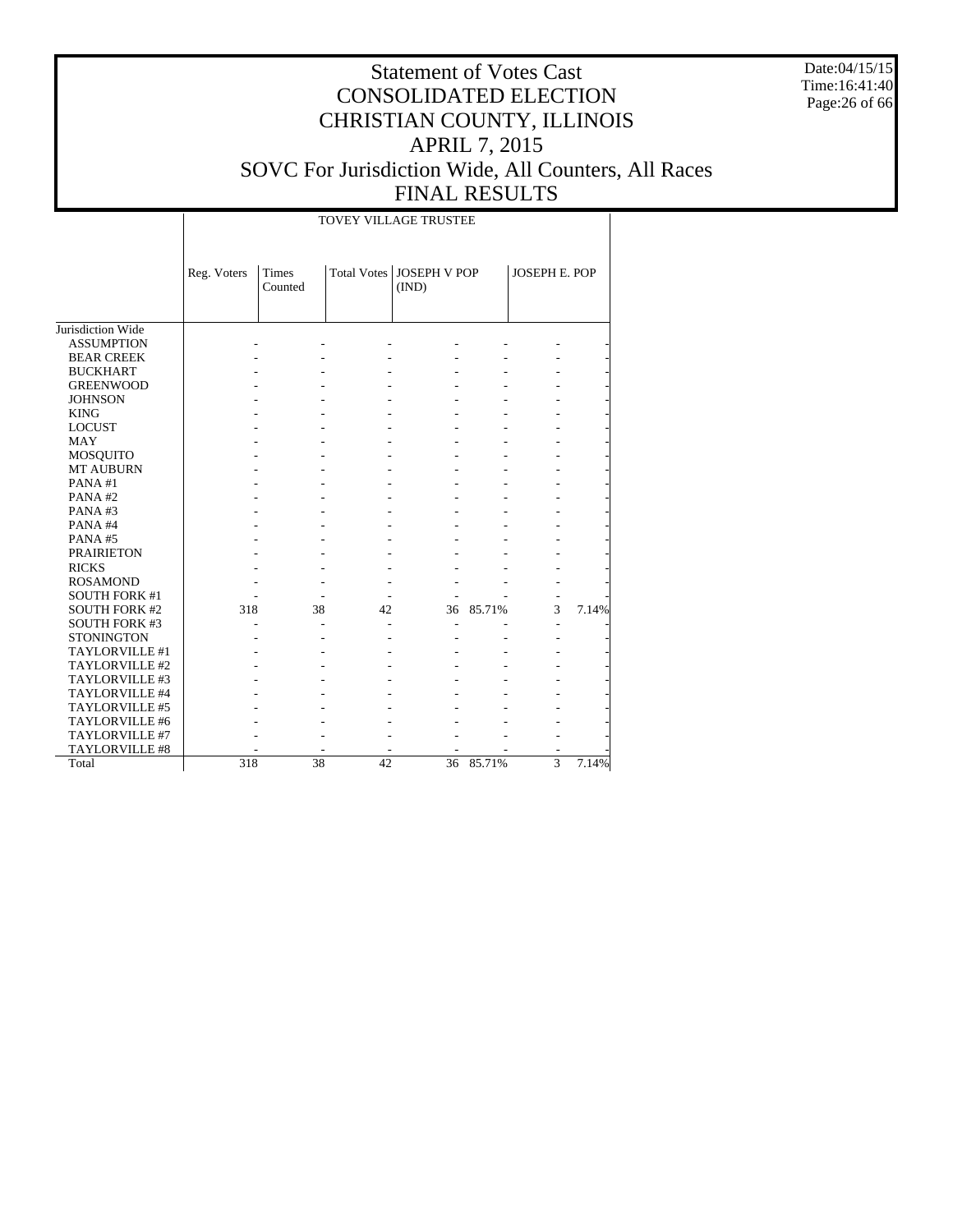Date:04/15/15 Time:16:41:40 Page:26 of 66

# Statement of Votes Cast CONSOLIDATED ELECTION CHRISTIAN COUNTY, ILLINOIS APRIL 7, 2015 SOVC For Jurisdiction Wide, All Counters, All Races FINAL RESULTS

#### TOVEY VILLAGE TRUSTEE

|                      | Reg. Voters | <b>Times</b><br>Counted |    | Total Votes   JOSEPH V POP<br>(IND) |           | <b>JOSEPH E. POP</b> |       |
|----------------------|-------------|-------------------------|----|-------------------------------------|-----------|----------------------|-------|
| Jurisdiction Wide    |             |                         |    |                                     |           |                      |       |
| <b>ASSUMPTION</b>    |             |                         |    |                                     |           |                      |       |
| <b>BEAR CREEK</b>    |             |                         |    |                                     |           |                      |       |
| <b>BUCKHART</b>      |             |                         |    |                                     |           |                      |       |
| <b>GREENWOOD</b>     |             |                         |    |                                     |           |                      |       |
| <b>JOHNSON</b>       |             |                         |    |                                     |           |                      |       |
| <b>KING</b>          |             |                         |    |                                     |           |                      |       |
| <b>LOCUST</b>        |             |                         |    |                                     |           |                      |       |
| <b>MAY</b>           |             |                         |    |                                     |           |                      |       |
| <b>MOSQUITO</b>      |             |                         |    |                                     |           |                      |       |
| <b>MT AUBURN</b>     |             |                         |    |                                     |           |                      |       |
| PANA#1               |             |                         |    |                                     |           |                      |       |
| PANA#2               |             |                         |    |                                     |           |                      |       |
| PANA#3               |             |                         |    |                                     |           |                      |       |
| PANA#4               |             |                         |    |                                     |           |                      |       |
| PANA#5               |             |                         |    |                                     |           |                      |       |
| <b>PRAIRIETON</b>    |             |                         |    |                                     |           |                      |       |
| <b>RICKS</b>         |             |                         |    |                                     |           |                      |       |
| <b>ROSAMOND</b>      |             |                         |    |                                     |           |                      |       |
| <b>SOUTH FORK #1</b> |             |                         |    |                                     |           |                      |       |
| <b>SOUTH FORK #2</b> | 318         | 38                      | 42 | 36                                  | 85.71%    | 3                    | 7.14% |
| <b>SOUTH FORK #3</b> |             |                         |    |                                     |           |                      |       |
| <b>STONINGTON</b>    |             |                         |    |                                     |           |                      |       |
| TAYLORVILLE #1       |             |                         |    |                                     |           |                      |       |
| TAYLORVILLE #2       |             |                         |    |                                     |           |                      |       |
| TAYLORVILLE #3       |             |                         |    |                                     |           |                      |       |
| TAYLORVILLE #4       |             |                         |    |                                     |           |                      |       |
| TAYLORVILLE #5       |             |                         |    |                                     |           |                      |       |
| TAYLORVILLE #6       |             |                         |    |                                     |           |                      |       |
| TAYLORVILLE #7       |             |                         |    |                                     |           |                      |       |
| TAYLORVILLE #8       |             |                         |    |                                     |           |                      |       |
| Total                | 318         | 38                      | 42 |                                     | 36 85.71% | $\overline{3}$       | 7.14% |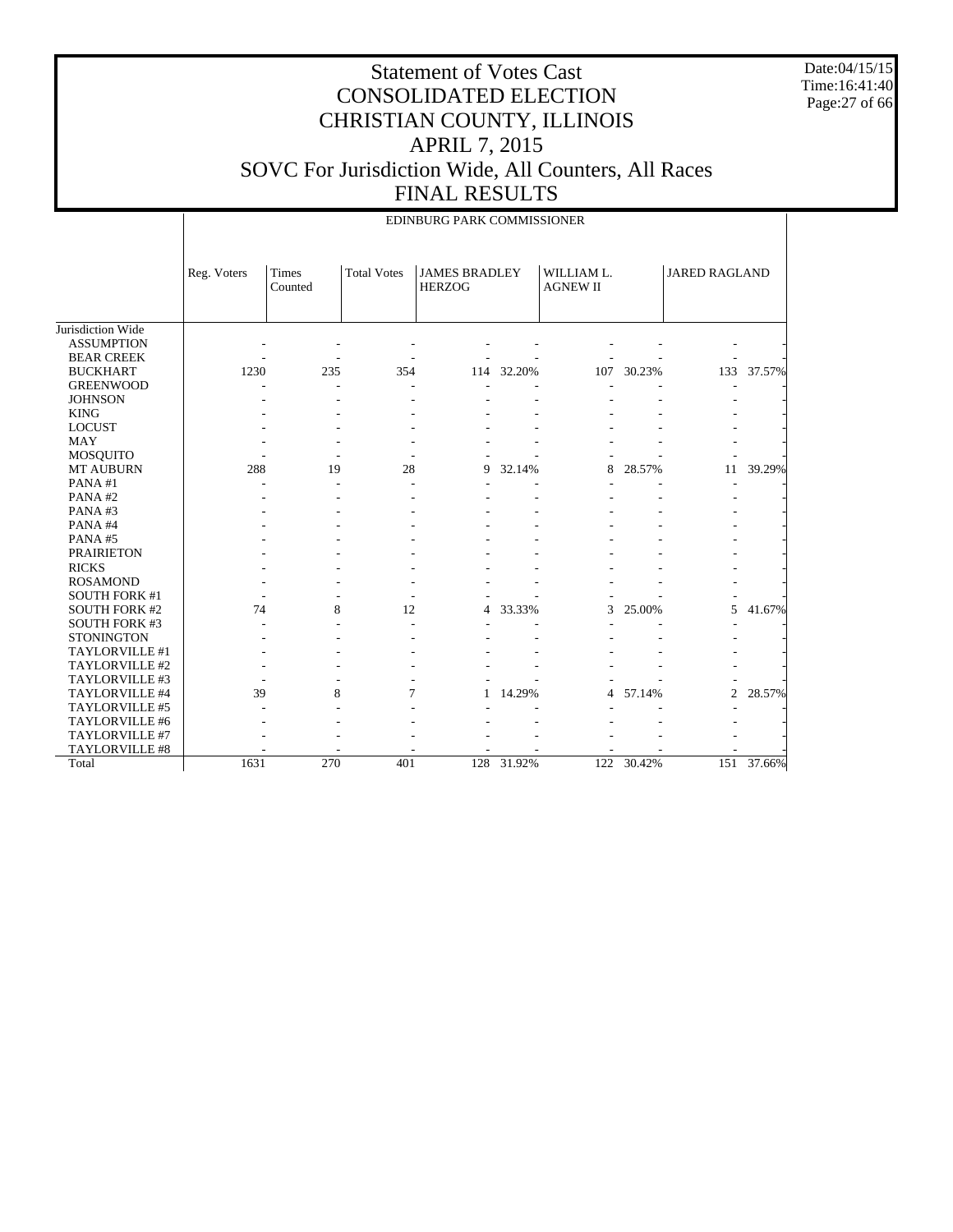Date:04/15/15 Time:16:41:40 Page:27 of 66

#### Statement of Votes Cast CONSOLIDATED ELECTION CHRISTIAN COUNTY, ILLINOIS APRIL 7, 2015 SOVC For Jurisdiction Wide, All Counters, All Races FINAL RESULTS

|                      |             |                         |                    | EDINBURG PARK COMMISSIONER            |        |                               |        |                      |        |
|----------------------|-------------|-------------------------|--------------------|---------------------------------------|--------|-------------------------------|--------|----------------------|--------|
|                      | Reg. Voters | <b>Times</b><br>Counted | <b>Total Votes</b> | <b>JAMES BRADLEY</b><br><b>HERZOG</b> |        | WILLIAM L.<br><b>AGNEW II</b> |        | <b>JARED RAGLAND</b> |        |
| Jurisdiction Wide    |             |                         |                    |                                       |        |                               |        |                      |        |
| <b>ASSUMPTION</b>    |             |                         |                    |                                       |        |                               |        |                      |        |
| <b>BEAR CREEK</b>    |             |                         |                    |                                       |        |                               |        |                      |        |
| <b>BUCKHART</b>      | 1230        | 235                     | 354                | 114                                   | 32.20% | 107                           | 30.23% | 133                  | 37.57% |
| <b>GREENWOOD</b>     |             |                         |                    |                                       |        |                               |        |                      |        |
| <b>JOHNSON</b>       |             |                         |                    |                                       |        |                               |        |                      |        |
| <b>KING</b>          |             |                         |                    |                                       |        |                               |        |                      |        |
| <b>LOCUST</b>        |             |                         |                    |                                       |        |                               |        |                      |        |
| MAY                  |             |                         |                    |                                       |        |                               |        |                      |        |
| <b>MOSQUITO</b>      |             |                         |                    |                                       |        |                               |        |                      |        |
| <b>MT AUBURN</b>     | 288         | 19                      | 28                 | 9                                     | 32.14% | 8                             | 28.57% | 11                   | 39.29% |
| PANA#1               |             |                         |                    |                                       |        |                               |        |                      |        |
| PANA#2               |             |                         |                    |                                       |        |                               |        |                      |        |
| PANA#3               |             |                         |                    |                                       |        |                               |        |                      |        |
| PANA#4               |             |                         |                    |                                       |        |                               |        |                      |        |
| PANA#5               |             |                         |                    |                                       |        |                               |        |                      |        |
| <b>PRAIRIETON</b>    |             |                         |                    |                                       |        |                               |        |                      |        |
| <b>RICKS</b>         |             |                         |                    |                                       |        |                               |        |                      |        |
| <b>ROSAMOND</b>      |             |                         |                    |                                       |        |                               |        |                      |        |
| <b>SOUTH FORK #1</b> |             |                         |                    |                                       |        |                               |        |                      |        |
| <b>SOUTH FORK #2</b> | 74          | 8                       | 12                 | 4                                     | 33.33% | 3                             | 25.00% | 5                    | 41.67% |
| <b>SOUTH FORK #3</b> |             |                         |                    |                                       |        |                               |        |                      |        |
| <b>STONINGTON</b>    |             |                         |                    |                                       |        |                               |        |                      |        |
| TAYLORVILLE #1       |             |                         |                    |                                       |        |                               |        |                      |        |
| TAYLORVILLE #2       |             |                         |                    |                                       |        |                               |        |                      |        |
| TAYLORVILLE #3       |             |                         |                    |                                       |        |                               |        |                      |        |
| TAYLORVILLE #4       | 39          | 8                       | 7                  | 1                                     | 14.29% | 4                             | 57.14% | $\overline{2}$       | 28.57% |
| TAYLORVILLE #5       |             |                         |                    |                                       |        |                               |        |                      |        |
| TAYLORVILLE #6       |             |                         |                    |                                       |        |                               |        |                      |        |
| TAYLORVILLE #7       |             |                         |                    |                                       |        |                               |        |                      |        |
| TAYLORVILLE #8       |             |                         |                    |                                       |        |                               |        |                      |        |
| Total                | 1631        | 270                     | 401                | 128                                   | 31.92% | 122                           | 30.42% | 151                  | 37.66% |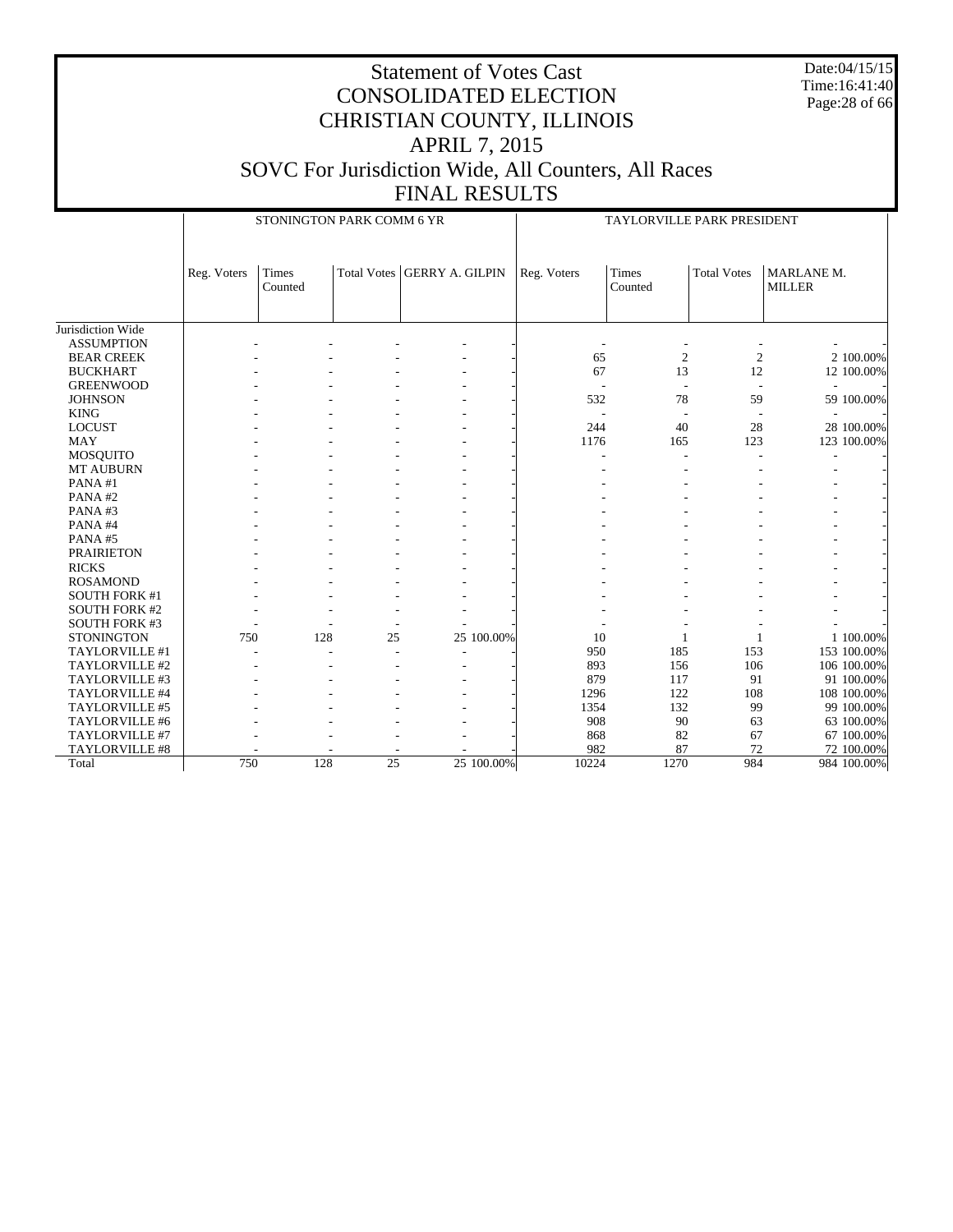Date:04/15/15 Time:16:41:40 Page:28 of 66

|                       |             | STONINGTON PARK COMM 6 YR |                 |                               |             | TAYLORVILLE PARK PRESIDENT |                    |                             |
|-----------------------|-------------|---------------------------|-----------------|-------------------------------|-------------|----------------------------|--------------------|-----------------------------|
|                       | Reg. Voters | <b>Times</b><br>Counted   |                 | Total Votes   GERRY A. GILPIN | Reg. Voters | Times<br>Counted           | <b>Total Votes</b> | MARLANE M.<br><b>MILLER</b> |
| Jurisdiction Wide     |             |                           |                 |                               |             |                            |                    |                             |
| <b>ASSUMPTION</b>     |             |                           |                 |                               |             |                            |                    |                             |
| <b>BEAR CREEK</b>     |             |                           |                 |                               | 65          | $\overline{c}$             | $\mathfrak{2}$     | 2 100.00%                   |
| <b>BUCKHART</b>       |             |                           |                 |                               | 67          | 13                         | 12                 | 12 100.00%                  |
| <b>GREENWOOD</b>      |             |                           |                 |                               |             |                            | ÷.                 |                             |
| <b>JOHNSON</b>        |             |                           |                 |                               | 532         | 78                         | 59                 | 59 100.00%                  |
| <b>KING</b>           |             |                           |                 |                               |             |                            |                    |                             |
| <b>LOCUST</b>         |             |                           |                 |                               | 244         | 40                         | 28                 | 28 100.00%                  |
| <b>MAY</b>            |             |                           |                 |                               | 1176        | 165                        | 123                | 123 100.00%                 |
| <b>MOSQUITO</b>       |             |                           |                 |                               |             | ÷,                         |                    |                             |
| MT AUBURN             |             |                           |                 |                               |             |                            |                    |                             |
| PANA#1                |             |                           |                 |                               |             |                            |                    |                             |
| PANA#2                |             |                           |                 |                               |             |                            |                    |                             |
| PANA#3                |             |                           |                 |                               |             |                            |                    |                             |
| PANA#4                |             |                           |                 |                               |             |                            |                    |                             |
| PANA#5                |             |                           |                 |                               |             |                            |                    |                             |
| <b>PRAIRIETON</b>     |             |                           |                 |                               |             |                            |                    |                             |
| <b>RICKS</b>          |             |                           |                 |                               |             |                            |                    |                             |
| <b>ROSAMOND</b>       |             |                           |                 |                               |             |                            |                    |                             |
| <b>SOUTH FORK #1</b>  |             |                           |                 |                               |             |                            |                    |                             |
| <b>SOUTH FORK #2</b>  |             |                           |                 |                               |             |                            |                    |                             |
| <b>SOUTH FORK #3</b>  |             |                           |                 |                               |             |                            |                    |                             |
| <b>STONINGTON</b>     | 750         | 128                       | 25              | 25 100.00%                    | 10          | 1                          |                    | 1 100.00%                   |
| TAYLORVILLE #1        |             |                           |                 |                               | 950         | 185                        | 153                | 153 100.00%                 |
| TAYLORVILLE #2        |             |                           |                 |                               | 893         | 156                        | 106                | 106 100.00%                 |
| TAYLORVILLE #3        |             |                           |                 |                               | 879         | 117                        | 91                 | 91 100.00%                  |
| TAYLORVILLE #4        |             |                           |                 |                               | 1296        | 122                        | 108                | 108 100.00%                 |
| TAYLORVILLE #5        |             |                           |                 |                               | 1354        | 132                        | 99                 | 99 100.00%                  |
| TAYLORVILLE #6        |             |                           |                 |                               | 908         | 90                         | 63                 | 63 100.00%                  |
| TAYLORVILLE #7        |             |                           |                 |                               | 868         | 82                         | 67                 | 67 100.00%                  |
| <b>TAYLORVILLE #8</b> |             |                           |                 |                               | 982         | 87                         | 72                 | 72 100.00%                  |
| Total                 | 750         | 128                       | $\overline{25}$ | 25 100.00%                    | 10224       | 1270                       | 984                | 984 100.00%                 |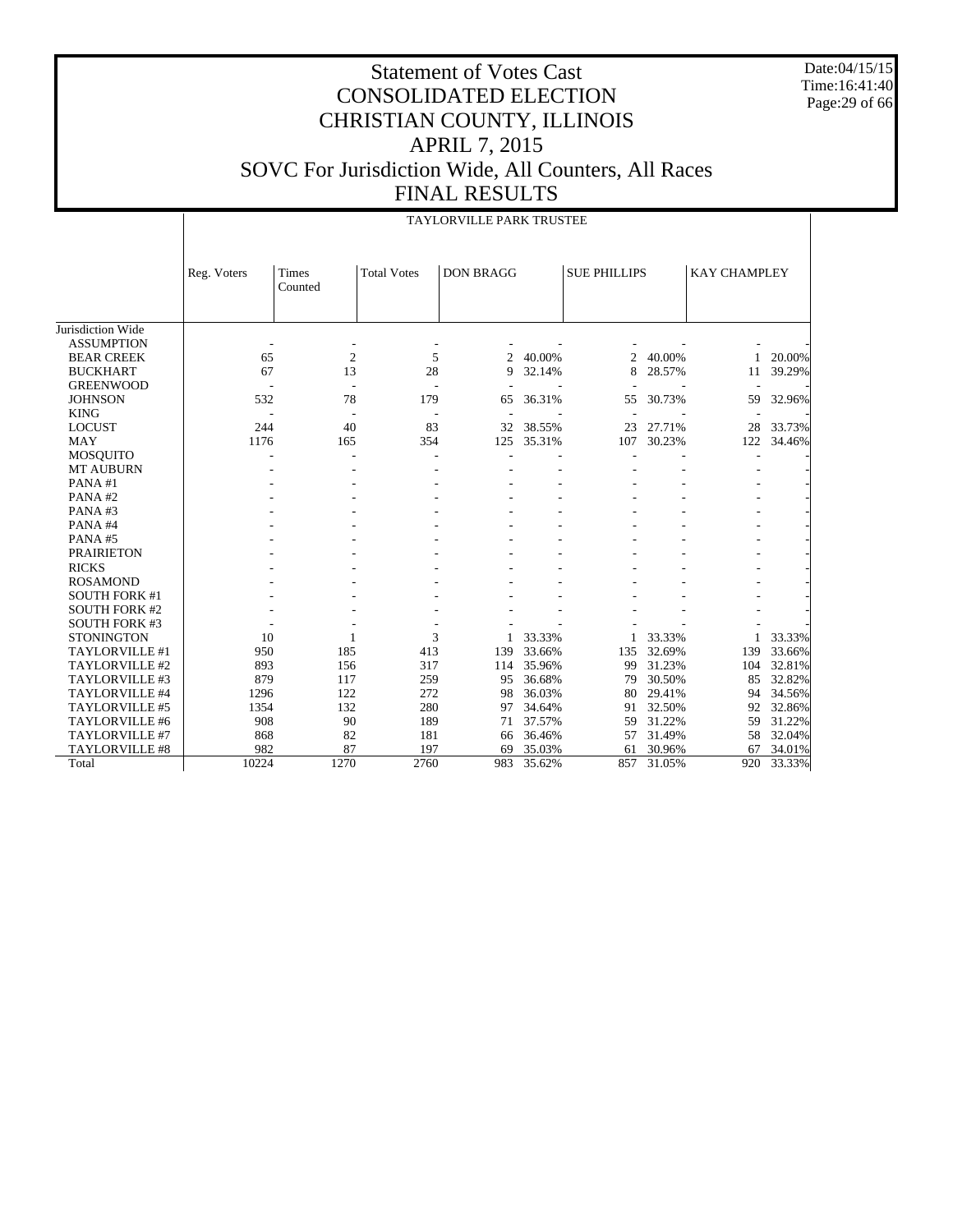Date:04/15/15 Time:16:41:40 Page:29 of 66

#### Statement of Votes Cast CONSOLIDATED ELECTION CHRISTIAN COUNTY, ILLINOIS APRIL 7, 2015 SOVC For Jurisdiction Wide, All Counters, All Races FINAL RESULTS

TAYLORVILLE PARK TRUSTEE

|                      |             |                          |                          | IA LURVILLE PARK IRUSTEE |        |                     |        |                     |        |
|----------------------|-------------|--------------------------|--------------------------|--------------------------|--------|---------------------|--------|---------------------|--------|
|                      | Reg. Voters | <b>Times</b><br>Counted  | <b>Total Votes</b>       | <b>DON BRAGG</b>         |        | <b>SUE PHILLIPS</b> |        | <b>KAY CHAMPLEY</b> |        |
| Jurisdiction Wide    |             |                          |                          |                          |        |                     |        |                     |        |
| <b>ASSUMPTION</b>    |             |                          |                          |                          |        |                     |        |                     |        |
| <b>BEAR CREEK</b>    | 65          | $\overline{2}$           | 5                        | 2                        | 40.00% | 2                   | 40.00% | 1                   | 20.00% |
| <b>BUCKHART</b>      | 67          | 13                       | 28                       | 9                        | 32.14% | 8                   | 28.57% | 11                  | 39.29% |
| <b>GREENWOOD</b>     |             |                          |                          |                          |        |                     |        |                     |        |
| <b>JOHNSON</b>       | 532         | 78                       | 179                      | 65                       | 36.31% | 55                  | 30.73% | 59                  | 32.96% |
| <b>KING</b>          |             | $\overline{\phantom{a}}$ | $\overline{\phantom{a}}$ | $\overline{\phantom{a}}$ |        |                     |        |                     |        |
| <b>LOCUST</b>        | 244         | 40                       | 83                       | 32                       | 38.55% | 23                  | 27.71% | 28                  | 33.73% |
| <b>MAY</b>           | 1176        | 165                      | 354                      | 125                      | 35.31% | 107                 | 30.23% | 122                 | 34.46% |
| <b>MOSQUITO</b>      |             |                          |                          |                          |        |                     |        |                     |        |
| <b>MT AUBURN</b>     |             |                          |                          |                          |        |                     |        |                     |        |
| PANA#1               |             |                          |                          |                          |        |                     |        |                     |        |
| PANA#2               |             |                          |                          |                          |        |                     |        |                     |        |
| PANA#3               |             |                          |                          |                          |        |                     |        |                     |        |
| PANA#4               |             |                          |                          |                          |        |                     |        |                     |        |
| PANA#5               |             |                          |                          |                          |        |                     |        |                     |        |
| <b>PRAIRIETON</b>    |             |                          |                          |                          |        |                     |        |                     |        |
| <b>RICKS</b>         |             |                          |                          |                          |        |                     |        |                     |        |
| <b>ROSAMOND</b>      |             |                          |                          |                          |        |                     |        |                     |        |
| <b>SOUTH FORK #1</b> |             |                          |                          |                          |        |                     |        |                     |        |
| <b>SOUTH FORK #2</b> |             |                          |                          |                          |        |                     |        |                     |        |
| <b>SOUTH FORK #3</b> |             |                          |                          |                          |        |                     |        |                     |        |
| <b>STONINGTON</b>    | 10          | 1                        | 3                        |                          | 33.33% |                     | 33.33% | 1.                  | 33.33% |
| TAYLORVILLE #1       | 950         | 185                      | 413                      | 139                      | 33.66% | 135                 | 32.69% | 139                 | 33.66% |
| TAYLORVILLE #2       | 893         | 156                      | 317                      | 114                      | 35.96% | 99                  | 31.23% | 104                 | 32.81% |
| TAYLORVILLE #3       | 879         | 117                      | 259                      | 95                       | 36.68% | 79                  | 30.50% | 85                  | 32.82% |
| TAYLORVILLE #4       | 1296        | 122                      | 272                      | 98                       | 36.03% | 80                  | 29.41% | 94                  | 34.56% |
| TAYLORVILLE #5       | 1354        | 132                      | 280                      | 97                       | 34.64% | 91                  | 32.50% | 92                  | 32.86% |
| TAYLORVILLE #6       | 908         | 90                       | 189                      | 71                       | 37.57% | 59                  | 31.22% | 59                  | 31.22% |
| TAYLORVILLE #7       | 868         | 82                       | 181                      | 66                       | 36.46% | 57                  | 31.49% | 58                  | 32.04% |
| TAYLORVILLE #8       | 982         | 87                       | 197                      | 69                       | 35.03% | 61                  | 30.96% | 67                  | 34.01% |
| Total                | 10224       | 1270                     | 2760                     | 983                      | 35.62% | 857                 | 31.05% | 920                 | 33.33% |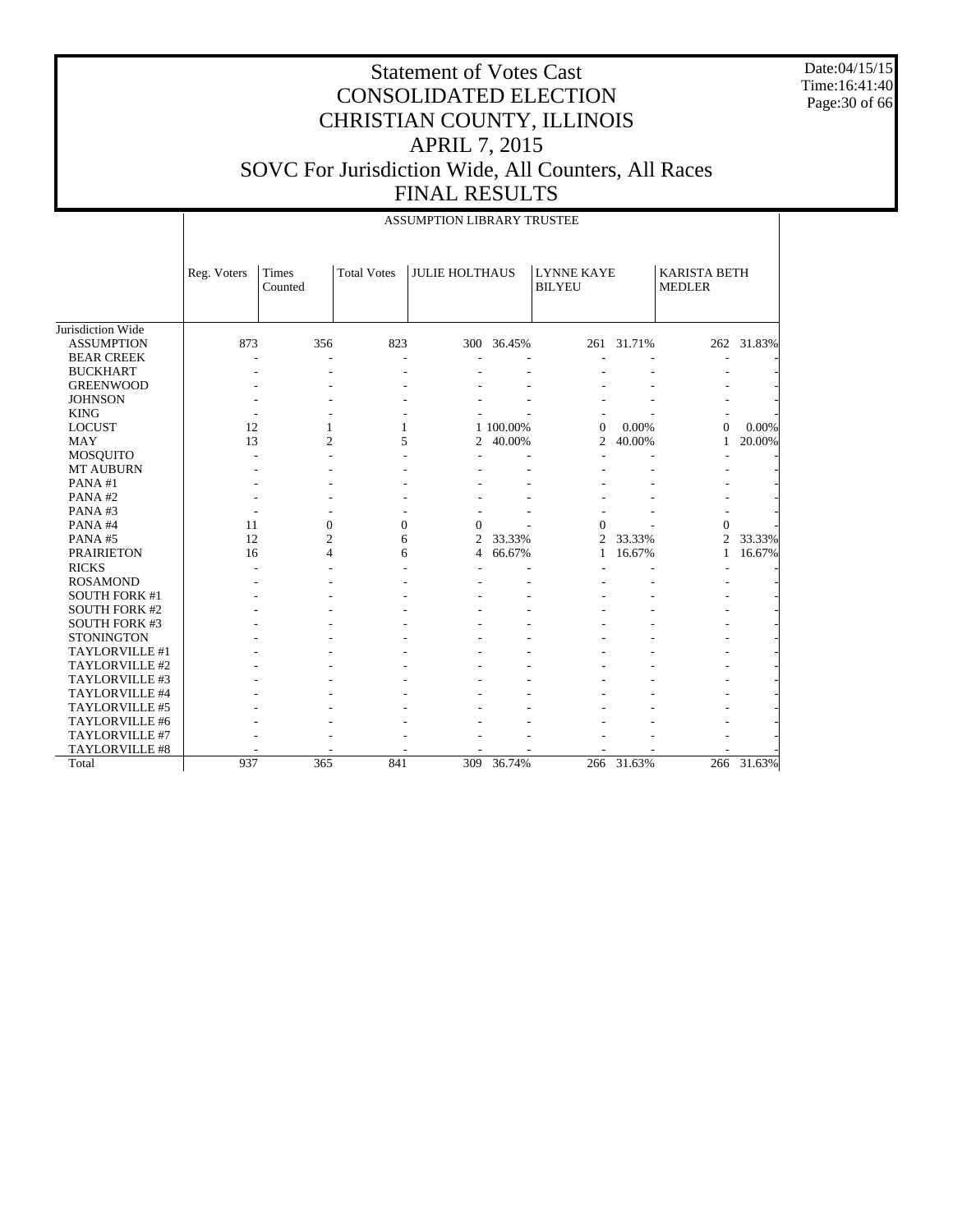Date:04/15/15 Time:16:41:40 Page:30 of 66

#### Statement of Votes Cast CONSOLIDATED ELECTION CHRISTIAN COUNTY, ILLINOIS APRIL 7, 2015 SOVC For Jurisdiction Wide, All Counters, All Races FINAL RESULTS

|                      |             |                  |                    | ASSUMPTION LIBRARY TRUSTEE |            |                                    |            |                                      |            |
|----------------------|-------------|------------------|--------------------|----------------------------|------------|------------------------------------|------------|--------------------------------------|------------|
|                      | Reg. Voters | Times<br>Counted | <b>Total Votes</b> | <b>JULIE HOLTHAUS</b>      |            | <b>LYNNE KAYE</b><br><b>BILYEU</b> |            | <b>KARISTA BETH</b><br><b>MEDLER</b> |            |
| Jurisdiction Wide    |             |                  |                    |                            |            |                                    |            |                                      |            |
| <b>ASSUMPTION</b>    | 873         | 356              | 823                |                            | 300 36.45% |                                    | 261 31.71% |                                      | 262 31.83% |
| <b>BEAR CREEK</b>    |             |                  |                    |                            |            |                                    |            |                                      |            |
| <b>BUCKHART</b>      |             |                  |                    |                            |            |                                    |            |                                      |            |
| <b>GREENWOOD</b>     |             |                  |                    |                            |            |                                    |            |                                      |            |
| <b>JOHNSON</b>       |             |                  |                    |                            |            |                                    |            |                                      |            |
| <b>KING</b>          |             |                  |                    |                            |            |                                    |            |                                      |            |
| <b>LOCUST</b>        | 12          | 1                | 1                  |                            | 1 100.00%  | $\overline{0}$                     | 0.00%      | $\Omega$                             | 0.00%      |
| <b>MAY</b>           | 13          | $\overline{2}$   | 5                  | 2                          | 40.00%     | $\overline{2}$                     | 40.00%     | 1                                    | 20.00%     |
| <b>MOSQUITO</b>      |             |                  |                    |                            |            |                                    |            |                                      |            |
| <b>MT AUBURN</b>     |             |                  |                    |                            |            |                                    |            |                                      |            |
| PANA#1               |             |                  |                    |                            |            |                                    |            |                                      |            |
| PANA#2               |             |                  |                    |                            |            |                                    |            |                                      |            |
| PANA#3               |             |                  |                    |                            |            |                                    |            |                                      |            |
| PANA#4               | 11          | $\boldsymbol{0}$ | $\overline{0}$     | $\Omega$                   |            | $\Omega$                           |            | $\Omega$                             |            |
| PANA#5               | 12          | $\overline{2}$   | 6                  | $\overline{c}$             | 33.33%     | 2                                  | 33.33%     | $\overline{2}$                       | 33.33%     |
| <b>PRAIRIETON</b>    | 16          | 4                | 6                  | 4                          | 66.67%     | $\mathbf{1}$                       | 16.67%     | $\mathbf{1}$                         | 16.67%     |
| <b>RICKS</b>         |             |                  |                    |                            |            |                                    |            |                                      |            |
| <b>ROSAMOND</b>      |             |                  |                    |                            |            |                                    |            |                                      |            |
| <b>SOUTH FORK #1</b> |             |                  |                    |                            |            |                                    |            |                                      |            |
| <b>SOUTH FORK #2</b> |             |                  |                    |                            |            |                                    |            |                                      |            |
| <b>SOUTH FORK #3</b> |             |                  |                    |                            |            |                                    |            |                                      |            |
| <b>STONINGTON</b>    |             |                  |                    |                            |            |                                    |            |                                      |            |
| TAYLORVILLE #1       |             |                  |                    |                            |            |                                    |            |                                      |            |
| TAYLORVILLE #2       |             |                  |                    |                            |            |                                    |            |                                      |            |
| TAYLORVILLE #3       |             |                  |                    |                            |            |                                    |            |                                      |            |
| TAYLORVILLE #4       |             |                  |                    |                            |            |                                    |            |                                      |            |
| TAYLORVILLE #5       |             |                  |                    |                            |            |                                    |            |                                      |            |
| TAYLORVILLE #6       |             |                  |                    |                            |            |                                    |            |                                      |            |
| TAYLORVILLE #7       |             |                  |                    |                            |            |                                    |            |                                      |            |
| TAYLORVILLE #8       |             |                  |                    |                            |            |                                    |            |                                      |            |
| Total                | 937         | 365              | 841                | 309                        | 36.74%     |                                    | 266 31.63% |                                      | 266 31.63% |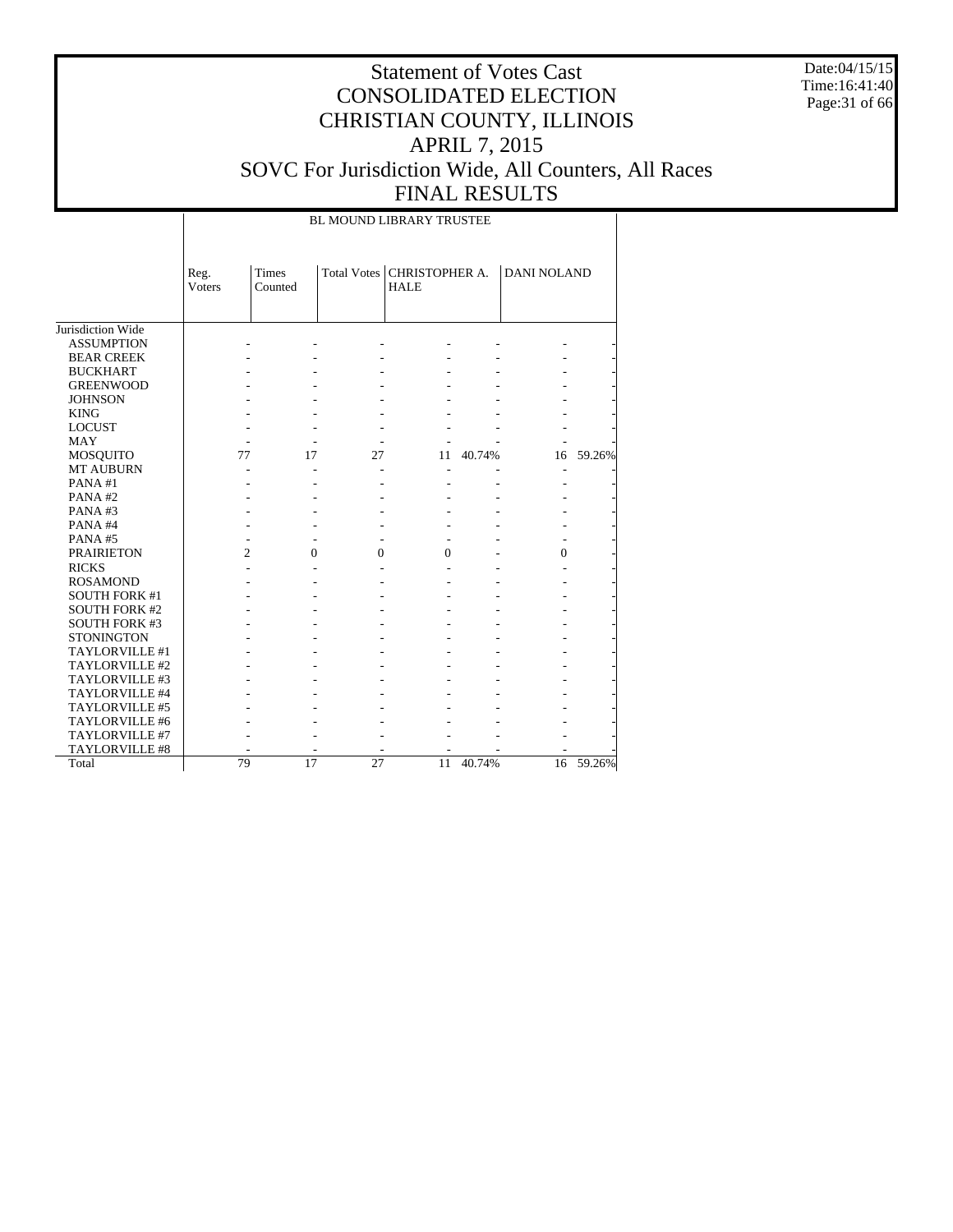Date:04/15/15 Time:16:41:40 Page:31 of 66

# Statement of Votes Cast CONSOLIDATED ELECTION CHRISTIAN COUNTY, ILLINOIS APRIL 7, 2015 SOVC For Jurisdiction Wide, All Counters, All Races FINAL RESULTS

BL MOUND LIBRARY TRUSTEE

|                       | Reg.<br><b>Voters</b> | <b>Times</b><br>Counted |          | Total Votes   CHRISTOPHER A.<br><b>HALE</b> |        | <b>DANI NOLAND</b> |        |
|-----------------------|-----------------------|-------------------------|----------|---------------------------------------------|--------|--------------------|--------|
| Jurisdiction Wide     |                       |                         |          |                                             |        |                    |        |
| <b>ASSUMPTION</b>     |                       |                         |          |                                             |        |                    |        |
| <b>BEAR CREEK</b>     |                       |                         |          |                                             |        |                    |        |
| <b>BUCKHART</b>       |                       |                         |          |                                             |        |                    |        |
| <b>GREENWOOD</b>      |                       |                         |          |                                             |        |                    |        |
| <b>JOHNSON</b>        |                       |                         |          |                                             |        |                    |        |
| <b>KING</b>           |                       |                         |          |                                             |        |                    |        |
| <b>LOCUST</b>         |                       |                         |          |                                             |        |                    |        |
| <b>MAY</b>            |                       |                         |          |                                             |        |                    |        |
| MOSQUITO              | 77                    | 17                      | 27       | 11                                          | 40.74% | 16                 | 59.26% |
| <b>MT AUBURN</b>      |                       |                         |          |                                             |        | Ē,                 |        |
| PANA#1                |                       |                         |          |                                             |        |                    |        |
| PANA#2                |                       |                         |          |                                             |        |                    |        |
| PANA#3                |                       |                         |          |                                             |        |                    |        |
| PANA#4                |                       |                         |          |                                             |        |                    |        |
| PANA#5                |                       |                         |          |                                             |        |                    |        |
| <b>PRAIRIETON</b>     | $\overline{2}$        | 0                       | $\Omega$ | $\theta$                                    |        | $\theta$           |        |
| <b>RICKS</b>          |                       |                         |          |                                             |        |                    |        |
| <b>ROSAMOND</b>       |                       |                         |          |                                             |        |                    |        |
| <b>SOUTH FORK #1</b>  |                       |                         |          |                                             |        |                    |        |
| <b>SOUTH FORK #2</b>  |                       |                         |          |                                             |        |                    |        |
| <b>SOUTH FORK #3</b>  |                       |                         |          |                                             |        |                    |        |
| <b>STONINGTON</b>     |                       |                         |          |                                             |        |                    |        |
| TAYLORVILLE #1        |                       |                         |          |                                             |        |                    |        |
| TAYLORVILLE #2        |                       |                         |          |                                             |        |                    |        |
| TAYLORVILLE #3        |                       |                         |          |                                             |        |                    |        |
| TAYLORVILLE #4        |                       |                         |          |                                             |        |                    |        |
| TAYLORVILLE#5         |                       |                         |          |                                             |        |                    |        |
| TAYLORVILLE #6        |                       |                         |          |                                             |        |                    |        |
| TAYLORVILLE #7        |                       |                         |          |                                             |        |                    |        |
| <b>TAYLORVILLE #8</b> |                       |                         |          |                                             |        |                    |        |
| Total                 | 79                    | 17                      | 27       | 11                                          | 40.74% | 16                 | 59.26% |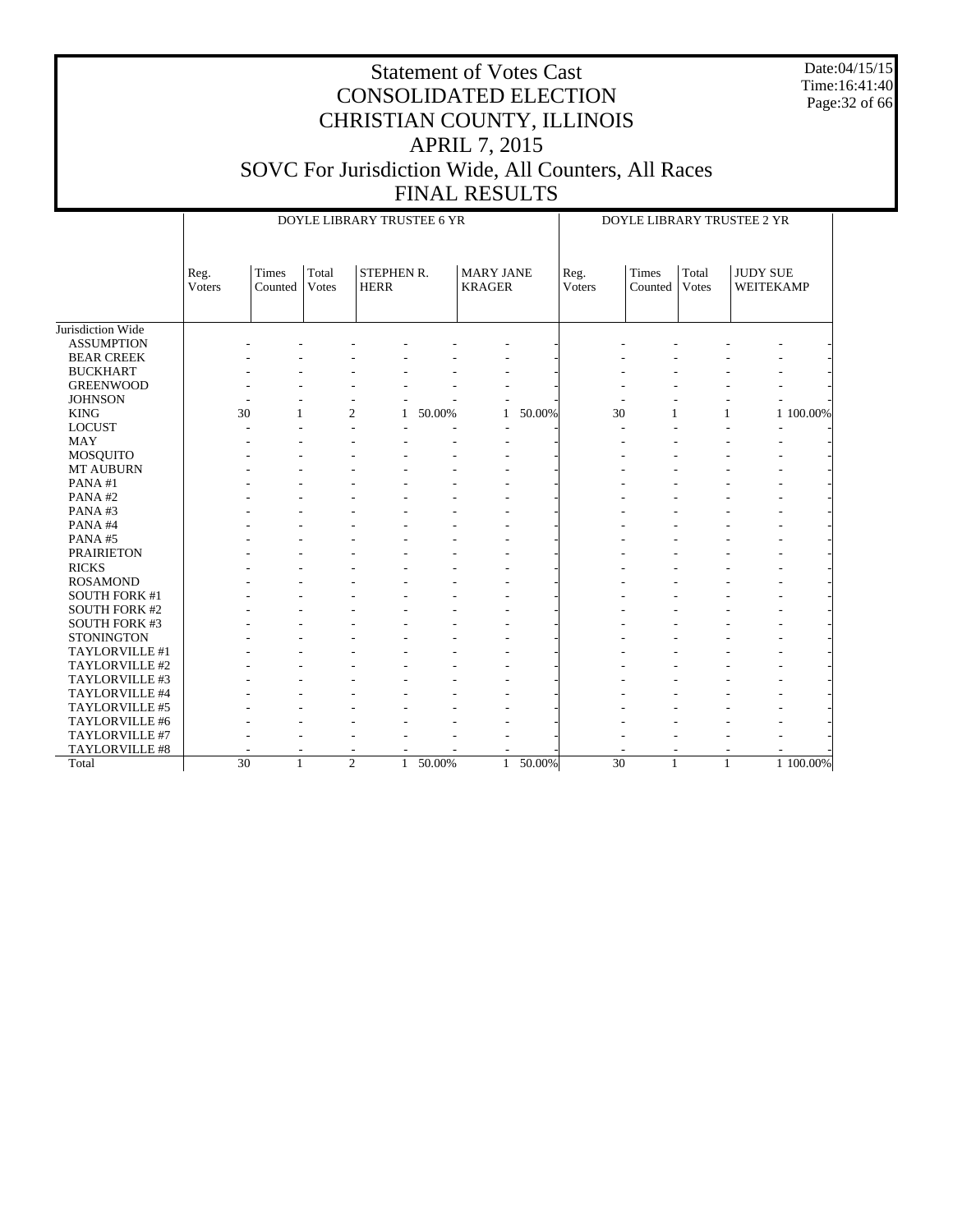Date:04/15/15 Time:16:41:40 Page:32 of 66

|                      | DOYLE LIBRARY TRUSTEE 6 YR<br>DOYLE LIBRARY TRUSTEE 2 YR |                      |                       |                           |        |                                   |        |                 |                  |                |                              |           |
|----------------------|----------------------------------------------------------|----------------------|-----------------------|---------------------------|--------|-----------------------------------|--------|-----------------|------------------|----------------|------------------------------|-----------|
|                      | Reg.<br>Voters                                           | Times<br>Counted     | Total<br><b>Votes</b> | STEPHEN R.<br><b>HERR</b> |        | <b>MARY JANE</b><br><b>KRAGER</b> |        | Reg.<br>Voters  | Times<br>Counted | Total<br>Votes | <b>JUDY SUE</b><br>WEITEKAMP |           |
| Jurisdiction Wide    |                                                          |                      |                       |                           |        |                                   |        |                 |                  |                |                              |           |
| <b>ASSUMPTION</b>    |                                                          |                      |                       |                           |        |                                   |        |                 |                  |                |                              |           |
| <b>BEAR CREEK</b>    |                                                          |                      |                       |                           |        |                                   |        |                 |                  |                |                              |           |
| <b>BUCKHART</b>      |                                                          |                      |                       |                           |        |                                   |        |                 |                  |                |                              |           |
| <b>GREENWOOD</b>     |                                                          |                      |                       |                           |        |                                   |        |                 |                  |                |                              |           |
| <b>JOHNSON</b>       |                                                          |                      |                       |                           |        |                                   |        |                 |                  |                |                              |           |
| <b>KING</b>          |                                                          | 30<br>1              |                       | $\overline{2}$<br>1       | 50.00% | $\mathbf{1}$                      | 50.00% | 30              | $\mathbf{1}$     | $\mathbf{1}$   |                              | 1 100,00% |
| <b>LOCUST</b>        |                                                          |                      |                       |                           |        |                                   |        |                 |                  |                |                              |           |
| <b>MAY</b>           |                                                          |                      |                       |                           |        |                                   |        |                 |                  |                |                              |           |
| MOSQUITO             |                                                          |                      |                       |                           |        |                                   |        |                 |                  |                |                              |           |
| MT AUBURN            |                                                          |                      |                       |                           |        |                                   |        |                 |                  |                |                              |           |
| PANA#1               |                                                          |                      |                       |                           |        |                                   |        |                 |                  |                |                              |           |
| PANA#2               |                                                          |                      |                       |                           |        |                                   |        |                 |                  |                |                              |           |
| PANA#3               |                                                          |                      |                       |                           |        |                                   |        |                 |                  |                |                              |           |
| PANA#4               |                                                          |                      |                       |                           |        |                                   |        |                 |                  |                |                              |           |
| PANA#5               |                                                          |                      |                       |                           |        |                                   |        |                 |                  |                |                              |           |
| <b>PRAIRIETON</b>    |                                                          |                      |                       |                           |        |                                   |        |                 |                  |                |                              |           |
| <b>RICKS</b>         |                                                          |                      |                       |                           |        |                                   |        |                 |                  |                |                              |           |
| <b>ROSAMOND</b>      |                                                          |                      |                       |                           |        |                                   |        |                 |                  |                |                              |           |
| <b>SOUTH FORK #1</b> |                                                          |                      |                       |                           |        |                                   |        |                 |                  |                |                              |           |
| <b>SOUTH FORK #2</b> |                                                          |                      |                       |                           |        |                                   |        |                 |                  |                |                              |           |
| <b>SOUTH FORK #3</b> |                                                          |                      |                       |                           |        |                                   |        |                 |                  |                |                              |           |
| <b>STONINGTON</b>    |                                                          |                      |                       |                           |        |                                   |        |                 |                  |                |                              |           |
| TAYLORVILLE #1       |                                                          |                      |                       |                           |        |                                   |        |                 |                  |                |                              |           |
| TAYLORVILLE #2       |                                                          |                      |                       |                           |        |                                   |        |                 |                  |                |                              |           |
| TAYLORVILLE #3       |                                                          |                      |                       |                           |        |                                   |        |                 |                  |                |                              |           |
| TAYLORVILLE #4       |                                                          |                      |                       |                           |        |                                   |        |                 |                  |                |                              |           |
| TAYLORVILLE #5       |                                                          |                      |                       |                           |        |                                   |        |                 |                  |                |                              |           |
| TAYLORVILLE #6       |                                                          |                      |                       |                           |        |                                   |        |                 |                  |                |                              |           |
| TAYLORVILLE #7       |                                                          |                      |                       |                           |        |                                   |        |                 |                  |                |                              |           |
| TAYLORVILLE #8       |                                                          |                      |                       | ۰                         |        |                                   |        |                 |                  |                |                              |           |
| Total                |                                                          | $\overline{30}$<br>1 |                       | $\overline{2}$<br>1       | 50.00% | $\mathbf{1}$                      | 50.00% | $\overline{30}$ | $\mathbf{1}$     | $\mathbf{1}$   |                              | 1 100.00% |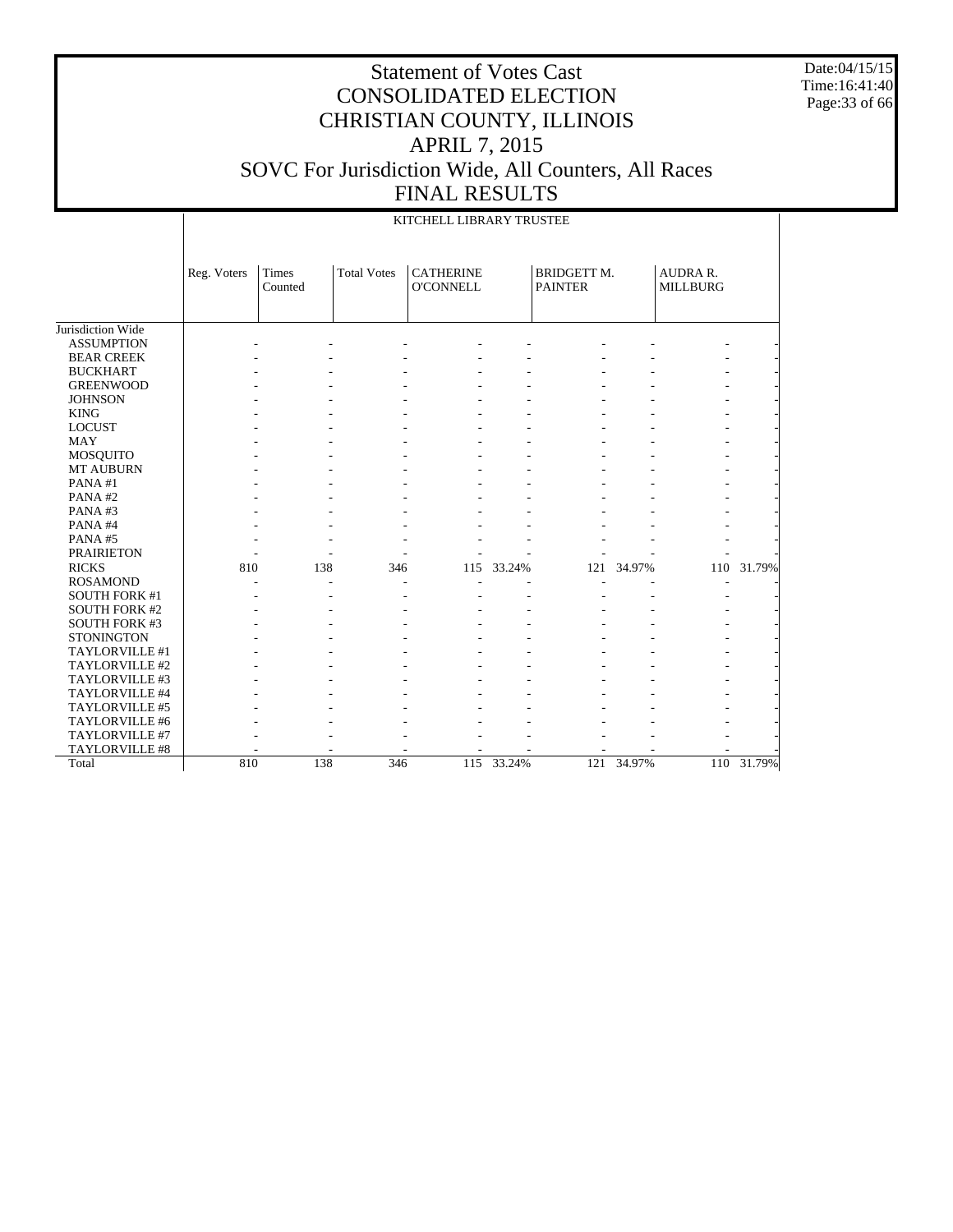Date:04/15/15 Time:16:41:40 Page:33 of 66

|                      |             |                  |                    | KITCHELL LIBRARY TRUSTEE             |            |                                      |        |                                    |        |
|----------------------|-------------|------------------|--------------------|--------------------------------------|------------|--------------------------------------|--------|------------------------------------|--------|
|                      | Reg. Voters | Times<br>Counted | <b>Total Votes</b> | <b>CATHERINE</b><br><b>O'CONNELL</b> |            | <b>BRIDGETT M.</b><br><b>PAINTER</b> |        | <b>AUDRA R.</b><br><b>MILLBURG</b> |        |
| Jurisdiction Wide    |             |                  |                    |                                      |            |                                      |        |                                    |        |
| <b>ASSUMPTION</b>    |             |                  |                    |                                      |            |                                      |        |                                    |        |
| <b>BEAR CREEK</b>    |             |                  |                    |                                      |            |                                      |        |                                    |        |
| <b>BUCKHART</b>      |             |                  |                    |                                      |            |                                      |        |                                    |        |
| <b>GREENWOOD</b>     |             |                  |                    |                                      |            |                                      |        |                                    |        |
| <b>JOHNSON</b>       |             |                  |                    |                                      |            |                                      |        |                                    |        |
| <b>KING</b>          |             |                  |                    |                                      |            |                                      |        |                                    |        |
| <b>LOCUST</b>        |             |                  |                    |                                      |            |                                      |        |                                    |        |
| <b>MAY</b>           |             |                  |                    |                                      |            |                                      |        |                                    |        |
| <b>MOSQUITO</b>      |             |                  |                    |                                      |            |                                      |        |                                    |        |
| MT AUBURN            |             |                  |                    |                                      |            |                                      |        |                                    |        |
| PANA#1               |             |                  |                    |                                      |            |                                      |        |                                    |        |
| PANA#2               |             |                  |                    |                                      |            |                                      |        |                                    |        |
| PANA#3               |             |                  |                    |                                      |            |                                      |        |                                    |        |
| PANA#4               |             |                  |                    |                                      |            |                                      |        |                                    |        |
| PANA#5               |             |                  |                    |                                      |            |                                      |        |                                    |        |
| <b>PRAIRIETON</b>    |             |                  |                    |                                      |            |                                      |        |                                    |        |
| <b>RICKS</b>         | 810         | 138              | 346                | 115                                  | 33.24%     | 121                                  | 34.97% | 110                                | 31.79% |
| <b>ROSAMOND</b>      |             | $\overline{a}$   |                    | ٠                                    |            |                                      |        | $\overline{a}$                     |        |
| <b>SOUTH FORK #1</b> |             |                  |                    |                                      |            |                                      |        |                                    |        |
| <b>SOUTH FORK #2</b> |             |                  |                    |                                      |            |                                      |        |                                    |        |
| <b>SOUTH FORK #3</b> |             |                  |                    |                                      |            |                                      |        |                                    |        |
| <b>STONINGTON</b>    |             |                  |                    |                                      |            |                                      |        |                                    |        |
| TAYLORVILLE #1       |             |                  |                    |                                      |            |                                      |        |                                    |        |
| TAYLORVILLE #2       |             |                  |                    |                                      |            |                                      |        |                                    |        |
| TAYLORVILLE #3       |             |                  |                    |                                      |            |                                      |        |                                    |        |
| TAYLORVILLE #4       |             |                  |                    |                                      |            |                                      |        |                                    |        |
| TAYLORVILLE #5       |             |                  |                    |                                      |            |                                      |        |                                    |        |
| TAYLORVILLE #6       |             |                  |                    |                                      |            |                                      |        |                                    |        |
| TAYLORVILLE #7       |             |                  |                    |                                      |            |                                      |        |                                    |        |
| TAYLORVILLE #8       |             |                  |                    |                                      |            |                                      |        |                                    |        |
| Total                | 810         | 138              | 346                |                                      | 115 33.24% | 121                                  | 34.97% | 110                                | 31.79% |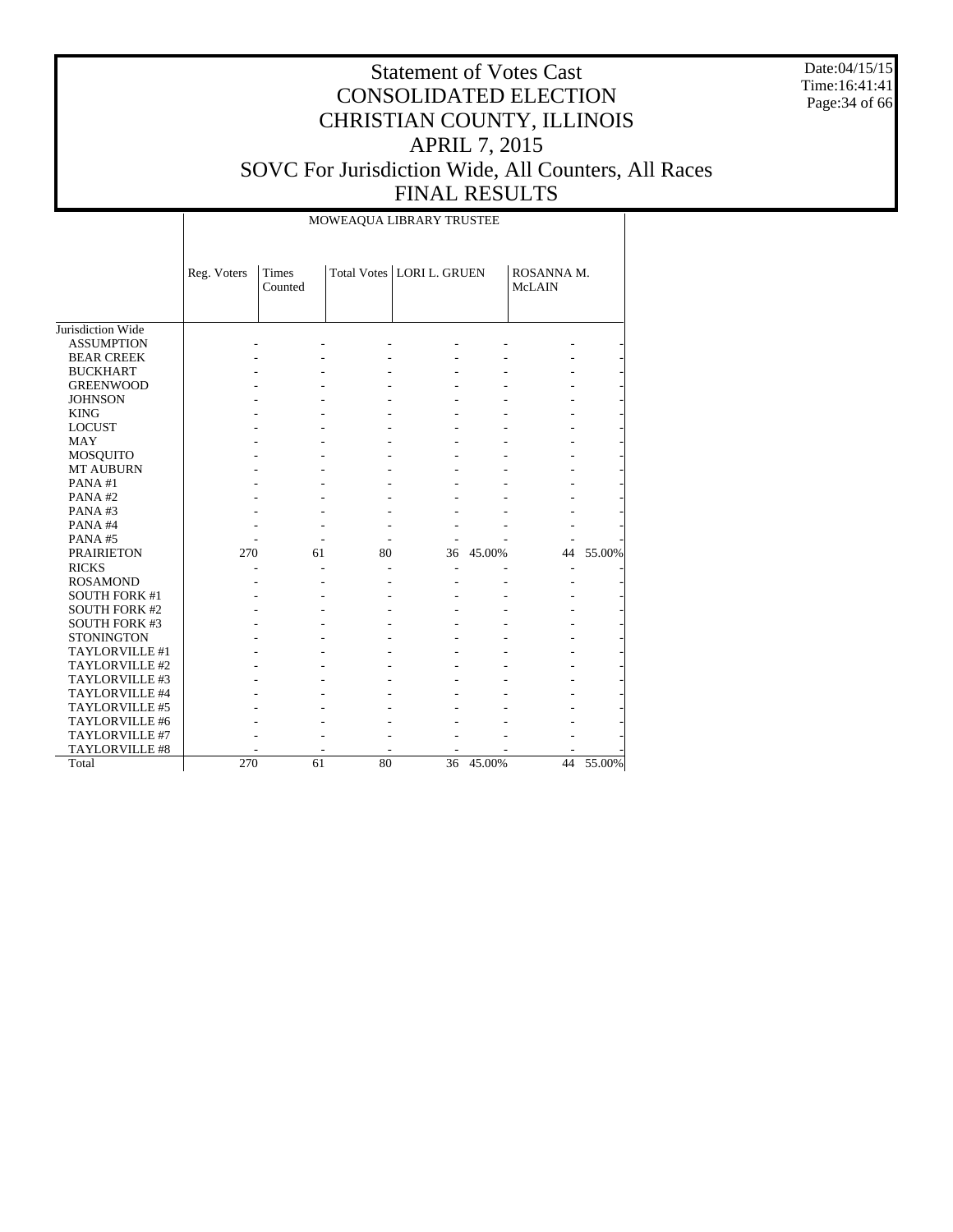Date:04/15/15 Time:16:41:41 Page:34 of 66

#### Statement of Votes Cast CONSOLIDATED ELECTION CHRISTIAN COUNTY, ILLINOIS APRIL 7, 2015 SOVC For Jurisdiction Wide, All Counters, All Races FINAL RESULTS

Jurisdiction Wide ASSUMPTION BEAR CREEK BUCKHART GREENWOOD **JOHNSON**  KING LOCUST MAY MOSQUITO MT AUBURN PANA #1 PANA #2 PANA #3 PANA #4 PANA #5 PRAIRIETON RICKS ROSAMOND SOUTH FORK #1 SOUTH FORK #2 SOUTH FORK #3 STONINGTON TAYLORVILLE #1 TAYLORVILLE #2 TAYLORVILLE #3 TAYLORVILLE #4 TAYLORVILLE #5 TAYLORVILLE #6 TAYLORVILLE #7 TAYLORVILLE #8 Total Reg. Voters | Times Counted Total Votes | LORI L. GRUEN | ROSANNA M. McLAIN MOWEAQUA LIBRARY TRUSTEE - - - - - - - - - - - - - - - - - - - - - - - - - - - - - - - - - - - - - - - - - - - - - - - - - - - - - - - - - - - - - - - - - - - - - - - - - - - - - - - - - - - - - - - - - - - - - - - - - - - - - - - - - 270 61 80 36 45.00% 44 55.00% - - - - - - - - - - - - - - - - - - - - - - - - - - - - - - - - - - - - - - - - - - - - - - - - - - - - - - - - - - - - - - - - - - - - - - - - - - - - - - - - - - - - - - - - - - - - - - - - - - 270 61 80 36 45.00% 44 55.00%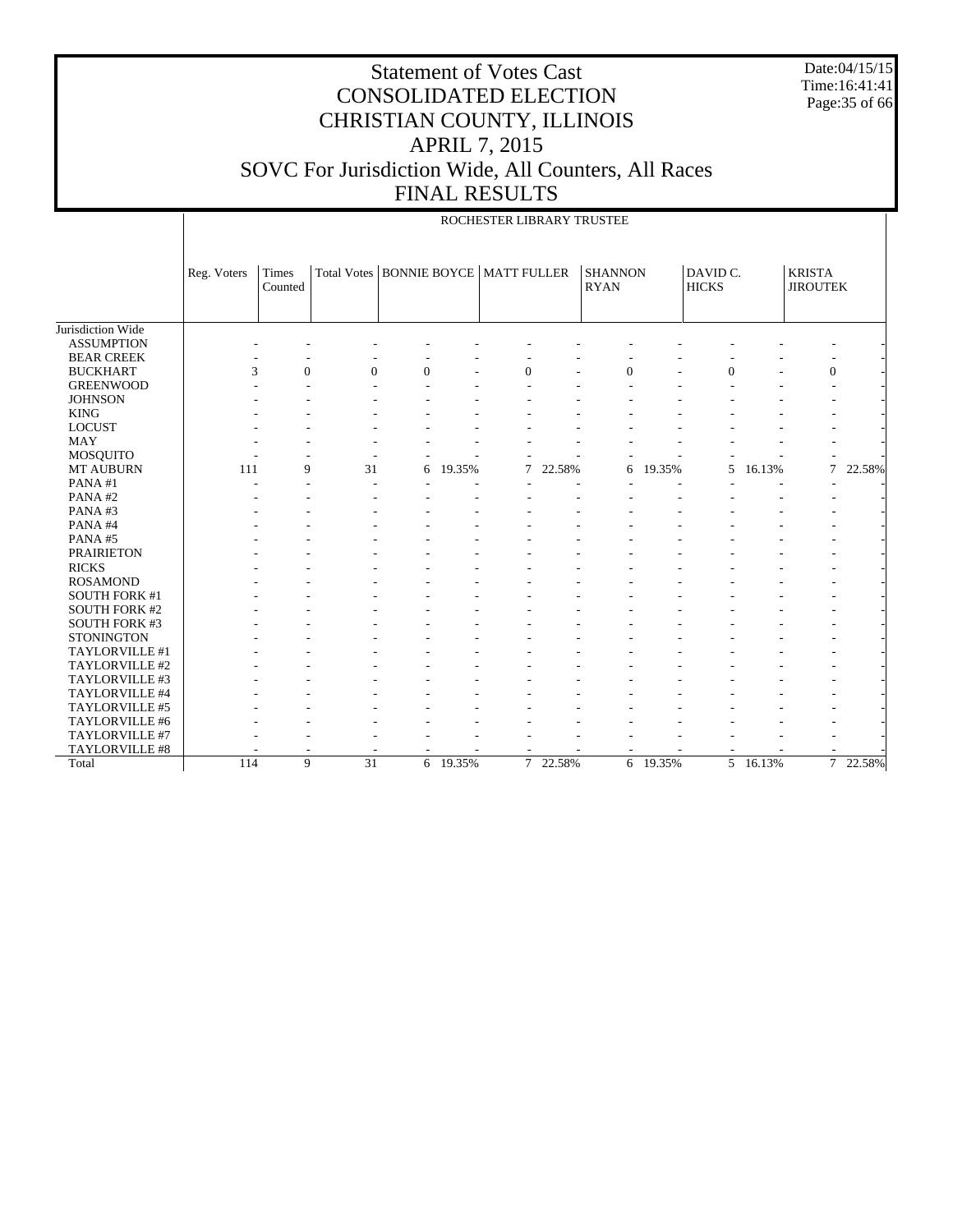Date:04/15/15 Time:16:41:41 Page:35 of 66

|                                      |             |                  |                                          |   |          | ROCHESTER LIBRARY TRUSTEE |        |                               |          |                          |                  |                                  |        |
|--------------------------------------|-------------|------------------|------------------------------------------|---|----------|---------------------------|--------|-------------------------------|----------|--------------------------|------------------|----------------------------------|--------|
|                                      | Reg. Voters | Times<br>Counted | Total Votes   BONNIE BOYCE   MATT FULLER |   |          |                           |        | <b>SHANNON</b><br><b>RYAN</b> |          | DAVID C.<br><b>HICKS</b> |                  | <b>KRISTA</b><br><b>JIROUTEK</b> |        |
|                                      |             |                  |                                          |   |          |                           |        |                               |          |                          |                  |                                  |        |
| Jurisdiction Wide                    |             |                  |                                          |   |          |                           |        |                               |          |                          |                  |                                  |        |
| <b>ASSUMPTION</b>                    |             |                  |                                          |   |          |                           |        |                               |          |                          |                  |                                  |        |
| <b>BEAR CREEK</b><br><b>BUCKHART</b> | 3           | $\overline{0}$   | $\overline{0}$                           | 0 |          |                           |        |                               |          | $\Omega$                 |                  |                                  |        |
| <b>GREENWOOD</b>                     |             | J.               |                                          |   |          | $\mathbf{0}$              |        | $\overline{0}$                |          |                          |                  | $\mathbf{0}$                     |        |
| <b>JOHNSON</b>                       |             |                  |                                          |   |          |                           |        |                               |          |                          |                  |                                  |        |
| <b>KING</b>                          |             |                  |                                          |   |          |                           |        |                               |          |                          |                  |                                  |        |
| <b>LOCUST</b>                        |             |                  |                                          |   |          |                           |        |                               |          |                          |                  |                                  |        |
| <b>MAY</b>                           |             |                  |                                          |   |          |                           |        |                               |          |                          |                  |                                  |        |
| <b>MOSQUITO</b>                      |             |                  |                                          |   |          |                           |        |                               |          |                          |                  |                                  |        |
| <b>MT AUBURN</b>                     | 111         | 9                | 31                                       | 6 | 19.35%   | 7                         | 22.58% | 6                             | 19.35%   | 5                        | 16.13%           | $\overline{7}$                   | 22.58% |
| PANA#1                               |             |                  |                                          |   |          |                           |        |                               |          |                          |                  |                                  |        |
| PANA#2                               |             |                  |                                          |   |          |                           |        |                               |          |                          |                  |                                  |        |
| PANA#3                               |             |                  |                                          |   |          |                           |        |                               |          |                          |                  |                                  |        |
| PANA#4                               |             |                  |                                          |   |          |                           |        |                               |          |                          |                  |                                  |        |
| PANA#5                               |             |                  |                                          |   |          |                           |        |                               |          |                          |                  |                                  |        |
| <b>PRAIRIETON</b>                    |             |                  |                                          |   |          |                           |        |                               |          |                          |                  |                                  |        |
| <b>RICKS</b>                         |             |                  |                                          |   |          |                           |        |                               |          |                          |                  |                                  |        |
| <b>ROSAMOND</b>                      |             |                  |                                          |   |          |                           |        |                               |          |                          |                  |                                  |        |
| <b>SOUTH FORK #1</b>                 |             |                  |                                          |   |          |                           |        |                               |          |                          |                  |                                  |        |
| <b>SOUTH FORK #2</b>                 |             |                  |                                          |   |          |                           |        |                               |          |                          |                  |                                  |        |
| <b>SOUTH FORK #3</b>                 |             |                  |                                          |   |          |                           |        |                               |          |                          |                  |                                  |        |
| <b>STONINGTON</b>                    |             |                  |                                          |   |          |                           |        |                               |          |                          |                  |                                  |        |
| TAYLORVILLE #1                       |             |                  |                                          |   |          |                           |        |                               |          |                          |                  |                                  |        |
| TAYLORVILLE #2                       |             |                  |                                          |   |          |                           |        |                               |          |                          |                  |                                  |        |
| TAYLORVILLE #3                       |             |                  |                                          |   |          |                           |        |                               |          |                          |                  |                                  |        |
| TAYLORVILLE #4                       |             |                  |                                          |   |          |                           |        |                               |          |                          |                  |                                  |        |
| TAYLORVILLE #5                       |             |                  |                                          |   |          |                           |        |                               |          |                          |                  |                                  |        |
| TAYLORVILLE #6                       |             |                  |                                          |   |          |                           |        |                               |          |                          |                  |                                  |        |
| TAYLORVILLE #7                       |             |                  |                                          |   |          |                           |        |                               |          |                          |                  |                                  |        |
| TAYLORVILLE #8                       |             |                  |                                          |   |          |                           |        |                               |          |                          |                  |                                  |        |
| Total                                | 114         | 9                | $\overline{31}$                          |   | 6 19.35% | $\tau$                    | 22.58% |                               | 6 19.35% |                          | $5\quad 16.13\%$ | $\overline{7}$                   | 22.58% |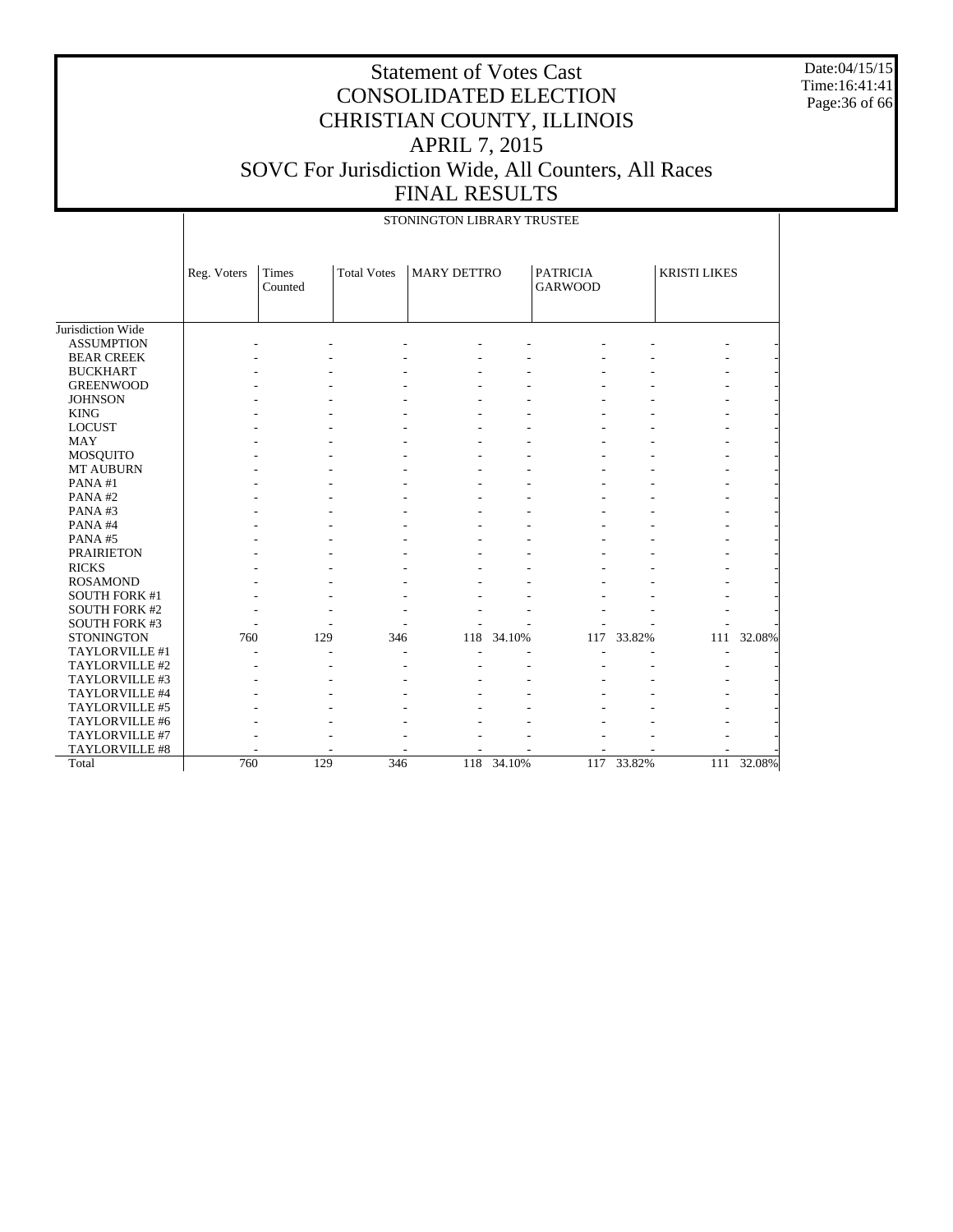Date:04/15/15 Time:16:41:41 Page:36 of 66

|                       | STONINGTON LIBRARY TRUSTEE |                         |                    |                    |        |                                   |            |                     |            |
|-----------------------|----------------------------|-------------------------|--------------------|--------------------|--------|-----------------------------------|------------|---------------------|------------|
|                       | Reg. Voters                | <b>Times</b><br>Counted | <b>Total Votes</b> | <b>MARY DETTRO</b> |        | <b>PATRICIA</b><br><b>GARWOOD</b> |            | <b>KRISTI LIKES</b> |            |
| Jurisdiction Wide     |                            |                         |                    |                    |        |                                   |            |                     |            |
| <b>ASSUMPTION</b>     |                            |                         |                    |                    |        |                                   |            |                     |            |
| <b>BEAR CREEK</b>     |                            |                         |                    |                    |        |                                   |            |                     |            |
| <b>BUCKHART</b>       |                            |                         |                    |                    |        |                                   |            |                     |            |
| <b>GREENWOOD</b>      |                            |                         |                    |                    |        |                                   |            |                     |            |
| <b>JOHNSON</b>        |                            |                         |                    |                    |        |                                   |            |                     |            |
| <b>KING</b>           |                            |                         |                    |                    |        |                                   |            |                     |            |
| <b>LOCUST</b>         |                            |                         |                    |                    |        |                                   |            |                     |            |
| <b>MAY</b>            |                            |                         |                    |                    |        |                                   |            |                     |            |
| <b>MOSQUITO</b>       |                            |                         |                    |                    |        |                                   |            |                     |            |
| <b>MT AUBURN</b>      |                            |                         |                    |                    |        |                                   |            |                     |            |
| PANA#1                |                            |                         |                    |                    |        |                                   |            |                     |            |
| PANA#2                |                            |                         |                    |                    |        |                                   |            |                     |            |
| PANA#3                |                            |                         |                    |                    |        |                                   |            |                     |            |
| PANA#4                |                            |                         |                    |                    |        |                                   |            |                     |            |
| PANA#5                |                            |                         |                    |                    |        |                                   |            |                     |            |
| <b>PRAIRIETON</b>     |                            |                         |                    |                    |        |                                   |            |                     |            |
| <b>RICKS</b>          |                            |                         |                    |                    |        |                                   |            |                     |            |
| <b>ROSAMOND</b>       |                            |                         |                    |                    |        |                                   |            |                     |            |
| <b>SOUTH FORK #1</b>  |                            |                         |                    |                    |        |                                   |            |                     |            |
| <b>SOUTH FORK #2</b>  |                            |                         |                    |                    |        |                                   |            |                     |            |
| <b>SOUTH FORK #3</b>  |                            |                         |                    |                    |        |                                   |            |                     |            |
| <b>STONINGTON</b>     | 760                        | 129                     | 346                | 118                | 34.10% | 117                               | 33.82%     |                     | 111 32.08% |
| TAYLORVILLE #1        |                            |                         |                    |                    |        |                                   |            |                     |            |
| TAYLORVILLE #2        |                            |                         |                    |                    |        |                                   |            |                     |            |
| TAYLORVILLE #3        |                            |                         |                    |                    |        |                                   |            |                     |            |
| TAYLORVILLE #4        |                            |                         |                    |                    |        |                                   |            |                     |            |
| TAYLORVILLE #5        |                            |                         |                    |                    |        |                                   |            |                     |            |
| TAYLORVILLE #6        |                            |                         |                    |                    |        |                                   |            |                     |            |
| TAYLORVILLE #7        |                            |                         |                    |                    |        |                                   |            |                     |            |
| <b>TAYLORVILLE #8</b> |                            |                         |                    |                    |        |                                   |            |                     |            |
| Total                 | 760                        | 129                     | 346                | 118                | 34.10% |                                   | 117 33.82% |                     | 111 32.08% |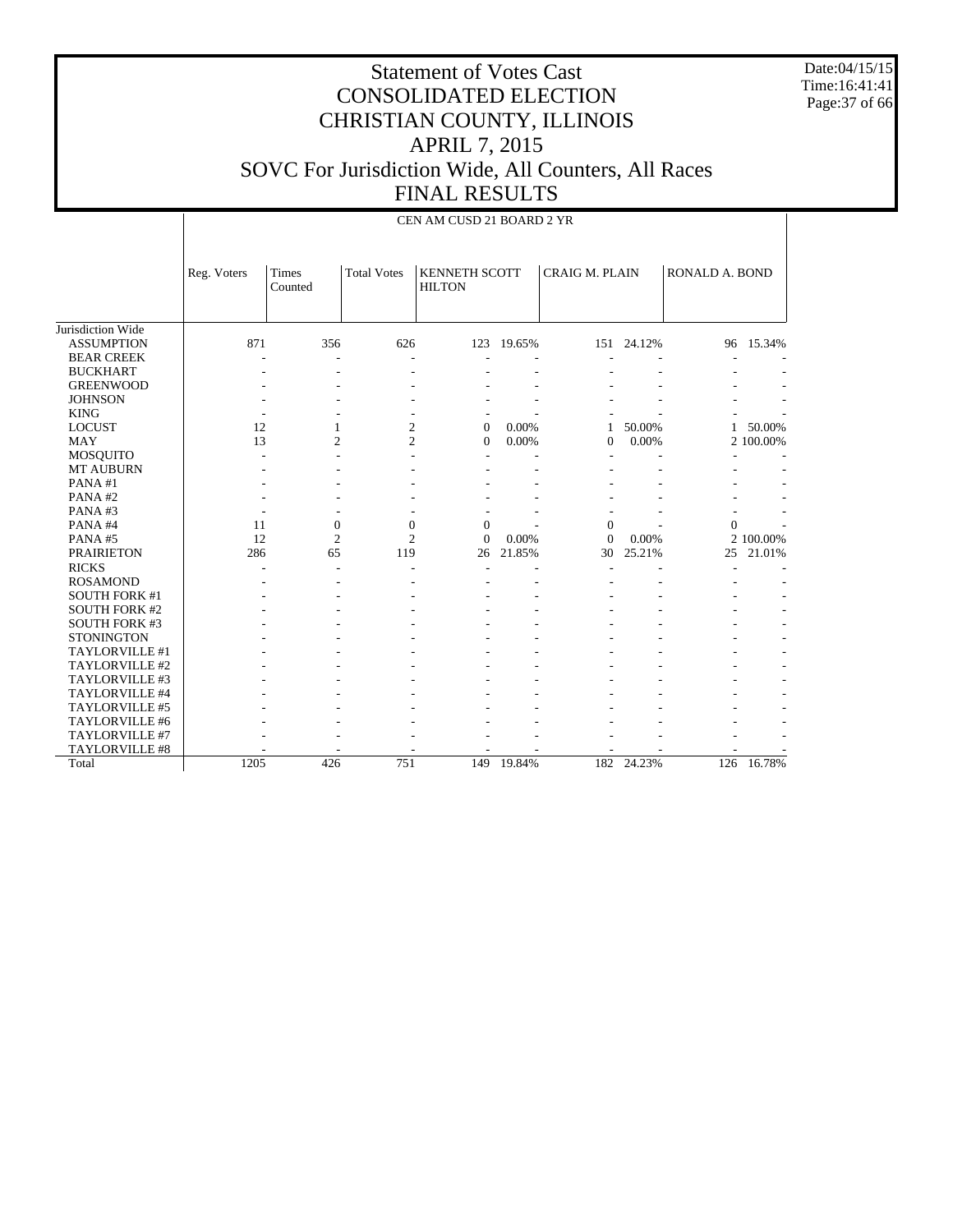Date:04/15/15 Time:16:41:41 Page:37 of 66

|                      |             | CEN AM CUSD 21 BOARD 2 YR |                    |                                       |        |                       |            |                |           |
|----------------------|-------------|---------------------------|--------------------|---------------------------------------|--------|-----------------------|------------|----------------|-----------|
|                      | Reg. Voters | <b>Times</b><br>Counted   | <b>Total Votes</b> | <b>KENNETH SCOTT</b><br><b>HILTON</b> |        | <b>CRAIG M. PLAIN</b> |            | RONALD A. BOND |           |
| Jurisdiction Wide    |             |                           |                    |                                       |        |                       |            |                |           |
| <b>ASSUMPTION</b>    | 871         | 356                       | 626                | 123                                   | 19.65% |                       | 151 24.12% |                | 96 15.34% |
| <b>BEAR CREEK</b>    |             |                           |                    |                                       |        |                       |            |                |           |
| <b>BUCKHART</b>      |             |                           |                    |                                       |        |                       |            |                |           |
| <b>GREENWOOD</b>     |             |                           |                    |                                       |        |                       |            |                |           |
| <b>JOHNSON</b>       |             |                           |                    |                                       |        |                       |            |                |           |
| <b>KING</b>          |             |                           |                    |                                       |        |                       |            |                |           |
| <b>LOCUST</b>        | 12          | 1                         | $\overline{c}$     | $\mathbf{0}$                          | 0.00%  | 1                     | 50.00%     | 1              | 50.00%    |
| <b>MAY</b>           | 13          | $\overline{c}$            | $\overline{c}$     | $\mathbf{0}$                          | 0.00%  | $\theta$              | 0.00%      |                | 2 100.00% |
| <b>MOSQUITO</b>      |             |                           |                    |                                       |        |                       |            |                |           |
| MT AUBURN            |             |                           |                    |                                       |        |                       |            |                |           |
| PANA#1               |             |                           |                    |                                       |        |                       |            |                |           |
| PANA#2               |             |                           |                    |                                       |        |                       |            |                |           |
| PANA#3               |             |                           |                    |                                       |        |                       |            |                |           |
| PANA#4               | 11          | $\overline{0}$            | $\overline{0}$     | $\mathbf{0}$                          |        | $\mathbf{0}$          |            | $\mathbf{0}$   |           |
| PANA#5               | 12          | $\overline{2}$            | $\overline{c}$     | $\Omega$                              | 0.00%  | $\overline{0}$        | 0.00%      |                | 2 100.00% |
| <b>PRAIRIETON</b>    | 286         | 65                        | 119                | 26                                    | 21.85% | 30                    | 25.21%     | 25             | 21.01%    |
| <b>RICKS</b>         |             |                           |                    |                                       |        |                       |            |                |           |
| <b>ROSAMOND</b>      |             |                           |                    |                                       |        |                       |            |                |           |
| <b>SOUTH FORK #1</b> |             |                           |                    |                                       |        |                       |            |                |           |
| <b>SOUTH FORK #2</b> |             |                           |                    |                                       |        |                       |            |                |           |
| <b>SOUTH FORK #3</b> |             |                           |                    |                                       |        |                       |            |                |           |
| <b>STONINGTON</b>    |             |                           |                    |                                       |        |                       |            |                |           |
| TAYLORVILLE #1       |             |                           |                    |                                       |        |                       |            |                |           |
| TAYLORVILLE #2       |             |                           |                    |                                       |        |                       |            |                |           |
| TAYLORVILLE #3       |             |                           |                    |                                       |        |                       |            |                |           |
| TAYLORVILLE #4       |             |                           |                    |                                       |        |                       |            |                |           |
| TAYLORVILLE #5       |             |                           |                    |                                       |        |                       |            |                |           |
| TAYLORVILLE #6       |             |                           |                    |                                       |        |                       |            |                |           |
| TAYLORVILLE #7       |             |                           |                    |                                       |        |                       |            |                |           |
| TAYLORVILLE #8       |             |                           |                    |                                       |        |                       |            |                |           |
| Total                | 1205        | 426                       | 751                | 149                                   | 19.84% |                       | 182 24.23% | 126            | 16.78%    |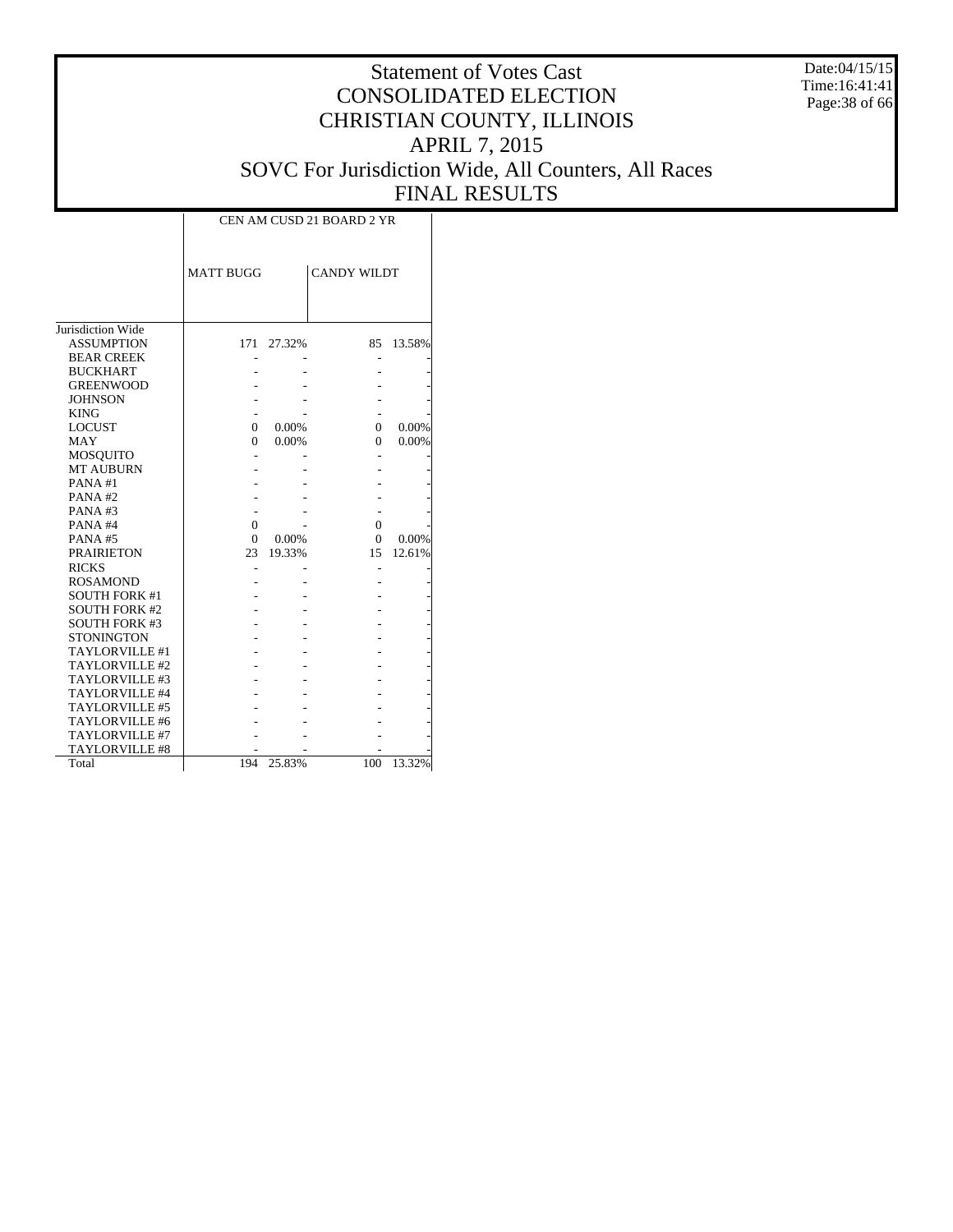Date:04/15/15 Time:16:41:41 Page:38 of 66

|                       | CEN AM CUSD 21 BOARD 2 YR |        |                    |        |  |  |  |  |  |
|-----------------------|---------------------------|--------|--------------------|--------|--|--|--|--|--|
|                       | <b>MATT BUGG</b>          |        | <b>CANDY WILDT</b> |        |  |  |  |  |  |
| Jurisdiction Wide     |                           |        |                    |        |  |  |  |  |  |
| <b>ASSUMPTION</b>     | 171                       | 27.32% | 85                 | 13.58% |  |  |  |  |  |
| <b>BEAR CREEK</b>     |                           |        |                    |        |  |  |  |  |  |
| <b>BUCKHART</b>       |                           |        |                    |        |  |  |  |  |  |
| <b>GREENWOOD</b>      |                           |        |                    |        |  |  |  |  |  |
| <b>JOHNSON</b>        |                           |        |                    |        |  |  |  |  |  |
| <b>KING</b>           |                           |        |                    |        |  |  |  |  |  |
| <b>LOCUST</b>         | 0                         | 0.00%  | $\Omega$           | 0.00%  |  |  |  |  |  |
| MAY                   | 0                         | 0.00%  | $\Omega$           | 0.00%  |  |  |  |  |  |
| MOSQUITO              |                           |        |                    |        |  |  |  |  |  |
| <b>MT AUBURN</b>      |                           |        |                    |        |  |  |  |  |  |
| PANA#1                |                           |        |                    |        |  |  |  |  |  |
| PANA#2                |                           |        |                    |        |  |  |  |  |  |
| PANA#3                |                           |        |                    |        |  |  |  |  |  |
| PANA#4                | 0                         |        | $\Omega$           |        |  |  |  |  |  |
| PANA#5                | $\Omega$                  | 0.00%  | $\Omega$           | 0.00%  |  |  |  |  |  |
| <b>PRAIRIETON</b>     | 23                        | 19.33% | 15                 | 12.61% |  |  |  |  |  |
| <b>RICKS</b>          |                           |        |                    |        |  |  |  |  |  |
| <b>ROSAMOND</b>       |                           |        |                    |        |  |  |  |  |  |
| <b>SOUTH FORK #1</b>  |                           |        |                    |        |  |  |  |  |  |
| <b>SOUTH FORK #2</b>  |                           |        |                    |        |  |  |  |  |  |
| <b>SOUTH FORK #3</b>  |                           |        |                    |        |  |  |  |  |  |
| <b>STONINGTON</b>     |                           |        |                    |        |  |  |  |  |  |
| TAYLORVILLE #1        |                           |        |                    |        |  |  |  |  |  |
| TAYLORVILLE #2        |                           |        |                    |        |  |  |  |  |  |
| TAYLORVILLE #3        |                           |        |                    |        |  |  |  |  |  |
| TAYLORVILLE #4        |                           |        |                    |        |  |  |  |  |  |
| TAYLORVILLE #5        |                           |        |                    |        |  |  |  |  |  |
| TAYLORVILLE #6        |                           |        |                    |        |  |  |  |  |  |
| TAYLORVILLE #7        |                           |        |                    |        |  |  |  |  |  |
| <b>TAYLORVILLE #8</b> |                           |        |                    |        |  |  |  |  |  |
| Total                 | 194                       | 25.83% | 100                | 13.32% |  |  |  |  |  |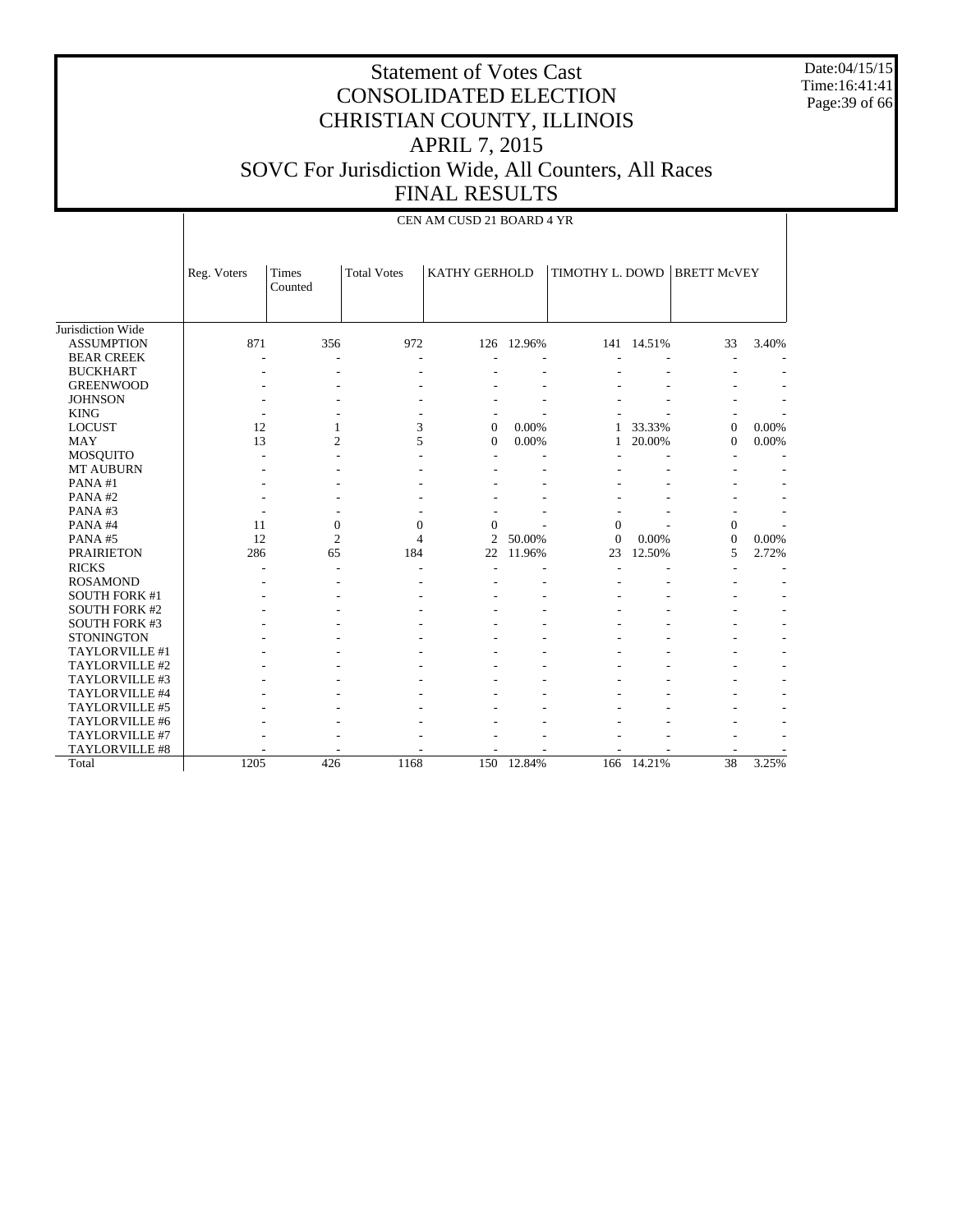Date:04/15/15 Time:16:41:41 Page:39 of 66

#### Statement of Votes Cast CONSOLIDATED ELECTION CHRISTIAN COUNTY, ILLINOIS APRIL 7, 2015 SOVC For Jurisdiction Wide, All Counters, All Races FINAL RESULTS

|                      |             | CEN AM CUSD 21 BOARD 4 YR |                    |                      |        |                 |            |                    |       |  |  |  |  |
|----------------------|-------------|---------------------------|--------------------|----------------------|--------|-----------------|------------|--------------------|-------|--|--|--|--|
|                      | Reg. Voters | Times<br>Counted          | <b>Total Votes</b> | <b>KATHY GERHOLD</b> |        | TIMOTHY L. DOWD |            | <b>BRETT McVEY</b> |       |  |  |  |  |
| Jurisdiction Wide    |             |                           |                    |                      |        |                 |            |                    |       |  |  |  |  |
| <b>ASSUMPTION</b>    | 871         | 356                       | 972                | 126                  | 12.96% |                 | 141 14.51% | 33                 | 3.40% |  |  |  |  |
| <b>BEAR CREEK</b>    |             |                           |                    |                      |        |                 |            | ٠                  |       |  |  |  |  |
| <b>BUCKHART</b>      |             |                           |                    |                      |        |                 |            |                    |       |  |  |  |  |
| <b>GREENWOOD</b>     |             |                           |                    |                      |        |                 |            |                    |       |  |  |  |  |
| <b>JOHNSON</b>       |             |                           |                    |                      |        |                 |            |                    |       |  |  |  |  |
| <b>KING</b>          |             |                           |                    |                      |        |                 |            |                    |       |  |  |  |  |
| <b>LOCUST</b>        | 12          | 1                         | 3                  | $\overline{0}$       | 0.00%  | 1               | 33.33%     | $\mathbf{0}$       | 0.00% |  |  |  |  |
| <b>MAY</b>           | 13          | $\overline{c}$            | 5                  | $\Omega$             | 0.00%  | 1               | 20.00%     | $\Omega$           | 0.00% |  |  |  |  |
| <b>MOSQUITO</b>      |             |                           |                    |                      |        |                 |            |                    |       |  |  |  |  |
| MT AUBURN            |             |                           |                    |                      |        |                 |            |                    |       |  |  |  |  |
| PANA#1               |             |                           |                    |                      |        |                 |            |                    |       |  |  |  |  |
| PANA#2               |             |                           |                    |                      |        |                 |            |                    |       |  |  |  |  |
| PANA#3               |             |                           |                    |                      |        |                 |            |                    |       |  |  |  |  |
| PANA#4               | 11          | $\mathbf{0}$              | $\mathbf{0}$       | $\overline{0}$       |        | $\mathbf{0}$    |            | $\mathbf{0}$       |       |  |  |  |  |
| PANA#5               | 12          | $\overline{c}$            | $\overline{4}$     | $\overline{2}$       | 50.00% | $\Omega$        | 0.00%      | $\mathbf{0}$       | 0.00% |  |  |  |  |
| <b>PRAIRIETON</b>    | 286         | 65                        | 184                | 22                   | 11.96% | 23              | 12.50%     | 5                  | 2.72% |  |  |  |  |
| <b>RICKS</b>         |             |                           |                    |                      |        |                 |            |                    |       |  |  |  |  |
| <b>ROSAMOND</b>      |             |                           |                    |                      |        |                 |            |                    |       |  |  |  |  |
| <b>SOUTH FORK #1</b> |             |                           |                    |                      |        |                 |            |                    |       |  |  |  |  |
| <b>SOUTH FORK #2</b> |             |                           |                    |                      |        |                 |            |                    |       |  |  |  |  |
| <b>SOUTH FORK #3</b> |             |                           |                    |                      |        |                 |            |                    |       |  |  |  |  |
| <b>STONINGTON</b>    |             |                           |                    |                      |        |                 |            |                    |       |  |  |  |  |
| TAYLORVILLE #1       |             |                           |                    |                      |        |                 |            |                    |       |  |  |  |  |
| TAYLORVILLE #2       |             |                           |                    |                      |        |                 |            |                    |       |  |  |  |  |
| TAYLORVILLE #3       |             |                           |                    |                      |        |                 |            |                    |       |  |  |  |  |
| TAYLORVILLE #4       |             |                           |                    |                      |        |                 |            |                    |       |  |  |  |  |
| TAYLORVILLE #5       |             |                           |                    |                      |        |                 |            |                    |       |  |  |  |  |
| TAYLORVILLE #6       |             |                           |                    |                      |        |                 |            |                    |       |  |  |  |  |
| TAYLORVILLE #7       |             |                           |                    |                      |        |                 |            |                    |       |  |  |  |  |
| TAYLORVILLE #8       |             |                           |                    |                      |        |                 |            |                    |       |  |  |  |  |
| Total                | 1205        | 426                       | 1168               | 150                  | 12.84% | 166             | 14.21%     | 38                 | 3.25% |  |  |  |  |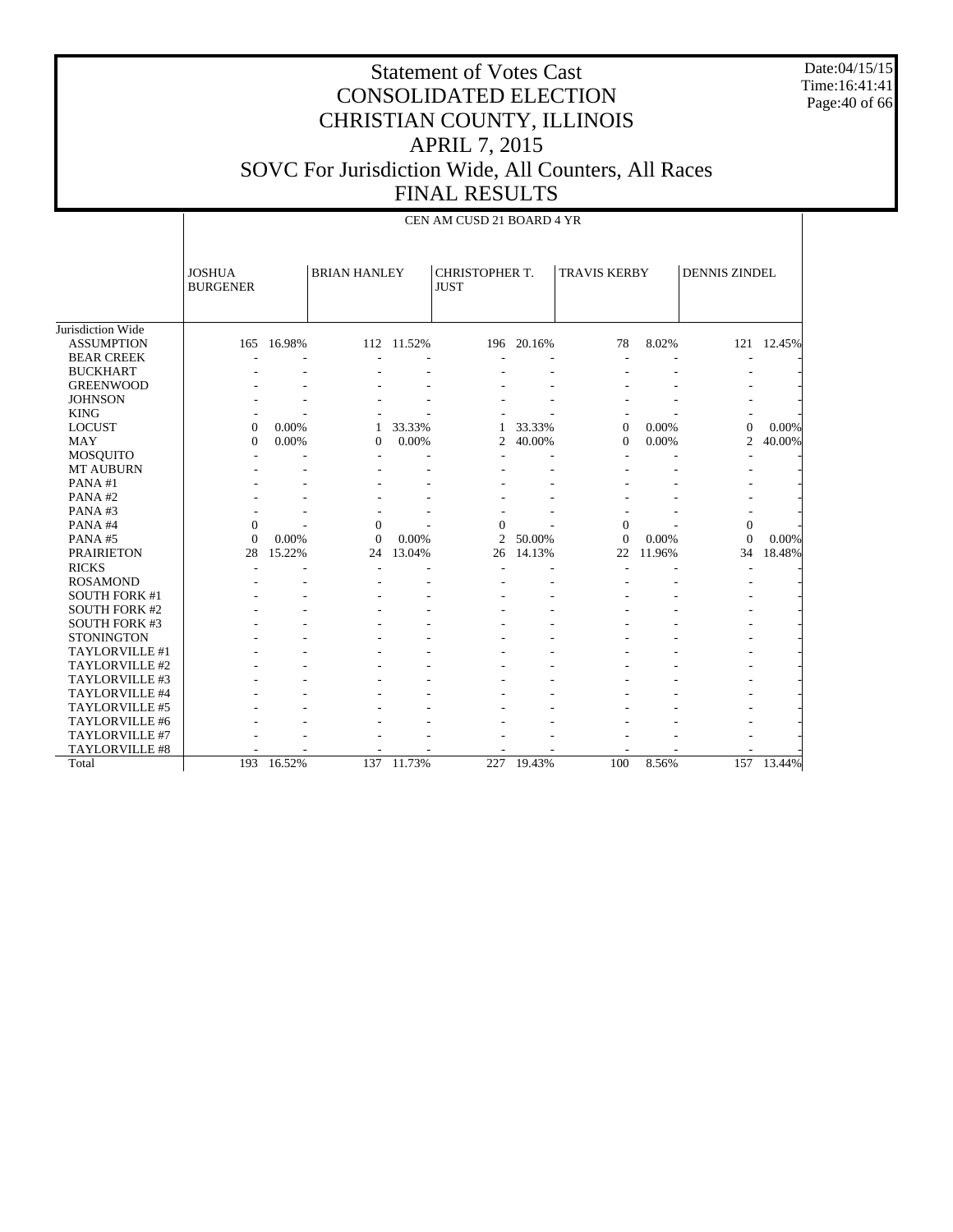Date:04/15/15 Time:16:41:41 Page:40 of 66

|                       |                                  | CEN AM CUSD 21 BOARD 4 YR |                |                                                      |                |            |                |                     |                      |            |  |  |  |
|-----------------------|----------------------------------|---------------------------|----------------|------------------------------------------------------|----------------|------------|----------------|---------------------|----------------------|------------|--|--|--|
|                       | <b>JOSHUA</b><br><b>BURGENER</b> |                           |                | <b>BRIAN HANLEY</b><br>CHRISTOPHER T.<br><b>JUST</b> |                |            |                | <b>TRAVIS KERBY</b> | <b>DENNIS ZINDEL</b> |            |  |  |  |
| Jurisdiction Wide     |                                  |                           |                |                                                      |                |            |                |                     |                      |            |  |  |  |
| <b>ASSUMPTION</b>     | 165                              | 16.98%                    |                | 112 11.52%                                           |                | 196 20.16% | 78             | 8.02%               |                      | 121 12.45% |  |  |  |
| <b>BEAR CREEK</b>     |                                  |                           |                |                                                      |                |            |                |                     |                      |            |  |  |  |
| <b>BUCKHART</b>       |                                  |                           |                |                                                      |                |            |                |                     |                      |            |  |  |  |
| <b>GREENWOOD</b>      |                                  |                           |                |                                                      |                |            |                |                     |                      |            |  |  |  |
| <b>JOHNSON</b>        |                                  |                           |                |                                                      |                |            |                |                     |                      |            |  |  |  |
| <b>KING</b>           |                                  |                           |                |                                                      |                |            |                |                     |                      |            |  |  |  |
| <b>LOCUST</b>         | $\theta$                         | 0.00%                     |                | 33.33%                                               |                | 33.33%     | $\overline{0}$ | 0.00%               | $\overline{0}$       | 0.00%      |  |  |  |
| <b>MAY</b>            | $\Omega$                         | 0.00%                     | $\Omega$       | $0.00\%$                                             | 2              | 40.00%     | $\Omega$       | 0.00%               | $\overline{c}$       | 40.00%     |  |  |  |
| <b>MOSQUITO</b>       |                                  |                           |                |                                                      |                |            |                |                     |                      |            |  |  |  |
| MT AUBURN             |                                  |                           |                |                                                      |                |            |                |                     |                      |            |  |  |  |
| PANA#1                |                                  |                           |                |                                                      |                |            |                |                     |                      |            |  |  |  |
| PANA#2                |                                  |                           |                |                                                      |                |            |                |                     |                      |            |  |  |  |
| PANA#3                |                                  |                           |                |                                                      |                |            |                |                     |                      |            |  |  |  |
| PANA#4                | $\Omega$                         |                           | $\mathbf{0}$   |                                                      | $\overline{0}$ |            | $\overline{0}$ |                     | $\theta$             |            |  |  |  |
| PANA#5                | $\theta$                         | 0.00%                     | $\overline{0}$ | $0.00\%$                                             | $\overline{c}$ | 50.00%     | $\Omega$       | 0.00%               | $\Omega$             | $0.00\%$   |  |  |  |
| <b>PRAIRIETON</b>     | 28                               | 15.22%                    | 24             | 13.04%                                               | 26             | 14.13%     | 22             | 11.96%              | 34                   | 18.48%     |  |  |  |
| <b>RICKS</b>          |                                  |                           |                |                                                      |                |            |                |                     |                      |            |  |  |  |
| <b>ROSAMOND</b>       |                                  |                           |                |                                                      |                |            |                |                     |                      |            |  |  |  |
| <b>SOUTH FORK #1</b>  |                                  |                           |                |                                                      |                |            |                |                     |                      |            |  |  |  |
| <b>SOUTH FORK #2</b>  |                                  |                           |                |                                                      |                |            |                |                     |                      |            |  |  |  |
| <b>SOUTH FORK #3</b>  |                                  |                           |                |                                                      |                |            |                |                     |                      |            |  |  |  |
| <b>STONINGTON</b>     |                                  |                           |                |                                                      |                |            |                |                     |                      |            |  |  |  |
| TAYLORVILLE #1        |                                  |                           |                |                                                      |                |            |                |                     |                      |            |  |  |  |
| TAYLORVILLE #2        |                                  |                           |                |                                                      |                |            |                |                     |                      |            |  |  |  |
| TAYLORVILLE #3        |                                  |                           |                |                                                      |                |            |                |                     |                      |            |  |  |  |
| TAYLORVILLE #4        |                                  |                           |                |                                                      |                |            |                |                     |                      |            |  |  |  |
| TAYLORVILLE #5        |                                  |                           |                |                                                      |                |            |                |                     |                      |            |  |  |  |
| TAYLORVILLE #6        |                                  |                           |                |                                                      |                |            |                |                     |                      |            |  |  |  |
| TAYLORVILLE #7        |                                  |                           |                |                                                      |                |            |                |                     |                      |            |  |  |  |
| <b>TAYLORVILLE #8</b> |                                  |                           |                |                                                      |                |            |                |                     |                      |            |  |  |  |
| Total                 | 193                              | 16.52%                    | 137            | 11.73%                                               | 227            | 19.43%     | 100            | 8.56%               | 157                  | 13.44%     |  |  |  |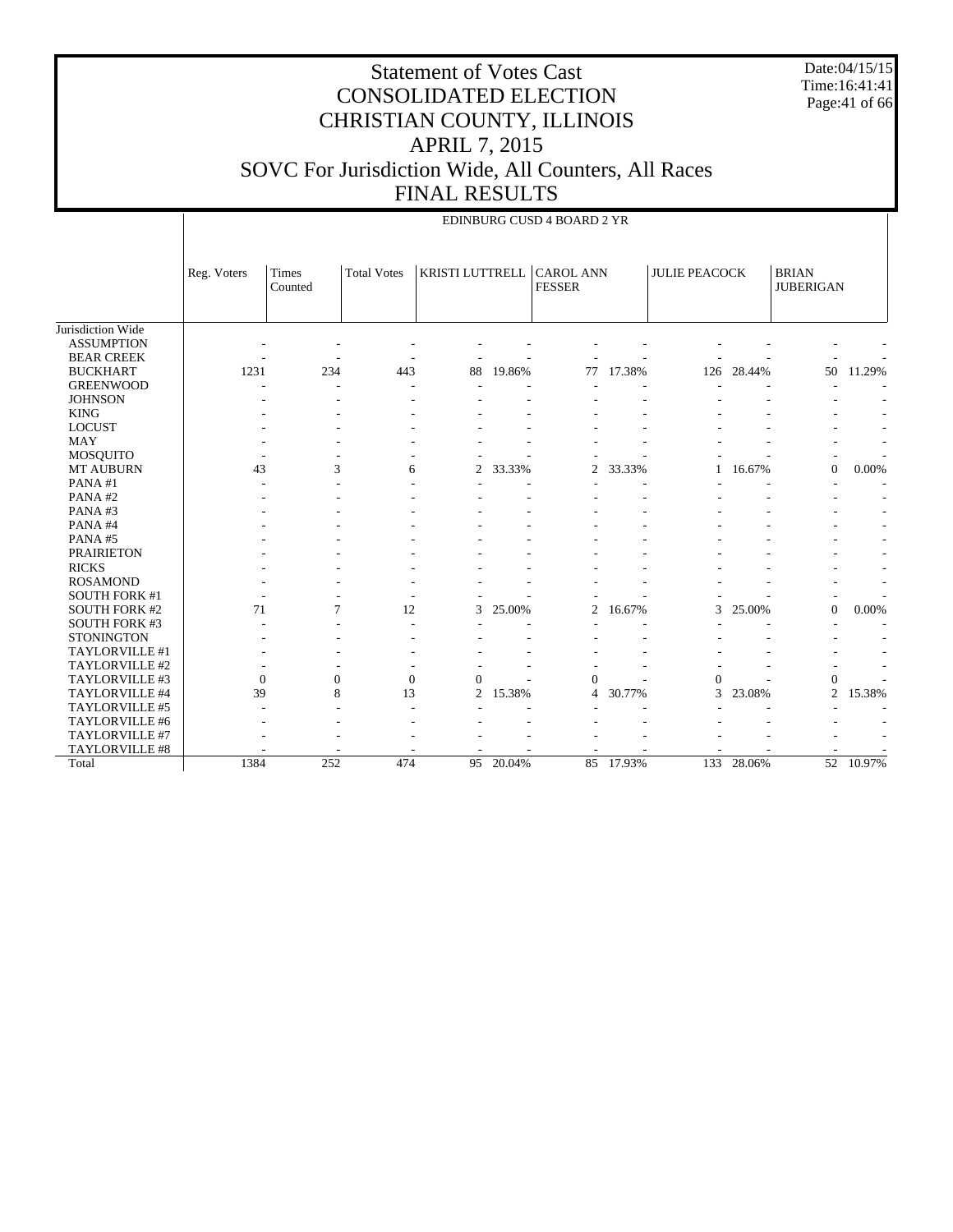Date:04/15/15 Time:16:41:41 Page:41 of 66

|                      |                | EDINBURG CUSD 4 BOARD 2 YR |                    |                 |           |                                   |        |                      |        |                                  |           |  |
|----------------------|----------------|----------------------------|--------------------|-----------------|-----------|-----------------------------------|--------|----------------------|--------|----------------------------------|-----------|--|
|                      | Reg. Voters    | <b>Times</b><br>Counted    | <b>Total Votes</b> | KRISTI LUTTRELL |           | <b>CAROL ANN</b><br><b>FESSER</b> |        | <b>JULIE PEACOCK</b> |        | <b>BRIAN</b><br><b>JUBERIGAN</b> |           |  |
| Jurisdiction Wide    |                |                            |                    |                 |           |                                   |        |                      |        |                                  |           |  |
| <b>ASSUMPTION</b>    |                |                            |                    |                 |           |                                   |        |                      |        |                                  |           |  |
| <b>BEAR CREEK</b>    |                |                            |                    |                 |           |                                   |        |                      |        |                                  |           |  |
| <b>BUCKHART</b>      | 1231           | 234                        | 443                | 88              | 19.86%    | 77                                | 17.38% | 126                  | 28.44% | 50                               | 11.29%    |  |
| <b>GREENWOOD</b>     |                |                            |                    |                 |           |                                   |        |                      |        |                                  |           |  |
| <b>JOHNSON</b>       |                |                            |                    |                 |           |                                   |        |                      |        |                                  |           |  |
| <b>KING</b>          |                |                            |                    |                 |           |                                   |        |                      |        |                                  |           |  |
| <b>LOCUST</b>        |                |                            |                    |                 |           |                                   |        |                      |        |                                  |           |  |
| <b>MAY</b>           |                |                            |                    |                 |           |                                   |        |                      |        |                                  | ٠         |  |
| <b>MOSQUITO</b>      |                |                            |                    |                 |           |                                   |        |                      |        |                                  |           |  |
| <b>MT AUBURN</b>     | 43             | 3                          | 6                  | $\overline{c}$  | 33.33%    | 2                                 | 33.33% |                      | 16.67% | $\mathbf{0}$                     | 0.00%     |  |
| PANA#1               |                |                            |                    |                 |           |                                   |        |                      |        |                                  |           |  |
| PANA#2               |                |                            |                    |                 |           |                                   |        |                      |        |                                  |           |  |
| PANA#3               |                |                            |                    |                 |           |                                   |        |                      |        |                                  |           |  |
| PANA#4               |                |                            |                    |                 |           |                                   |        |                      |        |                                  |           |  |
| PANA#5               |                |                            |                    |                 |           |                                   |        |                      |        |                                  |           |  |
| <b>PRAIRIETON</b>    |                |                            |                    |                 |           |                                   |        |                      |        |                                  |           |  |
| <b>RICKS</b>         |                |                            |                    |                 |           |                                   |        |                      |        |                                  |           |  |
| <b>ROSAMOND</b>      |                |                            |                    |                 |           |                                   |        |                      |        |                                  |           |  |
| <b>SOUTH FORK #1</b> |                |                            |                    |                 |           |                                   |        |                      |        |                                  |           |  |
| <b>SOUTH FORK #2</b> | 71             | $\tau$                     | 12                 | 3               | 25.00%    | 2                                 | 16.67% | 3                    | 25.00% | $\mathbf{0}$                     | 0.00%     |  |
| <b>SOUTH FORK #3</b> |                |                            |                    |                 |           |                                   |        |                      |        |                                  |           |  |
| <b>STONINGTON</b>    |                |                            |                    |                 |           |                                   |        |                      |        |                                  |           |  |
| TAYLORVILLE #1       |                |                            |                    |                 |           |                                   |        |                      |        |                                  |           |  |
| TAYLORVILLE #2       |                |                            |                    |                 |           |                                   |        |                      |        |                                  |           |  |
| TAYLORVILLE #3       | $\overline{0}$ | $\Omega$                   | $\theta$           | $\Omega$        |           | $\Omega$                          |        | $\Omega$             |        | $\boldsymbol{0}$                 |           |  |
| TAYLORVILLE #4       | 39             | 8                          | 13                 | $\mathfrak{2}$  | 15.38%    | 4                                 | 30.77% | 3                    | 23.08% | $\overline{2}$                   | 15.38%    |  |
| TAYLORVILLE #5       |                |                            |                    |                 |           |                                   |        |                      |        |                                  |           |  |
| TAYLORVILLE #6       |                |                            |                    |                 |           |                                   |        |                      |        |                                  |           |  |
| TAYLORVILLE #7       |                |                            |                    |                 |           |                                   |        |                      |        |                                  |           |  |
| TAYLORVILLE #8       |                |                            |                    |                 |           |                                   |        |                      |        |                                  |           |  |
| Total                | 1384           | 252                        | 474                |                 | 95 20.04% | 85                                | 17.93% | 133                  | 28.06% |                                  | 52 10.97% |  |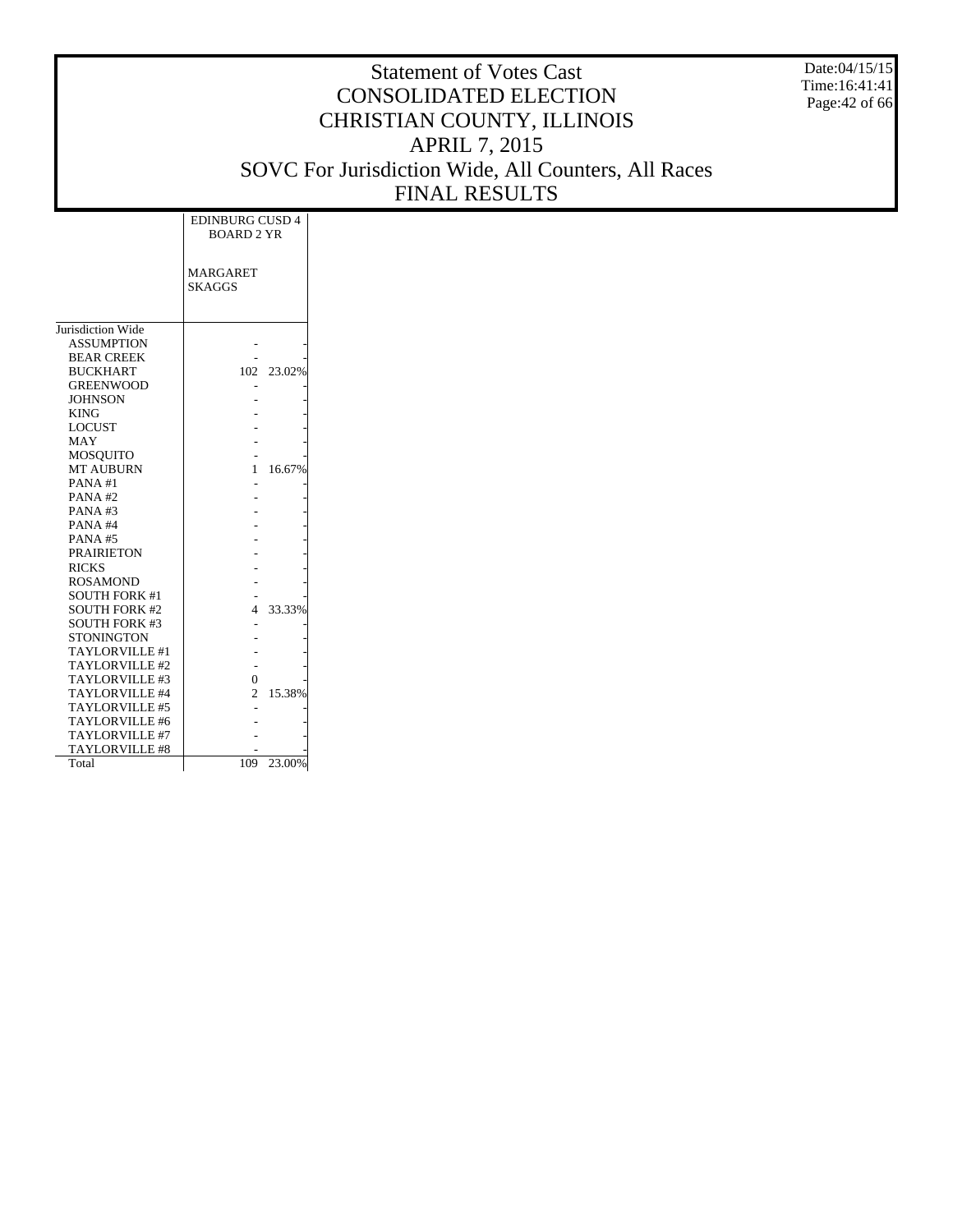Date:04/15/15 Time:16:41:41 Page:42 of 66

|                      | <b>EDINBURG CUSD 4</b><br><b>BOARD 2 YR</b> |            |
|----------------------|---------------------------------------------|------------|
|                      | <b>MARGARET</b><br><b>SKAGGS</b>            |            |
|                      |                                             |            |
| Jurisdiction Wide    |                                             |            |
| <b>ASSUMPTION</b>    |                                             |            |
| <b>BEAR CREEK</b>    |                                             |            |
| <b>BUCKHART</b>      |                                             | 102 23.02% |
| <b>GREENWOOD</b>     |                                             |            |
| <b>JOHNSON</b>       |                                             |            |
| <b>KING</b>          |                                             |            |
| <b>LOCUST</b>        |                                             |            |
| MAY                  |                                             |            |
| <b>MOSOUITO</b>      |                                             | 16.67%     |
| <b>MT AUBURN</b>     | 1.                                          |            |
| PANA#1               |                                             |            |
| PANA#2               |                                             |            |
| PANA#3               |                                             |            |
| PANA#4               |                                             |            |
| PANA#5               |                                             |            |
| <b>PRAIRIETON</b>    |                                             |            |
| <b>RICKS</b>         |                                             |            |
| <b>ROSAMOND</b>      |                                             |            |
| <b>SOUTH FORK #1</b> |                                             |            |
| <b>SOUTH FORK #2</b> | 4                                           | 33.33%     |
| <b>SOUTH FORK #3</b> |                                             |            |
| <b>STONINGTON</b>    |                                             |            |
| TAYLORVILLE #1       |                                             |            |
| TAYLORVILLE #2       | $\theta$                                    |            |
| TAYLORVILLE #3       | $\overline{c}$                              |            |
| TAYLORVILLE #4       |                                             | 15.38%     |
| TAYLORVILLE #5       |                                             |            |
| TAYLORVILLE #6       |                                             |            |
| TAYLORVILLE #7       |                                             |            |
| TAYLORVILLE #8       | 109                                         | 23.00%     |
| Total                |                                             |            |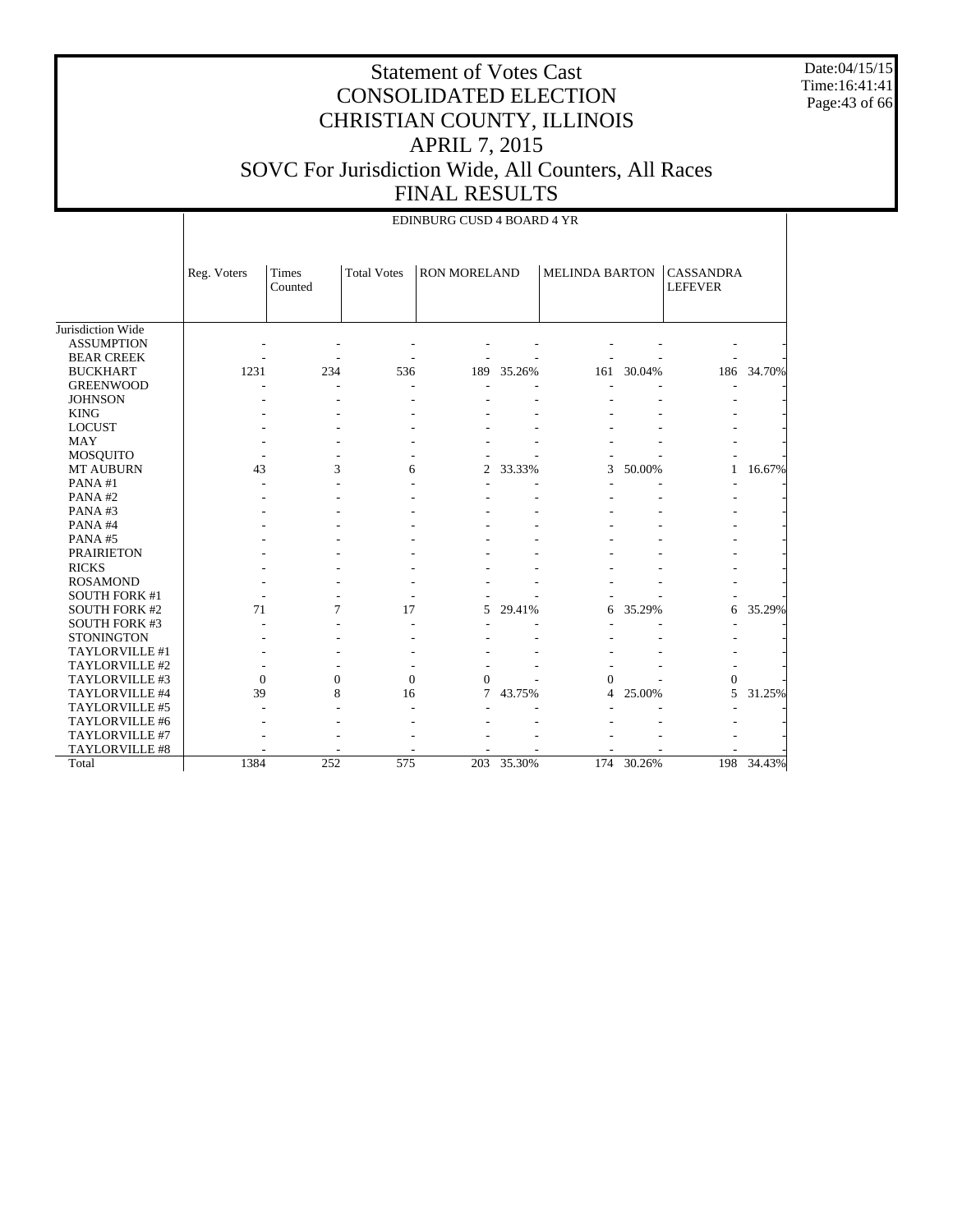Date:04/15/15 Time:16:41:41 Page:43 of 66

#### Statement of Votes Cast CONSOLIDATED ELECTION CHRISTIAN COUNTY, ILLINOIS APRIL 7, 2015 SOVC For Jurisdiction Wide, All Counters, All Races FINAL RESULTS

|                      |              | EDINBURG CUSD 4 BOARD 4 YR |                    |                     |        |                       |        |                                    |            |  |  |  |  |
|----------------------|--------------|----------------------------|--------------------|---------------------|--------|-----------------------|--------|------------------------------------|------------|--|--|--|--|
|                      | Reg. Voters  | Times<br>Counted           | <b>Total Votes</b> | <b>RON MORELAND</b> |        | <b>MELINDA BARTON</b> |        | <b>CASSANDRA</b><br><b>LEFEVER</b> |            |  |  |  |  |
| Jurisdiction Wide    |              |                            |                    |                     |        |                       |        |                                    |            |  |  |  |  |
| <b>ASSUMPTION</b>    |              |                            |                    |                     |        |                       |        |                                    |            |  |  |  |  |
| <b>BEAR CREEK</b>    |              |                            |                    |                     |        |                       |        |                                    |            |  |  |  |  |
| <b>BUCKHART</b>      | 1231         | 234                        | 536                | 189                 | 35.26% | 161                   | 30.04% |                                    | 186 34.70% |  |  |  |  |
| <b>GREENWOOD</b>     |              |                            |                    |                     |        |                       |        |                                    |            |  |  |  |  |
| <b>JOHNSON</b>       |              |                            |                    |                     |        |                       |        |                                    |            |  |  |  |  |
| <b>KING</b>          |              |                            |                    |                     |        |                       |        |                                    |            |  |  |  |  |
| <b>LOCUST</b>        |              |                            |                    |                     |        |                       |        |                                    |            |  |  |  |  |
| <b>MAY</b>           |              |                            |                    |                     |        |                       |        |                                    |            |  |  |  |  |
| MOSQUITO             |              |                            |                    |                     |        |                       |        |                                    |            |  |  |  |  |
| MT AUBURN            | 43           | 3                          | 6                  | $\overline{2}$      | 33.33% | 3                     | 50.00% | 1                                  | 16.67%     |  |  |  |  |
| PANA#1               |              |                            |                    |                     |        |                       |        |                                    |            |  |  |  |  |
| PANA#2               |              |                            |                    |                     |        |                       |        |                                    |            |  |  |  |  |
| PANA#3               |              |                            |                    |                     |        |                       |        |                                    |            |  |  |  |  |
| PANA#4               |              |                            |                    |                     |        |                       |        |                                    |            |  |  |  |  |
| PANA#5               |              |                            |                    |                     |        |                       |        |                                    |            |  |  |  |  |
| <b>PRAIRIETON</b>    |              |                            |                    |                     |        |                       |        |                                    |            |  |  |  |  |
| <b>RICKS</b>         |              |                            |                    |                     |        |                       |        |                                    |            |  |  |  |  |
| <b>ROSAMOND</b>      |              |                            |                    |                     |        |                       |        |                                    |            |  |  |  |  |
| <b>SOUTH FORK #1</b> |              |                            |                    |                     |        |                       |        |                                    |            |  |  |  |  |
| <b>SOUTH FORK #2</b> | 71           | 7                          | 17                 | 5                   | 29.41% | 6                     | 35.29% | 6                                  | 35.29%     |  |  |  |  |
| <b>SOUTH FORK #3</b> |              |                            |                    |                     |        |                       |        |                                    |            |  |  |  |  |
| <b>STONINGTON</b>    |              |                            |                    |                     |        |                       |        |                                    |            |  |  |  |  |
| TAYLORVILLE #1       |              |                            |                    |                     |        |                       |        |                                    |            |  |  |  |  |
| TAYLORVILLE #2       |              |                            |                    |                     |        |                       |        |                                    |            |  |  |  |  |
| TAYLORVILLE #3       | $\mathbf{0}$ | $\mathbf{0}$               | $\mathbf{0}$       | $\Omega$            |        | $\Omega$              |        | 0                                  |            |  |  |  |  |
| TAYLORVILLE #4       | 39           | 8                          | 16                 | $\tau$              | 43.75% | 4                     | 25.00% | 5                                  | 31.25%     |  |  |  |  |
| TAYLORVILLE #5       |              |                            |                    |                     |        |                       |        |                                    |            |  |  |  |  |
| TAYLORVILLE #6       |              |                            |                    |                     |        |                       |        |                                    |            |  |  |  |  |
| TAYLORVILLE #7       |              |                            |                    |                     |        |                       |        |                                    |            |  |  |  |  |
| TAYLORVILLE #8       |              |                            |                    |                     |        |                       |        |                                    |            |  |  |  |  |
| Total                | 1384         | 252                        | 575                | 203                 | 35.30% | 174                   | 30.26% | 198                                | 34.43%     |  |  |  |  |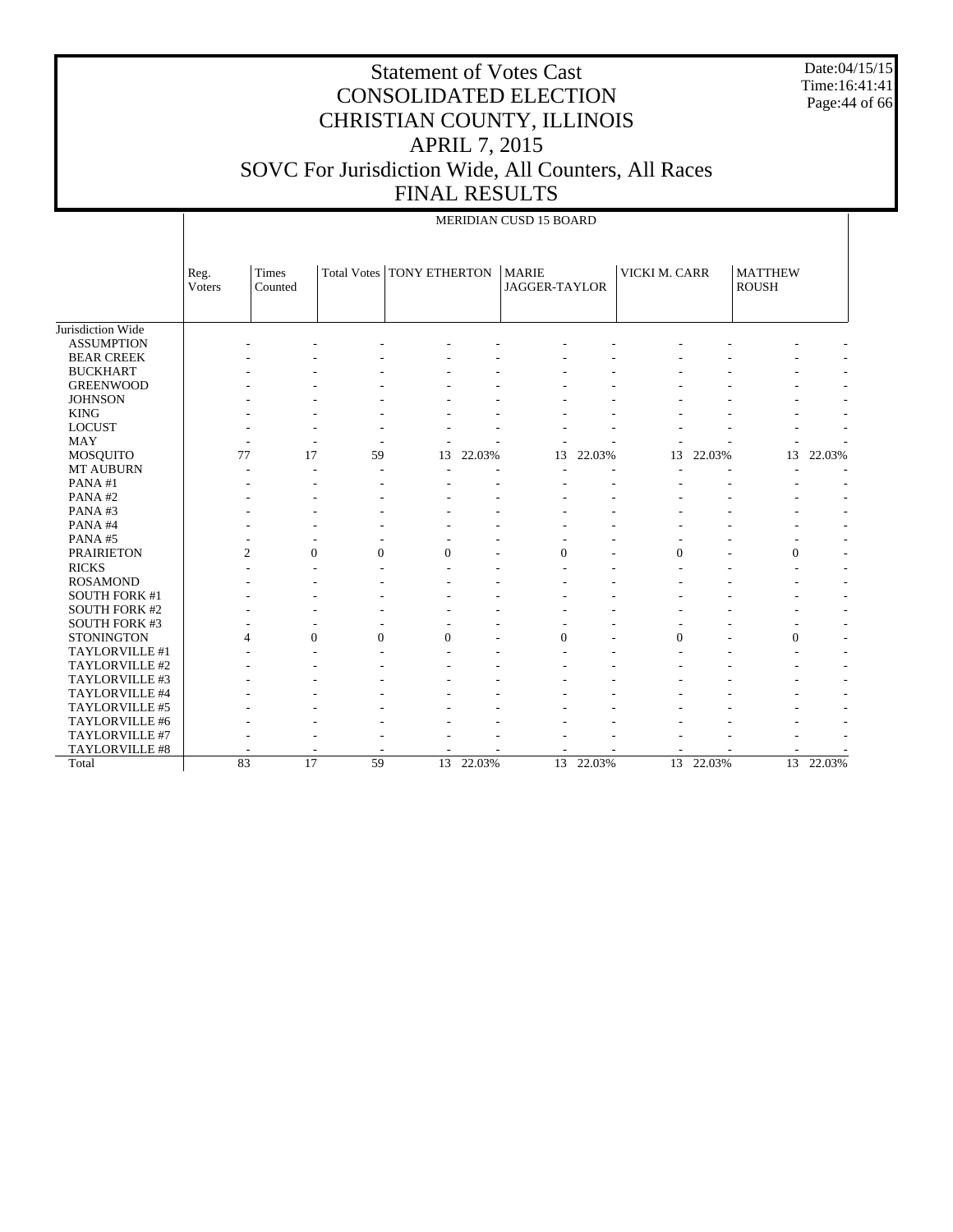Date:04/15/15 Time:16:41:41 Page:44 of 66

|                       |                | MERIDIAN CUSD 15 BOARD |                |                                  |           |                                      |        |                |           |                                |           |  |
|-----------------------|----------------|------------------------|----------------|----------------------------------|-----------|--------------------------------------|--------|----------------|-----------|--------------------------------|-----------|--|
|                       | Reg.<br>Voters | Times<br>Counted       |                | Total Votes   TONY ETHERTON      |           | <b>MARIE</b><br><b>JAGGER-TAYLOR</b> |        | VICKI M. CARR  |           | <b>MATTHEW</b><br><b>ROUSH</b> |           |  |
| Jurisdiction Wide     |                |                        |                |                                  |           |                                      |        |                |           |                                |           |  |
| <b>ASSUMPTION</b>     |                |                        |                |                                  |           |                                      |        |                |           |                                |           |  |
| <b>BEAR CREEK</b>     |                |                        |                |                                  |           |                                      |        |                |           |                                |           |  |
| <b>BUCKHART</b>       |                |                        |                |                                  |           |                                      |        |                |           |                                |           |  |
| <b>GREENWOOD</b>      |                |                        |                |                                  |           |                                      |        |                |           |                                |           |  |
| <b>JOHNSON</b>        |                |                        |                |                                  |           |                                      |        |                |           |                                |           |  |
| <b>KING</b>           |                |                        |                |                                  |           |                                      |        |                |           |                                |           |  |
| <b>LOCUST</b>         |                |                        |                |                                  |           |                                      |        |                |           |                                |           |  |
| <b>MAY</b>            |                |                        | ٠              |                                  |           |                                      |        |                |           |                                |           |  |
| <b>MOSQUITO</b>       |                | 77                     | 17<br>59       | 13                               | 22.03%    | 13                                   | 22.03% | 13             | 22.03%    | 13                             | 22.03%    |  |
| MT AUBURN             |                |                        | Ĭ.             |                                  |           |                                      |        |                |           |                                |           |  |
| PANA#1                |                |                        |                |                                  |           |                                      |        |                |           |                                |           |  |
| PANA#2                |                |                        |                |                                  |           |                                      |        |                |           |                                |           |  |
| PANA#3                |                |                        |                |                                  |           |                                      |        |                |           |                                |           |  |
| PANA#4                |                |                        |                |                                  |           |                                      |        |                |           |                                |           |  |
| PANA#5                |                |                        |                |                                  |           |                                      |        |                |           |                                |           |  |
| <b>PRAIRIETON</b>     |                | $\overline{c}$         | $\overline{0}$ | $\overline{0}$<br>$\overline{0}$ |           | $\overline{0}$                       |        | $\overline{0}$ |           | $\mathbf{0}$                   |           |  |
| <b>RICKS</b>          |                |                        |                |                                  |           |                                      |        |                |           |                                |           |  |
| <b>ROSAMOND</b>       |                |                        |                |                                  |           |                                      |        |                |           |                                |           |  |
| <b>SOUTH FORK #1</b>  |                |                        |                |                                  |           |                                      |        |                |           |                                |           |  |
| <b>SOUTH FORK #2</b>  |                |                        |                |                                  |           |                                      |        |                |           |                                |           |  |
| <b>SOUTH FORK #3</b>  |                |                        |                |                                  |           |                                      |        |                |           |                                |           |  |
| <b>STONINGTON</b>     |                | $\overline{4}$         | $\mathbf{0}$   | $\theta$<br>$\theta$             |           | $\theta$                             |        | $\overline{0}$ |           | $\Omega$                       |           |  |
| TAYLORVILLE #1        |                |                        |                |                                  |           |                                      |        |                |           |                                |           |  |
| TAYLORVILLE #2        |                |                        |                |                                  |           |                                      |        |                |           |                                |           |  |
| TAYLORVILLE #3        |                |                        |                |                                  |           |                                      |        |                |           |                                |           |  |
| TAYLORVILLE #4        |                |                        |                |                                  |           |                                      |        |                |           |                                |           |  |
| TAYLORVILLE #5        |                |                        |                |                                  |           |                                      |        |                |           |                                |           |  |
| TAYLORVILLE #6        |                |                        |                |                                  |           |                                      |        |                |           |                                |           |  |
| TAYLORVILLE #7        |                |                        |                |                                  |           |                                      |        |                |           |                                |           |  |
| <b>TAYLORVILLE #8</b> |                |                        |                |                                  |           |                                      |        |                |           |                                |           |  |
| Total                 |                | 83                     | 17<br>59       |                                  | 13 22.03% | 13                                   | 22.03% |                | 13 22.03% |                                | 13 22.03% |  |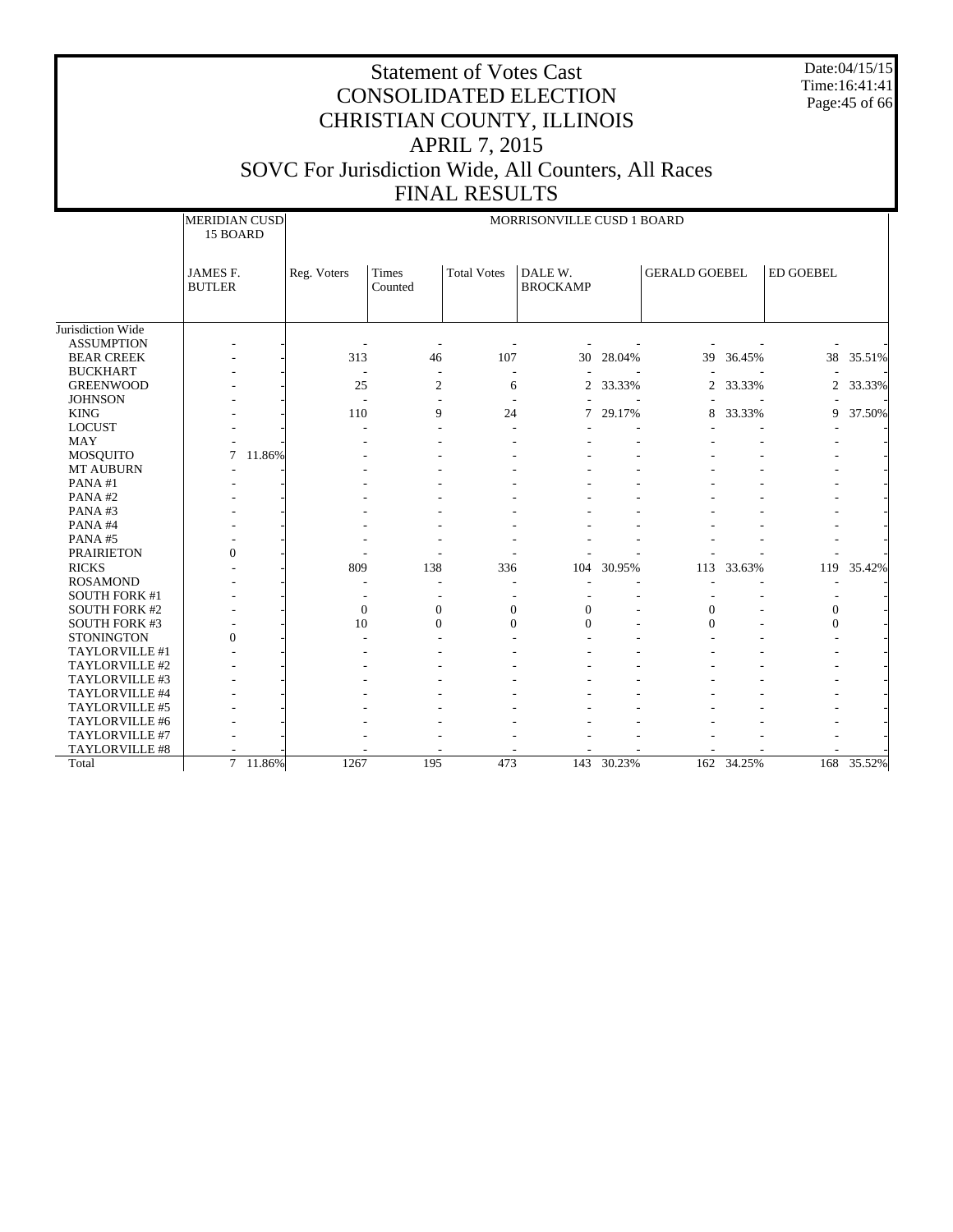Date:04/15/15 Time:16:41:41 Page:45 of 66

|                      | MERIDIAN CUSD     |             | MORRISONVILLE CUSD 1 BOARD |                    |                 |        |                      |        |                  |        |  |  |
|----------------------|-------------------|-------------|----------------------------|--------------------|-----------------|--------|----------------------|--------|------------------|--------|--|--|
|                      | 15 BOARD          |             |                            |                    |                 |        |                      |        |                  |        |  |  |
|                      | JAMES F.          | Reg. Voters | <b>Times</b>               | <b>Total Votes</b> | DALE W.         |        | <b>GERALD GOEBEL</b> |        | <b>ED GOEBEL</b> |        |  |  |
|                      | <b>BUTLER</b>     |             | Counted                    |                    | <b>BROCKAMP</b> |        |                      |        |                  |        |  |  |
|                      |                   |             |                            |                    |                 |        |                      |        |                  |        |  |  |
| Jurisdiction Wide    |                   |             |                            |                    |                 |        |                      |        |                  |        |  |  |
| <b>ASSUMPTION</b>    |                   |             |                            |                    |                 |        |                      |        |                  |        |  |  |
| <b>BEAR CREEK</b>    |                   | 313         | 46                         | 107                | 30              | 28.04% | 39                   | 36.45% | 38               | 35.51% |  |  |
| <b>BUCKHART</b>      |                   |             |                            |                    |                 |        |                      |        |                  |        |  |  |
| <b>GREENWOOD</b>     |                   | 25          | $\overline{c}$             | 6                  | $\overline{2}$  | 33.33% | $\overline{2}$       | 33.33% | $\overline{2}$   | 33.33% |  |  |
| <b>JOHNSON</b>       |                   |             |                            |                    |                 |        |                      |        |                  |        |  |  |
| <b>KING</b>          |                   | 110         | 9                          | 24                 | 7               | 29.17% | 8                    | 33.33% | 9                | 37.50% |  |  |
| <b>LOCUST</b>        |                   |             |                            |                    |                 |        |                      |        |                  |        |  |  |
| <b>MAY</b>           |                   |             |                            |                    |                 |        |                      |        |                  |        |  |  |
| <b>MOSQUITO</b>      | 7<br>11.86%       |             |                            |                    |                 |        |                      |        |                  |        |  |  |
| <b>MT AUBURN</b>     |                   |             |                            |                    |                 |        |                      |        |                  |        |  |  |
| PANA#1               |                   |             |                            |                    |                 |        |                      |        |                  |        |  |  |
| PANA#2               |                   |             |                            |                    |                 |        |                      |        |                  |        |  |  |
| PANA#3               |                   |             |                            |                    |                 |        |                      |        |                  |        |  |  |
| PANA#4               |                   |             |                            |                    |                 |        |                      |        |                  |        |  |  |
| PANA#5               |                   |             |                            |                    |                 |        |                      |        |                  |        |  |  |
| <b>PRAIRIETON</b>    | $\overline{0}$    |             |                            |                    |                 |        |                      |        |                  |        |  |  |
| <b>RICKS</b>         |                   | 809         | 138                        | 336                | 104             | 30.95% | 113                  | 33.63% | 119              | 35.42% |  |  |
| <b>ROSAMOND</b>      |                   |             |                            |                    |                 |        |                      |        |                  |        |  |  |
| <b>SOUTH FORK #1</b> |                   |             |                            |                    |                 |        |                      |        |                  |        |  |  |
| <b>SOUTH FORK #2</b> |                   | $\Omega$    | $\mathbf{0}$               | $\mathbf{0}$       | $\Omega$        |        | $\Omega$             |        | $\theta$         |        |  |  |
| SOUTH FORK #3        |                   | 10          | $\Omega$                   | $\Omega$           | $\Omega$        |        | $\Omega$             |        | $\Omega$         |        |  |  |
| <b>STONINGTON</b>    | $\mathbf{0}$      |             |                            |                    |                 |        |                      |        |                  |        |  |  |
| TAYLORVILLE #1       |                   |             |                            |                    |                 |        |                      |        |                  |        |  |  |
| TAYLORVILLE #2       |                   |             |                            |                    |                 |        |                      |        |                  |        |  |  |
| TAYLORVILLE #3       |                   |             |                            |                    |                 |        |                      |        |                  |        |  |  |
| TAYLORVILLE #4       |                   |             |                            |                    |                 |        |                      |        |                  |        |  |  |
| TAYLORVILLE #5       |                   |             |                            |                    |                 |        |                      |        |                  |        |  |  |
| TAYLORVILLE #6       |                   |             |                            |                    |                 |        |                      |        |                  |        |  |  |
| TAYLORVILLE #7       |                   |             |                            |                    |                 |        |                      |        |                  |        |  |  |
| TAYLORVILLE #8       |                   |             |                            |                    |                 |        |                      |        |                  |        |  |  |
| Total                | $7^{-}$<br>11.86% | 1267        | 195                        | 473                | 143             | 30.23% | 162                  | 34.25% | 168              | 35.52% |  |  |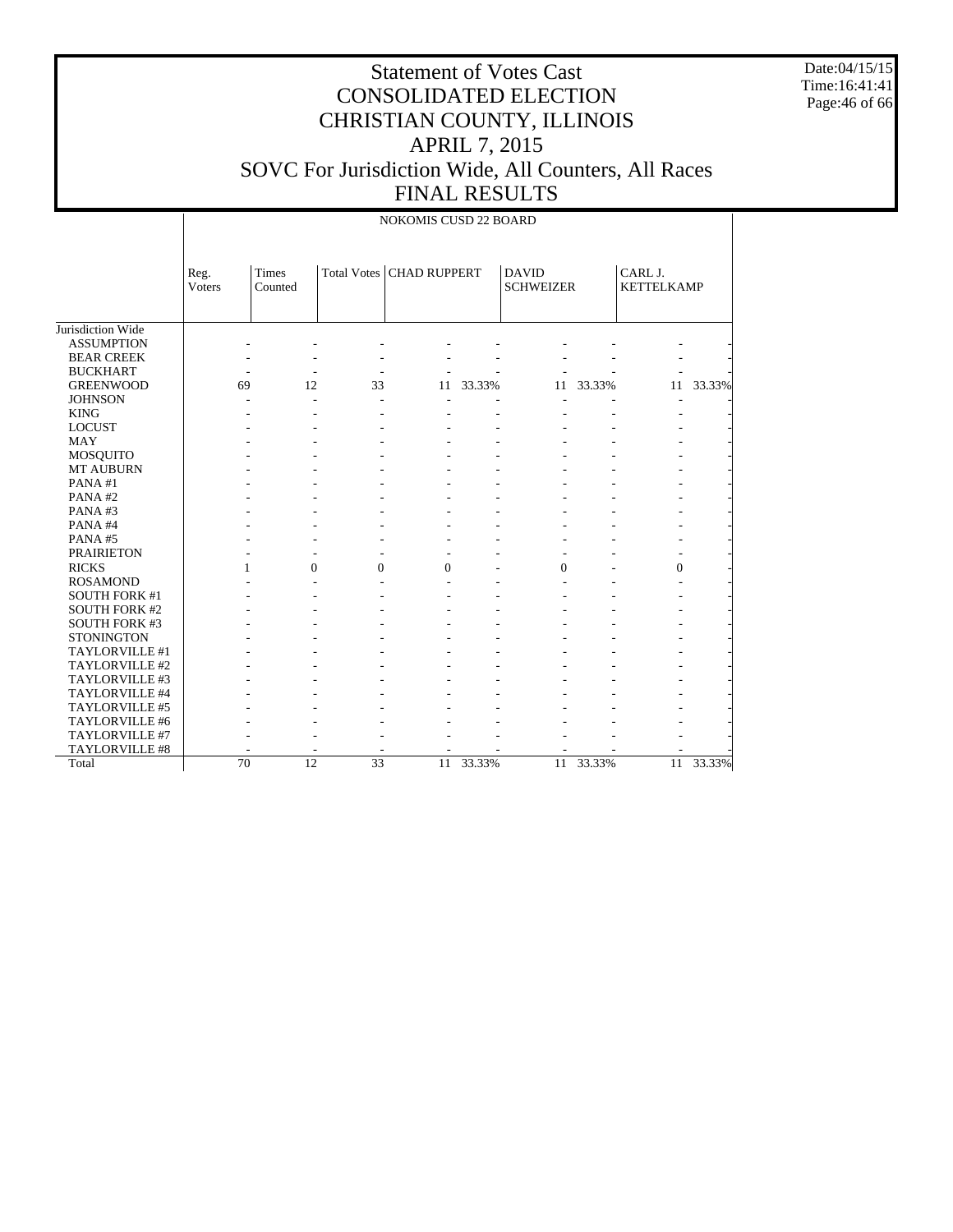Date:04/15/15 Time:16:41:41 Page:46 of 66

|                      | NOKOMIS CUSD 22 BOARD |                  |                 |                            |        |                                  |        |                              |        |  |  |  |
|----------------------|-----------------------|------------------|-----------------|----------------------------|--------|----------------------------------|--------|------------------------------|--------|--|--|--|
|                      | Reg.<br>Voters        | Times<br>Counted |                 | Total Votes   CHAD RUPPERT |        | <b>DAVID</b><br><b>SCHWEIZER</b> |        | CARL J.<br><b>KETTELKAMP</b> |        |  |  |  |
| Jurisdiction Wide    |                       |                  |                 |                            |        |                                  |        |                              |        |  |  |  |
| <b>ASSUMPTION</b>    |                       |                  |                 |                            |        |                                  |        |                              |        |  |  |  |
| <b>BEAR CREEK</b>    |                       |                  |                 |                            |        |                                  |        |                              |        |  |  |  |
| <b>BUCKHART</b>      |                       |                  |                 |                            |        |                                  |        |                              |        |  |  |  |
| <b>GREENWOOD</b>     | 69                    | 12               | 33              | 11                         | 33.33% | 11                               | 33.33% | 11                           | 33.33% |  |  |  |
| <b>JOHNSON</b>       |                       | $\overline{a}$   | $\overline{a}$  |                            |        |                                  |        |                              |        |  |  |  |
| <b>KING</b>          |                       |                  |                 |                            |        |                                  |        |                              |        |  |  |  |
| <b>LOCUST</b>        |                       |                  |                 |                            |        |                                  |        |                              |        |  |  |  |
| <b>MAY</b>           |                       |                  |                 |                            |        |                                  |        |                              |        |  |  |  |
| <b>MOSQUITO</b>      |                       |                  |                 |                            |        |                                  |        |                              |        |  |  |  |
| <b>MT AUBURN</b>     |                       |                  |                 |                            |        |                                  |        |                              |        |  |  |  |
| PANA#1               |                       |                  |                 |                            |        |                                  |        |                              |        |  |  |  |
| PANA#2               |                       |                  |                 |                            |        |                                  |        |                              |        |  |  |  |
| PANA#3               |                       |                  |                 |                            |        |                                  |        |                              |        |  |  |  |
| PANA#4               |                       |                  |                 |                            |        |                                  |        |                              |        |  |  |  |
| PANA#5               |                       |                  |                 |                            |        |                                  |        |                              |        |  |  |  |
| <b>PRAIRIETON</b>    |                       |                  |                 |                            |        |                                  |        |                              |        |  |  |  |
| <b>RICKS</b>         | $\mathbf{1}$          | $\Omega$         | $\Omega$        | $\Omega$                   |        | $\theta$                         |        | $\overline{0}$               |        |  |  |  |
| <b>ROSAMOND</b>      |                       |                  |                 |                            |        |                                  |        |                              |        |  |  |  |
| <b>SOUTH FORK #1</b> |                       |                  |                 |                            |        |                                  |        |                              |        |  |  |  |
| <b>SOUTH FORK #2</b> |                       |                  |                 |                            |        |                                  |        |                              |        |  |  |  |
| <b>SOUTH FORK #3</b> |                       |                  |                 |                            |        |                                  |        |                              |        |  |  |  |
| <b>STONINGTON</b>    |                       |                  |                 |                            |        |                                  |        |                              |        |  |  |  |
| TAYLORVILLE #1       |                       |                  |                 |                            |        |                                  |        |                              |        |  |  |  |
| TAYLORVILLE #2       |                       |                  |                 |                            |        |                                  |        |                              |        |  |  |  |
| TAYLORVILLE #3       |                       |                  |                 |                            |        |                                  |        |                              |        |  |  |  |
| TAYLORVILLE #4       |                       |                  |                 |                            |        |                                  |        |                              |        |  |  |  |
| TAYLORVILLE #5       |                       |                  |                 |                            |        |                                  |        |                              |        |  |  |  |
| TAYLORVILLE #6       |                       |                  |                 |                            |        |                                  |        |                              |        |  |  |  |
| TAYLORVILLE #7       |                       |                  |                 |                            |        |                                  |        |                              |        |  |  |  |
| TAYLORVILLE #8       |                       |                  |                 |                            |        |                                  |        |                              |        |  |  |  |
| Total                | $\overline{70}$       | $\overline{12}$  | $\overline{33}$ | 11                         | 33.33% | 11                               | 33.33% | 11                           | 33.33% |  |  |  |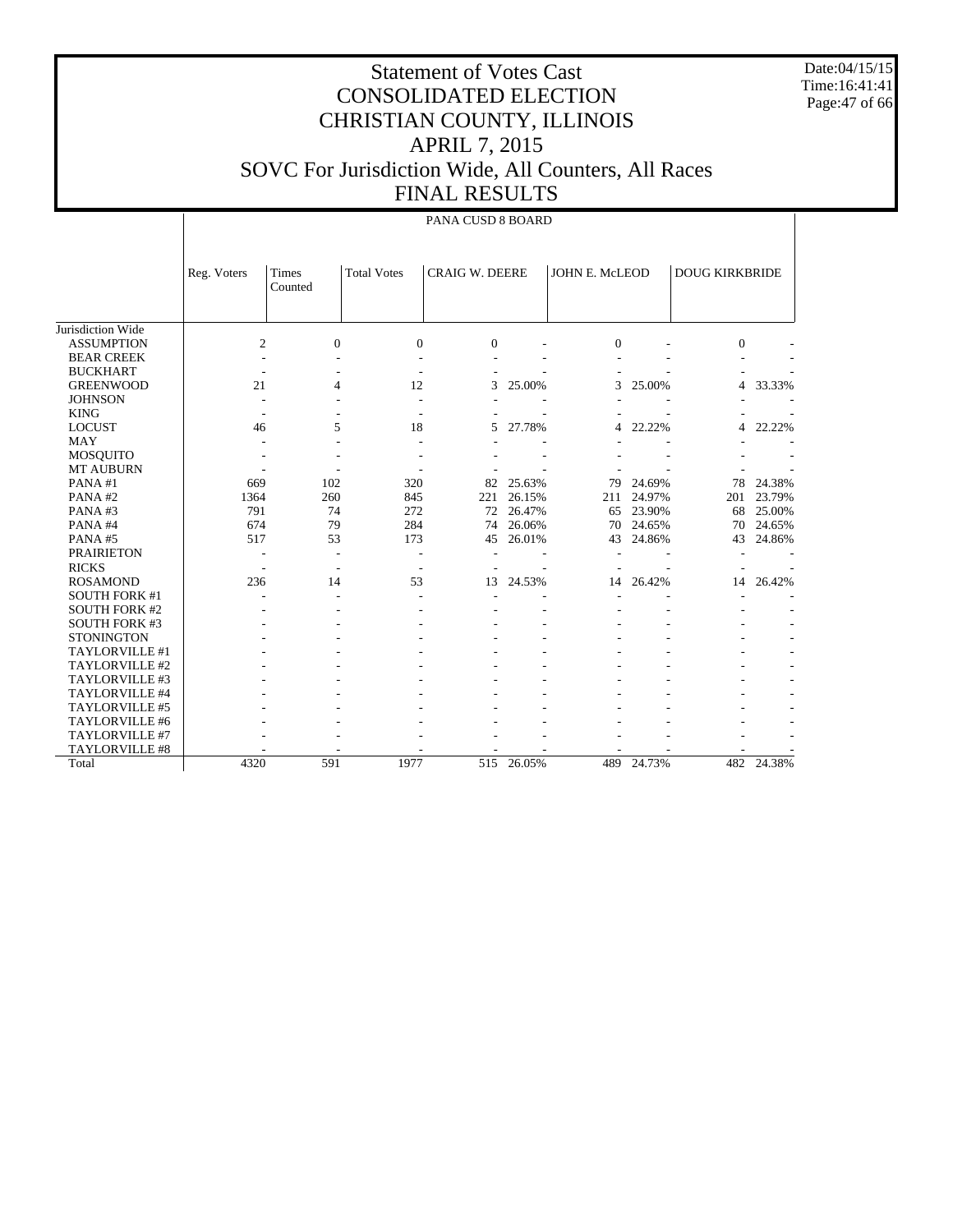Date:04/15/15 Time:16:41:41 Page:47 of 66

|                      |                | PANA CUSD 8 BOARD |                    |                       |        |                |        |                       |        |  |  |  |
|----------------------|----------------|-------------------|--------------------|-----------------------|--------|----------------|--------|-----------------------|--------|--|--|--|
|                      | Reg. Voters    | Times<br>Counted  | <b>Total Votes</b> | <b>CRAIG W. DEERE</b> |        | JOHN E. McLEOD |        | <b>DOUG KIRKBRIDE</b> |        |  |  |  |
| Jurisdiction Wide    |                |                   |                    |                       |        |                |        |                       |        |  |  |  |
| <b>ASSUMPTION</b>    | $\overline{c}$ | $\mathbf{0}$      | $\mathbf{0}$       | $\Omega$              |        | $\Omega$       |        | $\Omega$              |        |  |  |  |
| <b>BEAR CREEK</b>    |                |                   |                    |                       |        |                |        |                       |        |  |  |  |
| <b>BUCKHART</b>      |                |                   |                    |                       |        |                |        |                       |        |  |  |  |
| <b>GREENWOOD</b>     | 21             | $\overline{4}$    | 12                 | 3                     | 25.00% | 3              | 25.00% | 4                     | 33.33% |  |  |  |
| <b>JOHNSON</b>       |                |                   | L,                 |                       |        |                |        |                       |        |  |  |  |
| <b>KING</b>          |                |                   |                    |                       |        |                |        |                       |        |  |  |  |
| <b>LOCUST</b>        | 46             | 5                 | 18                 | 5                     | 27.78% | 4              | 22.22% | 4                     | 22.22% |  |  |  |
| <b>MAY</b>           |                |                   | L,                 |                       |        |                |        |                       |        |  |  |  |
| <b>MOSQUITO</b>      |                |                   |                    |                       |        |                |        |                       |        |  |  |  |
| <b>MT AUBURN</b>     |                |                   |                    |                       |        |                |        |                       |        |  |  |  |
| PANA#1               | 669            | 102               | 320                | 82                    | 25.63% | 79             | 24.69% | 78                    | 24.38% |  |  |  |
| PANA#2               | 1364           | 260               | 845                | 221                   | 26.15% | 211            | 24.97% | 201                   | 23.79% |  |  |  |
| PANA#3               | 791            | 74                | 272                | 72                    | 26.47% | 65             | 23.90% | 68                    | 25.00% |  |  |  |
| PANA#4               | 674            | 79                | 284                | 74                    | 26.06% | 70             | 24.65% | 70                    | 24.65% |  |  |  |
| PANA#5               | 517            | 53                | 173                | 45                    | 26.01% | 43             | 24.86% | 43                    | 24.86% |  |  |  |
| <b>PRAIRIETON</b>    |                |                   | ۰                  |                       |        |                |        |                       |        |  |  |  |
| <b>RICKS</b>         |                |                   |                    |                       |        |                |        |                       |        |  |  |  |
| <b>ROSAMOND</b>      | 236            | 14                | 53                 | 13                    | 24.53% | 14             | 26.42% | 14                    | 26.42% |  |  |  |
| <b>SOUTH FORK #1</b> |                |                   |                    |                       |        |                |        |                       |        |  |  |  |
| <b>SOUTH FORK #2</b> |                |                   |                    |                       |        |                |        |                       |        |  |  |  |
| <b>SOUTH FORK #3</b> |                |                   |                    |                       |        |                |        |                       |        |  |  |  |
| <b>STONINGTON</b>    |                |                   |                    |                       |        |                |        |                       |        |  |  |  |
| TAYLORVILLE #1       |                |                   |                    |                       |        |                |        |                       |        |  |  |  |
| TAYLORVILLE #2       |                |                   |                    |                       |        |                |        |                       |        |  |  |  |
| TAYLORVILLE #3       |                |                   |                    |                       |        |                |        |                       |        |  |  |  |
| TAYLORVILLE #4       |                |                   |                    |                       |        |                |        |                       |        |  |  |  |
| TAYLORVILLE #5       |                |                   |                    |                       |        |                |        |                       |        |  |  |  |
| TAYLORVILLE #6       |                |                   |                    |                       |        |                |        |                       |        |  |  |  |
| TAYLORVILLE #7       |                |                   |                    |                       |        |                |        |                       |        |  |  |  |
| TAYLORVILLE #8       |                |                   |                    |                       |        |                |        |                       |        |  |  |  |
| Total                | 4320           | 591               | 1977               | 515                   | 26.05% | 489            | 24.73% | 482                   | 24.38% |  |  |  |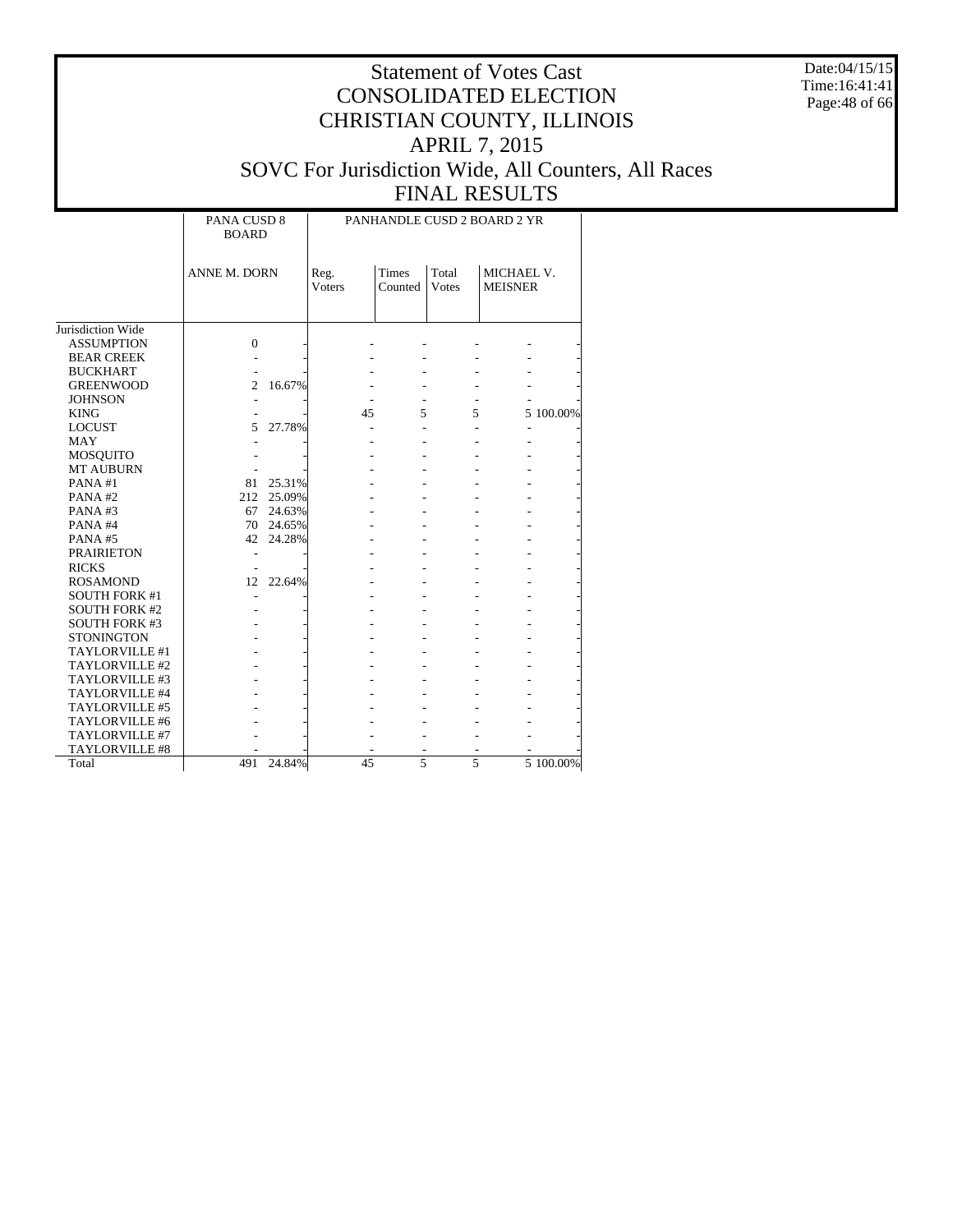Date:04/15/15 Time:16:41:41 Page:48 of 66

|                      | PANA CUSD 8<br><b>BOARD</b> |           | PANHANDLE CUSD 2 BOARD 2 YR |                  |                       |                              |           |  |  |  |
|----------------------|-----------------------------|-----------|-----------------------------|------------------|-----------------------|------------------------------|-----------|--|--|--|
|                      | <b>ANNE M. DORN</b>         |           | Reg.<br><b>Voters</b>       | Times<br>Counted | Total<br><b>Votes</b> | MICHAEL V.<br><b>MEISNER</b> |           |  |  |  |
|                      |                             |           |                             |                  |                       |                              |           |  |  |  |
| Jurisdiction Wide    |                             |           |                             |                  |                       |                              |           |  |  |  |
| <b>ASSUMPTION</b>    | $\mathbf{0}$                |           |                             |                  |                       |                              |           |  |  |  |
| <b>BEAR CREEK</b>    |                             |           |                             |                  |                       |                              |           |  |  |  |
| <b>BUCKHART</b>      |                             |           |                             |                  |                       |                              |           |  |  |  |
| <b>GREENWOOD</b>     | $\overline{2}$              | 16.67%    |                             |                  |                       |                              |           |  |  |  |
| <b>JOHNSON</b>       |                             |           |                             |                  |                       |                              |           |  |  |  |
| <b>KING</b>          |                             |           | 45                          | 5                | 5                     |                              | 5 100.00% |  |  |  |
| <b>LOCUST</b>        | 5                           | 27.78%    |                             |                  |                       |                              |           |  |  |  |
| <b>MAY</b>           |                             |           |                             |                  |                       |                              |           |  |  |  |
| <b>MOSQUITO</b>      |                             |           |                             |                  |                       |                              |           |  |  |  |
| <b>MT AUBURN</b>     |                             |           |                             |                  |                       |                              |           |  |  |  |
| PANA#1               | 81                          | 25.31%    |                             |                  |                       |                              |           |  |  |  |
| PANA#2               | 212                         | 25.09%    |                             |                  |                       |                              |           |  |  |  |
| PANA#3               | 67                          | 24.63%    |                             |                  |                       |                              |           |  |  |  |
| PANA#4               |                             | 70 24.65% |                             |                  |                       |                              |           |  |  |  |
| PANA#5               | 42                          | 24.28%    |                             |                  |                       |                              |           |  |  |  |
| <b>PRAIRIETON</b>    | ÷,                          |           |                             |                  |                       |                              |           |  |  |  |
| <b>RICKS</b>         | $\overline{a}$              |           |                             |                  |                       |                              |           |  |  |  |
| <b>ROSAMOND</b>      | 12                          | 22.64%    |                             |                  |                       |                              |           |  |  |  |
| <b>SOUTH FORK #1</b> |                             |           |                             |                  |                       |                              |           |  |  |  |
| <b>SOUTH FORK #2</b> |                             |           |                             |                  |                       |                              |           |  |  |  |
| <b>SOUTH FORK #3</b> |                             |           |                             |                  |                       |                              |           |  |  |  |
| <b>STONINGTON</b>    |                             |           |                             |                  |                       |                              |           |  |  |  |
| TAYLORVILLE #1       |                             |           |                             |                  |                       |                              |           |  |  |  |
| TAYLORVILLE #2       |                             |           |                             |                  |                       |                              |           |  |  |  |
| TAYLORVILLE #3       |                             |           |                             |                  |                       |                              |           |  |  |  |
| TAYLORVILLE #4       |                             |           |                             |                  |                       |                              |           |  |  |  |
| TAYLORVILLE #5       |                             |           |                             |                  |                       |                              |           |  |  |  |
| TAYLORVILLE #6       |                             |           |                             |                  |                       |                              |           |  |  |  |
| TAYLORVILLE #7       |                             |           |                             |                  |                       |                              |           |  |  |  |
| TAYLORVILLE #8       |                             |           |                             |                  |                       |                              |           |  |  |  |
| Total                | 491                         | 24.84%    | 45                          | 5                | 5                     |                              | 5 100.00% |  |  |  |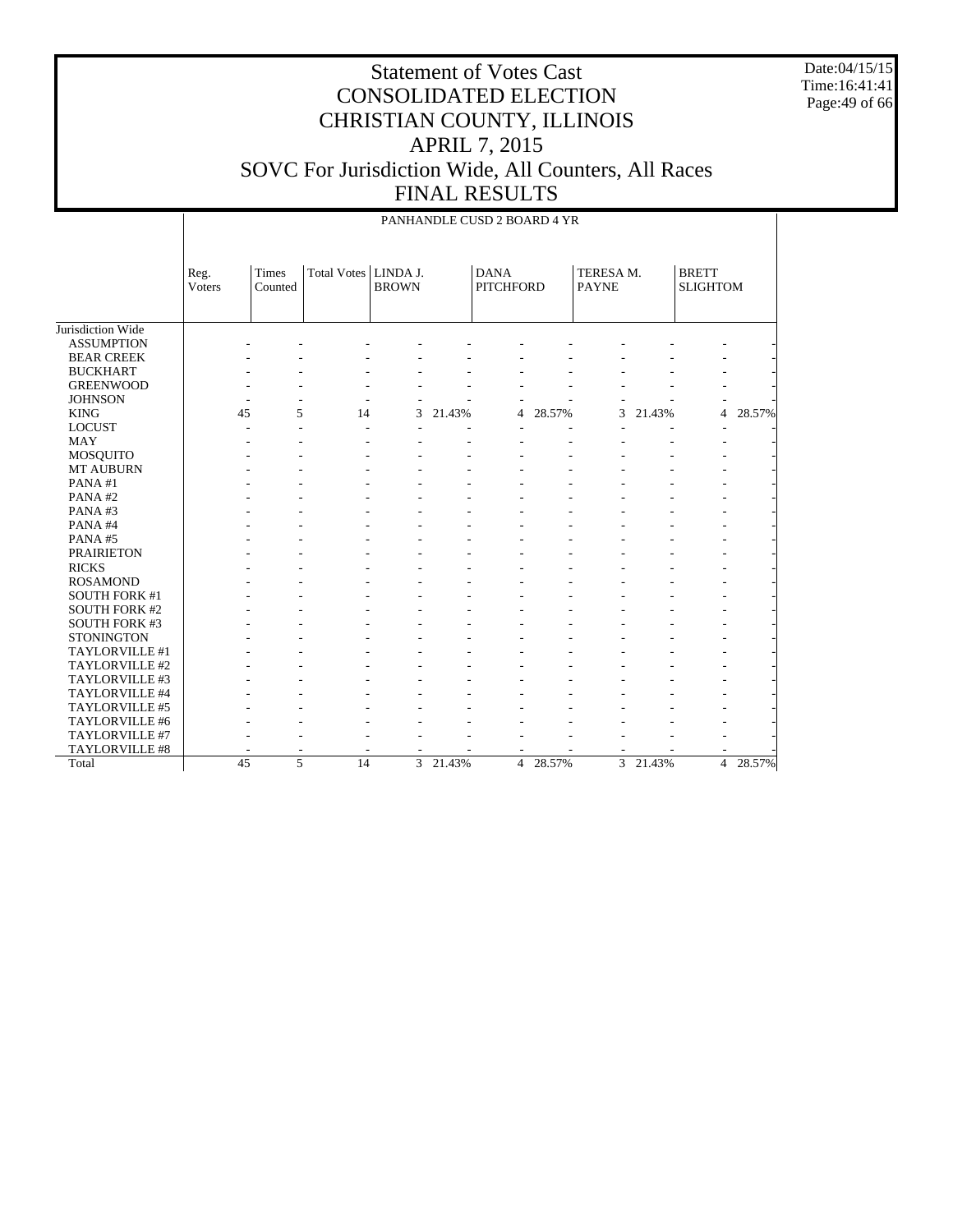Date:04/15/15 Time:16:41:41 Page:49 of 66

|                      |                 | PANHANDLE CUSD 2 BOARD 4 YR |                    |                          |        |                                 |        |                           |        |                                 |        |  |  |
|----------------------|-----------------|-----------------------------|--------------------|--------------------------|--------|---------------------------------|--------|---------------------------|--------|---------------------------------|--------|--|--|
|                      | Reg.<br>Voters  | Times<br>Counted            | <b>Total Votes</b> | LINDA J.<br><b>BROWN</b> |        | <b>DANA</b><br><b>PITCHFORD</b> |        | TERESA M.<br><b>PAYNE</b> |        | <b>BRETT</b><br><b>SLIGHTOM</b> |        |  |  |
| Jurisdiction Wide    |                 |                             |                    |                          |        |                                 |        |                           |        |                                 |        |  |  |
| <b>ASSUMPTION</b>    |                 |                             |                    |                          |        |                                 |        |                           |        |                                 |        |  |  |
| <b>BEAR CREEK</b>    |                 |                             |                    |                          |        |                                 |        |                           |        |                                 |        |  |  |
| <b>BUCKHART</b>      |                 |                             |                    |                          |        |                                 |        |                           |        |                                 |        |  |  |
| <b>GREENWOOD</b>     |                 |                             |                    |                          |        |                                 |        |                           |        |                                 |        |  |  |
| <b>JOHNSON</b>       |                 |                             |                    |                          |        |                                 |        |                           |        |                                 |        |  |  |
| <b>KING</b>          | 45              | 5                           | 14                 | 3                        | 21.43% | 4                               | 28.57% | 3                         | 21.43% | 4                               | 28.57% |  |  |
| <b>LOCUST</b>        |                 |                             |                    |                          |        |                                 |        |                           |        |                                 |        |  |  |
| <b>MAY</b>           |                 |                             |                    |                          |        |                                 |        |                           |        |                                 |        |  |  |
| MOSQUITO             |                 |                             |                    |                          |        |                                 |        |                           |        |                                 |        |  |  |
| <b>MT AUBURN</b>     |                 |                             |                    |                          |        |                                 |        |                           |        |                                 |        |  |  |
| PANA#1               |                 |                             |                    |                          |        |                                 |        |                           |        |                                 |        |  |  |
| PANA#2               |                 |                             |                    |                          |        |                                 |        |                           |        |                                 |        |  |  |
| PANA#3               |                 |                             |                    |                          |        |                                 |        |                           |        |                                 |        |  |  |
| PANA#4               |                 |                             |                    |                          |        |                                 |        |                           |        |                                 |        |  |  |
| PANA#5               |                 |                             |                    |                          |        |                                 |        |                           |        |                                 |        |  |  |
| <b>PRAIRIETON</b>    |                 |                             |                    |                          |        |                                 |        |                           |        |                                 |        |  |  |
| <b>RICKS</b>         |                 |                             |                    |                          |        |                                 |        |                           |        |                                 |        |  |  |
| <b>ROSAMOND</b>      |                 |                             |                    |                          |        |                                 |        |                           |        |                                 |        |  |  |
| <b>SOUTH FORK #1</b> |                 |                             |                    |                          |        |                                 |        |                           |        |                                 |        |  |  |
| <b>SOUTH FORK #2</b> |                 |                             |                    |                          |        |                                 |        |                           |        |                                 |        |  |  |
| <b>SOUTH FORK #3</b> |                 |                             |                    |                          |        |                                 |        |                           |        |                                 |        |  |  |
| <b>STONINGTON</b>    |                 |                             |                    |                          |        |                                 |        |                           |        |                                 |        |  |  |
| TAYLORVILLE #1       |                 |                             |                    |                          |        |                                 |        |                           |        |                                 |        |  |  |
| TAYLORVILLE #2       |                 |                             |                    |                          |        |                                 |        |                           |        |                                 |        |  |  |
| TAYLORVILLE #3       |                 |                             |                    |                          |        |                                 |        |                           |        |                                 |        |  |  |
| TAYLORVILLE #4       |                 |                             |                    |                          |        |                                 |        |                           |        |                                 |        |  |  |
| TAYLORVILLE #5       |                 |                             |                    |                          |        |                                 |        |                           |        |                                 |        |  |  |
| TAYLORVILLE #6       |                 |                             |                    |                          |        |                                 |        |                           |        |                                 |        |  |  |
| TAYLORVILLE #7       |                 |                             |                    |                          |        |                                 |        |                           |        |                                 |        |  |  |
| TAYLORVILLE #8       |                 |                             |                    |                          |        |                                 |        |                           |        |                                 |        |  |  |
| Total                | $\overline{45}$ | 5                           | $\overline{14}$    | $\overline{3}$           | 21.43% | $\overline{4}$                  | 28.57% | $\overline{3}$            | 21.43% | $\overline{4}$                  | 28.57% |  |  |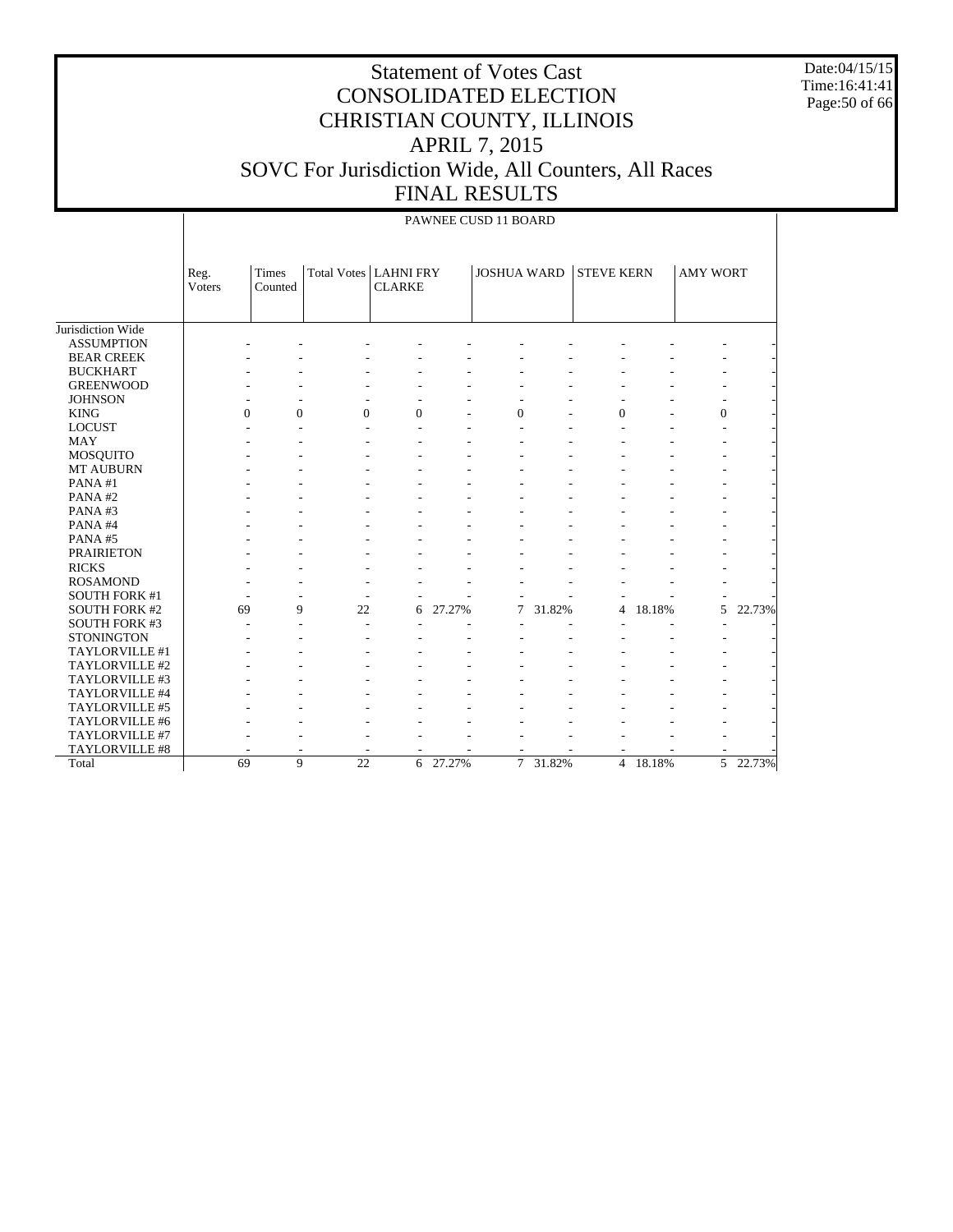Date:04/15/15 Time:16:41:41 Page:50 of 66

|                      |                | PAWNEE CUSD 11 BOARD |                                |               |        |                    |        |                   |          |                 |          |  |  |
|----------------------|----------------|----------------------|--------------------------------|---------------|--------|--------------------|--------|-------------------|----------|-----------------|----------|--|--|
|                      | Reg.<br>Voters | Times<br>Counted     | <b>Total Votes   LAHNI FRY</b> | <b>CLARKE</b> |        | <b>JOSHUA WARD</b> |        | <b>STEVE KERN</b> |          | <b>AMY WORT</b> |          |  |  |
| Jurisdiction Wide    |                |                      |                                |               |        |                    |        |                   |          |                 |          |  |  |
| <b>ASSUMPTION</b>    |                |                      |                                |               |        |                    |        |                   |          |                 |          |  |  |
| <b>BEAR CREEK</b>    |                |                      |                                |               |        |                    |        |                   |          |                 |          |  |  |
| <b>BUCKHART</b>      |                |                      |                                |               |        |                    |        |                   |          |                 |          |  |  |
| <b>GREENWOOD</b>     |                |                      |                                |               |        |                    |        |                   |          |                 |          |  |  |
| <b>JOHNSON</b>       |                |                      |                                |               |        |                    |        |                   |          |                 |          |  |  |
| <b>KING</b>          | $\theta$       | $\Omega$             | $\Omega$                       | $\Omega$      |        | $\Omega$           |        | $\theta$          |          | $\mathbf{0}$    |          |  |  |
| <b>LOCUST</b>        |                |                      |                                |               |        |                    |        |                   |          |                 |          |  |  |
| <b>MAY</b>           |                |                      |                                |               |        |                    |        |                   |          |                 |          |  |  |
| <b>MOSQUITO</b>      |                |                      |                                |               |        |                    |        |                   |          |                 |          |  |  |
| MT AUBURN            |                |                      |                                |               |        |                    |        |                   |          |                 |          |  |  |
| PANA#1               |                |                      |                                |               |        |                    |        |                   |          |                 |          |  |  |
| PANA#2               |                |                      |                                |               |        |                    |        |                   |          |                 |          |  |  |
| PANA#3               |                |                      |                                |               |        |                    |        |                   |          |                 |          |  |  |
| PANA#4               |                |                      |                                |               |        |                    |        |                   |          |                 |          |  |  |
| PANA#5               |                |                      |                                |               |        |                    |        |                   |          |                 |          |  |  |
| <b>PRAIRIETON</b>    |                |                      |                                |               |        |                    |        |                   |          |                 |          |  |  |
| <b>RICKS</b>         |                |                      |                                |               |        |                    |        |                   |          |                 |          |  |  |
| <b>ROSAMOND</b>      |                |                      |                                |               |        |                    |        |                   |          |                 |          |  |  |
| <b>SOUTH FORK #1</b> |                |                      |                                |               |        |                    |        |                   |          |                 |          |  |  |
| <b>SOUTH FORK #2</b> | 69             | 9                    | 22                             | 6             | 27.27% | 7                  | 31.82% | 4                 | 18.18%   | 5               | 22.73%   |  |  |
| <b>SOUTH FORK #3</b> |                |                      | ä,                             |               |        |                    |        |                   |          |                 |          |  |  |
| <b>STONINGTON</b>    |                |                      |                                |               |        |                    |        |                   |          |                 |          |  |  |
| TAYLORVILLE #1       |                |                      |                                |               |        |                    |        |                   |          |                 |          |  |  |
| TAYLORVILLE #2       |                |                      |                                |               |        |                    |        |                   |          |                 |          |  |  |
| TAYLORVILLE #3       |                |                      |                                |               |        |                    |        |                   |          |                 |          |  |  |
| TAYLORVILLE #4       |                |                      |                                |               |        |                    |        |                   |          |                 |          |  |  |
| TAYLORVILLE #5       |                |                      |                                |               |        |                    |        |                   |          |                 |          |  |  |
| TAYLORVILLE #6       |                |                      |                                |               |        |                    |        |                   |          |                 |          |  |  |
| TAYLORVILLE #7       |                |                      |                                |               |        |                    |        |                   |          |                 |          |  |  |
| TAYLORVILLE #8       |                |                      |                                |               |        |                    |        |                   |          |                 |          |  |  |
| Total                | 69             | 9                    | $\overline{22}$                | 6             | 27.27% | $\overline{7}$     | 31.82% |                   | 4 18.18% |                 | 5 22.73% |  |  |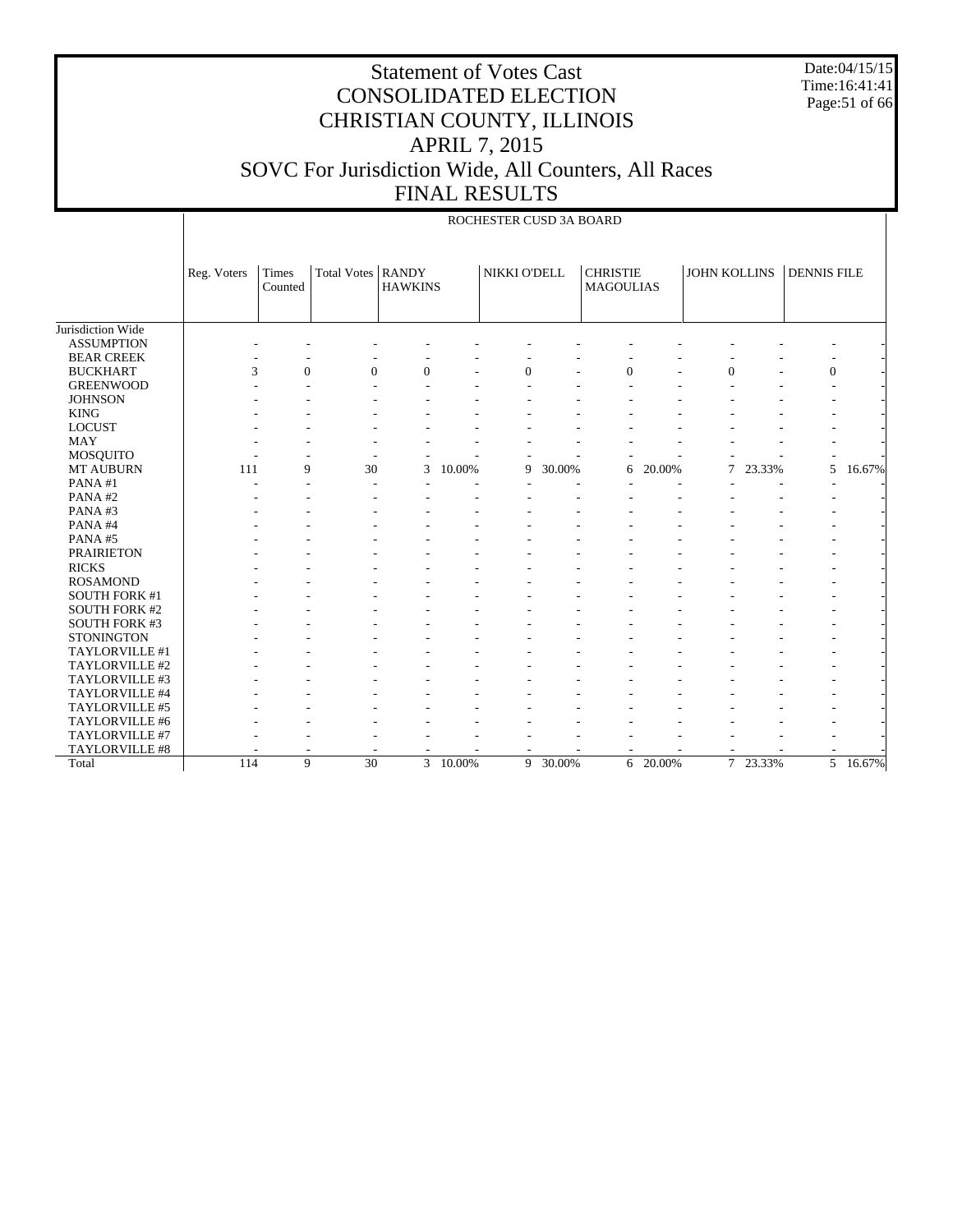Date:04/15/15 Time:16:41:41 Page:51 of 66

|                      |             |                  |                     |                |        | ROCHESTER CUSD 3A BOARD |        |                                     |        |                     |          |                    |          |
|----------------------|-------------|------------------|---------------------|----------------|--------|-------------------------|--------|-------------------------------------|--------|---------------------|----------|--------------------|----------|
|                      | Reg. Voters | Times<br>Counted | Total Votes   RANDY | <b>HAWKINS</b> |        | NIKKI O'DELL            |        | <b>CHRISTIE</b><br><b>MAGOULIAS</b> |        | <b>JOHN KOLLINS</b> |          | <b>DENNIS FILE</b> |          |
| Jurisdiction Wide    |             |                  |                     |                |        |                         |        |                                     |        |                     |          |                    |          |
| <b>ASSUMPTION</b>    |             |                  |                     |                |        |                         |        |                                     |        |                     |          |                    |          |
| <b>BEAR CREEK</b>    |             |                  |                     |                |        |                         |        |                                     |        |                     |          |                    |          |
| <b>BUCKHART</b>      | 3           | $\theta$         | $\theta$            | $\theta$       |        | $\Omega$                |        | $\mathbf{0}$                        |        | $\overline{0}$      |          | $\boldsymbol{0}$   |          |
| <b>GREENWOOD</b>     |             |                  |                     |                |        |                         |        |                                     |        |                     |          |                    |          |
| <b>JOHNSON</b>       |             |                  |                     |                |        |                         |        |                                     |        |                     |          |                    |          |
| <b>KING</b>          |             |                  |                     |                |        |                         |        |                                     |        |                     |          |                    |          |
| <b>LOCUST</b>        |             |                  |                     |                |        |                         |        |                                     |        |                     |          |                    |          |
| <b>MAY</b>           |             |                  |                     |                |        |                         |        |                                     |        |                     |          |                    |          |
| <b>MOSQUITO</b>      |             |                  |                     |                |        |                         |        |                                     |        |                     |          |                    |          |
| MT AUBURN            | 111         | 9                | 30                  | 3              | 10.00% | 9                       | 30.00% | 6                                   | 20.00% | 7                   | 23.33%   | 5                  | 16.67%   |
| PANA#1               |             |                  |                     |                |        |                         |        |                                     |        |                     |          |                    |          |
| PANA#2               |             |                  |                     |                |        |                         |        |                                     |        |                     |          |                    |          |
| PANA#3               |             |                  |                     |                |        |                         |        |                                     |        |                     |          |                    |          |
| PANA#4               |             |                  |                     |                |        |                         |        |                                     |        |                     |          |                    |          |
| PANA#5               |             |                  |                     |                |        |                         |        |                                     |        |                     |          |                    |          |
| <b>PRAIRIETON</b>    |             |                  |                     |                |        |                         |        |                                     |        |                     |          |                    |          |
| <b>RICKS</b>         |             |                  |                     |                |        |                         |        |                                     |        |                     |          |                    |          |
| <b>ROSAMOND</b>      |             |                  |                     |                |        |                         |        |                                     |        |                     |          |                    |          |
| <b>SOUTH FORK #1</b> |             |                  |                     |                |        |                         |        |                                     |        |                     |          |                    |          |
| <b>SOUTH FORK #2</b> |             |                  |                     |                |        |                         |        |                                     |        |                     |          |                    |          |
| SOUTH FORK #3        |             |                  |                     |                |        |                         |        |                                     |        |                     |          |                    |          |
| <b>STONINGTON</b>    |             |                  |                     |                |        |                         |        |                                     |        |                     |          |                    |          |
| TAYLORVILLE #1       |             |                  |                     |                |        |                         |        |                                     |        |                     |          |                    |          |
| TAYLORVILLE #2       |             |                  |                     |                |        |                         |        |                                     |        |                     |          |                    |          |
| TAYLORVILLE #3       |             |                  |                     |                |        |                         |        |                                     |        |                     |          |                    |          |
| TAYLORVILLE #4       |             |                  |                     |                |        |                         |        |                                     |        |                     |          |                    |          |
| TAYLORVILLE #5       |             |                  |                     |                |        |                         |        |                                     |        |                     |          |                    |          |
| TAYLORVILLE #6       |             |                  |                     |                |        |                         |        |                                     |        |                     |          |                    |          |
| TAYLORVILLE #7       |             |                  |                     |                |        |                         |        |                                     |        |                     |          |                    |          |
| TAYLORVILLE #8       |             |                  |                     |                |        |                         |        |                                     |        |                     |          |                    |          |
| Total                | 114         | 9                | $\overline{30}$     | $\overline{3}$ | 10.00% | 9                       | 30.00% | $\overline{6}$                      | 20.00% |                     | 7 23.33% |                    | 5 16.67% |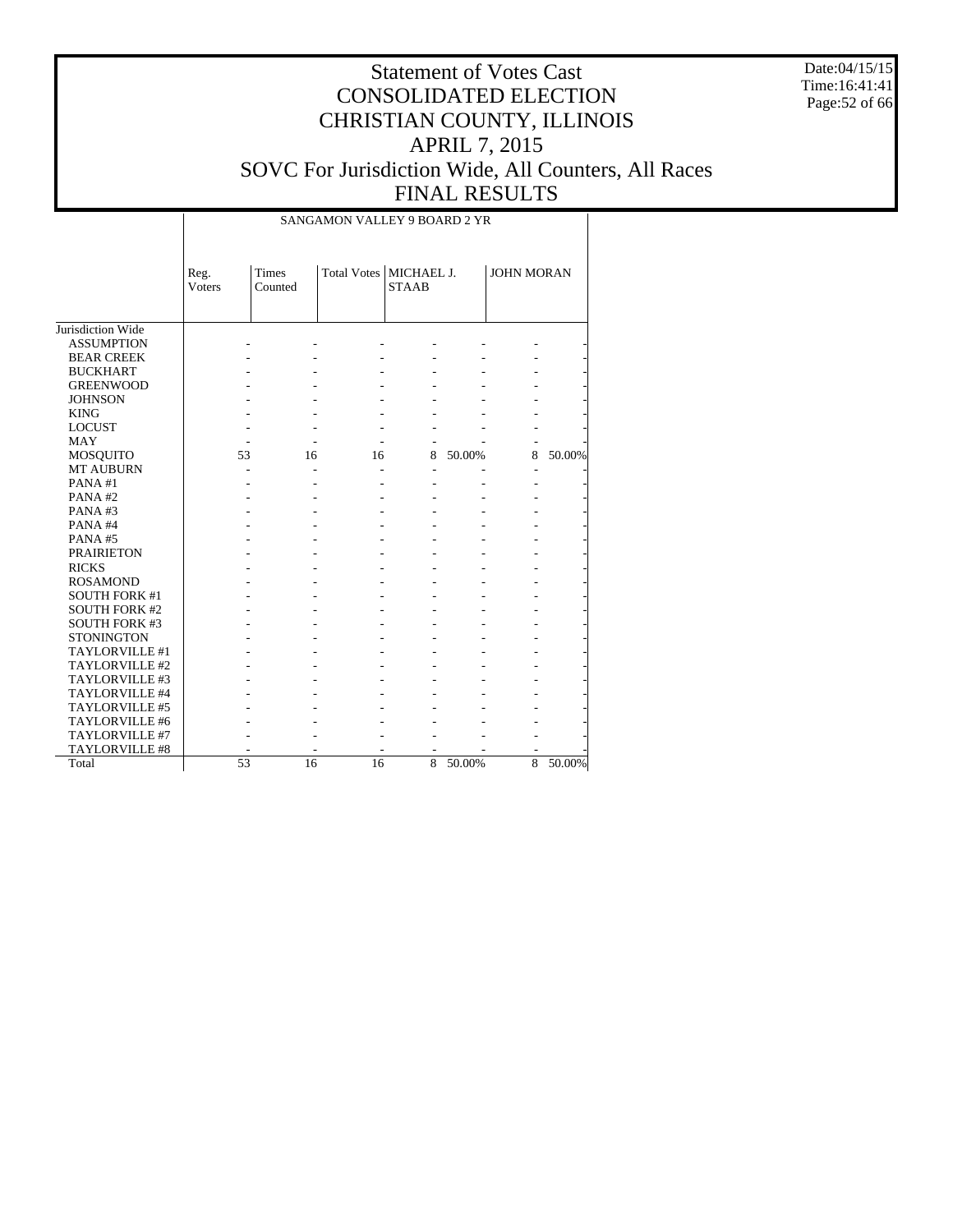Date:04/15/15 Time:16:41:41 Page:52 of 66

# Statement of Votes Cast CONSOLIDATED ELECTION CHRISTIAN COUNTY, ILLINOIS APRIL 7, 2015 SOVC For Jurisdiction Wide, All Counters, All Races FINAL RESULTS

#### SANGAMON VALLEY 9 BOARD 2 YR

|                       | Reg.          | <b>Times</b> | Total Votes   MICHAEL J. |                |        | <b>JOHN MORAN</b>        |        |
|-----------------------|---------------|--------------|--------------------------|----------------|--------|--------------------------|--------|
|                       | <b>Voters</b> | Counted      |                          | <b>STAAB</b>   |        |                          |        |
|                       |               |              |                          |                |        |                          |        |
| Jurisdiction Wide     |               |              |                          |                |        |                          |        |
| <b>ASSUMPTION</b>     |               |              |                          |                |        |                          |        |
| <b>BEAR CREEK</b>     |               |              |                          |                |        |                          |        |
| <b>BUCKHART</b>       |               |              |                          |                |        |                          |        |
| <b>GREENWOOD</b>      |               |              |                          |                |        |                          |        |
| <b>JOHNSON</b>        |               |              |                          |                |        |                          |        |
| <b>KING</b>           |               |              |                          |                |        |                          |        |
| <b>LOCUST</b>         |               |              |                          |                |        |                          |        |
| MAY                   |               |              |                          |                |        |                          |        |
| <b>MOSQUITO</b>       | 53            | 16           | 16                       | 8              | 50.00% | 8                        | 50.00% |
| <b>MT AUBURN</b>      |               |              |                          | $\overline{a}$ |        | $\overline{\phantom{a}}$ |        |
| PANA#1                |               |              |                          |                |        |                          |        |
| PANA#2                |               |              |                          |                |        |                          |        |
| PANA#3                |               |              |                          |                |        |                          |        |
| PANA#4                |               |              |                          |                |        |                          |        |
| PANA#5                |               |              |                          |                |        |                          |        |
| <b>PRAIRIETON</b>     |               |              |                          |                |        |                          |        |
| <b>RICKS</b>          |               |              |                          |                |        |                          |        |
| <b>ROSAMOND</b>       |               |              |                          |                |        |                          |        |
| <b>SOUTH FORK #1</b>  |               |              |                          |                |        |                          |        |
| <b>SOUTH FORK #2</b>  |               |              |                          |                |        |                          |        |
| <b>SOUTH FORK #3</b>  |               |              |                          |                |        |                          |        |
| <b>STONINGTON</b>     |               |              |                          |                |        |                          |        |
| TAYLORVILLE#1         |               |              |                          |                |        |                          |        |
| TAYLORVILLE #2        |               |              |                          |                |        |                          |        |
| TAYLORVILLE #3        |               |              |                          |                |        |                          |        |
| TAYLORVILLE #4        |               |              |                          |                |        |                          |        |
| TAYLORVILLE #5        |               |              |                          |                |        |                          |        |
| TAYLORVILLE #6        |               |              |                          |                |        |                          |        |
| TAYLORVILLE #7        |               |              |                          |                |        |                          |        |
| <b>TAYLORVILLE #8</b> |               |              |                          |                |        |                          |        |
| Total                 | 53            | 16           | 16                       | 8              | 50.00% | 8                        | 50.00% |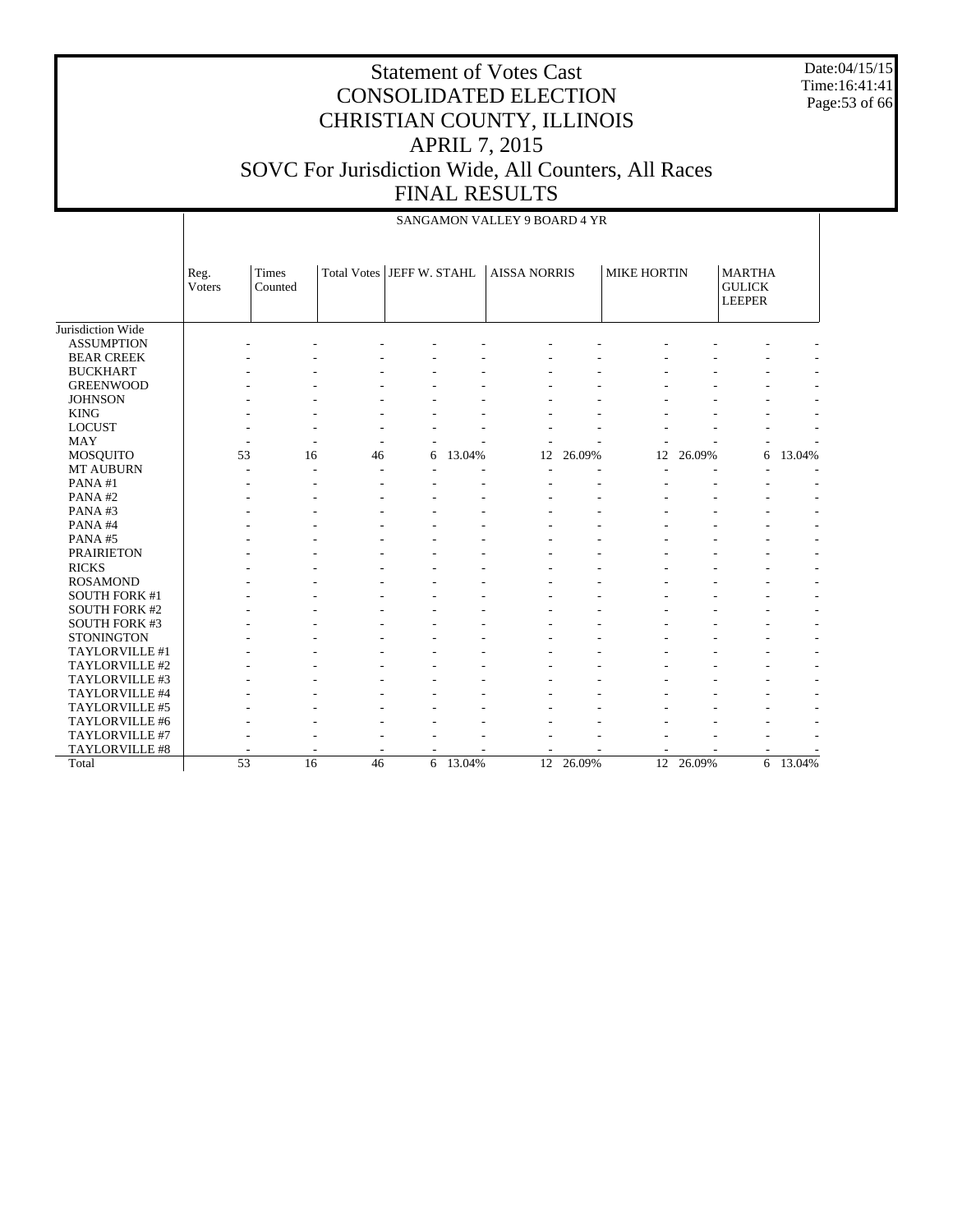Date:04/15/15 Time:16:41:41 Page:53 of 66

|                      |                 |                  |                           |   |          | SANGAMON VALLEY 9 BOARD 4 YR |        |                    |           |                                                 |          |
|----------------------|-----------------|------------------|---------------------------|---|----------|------------------------------|--------|--------------------|-----------|-------------------------------------------------|----------|
|                      | Reg.<br>Voters  | Times<br>Counted | Total Votes JEFF W. STAHL |   |          | <b>AISSA NORRIS</b>          |        | <b>MIKE HORTIN</b> |           | <b>MARTHA</b><br><b>GULICK</b><br><b>LEEPER</b> |          |
| Jurisdiction Wide    |                 |                  |                           |   |          |                              |        |                    |           |                                                 |          |
| <b>ASSUMPTION</b>    |                 |                  |                           |   |          |                              |        |                    |           |                                                 |          |
| <b>BEAR CREEK</b>    |                 |                  |                           |   |          |                              |        |                    |           |                                                 |          |
| <b>BUCKHART</b>      |                 |                  |                           |   |          |                              |        |                    |           |                                                 |          |
| <b>GREENWOOD</b>     |                 |                  |                           |   |          |                              |        |                    |           |                                                 |          |
| <b>JOHNSON</b>       |                 |                  |                           |   |          |                              |        |                    |           |                                                 |          |
| <b>KING</b>          |                 |                  |                           |   |          |                              |        |                    |           |                                                 |          |
| <b>LOCUST</b>        |                 |                  |                           |   |          |                              |        |                    |           |                                                 |          |
| <b>MAY</b>           |                 |                  |                           |   |          |                              |        |                    |           |                                                 |          |
| MOSQUITO             | 53              | 16               | 46                        | 6 | 13.04%   | 12                           | 26.09% | 12                 | 26.09%    | 6                                               | 13.04%   |
| <b>MT AUBURN</b>     |                 |                  |                           |   |          |                              |        |                    |           |                                                 |          |
| PANA#1               |                 |                  |                           |   |          |                              |        |                    |           |                                                 |          |
| PANA#2               |                 |                  |                           |   |          |                              |        |                    |           |                                                 |          |
| PANA#3               |                 |                  |                           |   |          |                              |        |                    |           |                                                 |          |
| PANA#4               |                 |                  |                           |   |          |                              |        |                    |           |                                                 |          |
| PANA#5               |                 |                  |                           |   |          |                              |        |                    |           |                                                 |          |
| <b>PRAIRIETON</b>    |                 |                  |                           |   |          |                              |        |                    |           |                                                 |          |
| <b>RICKS</b>         |                 |                  |                           |   |          |                              |        |                    |           |                                                 |          |
| <b>ROSAMOND</b>      |                 |                  |                           |   |          |                              |        |                    |           |                                                 |          |
| <b>SOUTH FORK #1</b> |                 |                  |                           |   |          |                              |        |                    |           |                                                 |          |
| <b>SOUTH FORK #2</b> |                 |                  |                           |   |          |                              |        |                    |           |                                                 |          |
| SOUTH FORK #3        |                 |                  |                           |   |          |                              |        |                    |           |                                                 |          |
| <b>STONINGTON</b>    |                 |                  |                           |   |          |                              |        |                    |           |                                                 |          |
| TAYLORVILLE #1       |                 |                  |                           |   |          |                              |        |                    |           |                                                 |          |
| TAYLORVILLE #2       |                 |                  |                           |   |          |                              |        |                    |           |                                                 |          |
| TAYLORVILLE #3       |                 |                  |                           |   |          |                              |        |                    |           |                                                 |          |
| TAYLORVILLE #4       |                 |                  |                           |   |          |                              |        |                    |           |                                                 |          |
| TAYLORVILLE #5       |                 |                  |                           |   |          |                              |        |                    |           |                                                 |          |
| TAYLORVILLE #6       |                 |                  |                           |   |          |                              |        |                    |           |                                                 |          |
| TAYLORVILLE #7       |                 |                  |                           |   |          |                              |        |                    |           |                                                 |          |
| TAYLORVILLE #8       |                 |                  |                           |   |          |                              |        |                    |           |                                                 |          |
| Total                | $\overline{53}$ | 16               | 46                        |   | 6 13.04% | 12                           | 26.09% |                    | 12 26.09% |                                                 | 6 13.04% |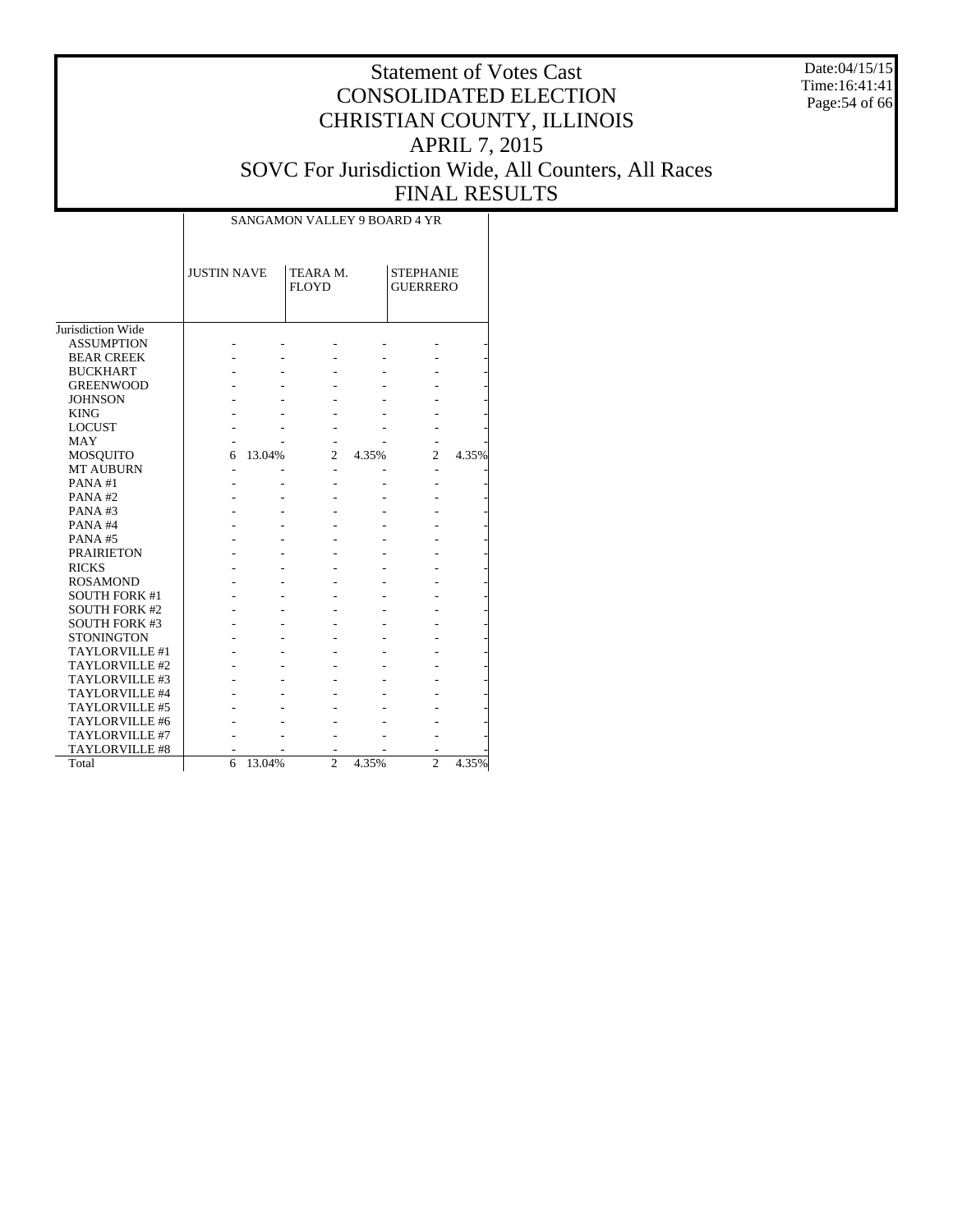Date:04/15/15 Time:16:41:41 Page:54 of 66

#### Statement of Votes Cast CONSOLIDATED ELECTION CHRISTIAN COUNTY, ILLINOIS APRIL 7, 2015 SOVC For Jurisdiction Wide, All Counters, All Races FINAL RESULTS

|                       |                    |        | SANGAMON VALLEY 9 BOARD 4 YR |       |                                     |       |
|-----------------------|--------------------|--------|------------------------------|-------|-------------------------------------|-------|
|                       | <b>JUSTIN NAVE</b> |        | TEARA M.<br><b>FLOYD</b>     |       | <b>STEPHANIE</b><br><b>GUERRERO</b> |       |
| Jurisdiction Wide     |                    |        |                              |       |                                     |       |
| <b>ASSUMPTION</b>     |                    |        |                              |       |                                     |       |
| <b>BEAR CREEK</b>     |                    |        |                              |       |                                     |       |
| <b>BUCKHART</b>       |                    |        |                              |       |                                     |       |
| <b>GREENWOOD</b>      |                    |        |                              |       |                                     |       |
| <b>JOHNSON</b>        |                    |        |                              |       |                                     |       |
| <b>KING</b>           |                    |        |                              |       |                                     |       |
| <b>LOCUST</b>         |                    |        |                              |       |                                     |       |
| <b>MAY</b>            |                    |        |                              |       |                                     |       |
| <b>MOSQUITO</b>       | 6                  | 13.04% | $\mathfrak{D}$               | 4.35% | $\overline{c}$                      | 4.35% |
| <b>MT AUBURN</b>      |                    |        |                              |       |                                     |       |
| PANA#1                |                    |        |                              |       |                                     |       |
| PANA#2                |                    |        |                              |       |                                     |       |
| PANA#3                |                    |        |                              |       |                                     |       |
| PANA#4                |                    |        |                              |       |                                     |       |
| PANA#5                |                    |        |                              |       |                                     |       |
| <b>PRAIRIETON</b>     |                    |        |                              |       |                                     |       |
| <b>RICKS</b>          |                    |        |                              |       |                                     |       |
| <b>ROSAMOND</b>       |                    |        |                              |       |                                     |       |
| <b>SOUTH FORK #1</b>  |                    |        |                              |       |                                     |       |
| <b>SOUTH FORK #2</b>  |                    |        |                              |       |                                     |       |
| <b>SOUTH FORK #3</b>  |                    |        |                              |       |                                     |       |
| <b>STONINGTON</b>     |                    |        |                              |       |                                     |       |
| TAYLORVILLE #1        |                    |        |                              |       |                                     |       |
| TAYLORVILLE #2        |                    |        |                              |       |                                     |       |
| TAYLORVILLE #3        |                    |        |                              |       |                                     |       |
| TAYLORVILLE #4        |                    |        |                              |       |                                     |       |
| TAYLORVILLE #5        |                    |        |                              |       |                                     |       |
| TAYLORVILLE #6        |                    |        |                              |       |                                     |       |
| TAYLORVILLE #7        |                    |        |                              |       |                                     |       |
| <b>TAYLORVILLE #8</b> |                    |        |                              |       |                                     |       |
| Total                 | 6                  | 13.04% | $\mathfrak{D}$               | 4.35% | $\mathfrak{D}$                      | 4.35% |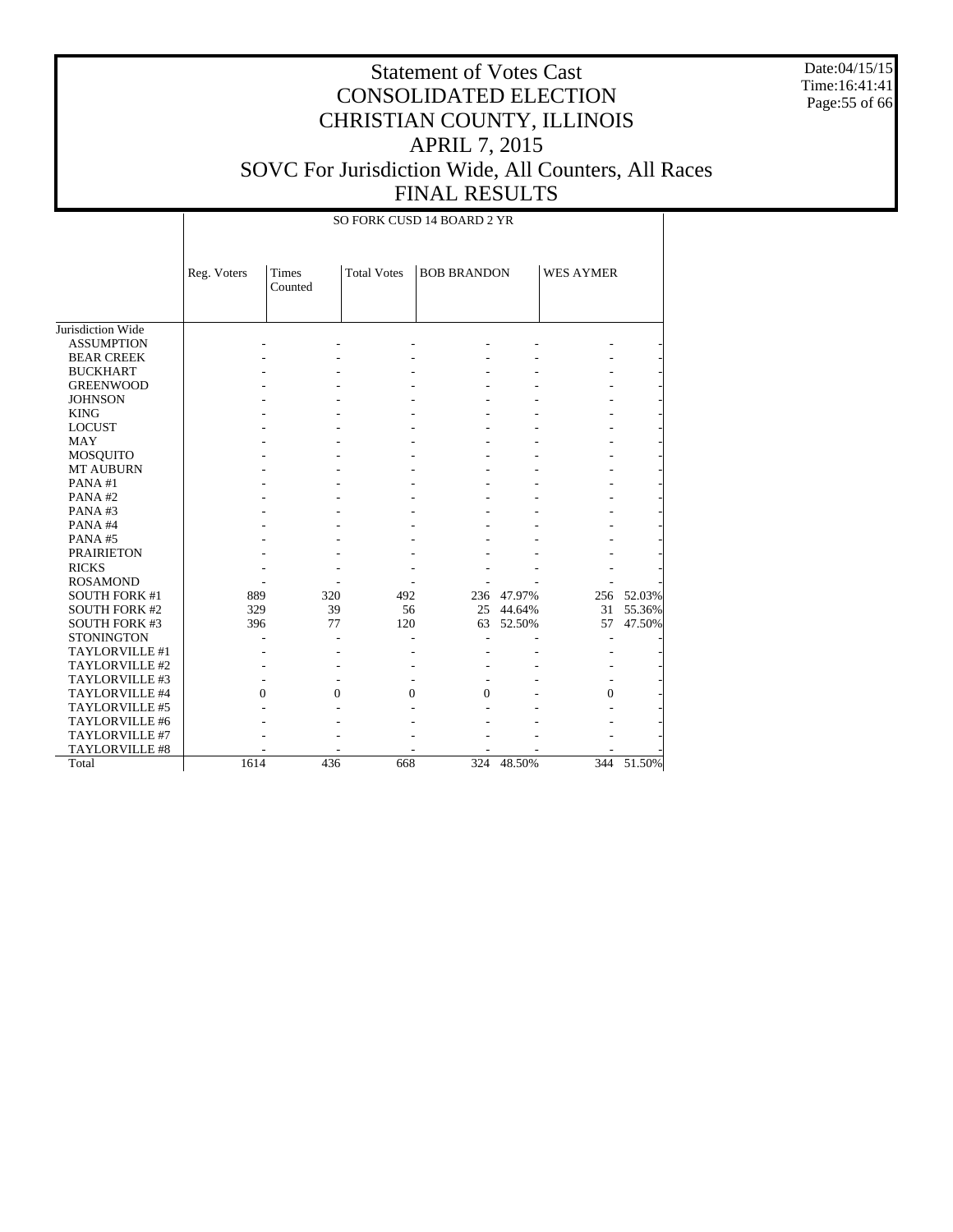Date:04/15/15 Time:16:41:41 Page:55 of 66

# Statement of Votes Cast CONSOLIDATED ELECTION CHRISTIAN COUNTY, ILLINOIS APRIL 7, 2015 SOVC For Jurisdiction Wide, All Counters, All Races FINAL RESULTS

SO FORK CUSD 14 BOARD 2 YR

|                      | Reg. Voters | <b>Times</b><br>Counted | <b>Total Votes</b> | <b>BOB BRANDON</b> |            | <b>WES AYMER</b> |            |
|----------------------|-------------|-------------------------|--------------------|--------------------|------------|------------------|------------|
|                      |             |                         |                    |                    |            |                  |            |
| Jurisdiction Wide    |             |                         |                    |                    |            |                  |            |
| <b>ASSUMPTION</b>    |             |                         |                    |                    |            |                  |            |
| <b>BEAR CREEK</b>    |             |                         |                    |                    |            |                  |            |
| <b>BUCKHART</b>      |             |                         |                    |                    |            |                  |            |
| <b>GREENWOOD</b>     |             |                         |                    |                    |            |                  |            |
| <b>JOHNSON</b>       |             |                         |                    |                    |            |                  |            |
| <b>KING</b>          |             |                         |                    |                    |            |                  |            |
| <b>LOCUST</b>        |             |                         |                    |                    |            |                  |            |
| <b>MAY</b>           |             |                         |                    |                    |            |                  |            |
| <b>MOSQUITO</b>      |             |                         |                    |                    |            |                  |            |
| <b>MT AUBURN</b>     |             |                         |                    |                    |            |                  |            |
| PANA#1               |             |                         |                    |                    |            |                  |            |
| PANA#2               |             |                         |                    |                    |            |                  |            |
| PANA#3               |             |                         |                    |                    |            |                  |            |
| PANA#4               |             |                         |                    |                    |            |                  |            |
| PANA#5               |             |                         |                    |                    |            |                  |            |
| <b>PRAIRIETON</b>    |             |                         |                    |                    |            |                  |            |
| <b>RICKS</b>         |             |                         |                    |                    |            |                  |            |
| <b>ROSAMOND</b>      |             |                         |                    |                    |            |                  |            |
| <b>SOUTH FORK #1</b> | 889         | 320                     | 492                |                    | 236 47.97% |                  | 256 52.03% |
| <b>SOUTH FORK #2</b> | 329         | 39                      | 56                 |                    | 25 44.64%  | 31               | 55.36%     |
| <b>SOUTH FORK #3</b> | 396         | 77                      | 120                | 63                 | 52.50%     | 57               | 47.50%     |
| <b>STONINGTON</b>    |             |                         |                    |                    |            |                  |            |
| TAYLORVILLE#1        |             |                         |                    |                    |            |                  |            |
| TAYLORVILLE #2       |             |                         |                    |                    |            |                  |            |
| TAYLORVILLE#3        |             |                         |                    |                    |            |                  |            |
| TAYLORVILLE #4       | $\Omega$    | $\Omega$                | $\Omega$           | $\Omega$           |            | $\Omega$         |            |
| TAYLORVILLE #5       |             |                         |                    |                    |            |                  |            |
| TAYLORVILLE #6       |             |                         |                    |                    |            |                  |            |
| TAYLORVILLE #7       |             |                         |                    |                    |            |                  |            |
| TAYLORVILLE #8       |             |                         |                    |                    |            |                  |            |
| Total                | 1614        | 436                     | 668                | 324                | 48.50%     | 344              | 51.50%     |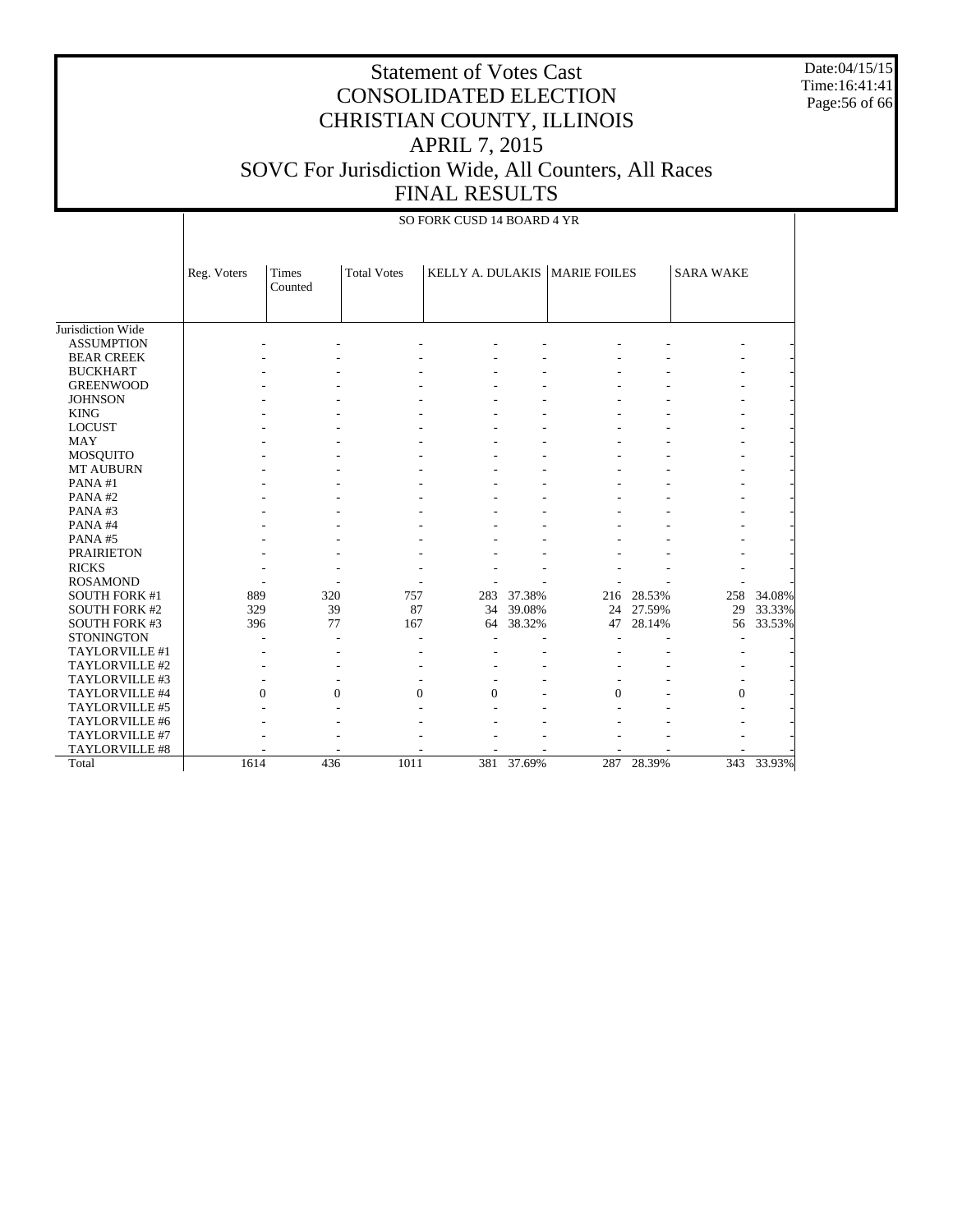Date:04/15/15 Time:16:41:41 Page:56 of 66

|                               |             | SO FORK CUSD 14 BOARD 4 YR |                    |                            |        |                                 |            |                  |        |  |  |  |  |
|-------------------------------|-------------|----------------------------|--------------------|----------------------------|--------|---------------------------------|------------|------------------|--------|--|--|--|--|
|                               | Reg. Voters | Times<br>Counted           | <b>Total Votes</b> |                            |        | KELLY A. DULAKIS   MARIE FOILES |            | <b>SARA WAKE</b> |        |  |  |  |  |
| Jurisdiction Wide             |             |                            |                    |                            |        |                                 |            |                  |        |  |  |  |  |
| <b>ASSUMPTION</b>             |             |                            |                    |                            |        |                                 |            |                  |        |  |  |  |  |
| <b>BEAR CREEK</b>             |             |                            |                    |                            |        |                                 |            |                  |        |  |  |  |  |
| <b>BUCKHART</b>               |             |                            |                    |                            |        |                                 |            |                  |        |  |  |  |  |
| <b>GREENWOOD</b>              |             |                            |                    |                            |        |                                 |            |                  |        |  |  |  |  |
|                               |             |                            |                    |                            |        |                                 |            |                  |        |  |  |  |  |
| <b>JOHNSON</b><br><b>KING</b> |             |                            |                    |                            |        |                                 |            |                  |        |  |  |  |  |
|                               |             |                            |                    |                            |        |                                 |            |                  |        |  |  |  |  |
| <b>LOCUST</b><br><b>MAY</b>   |             |                            |                    |                            |        |                                 |            |                  |        |  |  |  |  |
|                               |             |                            |                    |                            |        |                                 |            |                  |        |  |  |  |  |
| <b>MOSQUITO</b>               |             |                            |                    |                            |        |                                 |            |                  |        |  |  |  |  |
| <b>MT AUBURN</b>              |             |                            |                    |                            |        |                                 |            |                  |        |  |  |  |  |
| PANA#1                        |             |                            |                    |                            |        |                                 |            |                  |        |  |  |  |  |
| PANA#2                        |             |                            |                    |                            |        |                                 |            |                  |        |  |  |  |  |
| PANA#3                        |             |                            |                    |                            |        |                                 |            |                  |        |  |  |  |  |
| PANA#4                        |             |                            |                    |                            |        |                                 |            |                  |        |  |  |  |  |
| PANA#5                        |             |                            |                    |                            |        |                                 |            |                  |        |  |  |  |  |
| <b>PRAIRIETON</b>             |             |                            |                    |                            |        |                                 |            |                  |        |  |  |  |  |
| <b>RICKS</b>                  |             |                            |                    |                            |        |                                 |            |                  |        |  |  |  |  |
| <b>ROSAMOND</b>               |             |                            |                    |                            |        |                                 |            |                  |        |  |  |  |  |
| <b>SOUTH FORK #1</b>          | 889         | 320                        | 757                | 283                        | 37.38% |                                 | 216 28.53% | 258              | 34.08% |  |  |  |  |
| <b>SOUTH FORK #2</b>          | 329         | 39                         |                    | 87<br>34                   | 39.08% | 24                              | 27.59%     | 29               | 33.33% |  |  |  |  |
| <b>SOUTH FORK #3</b>          | 396         | 77                         | 167                | 64                         | 38.32% | 47                              | 28.14%     | 56               | 33.53% |  |  |  |  |
| <b>STONINGTON</b>             |             |                            |                    |                            |        |                                 |            |                  |        |  |  |  |  |
| TAYLORVILLE #1                |             |                            |                    |                            |        |                                 |            |                  |        |  |  |  |  |
| TAYLORVILLE #2                |             |                            |                    |                            |        |                                 |            |                  |        |  |  |  |  |
| TAYLORVILLE #3                |             |                            |                    |                            |        |                                 |            |                  |        |  |  |  |  |
| TAYLORVILLE #4                |             | $\Omega$                   | $\mathbf{0}$       | $\Omega$<br>$\overline{0}$ |        | $\overline{0}$                  |            | $\mathbf{0}$     |        |  |  |  |  |
| TAYLORVILLE #5                |             |                            |                    |                            |        |                                 |            |                  |        |  |  |  |  |
| TAYLORVILLE #6                |             |                            |                    |                            |        |                                 |            |                  |        |  |  |  |  |
| TAYLORVILLE #7                |             |                            |                    |                            |        |                                 |            |                  |        |  |  |  |  |
| <b>TAYLORVILLE #8</b>         |             |                            |                    |                            |        |                                 |            |                  |        |  |  |  |  |
| Total                         | 1614        | 436                        | 1011               | $\overline{381}$           | 37.69% | 287                             | 28.39%     | 343              | 33.93% |  |  |  |  |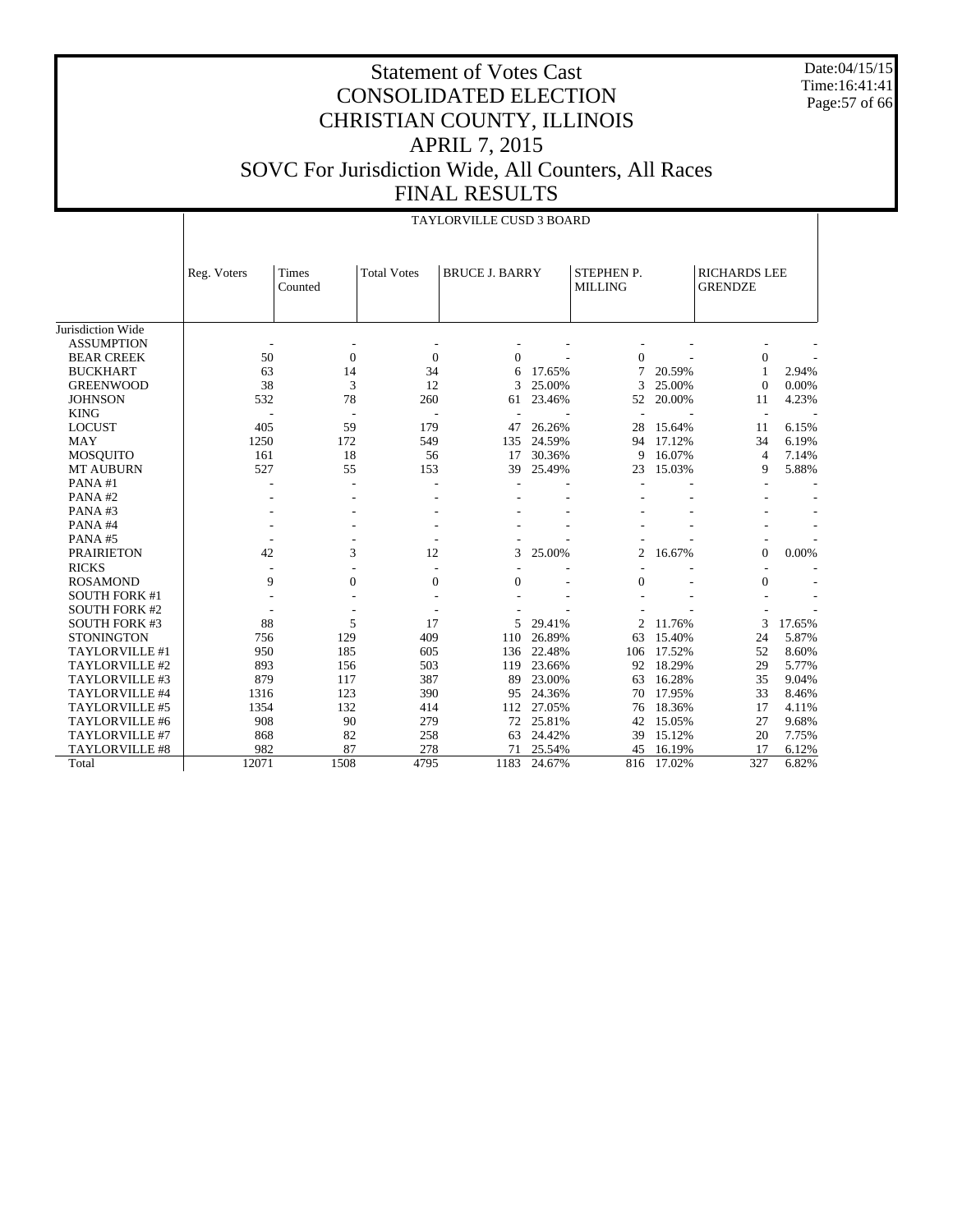Date:04/15/15 Time:16:41:41 Page:57 of 66

#### Statement of Votes Cast CONSOLIDATED ELECTION CHRISTIAN COUNTY, ILLINOIS APRIL 7, 2015 SOVC For Jurisdiction Wide, All Counters, All Races FINAL RESULTS

|                      |             |                  |                          | <b>TAYLORVILLE CUSD 3 BOARD</b> |           |                                     |        |                                       |        |
|----------------------|-------------|------------------|--------------------------|---------------------------------|-----------|-------------------------------------|--------|---------------------------------------|--------|
|                      | Reg. Voters | Times<br>Counted | <b>Total Votes</b>       | <b>BRUCE J. BARRY</b>           |           | <b>STEPHEN P.</b><br><b>MILLING</b> |        | <b>RICHARDS LEE</b><br><b>GRENDZE</b> |        |
| Jurisdiction Wide    |             |                  |                          |                                 |           |                                     |        |                                       |        |
| <b>ASSUMPTION</b>    |             |                  |                          |                                 |           |                                     |        |                                       |        |
| <b>BEAR CREEK</b>    | 50          | $\mathbf{0}$     | $\mathbf{0}$             | $\Omega$                        |           | $\mathbf{0}$                        |        | $\boldsymbol{0}$                      |        |
| <b>BUCKHART</b>      | 63          | 14               | 34                       | 6                               | 17.65%    | $\overline{7}$                      | 20.59% | 1                                     | 2.94%  |
| <b>GREENWOOD</b>     | 38          | 3                | 12                       | 3                               | 25.00%    | 3                                   | 25.00% | $\Omega$                              | 0.00%  |
| <b>JOHNSON</b>       | 532         | 78               | 260                      | 61                              | 23.46%    | 52                                  | 20.00% | 11                                    | 4.23%  |
| <b>KING</b>          |             |                  |                          |                                 |           |                                     |        | $\overline{\phantom{a}}$              |        |
| <b>LOCUST</b>        | 405         | 59               | 179                      | 47                              | 26.26%    | 28                                  | 15.64% | 11                                    | 6.15%  |
| <b>MAY</b>           | 1250        | 172              | 549                      | 135                             | 24.59%    | 94                                  | 17.12% | 34                                    | 6.19%  |
| <b>MOSQUITO</b>      | 161         | 18               | 56                       | 17                              | 30.36%    | 9                                   | 16.07% | $\overline{4}$                        | 7.14%  |
| <b>MT AUBURN</b>     | 527         | 55               | 153                      | 39                              | 25.49%    | 23                                  | 15.03% | 9                                     | 5.88%  |
| PANA#1               |             |                  |                          |                                 |           |                                     |        |                                       |        |
| PANA#2               |             |                  |                          |                                 |           |                                     |        |                                       |        |
| PANA#3               |             |                  |                          |                                 |           |                                     |        |                                       |        |
| PANA#4               |             |                  |                          |                                 |           |                                     |        |                                       |        |
| PANA#5               |             |                  |                          |                                 |           |                                     |        |                                       |        |
| <b>PRAIRIETON</b>    | 42          | 3                | 12                       | 3                               | 25.00%    | $\overline{2}$                      | 16.67% | $\overline{0}$                        | 0.00%  |
| <b>RICKS</b>         |             |                  |                          |                                 |           |                                     |        |                                       |        |
| <b>ROSAMOND</b>      | 9           | $\overline{0}$   | $\mathbf{0}$             | $\overline{0}$                  |           | $\overline{0}$                      |        | $\mathbf{0}$                          |        |
| <b>SOUTH FORK #1</b> |             |                  |                          |                                 |           |                                     |        |                                       |        |
| <b>SOUTH FORK #2</b> |             |                  | $\overline{\phantom{a}}$ |                                 |           |                                     |        |                                       |        |
| <b>SOUTH FORK #3</b> | 88          | 5                | 17                       | 5                               | 29.41%    | 2                                   | 11.76% | 3                                     | 17.65% |
| <b>STONINGTON</b>    | 756         | 129              | 409                      | 110                             | 26.89%    | 63                                  | 15.40% | 24                                    | 5.87%  |
| TAYLORVILLE #1       | 950         | 185              | 605                      | 136                             | 22.48%    | 106                                 | 17.52% | 52                                    | 8.60%  |
| TAYLORVILLE #2       | 893         | 156              | 503                      | 119                             | 23.66%    | 92                                  | 18.29% | 29                                    | 5.77%  |
| TAYLORVILLE #3       | 879         | 117              | 387                      | 89                              | 23.00%    | 63                                  | 16.28% | 35                                    | 9.04%  |
| TAYLORVILLE #4       | 1316        | 123              | 390                      | 95                              | 24.36%    | 70                                  | 17.95% | 33                                    | 8.46%  |
| TAYLORVILLE #5       | 1354        | 132              | 414                      | 112                             | 27.05%    | 76                                  | 18.36% | 17                                    | 4.11%  |
| TAYLORVILLE #6       | 908         | 90               | 279                      |                                 | 72 25.81% | 42                                  | 15.05% | 27                                    | 9.68%  |
| TAYLORVILLE #7       | 868         | 82               | 258                      | 63                              | 24.42%    | 39                                  | 15.12% | 20                                    | 7.75%  |
| TAYLORVILLE #8       | 982         | 87               | 278                      | 71                              | 25.54%    | 45                                  | 16.19% | 17                                    | 6.12%  |
| Total                | 12071       | 1508             | 4795                     | 1183                            | 24.67%    | 816                                 | 17.02% | 327                                   | 6.82%  |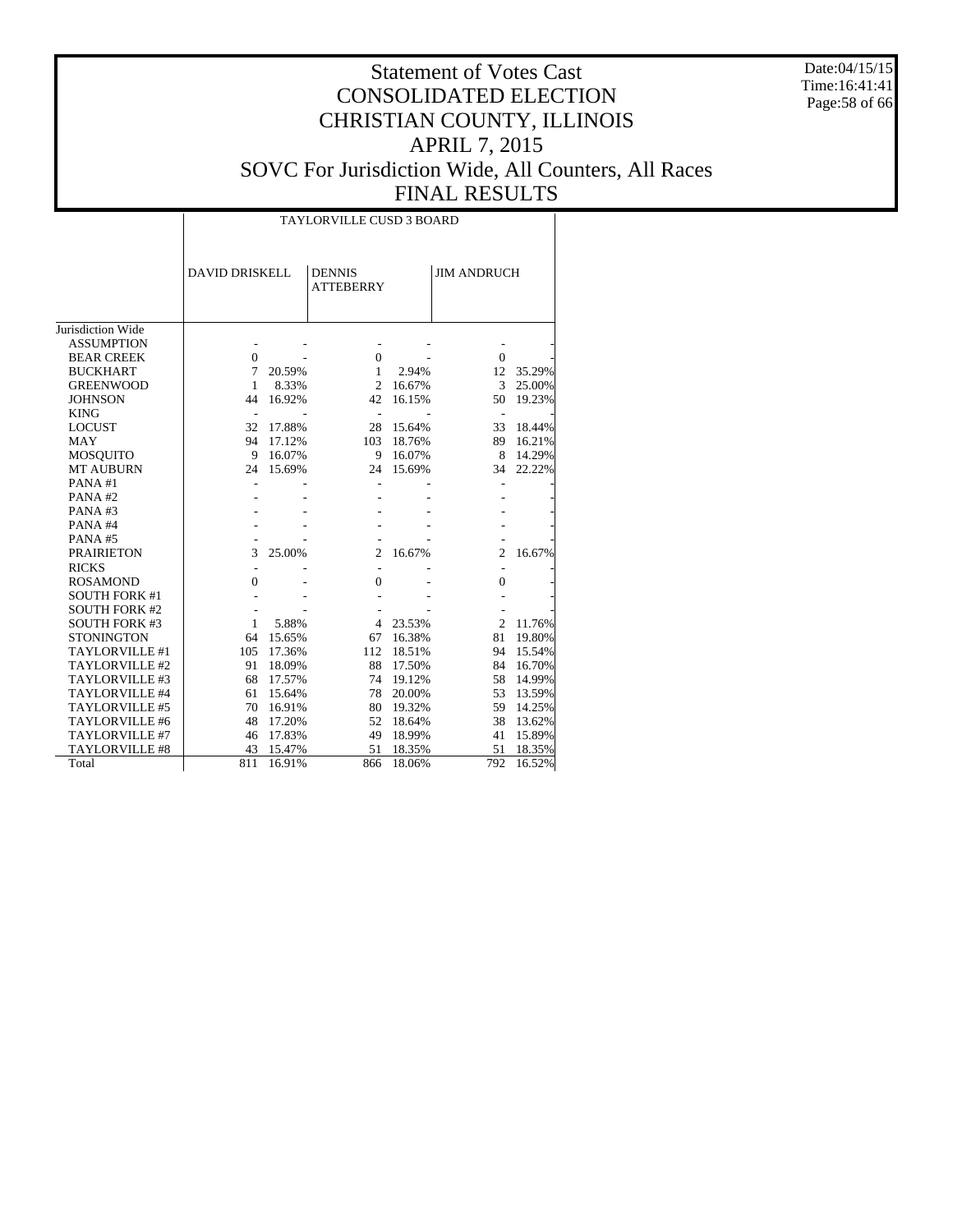Date:04/15/15 Time:16:41:41 Page:58 of 66

|                       | <b>TAYLORVILLE CUSD 3 BOARD</b> |           |                                   |        |                    |        |  |  |  |  |  |
|-----------------------|---------------------------------|-----------|-----------------------------------|--------|--------------------|--------|--|--|--|--|--|
|                       |                                 |           |                                   |        |                    |        |  |  |  |  |  |
|                       | <b>DAVID DRISKELL</b>           |           | <b>DENNIS</b><br><b>ATTEBERRY</b> |        | <b>JIM ANDRUCH</b> |        |  |  |  |  |  |
|                       |                                 |           |                                   |        |                    |        |  |  |  |  |  |
| Jurisdiction Wide     |                                 |           |                                   |        |                    |        |  |  |  |  |  |
| <b>ASSUMPTION</b>     |                                 |           |                                   |        |                    |        |  |  |  |  |  |
| <b>BEAR CREEK</b>     | $\Omega$                        |           | $\overline{0}$                    |        | $\Omega$           |        |  |  |  |  |  |
| <b>BUCKHART</b>       | 7                               | 20.59%    | $\mathbf{1}$                      | 2.94%  | 12                 | 35.29% |  |  |  |  |  |
| <b>GREENWOOD</b>      | $\mathbf{1}$                    | 8.33%     | $\overline{c}$                    | 16.67% | 3                  | 25.00% |  |  |  |  |  |
| <b>JOHNSON</b>        | 44                              | 16.92%    | 42                                | 16.15% | 50                 | 19.23% |  |  |  |  |  |
| <b>KING</b>           | $\overline{\phantom{a}}$        |           | $\overline{\phantom{a}}$          |        |                    |        |  |  |  |  |  |
| <b>LOCUST</b>         | 32                              | 17.88%    | 28                                | 15.64% | 33                 | 18.44% |  |  |  |  |  |
| <b>MAY</b>            |                                 | 94 17.12% | 103                               | 18.76% | 89                 | 16.21% |  |  |  |  |  |
| <b>MOSQUITO</b>       | 9                               | 16.07%    | 9                                 | 16.07% | 8                  | 14.29% |  |  |  |  |  |
| <b>MT AUBURN</b>      | 24                              | 15.69%    | 24                                | 15.69% | 34                 | 22.22% |  |  |  |  |  |
| PANA#1                |                                 |           |                                   |        |                    |        |  |  |  |  |  |
| PANA#2                |                                 |           |                                   |        |                    |        |  |  |  |  |  |
| PANA#3                |                                 |           |                                   |        |                    |        |  |  |  |  |  |
| PANA#4                |                                 |           |                                   |        |                    |        |  |  |  |  |  |
| PANA#5                |                                 |           |                                   |        |                    |        |  |  |  |  |  |
| <b>PRAIRIETON</b>     | 3                               | 25.00%    | $\overline{c}$                    | 16.67% | $\mathfrak{2}$     | 16.67% |  |  |  |  |  |
| <b>RICKS</b>          |                                 |           |                                   |        |                    |        |  |  |  |  |  |
| <b>ROSAMOND</b>       | 0                               |           | $\Omega$                          |        | $\Omega$           |        |  |  |  |  |  |
| <b>SOUTH FORK #1</b>  |                                 |           |                                   |        |                    |        |  |  |  |  |  |
| <b>SOUTH FORK #2</b>  |                                 |           |                                   |        |                    |        |  |  |  |  |  |
| <b>SOUTH FORK #3</b>  | $\mathbf{1}$                    | 5.88%     | 4                                 | 23.53% | $\overline{2}$     | 11.76% |  |  |  |  |  |
| <b>STONINGTON</b>     | 64                              | 15.65%    | 67                                | 16.38% | 81                 | 19.80% |  |  |  |  |  |
| TAYLORVILLE #1        | 105                             | 17.36%    | 112                               | 18.51% | 94                 | 15.54% |  |  |  |  |  |
| TAYLORVILLE #2        | 91                              | 18.09%    | 88                                | 17.50% | 84                 | 16.70% |  |  |  |  |  |
| TAYLORVILLE #3        | 68                              | 17.57%    | 74                                | 19.12% | 58                 | 14.99% |  |  |  |  |  |
| TAYLORVILLE #4        | 61                              | 15.64%    | 78                                | 20.00% | 53                 | 13.59% |  |  |  |  |  |
| TAYLORVILLE #5        | 70                              | 16.91%    | 80                                | 19.32% | 59                 | 14.25% |  |  |  |  |  |
| TAYLORVILLE #6        | 48                              | 17.20%    | 52                                | 18.64% | 38                 | 13.62% |  |  |  |  |  |
| TAYLORVILLE #7        | 46                              | 17.83%    | 49                                | 18.99% | 41                 | 15.89% |  |  |  |  |  |
| <b>TAYLORVILLE #8</b> | 43                              | 15.47%    | 51                                | 18.35% | 51                 | 18.35% |  |  |  |  |  |
| Total                 | 811                             | 16.91%    | 866                               | 18.06% | 792                | 16.52% |  |  |  |  |  |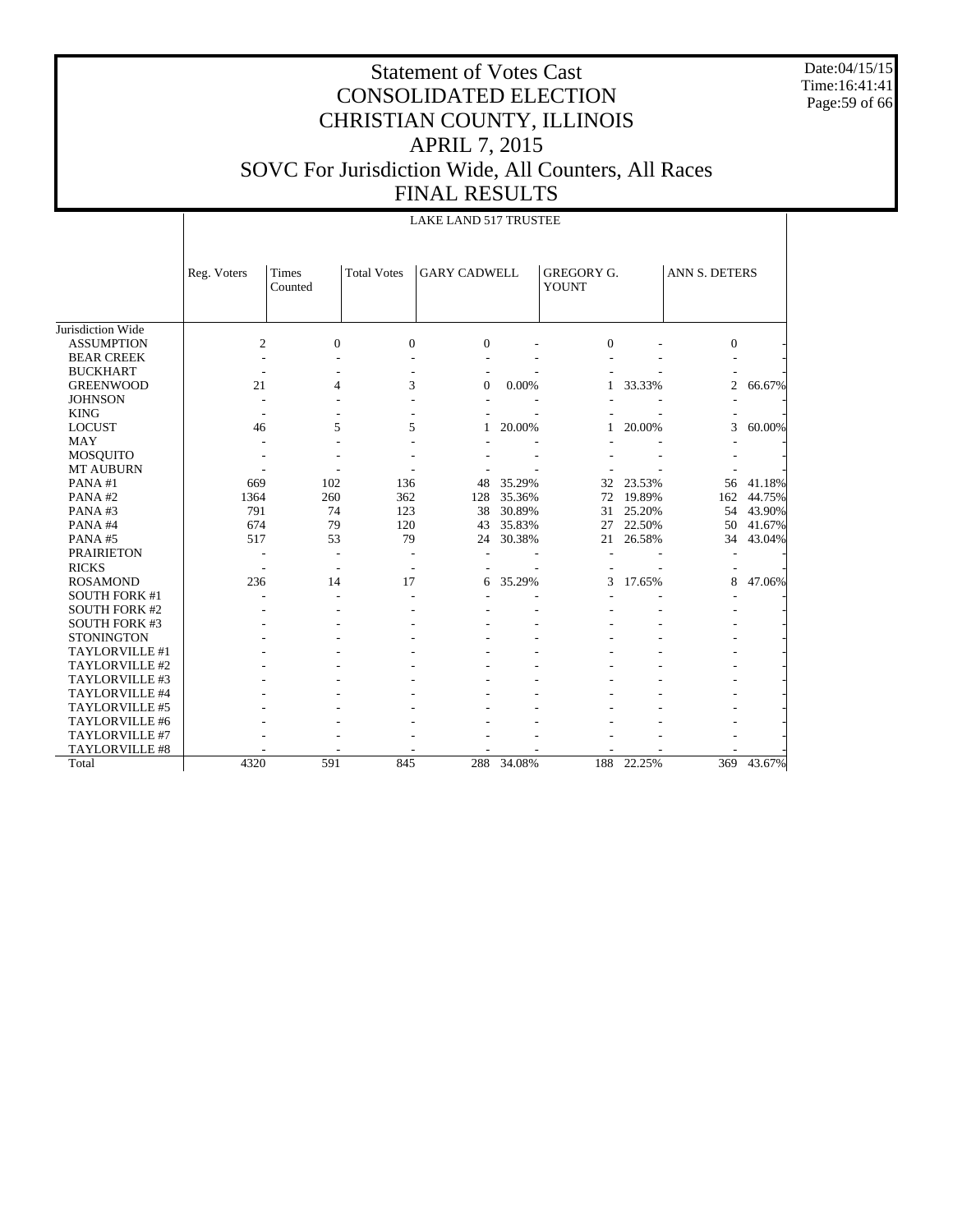Date:04/15/15 Time:16:41:41 Page:59 of 66

|                       |                | LAKE LAND 517 TRUSTEE |                    |                     |        |                                   |        |                |        |  |  |  |  |
|-----------------------|----------------|-----------------------|--------------------|---------------------|--------|-----------------------------------|--------|----------------|--------|--|--|--|--|
|                       | Reg. Voters    | Times<br>Counted      | <b>Total Votes</b> | <b>GARY CADWELL</b> |        | <b>GREGORY G.</b><br><b>YOUNT</b> |        | ANN S. DETERS  |        |  |  |  |  |
| Jurisdiction Wide     |                |                       |                    |                     |        |                                   |        |                |        |  |  |  |  |
| <b>ASSUMPTION</b>     | $\overline{c}$ | $\Omega$              | $\mathbf{0}$       | $\Omega$            |        | $\Omega$                          |        | $\overline{0}$ |        |  |  |  |  |
| <b>BEAR CREEK</b>     |                |                       |                    |                     |        |                                   |        |                |        |  |  |  |  |
| <b>BUCKHART</b>       |                |                       |                    |                     |        |                                   |        |                |        |  |  |  |  |
| <b>GREENWOOD</b>      | 21             | 4                     | 3                  | $\Omega$            | 0.00%  | 1                                 | 33.33% | $\overline{c}$ | 66.67% |  |  |  |  |
| <b>JOHNSON</b>        |                |                       |                    |                     |        |                                   |        |                |        |  |  |  |  |
| <b>KING</b>           |                |                       |                    |                     |        |                                   |        |                |        |  |  |  |  |
| <b>LOCUST</b>         | 46             | 5                     | 5                  |                     | 20.00% |                                   | 20.00% | 3              | 60.00% |  |  |  |  |
| <b>MAY</b>            |                |                       |                    |                     |        |                                   |        |                |        |  |  |  |  |
| <b>MOSQUITO</b>       |                |                       |                    |                     |        |                                   |        |                |        |  |  |  |  |
| <b>MT AUBURN</b>      |                |                       |                    |                     |        |                                   |        |                |        |  |  |  |  |
| PANA#1                | 669            | 102                   | 136                | 48                  | 35.29% | 32                                | 23.53% | 56             | 41.18% |  |  |  |  |
| PANA#2                | 1364           | 260                   | 362                | 128                 | 35.36% | 72                                | 19.89% | 162            | 44.75% |  |  |  |  |
| PANA#3                | 791            | 74                    | 123                | 38                  | 30.89% | 31                                | 25.20% | 54             | 43.90% |  |  |  |  |
| PANA#4                | 674            | 79                    | 120                | 43                  | 35.83% | 27                                | 22.50% | 50             | 41.67% |  |  |  |  |
| PANA#5                | 517            | 53                    | 79                 | 24                  | 30.38% | 21                                | 26.58% | 34             | 43.04% |  |  |  |  |
| <b>PRAIRIETON</b>     |                |                       |                    |                     |        |                                   |        |                |        |  |  |  |  |
| <b>RICKS</b>          | $\overline{a}$ |                       |                    |                     |        |                                   |        |                |        |  |  |  |  |
| <b>ROSAMOND</b>       | 236            | 14                    | 17                 | 6                   | 35.29% | 3                                 | 17.65% | 8              | 47.06% |  |  |  |  |
| <b>SOUTH FORK #1</b>  |                |                       |                    |                     |        |                                   |        |                |        |  |  |  |  |
| <b>SOUTH FORK #2</b>  |                |                       |                    |                     |        |                                   |        |                |        |  |  |  |  |
| <b>SOUTH FORK #3</b>  |                |                       |                    |                     |        |                                   |        |                |        |  |  |  |  |
| <b>STONINGTON</b>     |                |                       |                    |                     |        |                                   |        |                |        |  |  |  |  |
| TAYLORVILLE #1        |                |                       |                    |                     |        |                                   |        |                |        |  |  |  |  |
| TAYLORVILLE #2        |                |                       |                    |                     |        |                                   |        |                |        |  |  |  |  |
| TAYLORVILLE #3        |                |                       |                    |                     |        |                                   |        |                |        |  |  |  |  |
| TAYLORVILLE #4        |                |                       |                    |                     |        |                                   |        |                |        |  |  |  |  |
| TAYLORVILLE #5        |                |                       |                    |                     |        |                                   |        |                |        |  |  |  |  |
| TAYLORVILLE #6        |                |                       |                    |                     |        |                                   |        |                |        |  |  |  |  |
| TAYLORVILLE #7        |                |                       |                    |                     |        |                                   |        |                |        |  |  |  |  |
| <b>TAYLORVILLE #8</b> |                |                       |                    |                     |        |                                   |        |                |        |  |  |  |  |
| Total                 | 4320           | 591                   | 845                | 288                 | 34.08% | 188                               | 22.25% | 369            | 43.67% |  |  |  |  |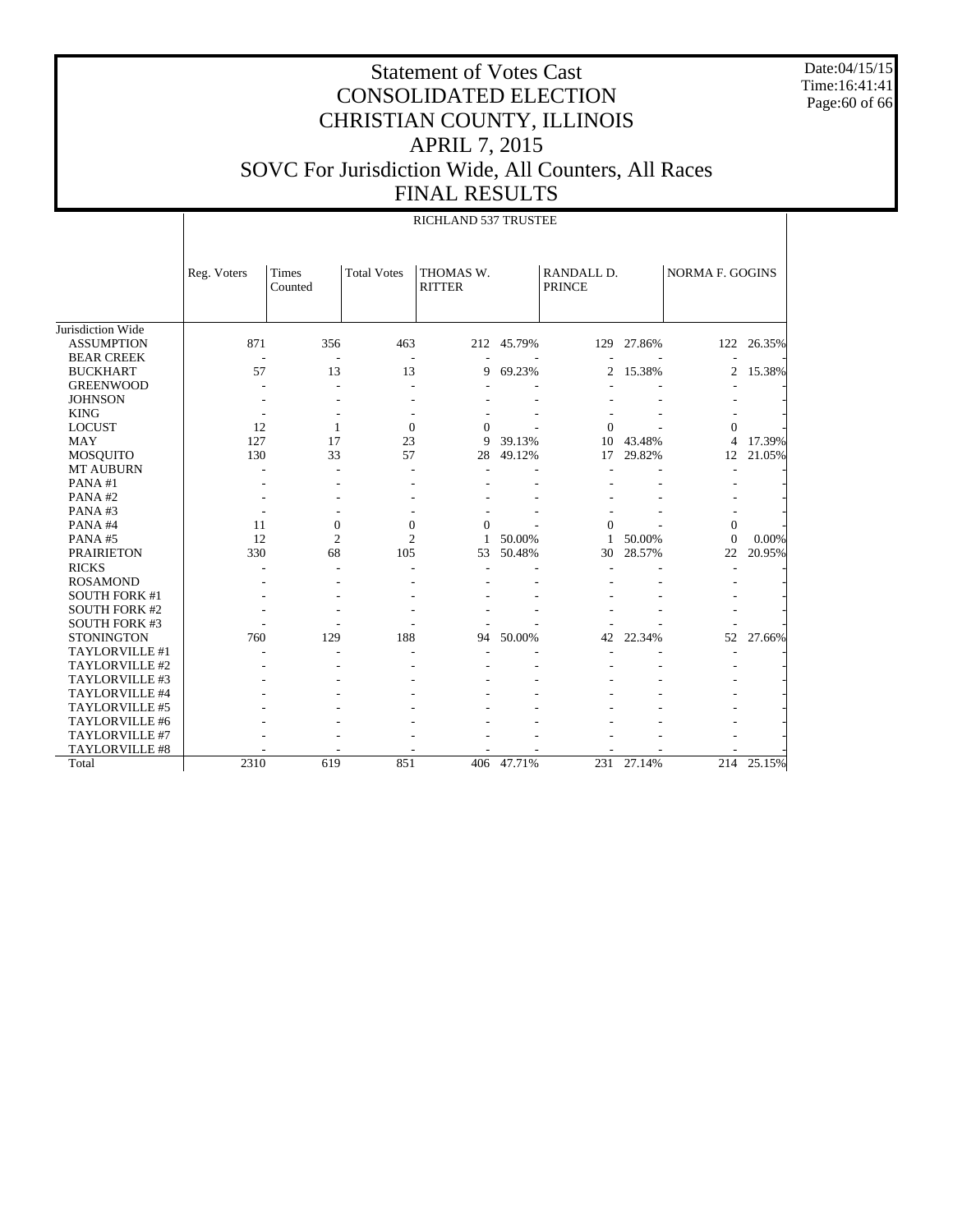Date:04/15/15 Time:16:41:41 Page:60 of 66

|                      |             | RICHLAND 537 TRUSTEE    |                    |                            |        |                             |        |                 |        |  |  |  |
|----------------------|-------------|-------------------------|--------------------|----------------------------|--------|-----------------------------|--------|-----------------|--------|--|--|--|
|                      | Reg. Voters | <b>Times</b><br>Counted | <b>Total Votes</b> | THOMAS W.<br><b>RITTER</b> |        | RANDALL D.<br><b>PRINCE</b> |        | NORMA F. GOGINS |        |  |  |  |
| Jurisdiction Wide    |             |                         |                    |                            |        |                             |        |                 |        |  |  |  |
| <b>ASSUMPTION</b>    | 871         | 356                     | 463                | 212                        | 45.79% | 129                         | 27.86% | 122             | 26.35% |  |  |  |
| <b>BEAR CREEK</b>    |             |                         |                    |                            |        |                             |        |                 |        |  |  |  |
| <b>BUCKHART</b>      | 57          | 13                      | 13                 | 9                          | 69.23% | 2                           | 15.38% | 2               | 15.38% |  |  |  |
| <b>GREENWOOD</b>     |             |                         |                    |                            |        |                             |        |                 |        |  |  |  |
| <b>JOHNSON</b>       |             |                         |                    |                            |        |                             |        |                 |        |  |  |  |
| <b>KING</b>          |             |                         |                    |                            |        |                             |        |                 |        |  |  |  |
| <b>LOCUST</b>        | 12          | $\mathbf{1}$            | $\mathbf{0}$       | $\mathbf{0}$               |        | $\overline{0}$              |        | 0               |        |  |  |  |
| <b>MAY</b>           | 127         | 17                      | 23                 | 9                          | 39.13% | 10                          | 43.48% | 4               | 17.39% |  |  |  |
| MOSQUITO             | 130         | 33                      | 57                 | 28                         | 49.12% | 17                          | 29.82% | 12              | 21.05% |  |  |  |
| <b>MT AUBURN</b>     |             |                         |                    |                            |        |                             |        |                 |        |  |  |  |
| PANA#1               |             |                         |                    |                            |        |                             |        |                 |        |  |  |  |
| PANA#2               |             |                         |                    |                            |        |                             |        |                 |        |  |  |  |
| PANA#3               |             |                         |                    |                            |        |                             |        |                 |        |  |  |  |
| PANA#4               | 11          | $\boldsymbol{0}$        | $\boldsymbol{0}$   | $\Omega$                   |        | $\Omega$                    |        | $\mathbf{0}$    |        |  |  |  |
| PANA#5               | 12          | $\overline{c}$          | $\overline{c}$     | $\mathbf{1}$               | 50.00% | 1                           | 50.00% | $\theta$        | 0.00%  |  |  |  |
| <b>PRAIRIETON</b>    | 330         | 68                      | 105                | 53                         | 50.48% | 30                          | 28.57% | 22              | 20.95% |  |  |  |
| <b>RICKS</b>         |             |                         |                    |                            |        |                             |        |                 |        |  |  |  |
| <b>ROSAMOND</b>      |             |                         |                    |                            |        |                             |        |                 |        |  |  |  |
| <b>SOUTH FORK #1</b> |             |                         |                    |                            |        |                             |        |                 |        |  |  |  |
| <b>SOUTH FORK #2</b> |             |                         |                    |                            |        |                             |        |                 |        |  |  |  |
| <b>SOUTH FORK #3</b> |             |                         |                    |                            |        |                             |        |                 |        |  |  |  |
| <b>STONINGTON</b>    | 760         | 129                     | 188                | 94                         | 50.00% | 42                          | 22.34% | 52              | 27.66% |  |  |  |
| TAYLORVILLE #1       |             |                         |                    |                            |        |                             |        |                 |        |  |  |  |
| TAYLORVILLE #2       |             |                         |                    |                            |        |                             |        |                 |        |  |  |  |
| TAYLORVILLE #3       |             |                         |                    |                            |        |                             |        |                 |        |  |  |  |
| TAYLORVILLE #4       |             |                         |                    |                            |        |                             |        |                 |        |  |  |  |
| TAYLORVILLE #5       |             |                         |                    |                            |        |                             |        |                 |        |  |  |  |
| TAYLORVILLE #6       |             |                         |                    |                            |        |                             |        |                 |        |  |  |  |
| TAYLORVILLE #7       |             |                         |                    |                            |        |                             |        |                 |        |  |  |  |
| TAYLORVILLE #8       |             |                         |                    |                            |        |                             |        |                 |        |  |  |  |
| Total                | 2310        | 619                     | 851                | 406                        | 47.71% | 231                         | 27.14% | 214             | 25.15% |  |  |  |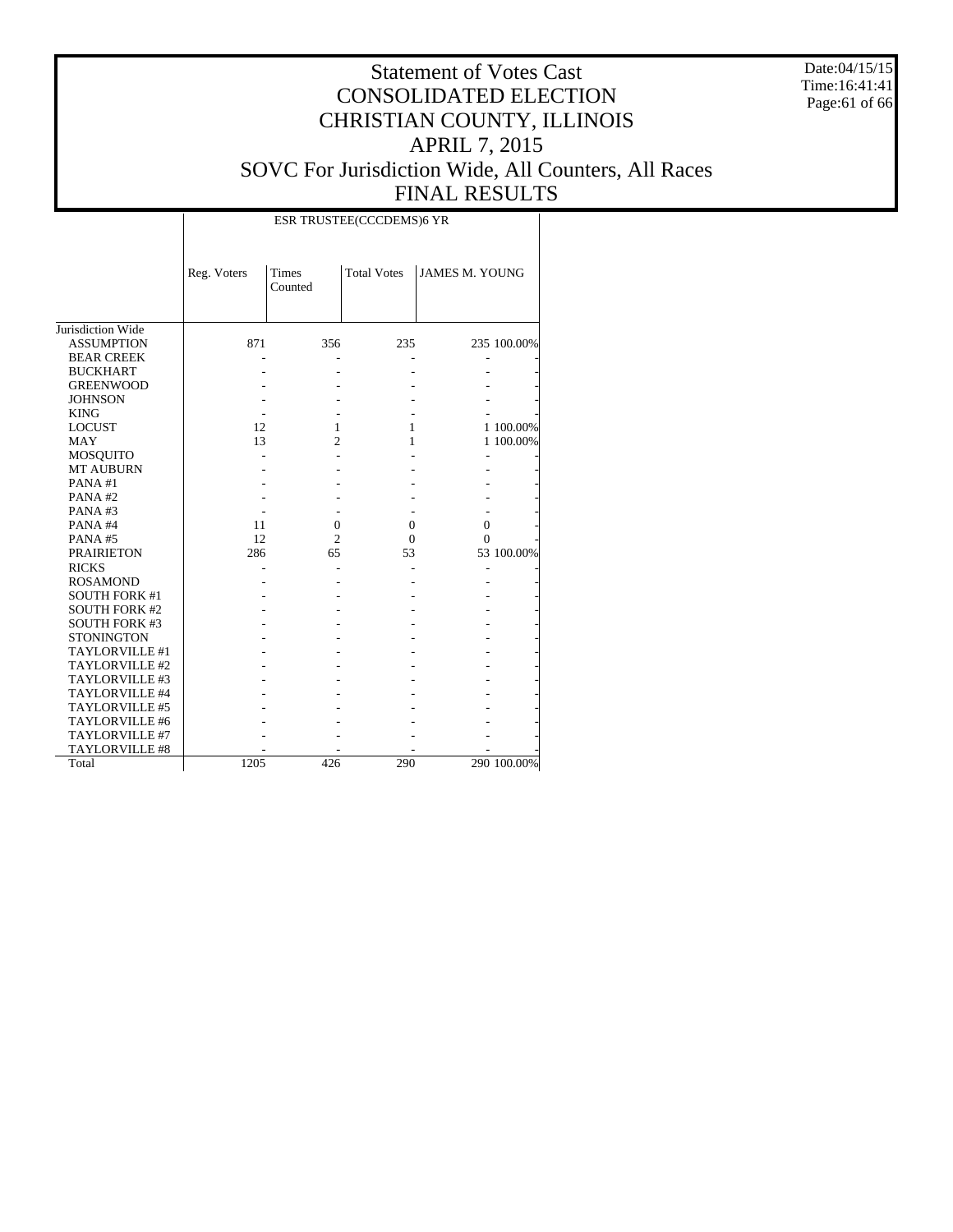Date:04/15/15 Time:16:41:41 Page:61 of 66

|                      |             |                         | ESR TRUSTEE(CCCDEMS)6 YR |                       |             |
|----------------------|-------------|-------------------------|--------------------------|-----------------------|-------------|
|                      | Reg. Voters | <b>Times</b><br>Counted | <b>Total Votes</b>       | <b>JAMES M. YOUNG</b> |             |
| Jurisdiction Wide    |             |                         |                          |                       |             |
| <b>ASSUMPTION</b>    | 871         | 356                     | 235                      |                       | 235 100.00% |
| <b>BEAR CREEK</b>    |             |                         |                          |                       |             |
| <b>BUCKHART</b>      |             |                         |                          |                       |             |
| <b>GREENWOOD</b>     |             |                         |                          |                       |             |
| <b>JOHNSON</b>       |             |                         |                          |                       |             |
| <b>KING</b>          |             |                         |                          |                       |             |
| <b>LOCUST</b>        | 12          | 1                       | 1                        |                       | 1 100.00%   |
| <b>MAY</b>           | 13          | $\overline{c}$          | 1                        |                       | 1 100.00%   |
| <b>MOSQUITO</b>      |             |                         |                          |                       |             |
| <b>MT AUBURN</b>     |             |                         |                          |                       |             |
| PANA#1               |             |                         |                          |                       |             |
| PANA#2               |             |                         |                          |                       |             |
| PANA#3               |             |                         |                          |                       |             |
| PANA#4               | 11          | $\mathbf{0}$            | $\overline{0}$           | $\overline{0}$        |             |
| PANA#5               | 12          | $\overline{c}$          | $\Omega$                 | $\Omega$              |             |
| <b>PRAIRIETON</b>    | 286         | 65                      | 53                       |                       | 53 100.00%  |
| <b>RICKS</b>         |             |                         |                          |                       |             |
| <b>ROSAMOND</b>      |             |                         |                          |                       |             |
| <b>SOUTH FORK #1</b> |             |                         |                          |                       |             |
| <b>SOUTH FORK #2</b> |             |                         |                          |                       |             |
| <b>SOUTH FORK #3</b> |             |                         |                          |                       |             |
| <b>STONINGTON</b>    |             |                         |                          |                       |             |
| TAYLORVILLE #1       |             |                         |                          |                       |             |
| TAYLORVILLE #2       |             |                         |                          |                       |             |
| TAYLORVILLE #3       |             |                         |                          |                       |             |
| TAYLORVILLE #4       |             |                         |                          |                       |             |
| TAYLORVILLE #5       |             |                         |                          |                       |             |
| TAYLORVILLE #6       |             |                         |                          |                       |             |
| TAYLORVILLE #7       |             |                         |                          |                       |             |
| TAYLORVILLE #8       |             |                         |                          |                       |             |
| Total                | 1205        | 426                     | 290                      |                       | 290 100.00% |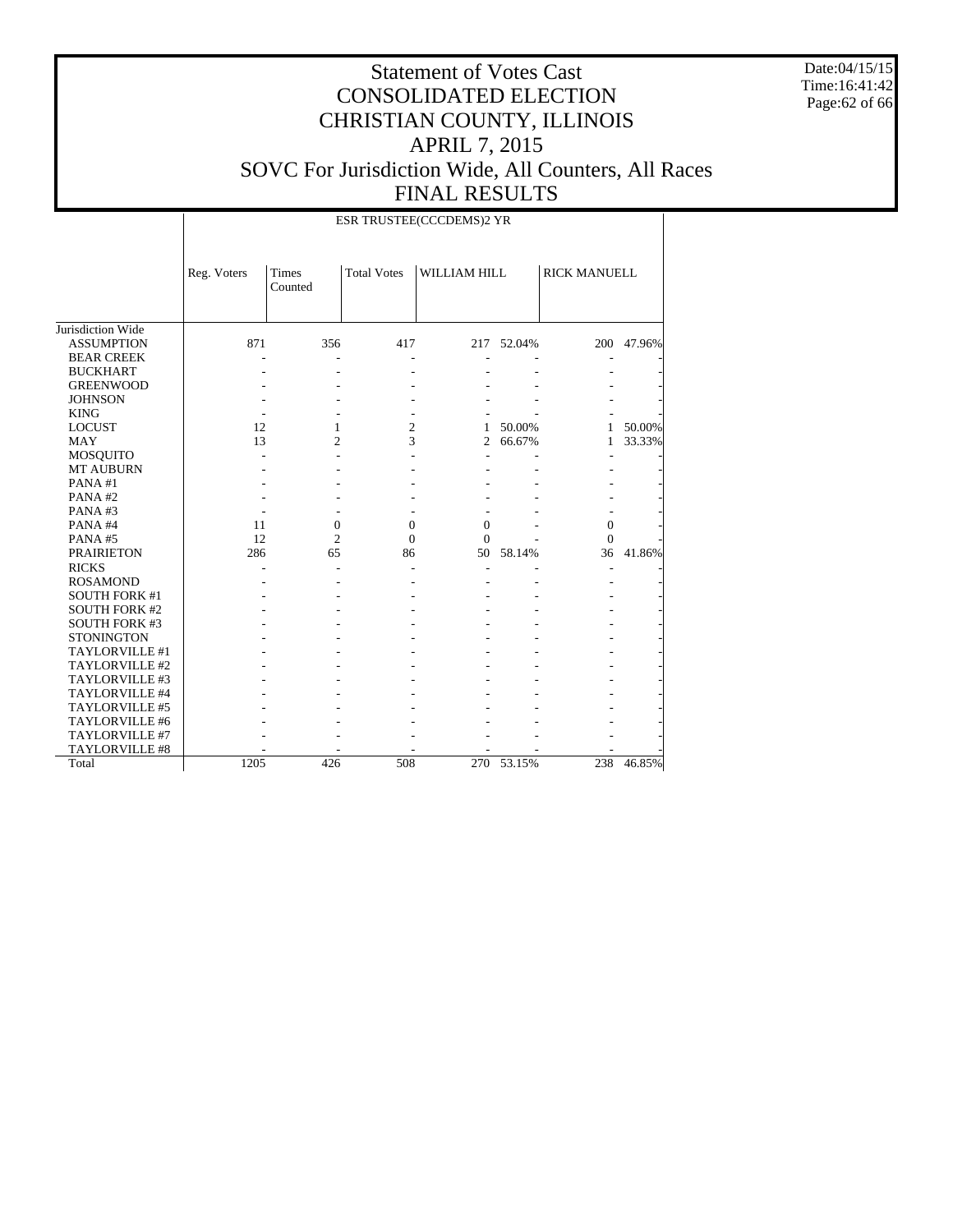Date:04/15/15 Time:16:41:42 Page:62 of 66

|                       |             | ESR TRUSTEE(CCCDEMS)2 YR |                          |                |            |                     |        |  |  |  |  |  |
|-----------------------|-------------|--------------------------|--------------------------|----------------|------------|---------------------|--------|--|--|--|--|--|
|                       | Reg. Voters | <b>Times</b><br>Counted  | <b>Total Votes</b>       | WILLIAM HILL   |            | <b>RICK MANUELL</b> |        |  |  |  |  |  |
| Jurisdiction Wide     |             |                          |                          |                |            |                     |        |  |  |  |  |  |
| <b>ASSUMPTION</b>     | 871         | 356                      | 417                      |                | 217 52.04% | 200                 | 47.96% |  |  |  |  |  |
| <b>BEAR CREEK</b>     |             |                          | ÷.                       |                |            |                     |        |  |  |  |  |  |
| <b>BUCKHART</b>       |             |                          |                          |                |            |                     |        |  |  |  |  |  |
| <b>GREENWOOD</b>      |             |                          |                          |                |            |                     |        |  |  |  |  |  |
| <b>JOHNSON</b>        |             |                          |                          |                |            |                     |        |  |  |  |  |  |
| <b>KING</b>           |             |                          | $\overline{\phantom{a}}$ |                |            |                     |        |  |  |  |  |  |
| <b>LOCUST</b>         | 12          | 1                        | $\overline{c}$           | 1              | 50.00%     | 1                   | 50.00% |  |  |  |  |  |
| <b>MAY</b>            | 13          | $\overline{c}$           | 3                        | $\overline{c}$ | 66.67%     | 1                   | 33.33% |  |  |  |  |  |
| <b>MOSQUITO</b>       |             |                          |                          |                |            | ÷                   |        |  |  |  |  |  |
| <b>MT AUBURN</b>      |             |                          |                          |                |            |                     |        |  |  |  |  |  |
| PANA#1                |             |                          |                          |                |            |                     |        |  |  |  |  |  |
| PANA#2                |             |                          |                          |                |            |                     |        |  |  |  |  |  |
| PANA#3                |             |                          |                          |                |            |                     |        |  |  |  |  |  |
| PANA#4                | 11          | 0                        | $\mathbf{0}$             | 0              |            | $\mathbf{0}$        |        |  |  |  |  |  |
| PANA#5                | 12          | $\overline{c}$           | $\Omega$                 | $\mathbf{0}$   |            | $\Omega$            |        |  |  |  |  |  |
| <b>PRAIRIETON</b>     | 286         | 65                       | 86                       | 50             | 58.14%     | 36                  | 41.86% |  |  |  |  |  |
| <b>RICKS</b>          |             |                          |                          |                |            |                     |        |  |  |  |  |  |
| <b>ROSAMOND</b>       |             |                          |                          |                |            |                     |        |  |  |  |  |  |
| <b>SOUTH FORK #1</b>  |             |                          |                          |                |            |                     |        |  |  |  |  |  |
| <b>SOUTH FORK #2</b>  |             |                          |                          |                |            |                     |        |  |  |  |  |  |
| <b>SOUTH FORK #3</b>  |             |                          |                          |                |            |                     |        |  |  |  |  |  |
| <b>STONINGTON</b>     |             |                          |                          |                |            |                     |        |  |  |  |  |  |
| TAYLORVILLE #1        |             |                          |                          |                |            |                     |        |  |  |  |  |  |
| TAYLORVILLE #2        |             |                          |                          |                |            |                     |        |  |  |  |  |  |
| TAYLORVILLE #3        |             |                          |                          |                |            |                     |        |  |  |  |  |  |
| TAYLORVILLE #4        |             |                          |                          |                |            |                     |        |  |  |  |  |  |
| TAYLORVILLE #5        |             |                          |                          |                |            |                     |        |  |  |  |  |  |
| TAYLORVILLE #6        |             |                          |                          |                |            |                     |        |  |  |  |  |  |
| TAYLORVILLE #7        |             |                          |                          |                |            |                     |        |  |  |  |  |  |
| <b>TAYLORVILLE #8</b> |             |                          |                          |                |            |                     |        |  |  |  |  |  |
| Total                 | 1205        | 426                      | 508                      |                | 270 53.15% | 238                 | 46.85% |  |  |  |  |  |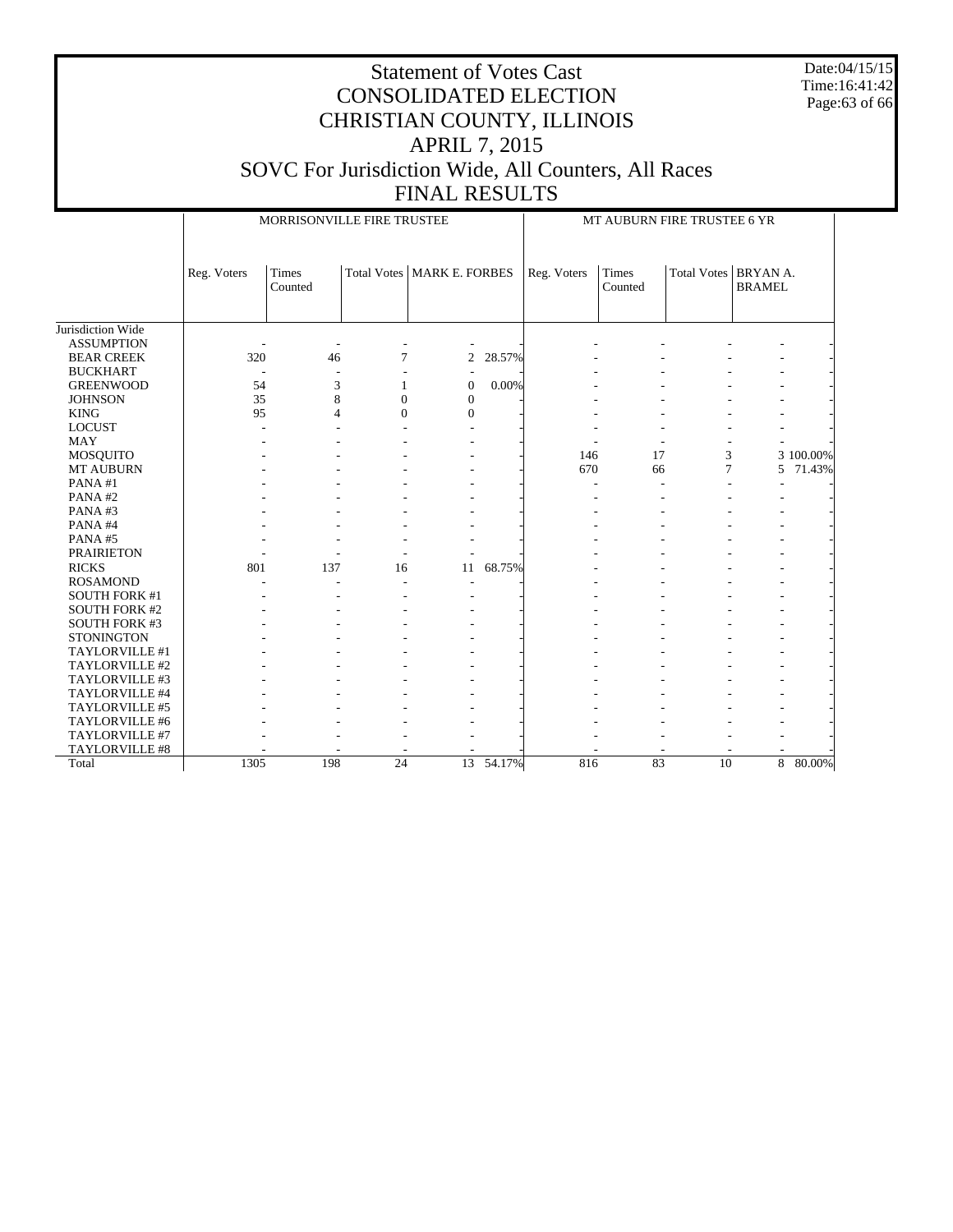Date:04/15/15 Time:16:41:42 Page:63 of 66

|                      | MORRISONVILLE FIRE TRUSTEE |                  |                 |                              |           | MT AUBURN FIRE TRUSTEE 6 YR |                  |                        |               |           |
|----------------------|----------------------------|------------------|-----------------|------------------------------|-----------|-----------------------------|------------------|------------------------|---------------|-----------|
|                      |                            |                  |                 |                              |           |                             |                  |                        |               |           |
|                      | Reg. Voters                | Times<br>Counted |                 | Total Votes   MARK E. FORBES |           | Reg. Voters                 | Times<br>Counted | Total Votes   BRYAN A. | <b>BRAMEL</b> |           |
| Jurisdiction Wide    |                            |                  |                 |                              |           |                             |                  |                        |               |           |
| <b>ASSUMPTION</b>    |                            |                  |                 |                              |           |                             |                  |                        |               |           |
| <b>BEAR CREEK</b>    | 320                        | 46               | 7               | 2                            | 28.57%    |                             |                  |                        |               |           |
| <b>BUCKHART</b>      |                            |                  |                 |                              |           |                             |                  |                        |               |           |
| <b>GREENWOOD</b>     | 54                         | 3                | 1               | $\overline{0}$               | 0.00%     |                             |                  |                        |               |           |
| <b>JOHNSON</b>       | 35                         | 8                | $\overline{0}$  | $\mathbf{0}$                 |           |                             |                  |                        |               |           |
| <b>KING</b>          | 95                         | $\overline{4}$   | $\overline{0}$  | $\mathbf{0}$                 |           |                             |                  |                        |               |           |
| <b>LOCUST</b>        |                            |                  |                 |                              |           |                             |                  |                        |               |           |
| <b>MAY</b>           |                            |                  |                 |                              |           |                             |                  |                        |               |           |
| MOSQUITO             |                            |                  |                 |                              |           | 146                         | 17               | 3                      |               | 3 100.00% |
| <b>MT AUBURN</b>     |                            |                  |                 |                              |           | 670                         | 66               | 7                      | 5             | 71.43%    |
| PANA#1               |                            |                  |                 |                              |           |                             |                  | $\overline{a}$         |               |           |
| PANA#2               |                            |                  |                 |                              |           |                             |                  |                        |               |           |
| PANA#3               |                            |                  |                 |                              |           |                             |                  |                        |               |           |
| PANA#4               |                            |                  |                 |                              |           |                             |                  |                        |               |           |
| PANA#5               |                            |                  |                 |                              |           |                             |                  |                        |               |           |
| <b>PRAIRIETON</b>    |                            |                  |                 |                              |           |                             |                  |                        |               |           |
| <b>RICKS</b>         | 801                        | 137              | 16              | 11                           | 68.75%    |                             |                  |                        |               |           |
| <b>ROSAMOND</b>      |                            |                  |                 |                              |           |                             |                  |                        |               |           |
| <b>SOUTH FORK #1</b> |                            |                  |                 |                              |           |                             |                  |                        |               |           |
| <b>SOUTH FORK #2</b> |                            |                  |                 |                              |           |                             |                  |                        |               |           |
| <b>SOUTH FORK #3</b> |                            |                  |                 |                              |           |                             |                  |                        |               |           |
| <b>STONINGTON</b>    |                            |                  |                 |                              |           |                             |                  |                        |               |           |
| TAYLORVILLE #1       |                            |                  |                 |                              |           |                             |                  |                        |               |           |
| TAYLORVILLE #2       |                            |                  |                 |                              |           |                             |                  |                        |               |           |
| TAYLORVILLE #3       |                            |                  |                 |                              |           |                             |                  |                        |               |           |
| TAYLORVILLE #4       |                            |                  |                 |                              |           |                             |                  |                        |               |           |
| TAYLORVILLE #5       |                            |                  |                 |                              |           |                             |                  |                        |               |           |
| TAYLORVILLE #6       |                            |                  |                 |                              |           |                             |                  |                        |               |           |
| TAYLORVILLE #7       |                            |                  |                 |                              |           |                             |                  |                        |               |           |
| TAYLORVILLE #8       |                            |                  |                 |                              |           |                             |                  |                        |               |           |
| Total                | 1305                       | 198              | $\overline{24}$ |                              | 13 54.17% | 816                         | 83               | 10                     |               | 8 80.00%  |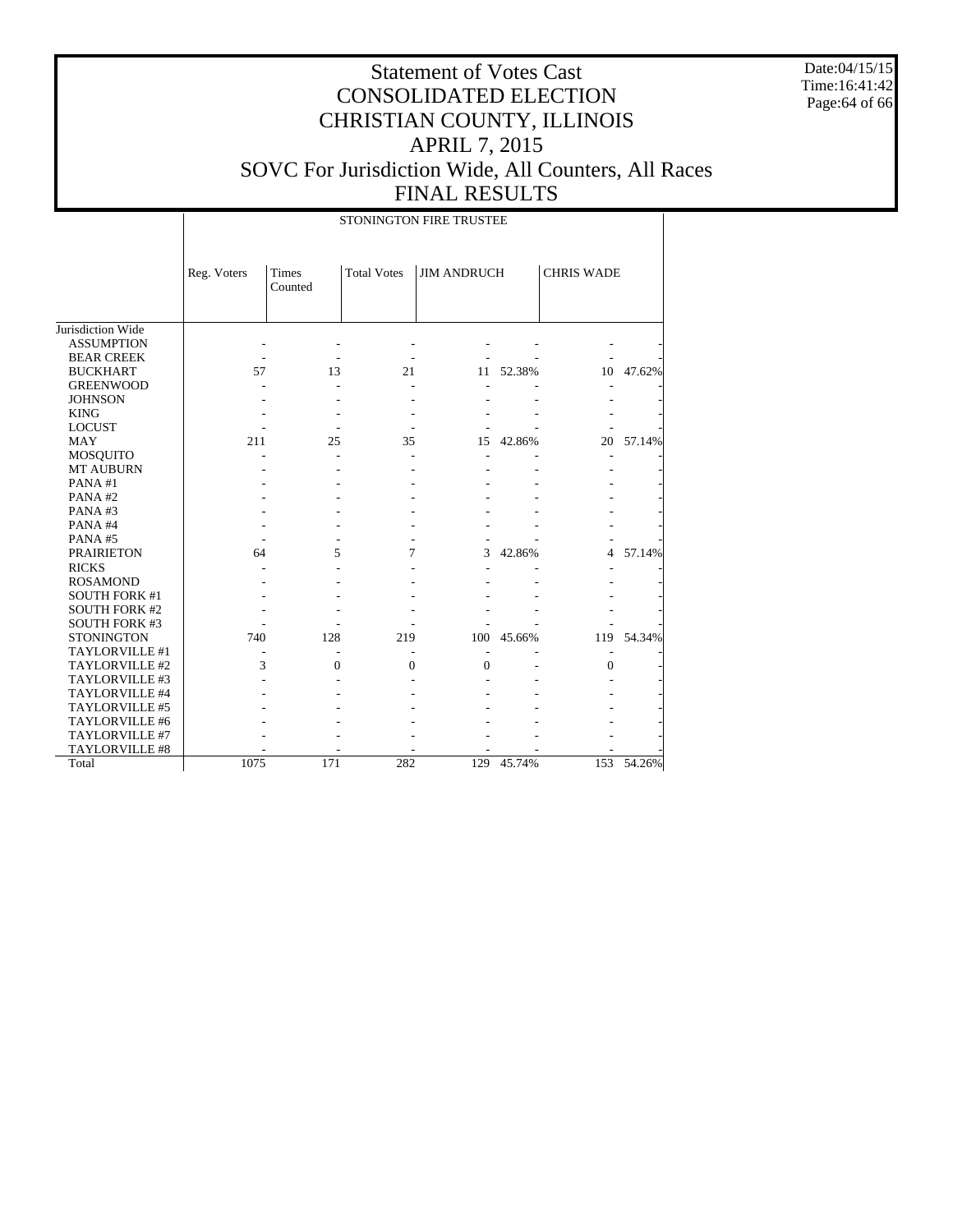Date:04/15/15 Time:16:41:42 Page:64 of 66

#### Statement of Votes Cast CONSOLIDATED ELECTION CHRISTIAN COUNTY, ILLINOIS APRIL 7, 2015 SOVC For Jurisdiction Wide, All Counters, All Races FINAL RESULTS

Jurisdiction Wide ASSUMPTION BEAR CREEK BUCKHART GREENWOOD JOHNSON KING LOCUST MAY MOSQUITO MT AUBURN PANA #1 PANA #2 PANA #3 PANA #4 PANA #5 PRAIRIETON RICKS ROSAMOND SOUTH FORK #1 SOUTH FORK #2 SOUTH FORK #3 **STONINGTON**  TAYLORVILLE #1 TAYLORVILLE #2 TAYLORVILLE #3 TAYLORVILLE #4 TAYLORVILLE #5 TAYLORVILLE #6 TAYLORVILLE #7 TAYLORVILLE #8 Total Reg. Voters Times Counted Total Votes JIM ANDRUCH CHRIS WADE STONINGTON FIRE TRUSTEE - - - - - - - - - - - - - - 57 13 21 11 52.38% 10 47.62% - - - - - - - - - - - - - - - - - - - - - - - - - - - - 211 25 35 15 42.86% 20 57.14% - - - - - - - - - - - - - - - - - - - - - - - - - - - - - - - - - - - - - - - - - - - - - - - - - 64 5 7 3 42.86% 4 57.14% - - - - - - - - - - - - - - - - - - - - - - - - - - - - - - - - - - - 740 128 219 100 45.66% 119 54.34% - - - - - - - 3 0 0 0 - 0 -- - - - - - - - - - - - - - - - - - - - - - - - - - - - - - - - - - - - - - - - - - 1075 171 282 129 45.74% 153 54.26%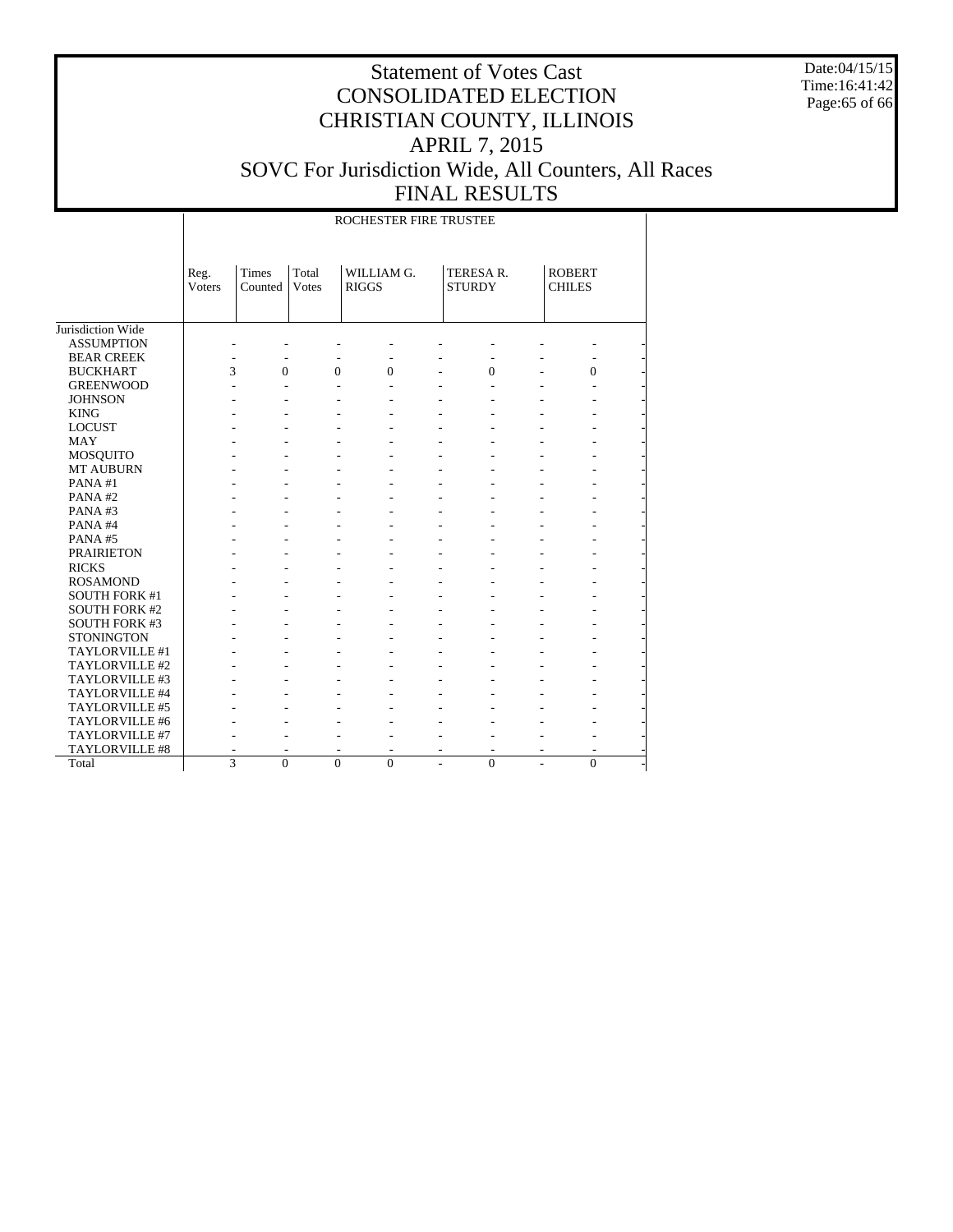Date:04/15/15 Time:16:41:42 Page:65 of 66

#### Statement of Votes Cast CONSOLIDATED ELECTION CHRISTIAN COUNTY, ILLINOIS APRIL 7, 2015 SOVC For Jurisdiction Wide, All Counters, All Races FINAL RESULTS

Jurisdiction Wide ASSUMPTION BEAR CREEK BUCKHART GREENWOOD **JOHNSON**  KING LOCUST MAY MOSQUITO MT AUBURN PANA #1 PANA #2 PANA #3 PANA #4 PANA #5 PRAIRIETON RICKS ROSAMOND SOUTH FORK #1 SOUTH FORK #2 SOUTH FORK #3 **STONINGTON**  TAYLORVILLE #1 TAYLORVILLE #2 TAYLORVILLE #3 TAYLORVILLE #4 TAYLORVILLE #5 TAYLORVILLE #6 TAYLORVILLE #7 TAYLORVILLE #8 Total Reg. Voters Times Counted Total Votes WILLIAM G. RIGGS TERESA R. **STURDY** ROBERT CHILES ROCHESTER FIRE TRUSTEE - - - - - - - - - - - - - - - - - - 3 0 0 0 - 0 - 0 -- - - - - - - - - - - - - - - - - - - - - - - - - - - - - - - - - - - - - - - - - - - - - - - - - - - - - - - - - - - - - - - - - - - - - - - - - - - - - - - - - - - - - - - - - - - - - - - - - - - - - - - - - - - - - - - - - - - - - - - - - - - - - - - - - - - - - - - - - - - - - - - - - - - - - - - - - - - - - - - - - - - - - - - - - - - - - - - - - - - - - - - - - - - - - - - - - - - - - - - - - - - - - - - - - - - - - - - - - - - - - - - - - - - - - - - - - - - - - - - - - - - 3 0 0 0 - 0 - 0 -